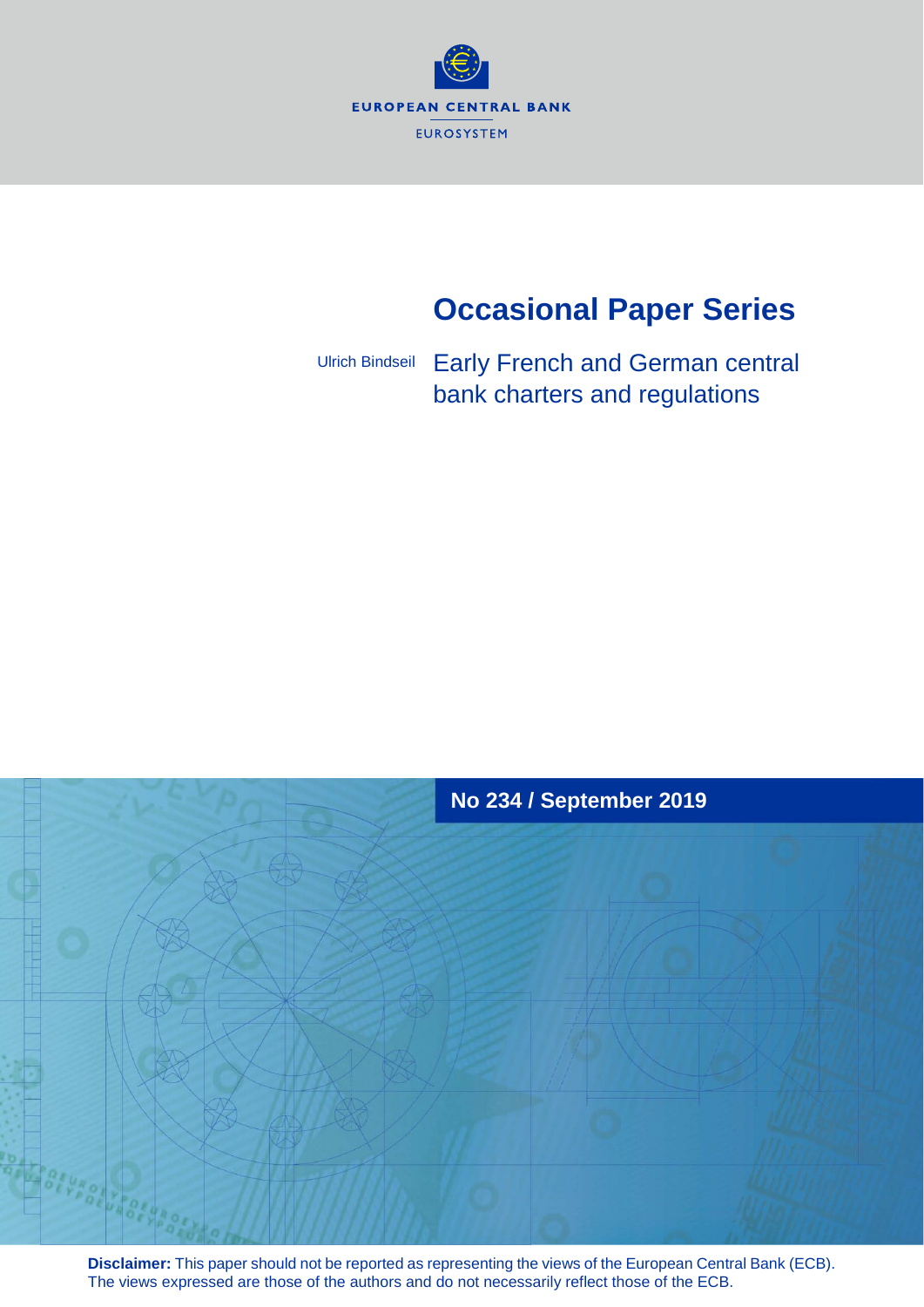

# **Occasional Paper Series**

Early French and German central bank charters and regulations Ulrich Bindseil



**Disclaimer:** This paper should not be reported as representing the views of the European Central Bank (ECB). The views expressed are those of the authors and do not necessarily reflect those of the ECB.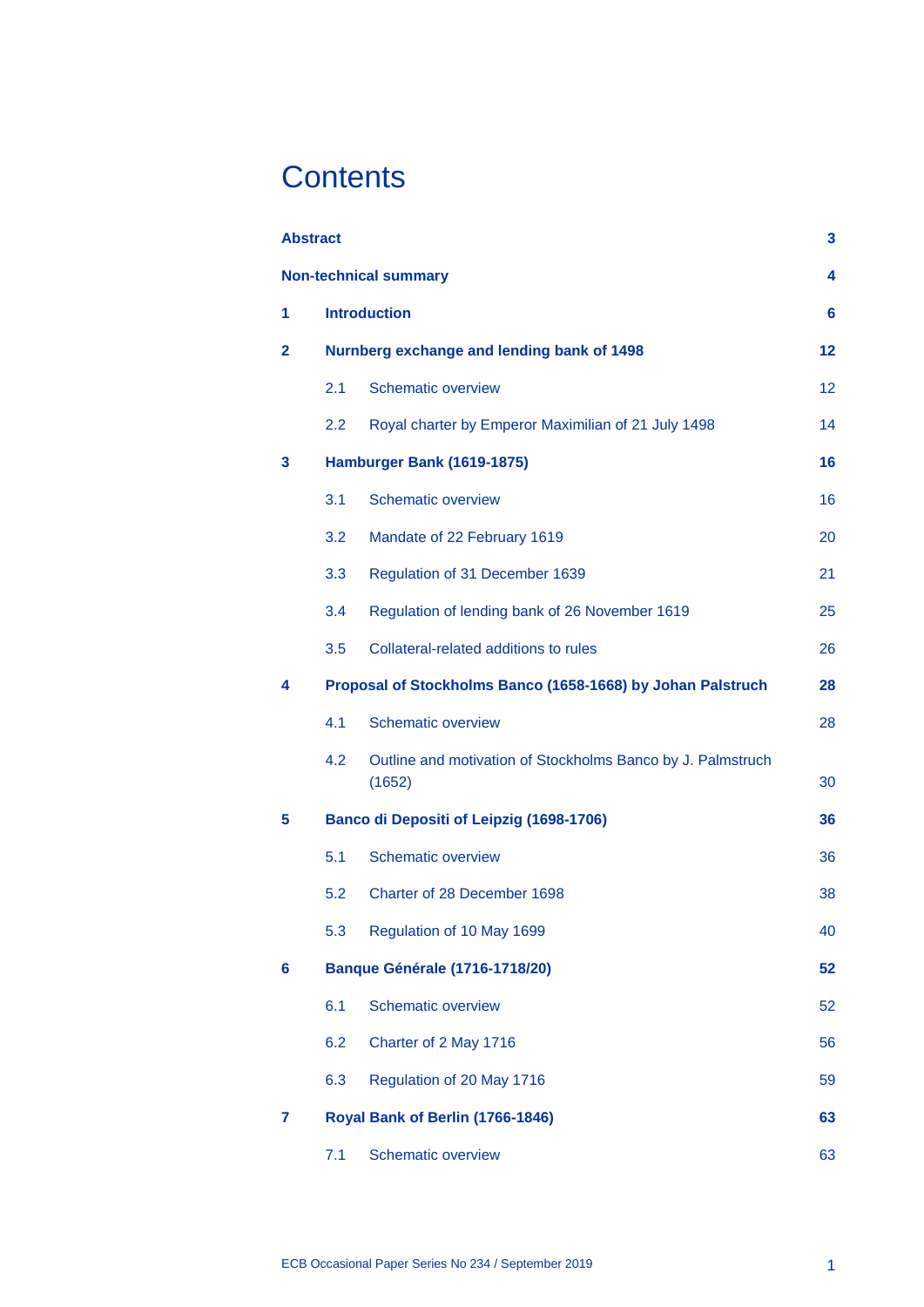# **Contents**

|   | <b>Abstract</b> |                                                                       | 3  |  |  |  |  |  |
|---|-----------------|-----------------------------------------------------------------------|----|--|--|--|--|--|
|   |                 | <b>Non-technical summary</b>                                          | 4  |  |  |  |  |  |
| 1 |                 | <b>Introduction</b>                                                   |    |  |  |  |  |  |
| 2 |                 | Nurnberg exchange and lending bank of 1498                            | 12 |  |  |  |  |  |
|   | 2.1             | <b>Schematic overview</b>                                             | 12 |  |  |  |  |  |
|   | 2.2             | Royal charter by Emperor Maximilian of 21 July 1498                   | 14 |  |  |  |  |  |
| 3 |                 | Hamburger Bank (1619-1875)                                            | 16 |  |  |  |  |  |
|   | 3.1             | <b>Schematic overview</b>                                             | 16 |  |  |  |  |  |
|   | 3.2             | Mandate of 22 February 1619                                           | 20 |  |  |  |  |  |
|   | 3.3             | Regulation of 31 December 1639                                        | 21 |  |  |  |  |  |
|   | 3.4             | Regulation of lending bank of 26 November 1619                        | 25 |  |  |  |  |  |
|   | 3.5             | Collateral-related additions to rules                                 | 26 |  |  |  |  |  |
| 4 |                 | Proposal of Stockholms Banco (1658-1668) by Johan Palstruch           | 28 |  |  |  |  |  |
|   | 4.1             | <b>Schematic overview</b>                                             | 28 |  |  |  |  |  |
|   | 4.2             | Outline and motivation of Stockholms Banco by J. Palmstruch<br>(1652) | 30 |  |  |  |  |  |
| 5 |                 | <b>Banco di Depositi of Leipzig (1698-1706)</b>                       | 36 |  |  |  |  |  |
|   | 5.1             | <b>Schematic overview</b>                                             | 36 |  |  |  |  |  |
|   | 5.2             | Charter of 28 December 1698                                           | 38 |  |  |  |  |  |
|   | 5.3             | Regulation of 10 May 1699                                             | 40 |  |  |  |  |  |
| 6 |                 | <b>Banque Générale (1716-1718/20)</b>                                 | 52 |  |  |  |  |  |
|   | 6.1             | <b>Schematic overview</b>                                             | 52 |  |  |  |  |  |
|   | 6.2             | Charter of 2 May 1716                                                 | 56 |  |  |  |  |  |
|   | 6.3             | Regulation of 20 May 1716                                             | 59 |  |  |  |  |  |
| 7 |                 | Royal Bank of Berlin (1766-1846)                                      | 63 |  |  |  |  |  |
|   | 7.1             | <b>Schematic overview</b>                                             | 63 |  |  |  |  |  |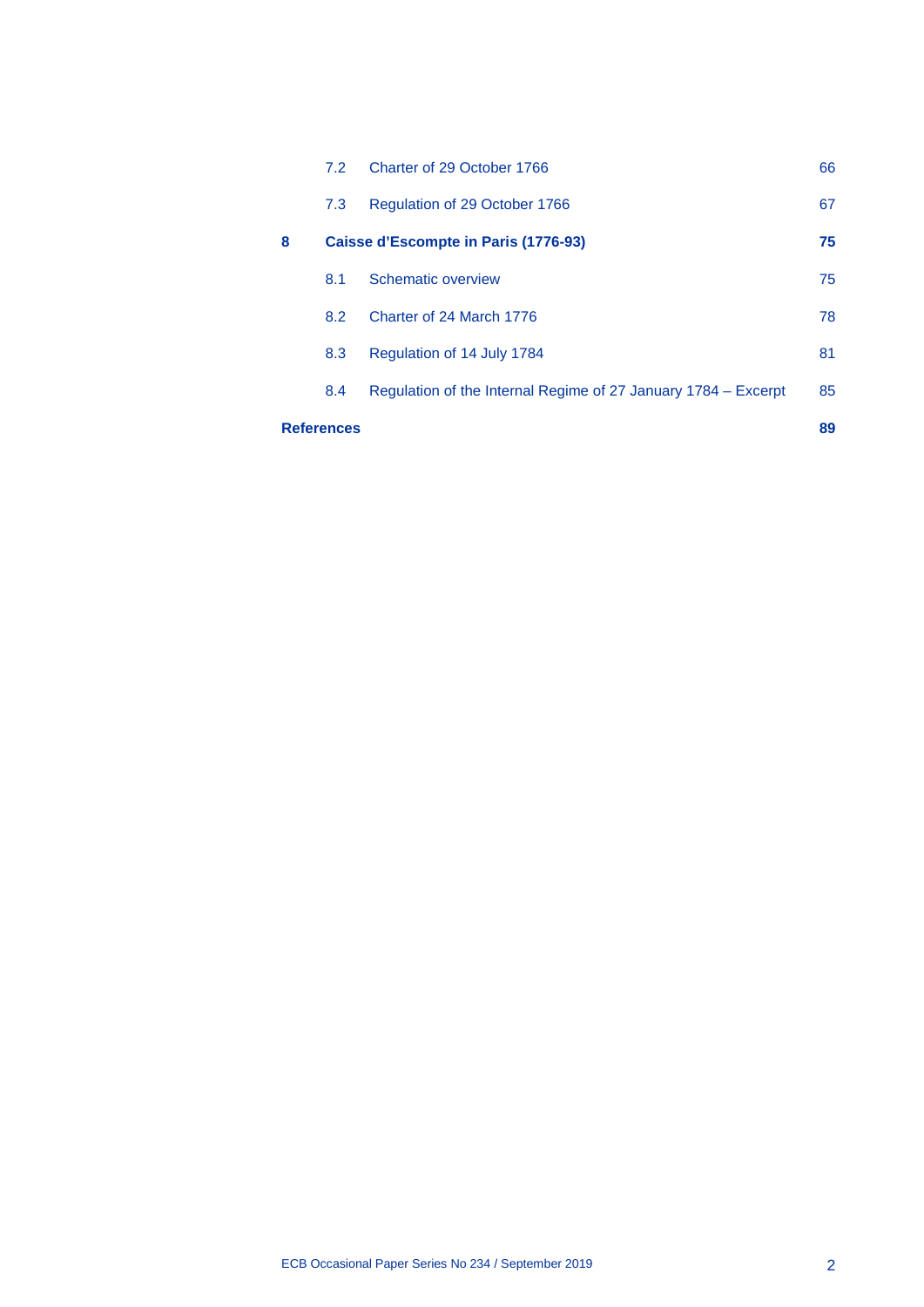|                   | 7.2 | Charter of 29 October 1766                                     | 66 |
|-------------------|-----|----------------------------------------------------------------|----|
|                   | 7.3 | Regulation of 29 October 1766                                  | 67 |
| 8                 |     | Caisse d'Escompte in Paris (1776-93)                           | 75 |
|                   | 8.1 | Schematic overview                                             | 75 |
|                   | 8.2 | Charter of 24 March 1776                                       | 78 |
|                   | 8.3 | Regulation of 14 July 1784                                     | 81 |
|                   | 8.4 | Regulation of the Internal Regime of 27 January 1784 – Excerpt | 85 |
| <b>References</b> |     |                                                                |    |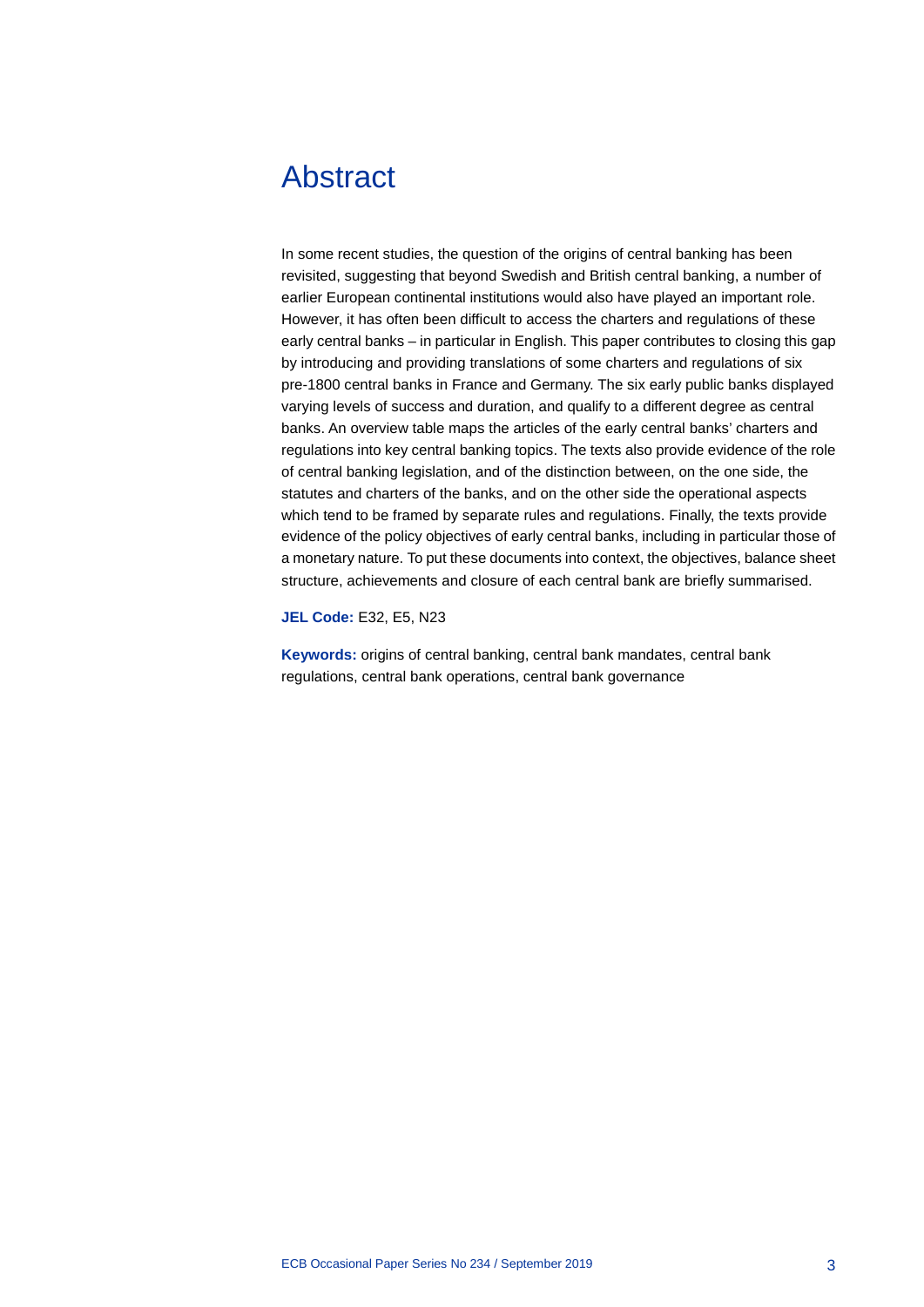## <span id="page-3-0"></span>Abstract

In some recent studies, the question of the origins of central banking has been revisited, suggesting that beyond Swedish and British central banking, a number of earlier European continental institutions would also have played an important role. However, it has often been difficult to access the charters and regulations of these early central banks – in particular in English. This paper contributes to closing this gap by introducing and providing translations of some charters and regulations of six pre-1800 central banks in France and Germany. The six early public banks displayed varying levels of success and duration, and qualify to a different degree as central banks. An overview table maps the articles of the early central banks' charters and regulations into key central banking topics. The texts also provide evidence of the role of central banking legislation, and of the distinction between, on the one side, the statutes and charters of the banks, and on the other side the operational aspects which tend to be framed by separate rules and regulations. Finally, the texts provide evidence of the policy objectives of early central banks, including in particular those of a monetary nature. To put these documents into context, the objectives, balance sheet structure, achievements and closure of each central bank are briefly summarised.

**JEL Code:** E32, E5, N23

**Keywords:** origins of central banking, central bank mandates, central bank regulations, central bank operations, central bank governance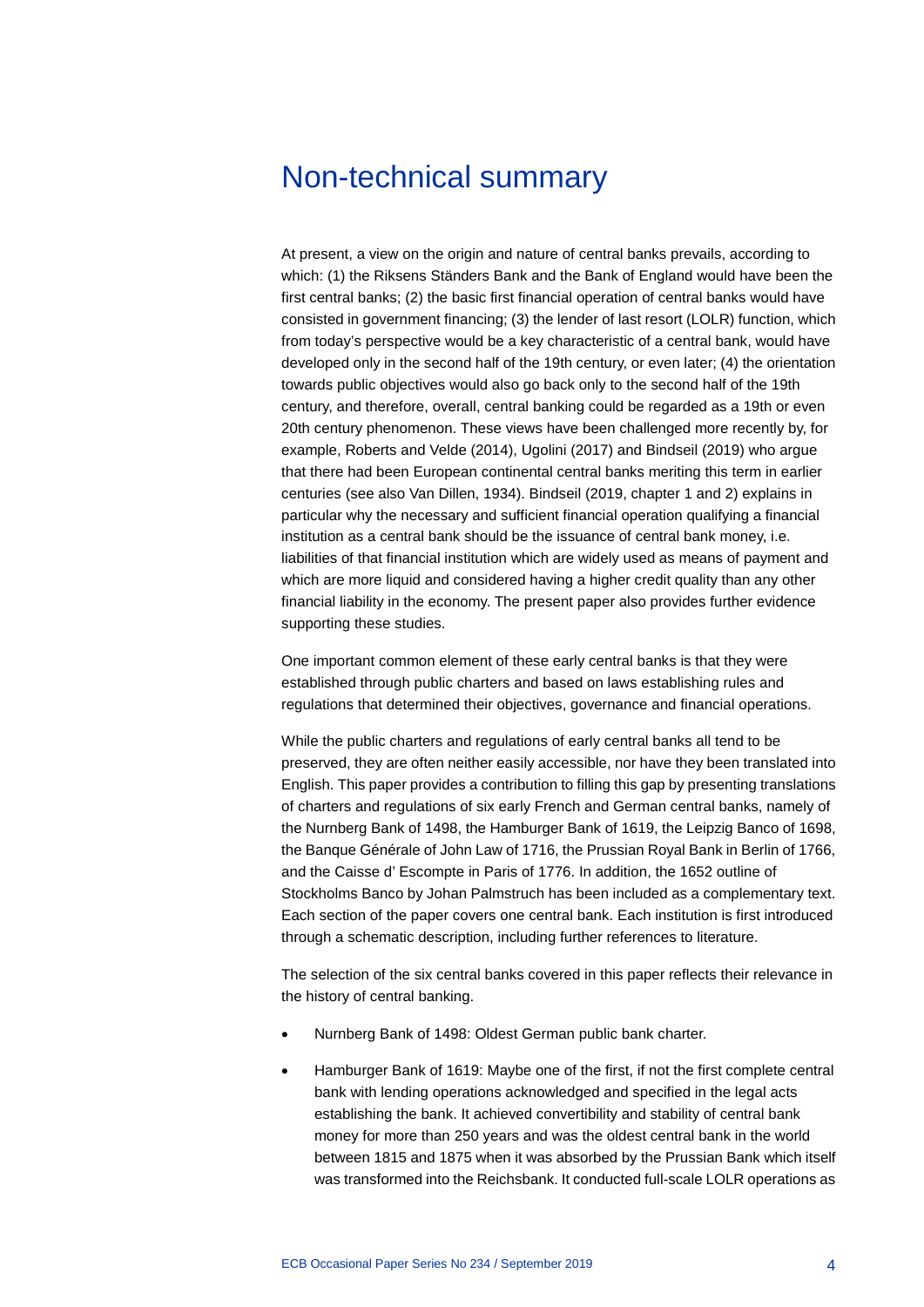### <span id="page-4-0"></span>Non-technical summary

At present, a view on the origin and nature of central banks prevails, according to which: (1) the Riksens Ständers Bank and the Bank of England would have been the first central banks; (2) the basic first financial operation of central banks would have consisted in government financing; (3) the lender of last resort (LOLR) function, which from today's perspective would be a key characteristic of a central bank, would have developed only in the second half of the 19th century, or even later; (4) the orientation towards public objectives would also go back only to the second half of the 19th century, and therefore, overall, central banking could be regarded as a 19th or even 20th century phenomenon. These views have been challenged more recently by, for example, Roberts and Velde (2014), Ugolini (2017) and Bindseil (2019) who argue that there had been European continental central banks meriting this term in earlier centuries (see also Van Dillen, 1934). Bindseil (2019, chapter 1 and 2) explains in particular why the necessary and sufficient financial operation qualifying a financial institution as a central bank should be the issuance of central bank money, i.e. liabilities of that financial institution which are widely used as means of payment and which are more liquid and considered having a higher credit quality than any other financial liability in the economy. The present paper also provides further evidence supporting these studies.

One important common element of these early central banks is that they were established through public charters and based on laws establishing rules and regulations that determined their objectives, governance and financial operations.

While the public charters and regulations of early central banks all tend to be preserved, they are often neither easily accessible, nor have they been translated into English. This paper provides a contribution to filling this gap by presenting translations of charters and regulations of six early French and German central banks, namely of the Nurnberg Bank of 1498, the Hamburger Bank of 1619, the Leipzig Banco of 1698, the Banque Générale of John Law of 1716, the Prussian Royal Bank in Berlin of 1766, and the Caisse d' Escompte in Paris of 1776. In addition, the 1652 outline of Stockholms Banco by Johan Palmstruch has been included as a complementary text. Each section of the paper covers one central bank. Each institution is first introduced through a schematic description, including further references to literature.

The selection of the six central banks covered in this paper reflects their relevance in the history of central banking.

- Nurnberg Bank of 1498: Oldest German public bank charter.
- Hamburger Bank of 1619: Maybe one of the first, if not the first complete central bank with lending operations acknowledged and specified in the legal acts establishing the bank. It achieved convertibility and stability of central bank money for more than 250 years and was the oldest central bank in the world between 1815 and 1875 when it was absorbed by the Prussian Bank which itself was transformed into the Reichsbank. It conducted full-scale LOLR operations as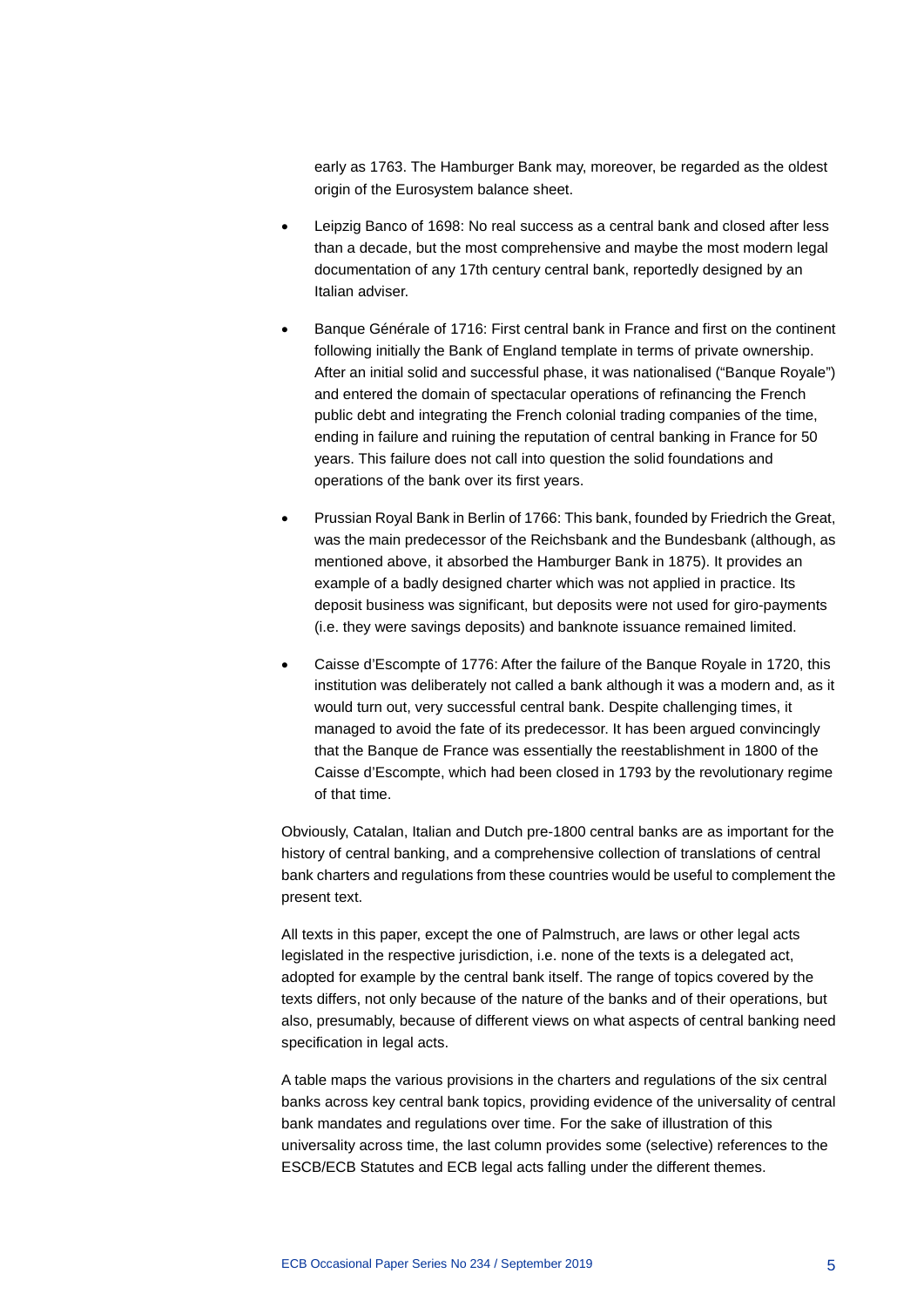early as 1763. The Hamburger Bank may, moreover, be regarded as the oldest origin of the Eurosystem balance sheet.

- Leipzig Banco of 1698: No real success as a central bank and closed after less than a decade, but the most comprehensive and maybe the most modern legal documentation of any 17th century central bank, reportedly designed by an Italian adviser.
- Banque Générale of 1716: First central bank in France and first on the continent following initially the Bank of England template in terms of private ownership. After an initial solid and successful phase, it was nationalised ("Banque Royale") and entered the domain of spectacular operations of refinancing the French public debt and integrating the French colonial trading companies of the time, ending in failure and ruining the reputation of central banking in France for 50 years. This failure does not call into question the solid foundations and operations of the bank over its first years.
- Prussian Royal Bank in Berlin of 1766: This bank, founded by Friedrich the Great, was the main predecessor of the Reichsbank and the Bundesbank (although, as mentioned above, it absorbed the Hamburger Bank in 1875). It provides an example of a badly designed charter which was not applied in practice. Its deposit business was significant, but deposits were not used for giro-payments (i.e. they were savings deposits) and banknote issuance remained limited.
- Caisse d'Escompte of 1776: After the failure of the Banque Royale in 1720, this institution was deliberately not called a bank although it was a modern and, as it would turn out, very successful central bank. Despite challenging times, it managed to avoid the fate of its predecessor. It has been argued convincingly that the Banque de France was essentially the reestablishment in 1800 of the Caisse d'Escompte, which had been closed in 1793 by the revolutionary regime of that time.

Obviously, Catalan, Italian and Dutch pre-1800 central banks are as important for the history of central banking, and a comprehensive collection of translations of central bank charters and regulations from these countries would be useful to complement the present text.

All texts in this paper, except the one of Palmstruch, are laws or other legal acts legislated in the respective jurisdiction, i.e. none of the texts is a delegated act, adopted for example by the central bank itself. The range of topics covered by the texts differs, not only because of the nature of the banks and of their operations, but also, presumably, because of different views on what aspects of central banking need specification in legal acts.

A table maps the various provisions in the charters and regulations of the six central banks across key central bank topics, providing evidence of the universality of central bank mandates and regulations over time. For the sake of illustration of this universality across time, the last column provides some (selective) references to the ESCB/ECB Statutes and ECB legal acts falling under the different themes.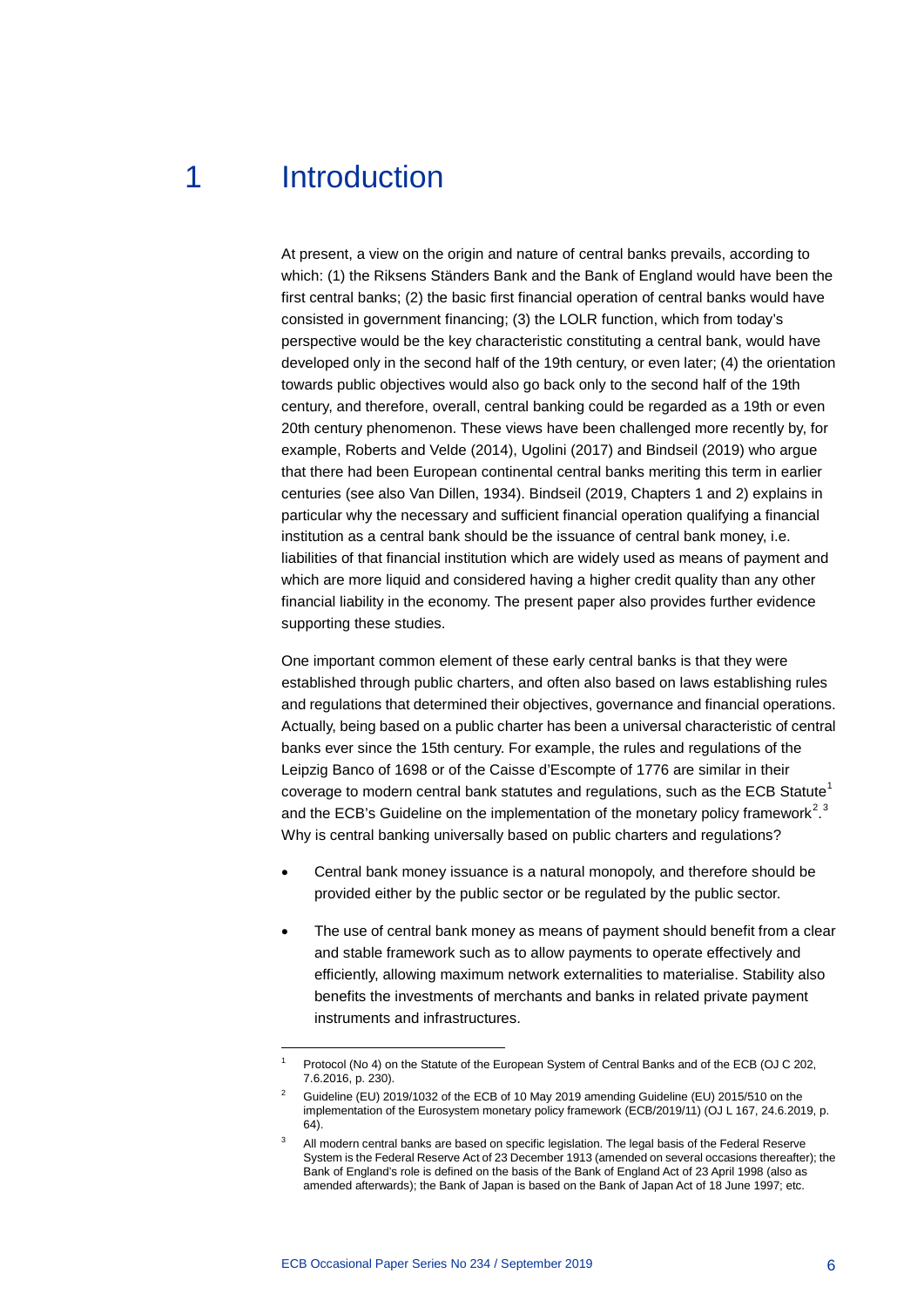## 1 Introduction

<span id="page-6-0"></span>At present, a view on the origin and nature of central banks prevails, according to which: (1) the Riksens Ständers Bank and the Bank of England would have been the first central banks; (2) the basic first financial operation of central banks would have consisted in government financing; (3) the LOLR function, which from today's perspective would be the key characteristic constituting a central bank, would have developed only in the second half of the 19th century, or even later; (4) the orientation towards public objectives would also go back only to the second half of the 19th century, and therefore, overall, central banking could be regarded as a 19th or even 20th century phenomenon. These views have been challenged more recently by, for example, Roberts and Velde (2014), Ugolini (2017) and Bindseil (2019) who argue that there had been European continental central banks meriting this term in earlier centuries (see also Van Dillen, 1934). Bindseil (2019, Chapters 1 and 2) explains in particular why the necessary and sufficient financial operation qualifying a financial institution as a central bank should be the issuance of central bank money, i.e. liabilities of that financial institution which are widely used as means of payment and which are more liquid and considered having a higher credit quality than any other financial liability in the economy. The present paper also provides further evidence supporting these studies.

One important common element of these early central banks is that they were established through public charters, and often also based on laws establishing rules and regulations that determined their objectives, governance and financial operations. Actually, being based on a public charter has been a universal characteristic of central banks ever since the 15th century. For example, the rules and regulations of the Leipzig Banco of 1698 or of the Caisse d'Escompte of 1776 are similar in their coverage to modern central bank statutes and regulations, such as the ECB Statute<sup>[1](#page-6-1)</sup> and the ECB's Guideline on the implementation of the monetary policy framework<sup>[2](#page-6-2),[3](#page-6-3)</sup> Why is central banking universally based on public charters and regulations?

- Central bank money issuance is a natural monopoly, and therefore should be provided either by the public sector or be regulated by the public sector.
- The use of central bank money as means of payment should benefit from a clear and stable framework such as to allow payments to operate effectively and efficiently, allowing maximum network externalities to materialise. Stability also benefits the investments of merchants and banks in related private payment instruments and infrastructures.

-

<span id="page-6-1"></span>Protocol (No 4) on the Statute of the European System of Central Banks and of the ECB (OJ C 202, 7.6.2016, p. 230).

<span id="page-6-2"></span><sup>2</sup> Guideline (EU) 2019/1032 of the ECB of 10 May 2019 amending Guideline (EU) 2015/510 on the implementation of the Eurosystem monetary policy framework (ECB/2019/11) (OJ L 167, 24.6.2019, p. 64).

<span id="page-6-3"></span>All modern central banks are based on specific legislation. The legal basis of the Federal Reserve System is the Federal Reserve Act of 23 December 1913 (amended on several occasions thereafter); the Bank of England's role is defined on the basis of the Bank of England Act of 23 April 1998 (also as amended afterwards); the Bank of Japan is based on the Bank of Japan Act of 18 June 1997; etc.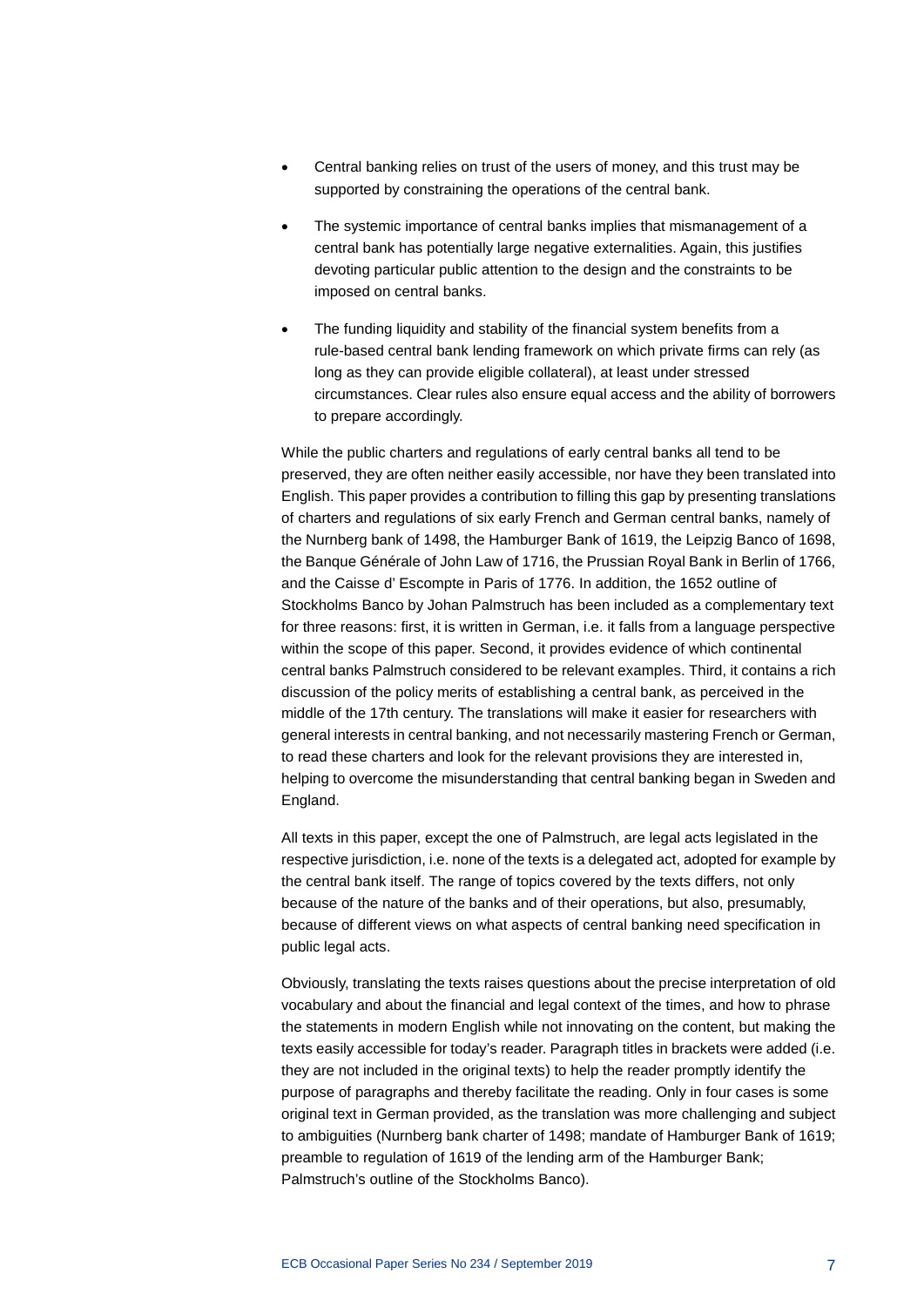- Central banking relies on trust of the users of money, and this trust may be supported by constraining the operations of the central bank.
- The systemic importance of central banks implies that mismanagement of a central bank has potentially large negative externalities. Again, this justifies devoting particular public attention to the design and the constraints to be imposed on central banks.
- The funding liquidity and stability of the financial system benefits from a rule-based central bank lending framework on which private firms can rely (as long as they can provide eligible collateral), at least under stressed circumstances. Clear rules also ensure equal access and the ability of borrowers to prepare accordingly.

While the public charters and regulations of early central banks all tend to be preserved, they are often neither easily accessible, nor have they been translated into English. This paper provides a contribution to filling this gap by presenting translations of charters and regulations of six early French and German central banks, namely of the Nurnberg bank of 1498, the Hamburger Bank of 1619, the Leipzig Banco of 1698, the Banque Générale of John Law of 1716, the Prussian Royal Bank in Berlin of 1766, and the Caisse d' Escompte in Paris of 1776. In addition, the 1652 outline of Stockholms Banco by Johan Palmstruch has been included as a complementary text for three reasons: first, it is written in German, i.e. it falls from a language perspective within the scope of this paper. Second, it provides evidence of which continental central banks Palmstruch considered to be relevant examples. Third, it contains a rich discussion of the policy merits of establishing a central bank, as perceived in the middle of the 17th century. The translations will make it easier for researchers with general interests in central banking, and not necessarily mastering French or German, to read these charters and look for the relevant provisions they are interested in, helping to overcome the misunderstanding that central banking began in Sweden and England.

All texts in this paper, except the one of Palmstruch, are legal acts legislated in the respective jurisdiction, i.e. none of the texts is a delegated act, adopted for example by the central bank itself. The range of topics covered by the texts differs, not only because of the nature of the banks and of their operations, but also, presumably, because of different views on what aspects of central banking need specification in public legal acts.

Obviously, translating the texts raises questions about the precise interpretation of old vocabulary and about the financial and legal context of the times, and how to phrase the statements in modern English while not innovating on the content, but making the texts easily accessible for today's reader. Paragraph titles in brackets were added (i.e. they are not included in the original texts) to help the reader promptly identify the purpose of paragraphs and thereby facilitate the reading. Only in four cases is some original text in German provided, as the translation was more challenging and subject to ambiguities (Nurnberg bank charter of 1498; mandate of Hamburger Bank of 1619; preamble to regulation of 1619 of the lending arm of the Hamburger Bank; Palmstruch's outline of the Stockholms Banco).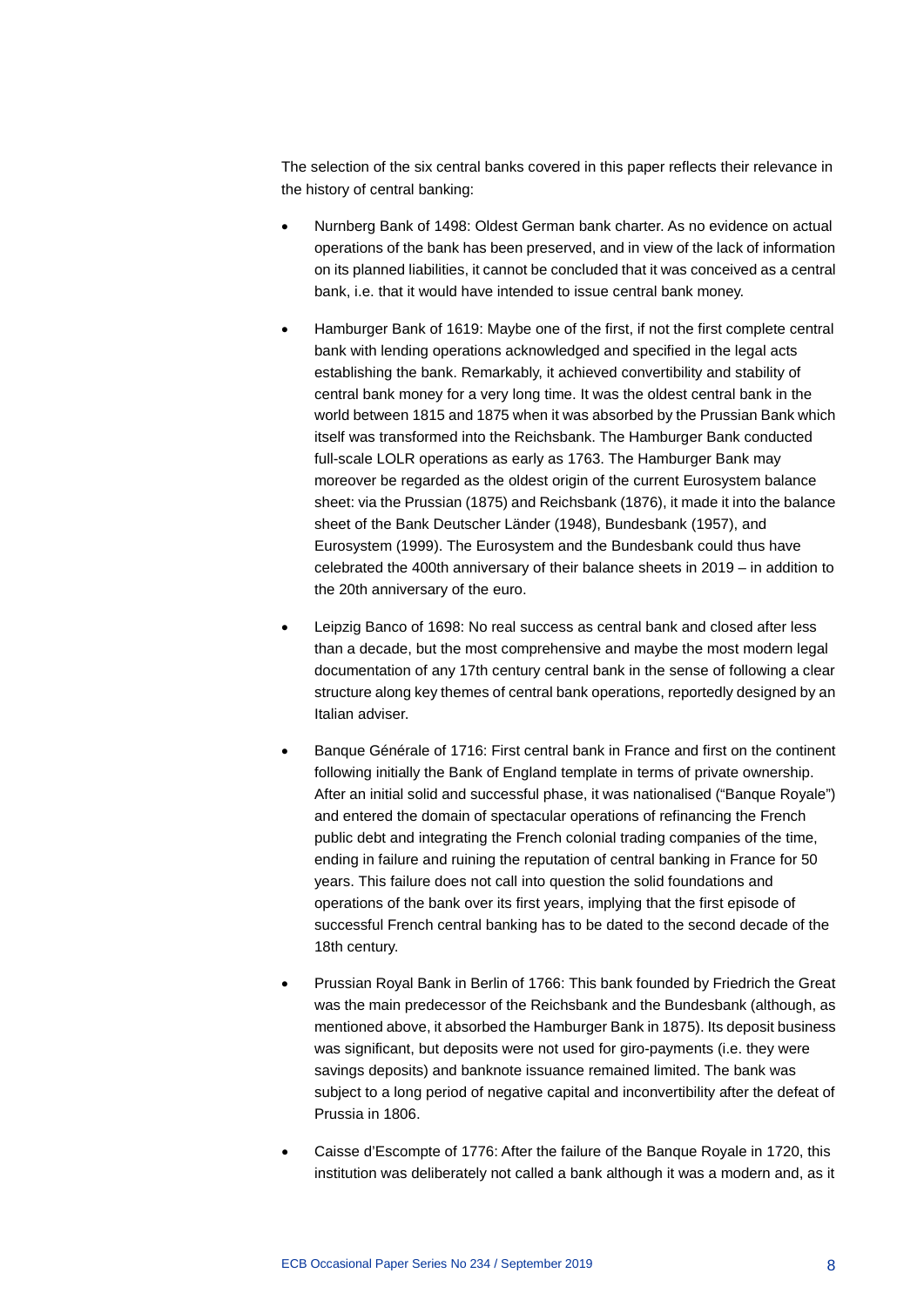The selection of the six central banks covered in this paper reflects their relevance in the history of central banking:

- Nurnberg Bank of 1498: Oldest German bank charter. As no evidence on actual operations of the bank has been preserved, and in view of the lack of information on its planned liabilities, it cannot be concluded that it was conceived as a central bank, i.e. that it would have intended to issue central bank money.
- Hamburger Bank of 1619: Maybe one of the first, if not the first complete central bank with lending operations acknowledged and specified in the legal acts establishing the bank. Remarkably, it achieved convertibility and stability of central bank money for a very long time. It was the oldest central bank in the world between 1815 and 1875 when it was absorbed by the Prussian Bank which itself was transformed into the Reichsbank. The Hamburger Bank conducted full-scale LOLR operations as early as 1763. The Hamburger Bank may moreover be regarded as the oldest origin of the current Eurosystem balance sheet: via the Prussian (1875) and Reichsbank (1876), it made it into the balance sheet of the Bank Deutscher Länder (1948), Bundesbank (1957), and Eurosystem (1999). The Eurosystem and the Bundesbank could thus have celebrated the 400th anniversary of their balance sheets in 2019 – in addition to the 20th anniversary of the euro.
- Leipzig Banco of 1698: No real success as central bank and closed after less than a decade, but the most comprehensive and maybe the most modern legal documentation of any 17th century central bank in the sense of following a clear structure along key themes of central bank operations, reportedly designed by an Italian adviser.
- Banque Générale of 1716: First central bank in France and first on the continent following initially the Bank of England template in terms of private ownership. After an initial solid and successful phase, it was nationalised ("Banque Royale") and entered the domain of spectacular operations of refinancing the French public debt and integrating the French colonial trading companies of the time, ending in failure and ruining the reputation of central banking in France for 50 years. This failure does not call into question the solid foundations and operations of the bank over its first years, implying that the first episode of successful French central banking has to be dated to the second decade of the 18th century.
- Prussian Royal Bank in Berlin of 1766: This bank founded by Friedrich the Great was the main predecessor of the Reichsbank and the Bundesbank (although, as mentioned above, it absorbed the Hamburger Bank in 1875). Its deposit business was significant, but deposits were not used for giro-payments (i.e. they were savings deposits) and banknote issuance remained limited. The bank was subject to a long period of negative capital and inconvertibility after the defeat of Prussia in 1806.
- Caisse d'Escompte of 1776: After the failure of the Banque Royale in 1720, this institution was deliberately not called a bank although it was a modern and, as it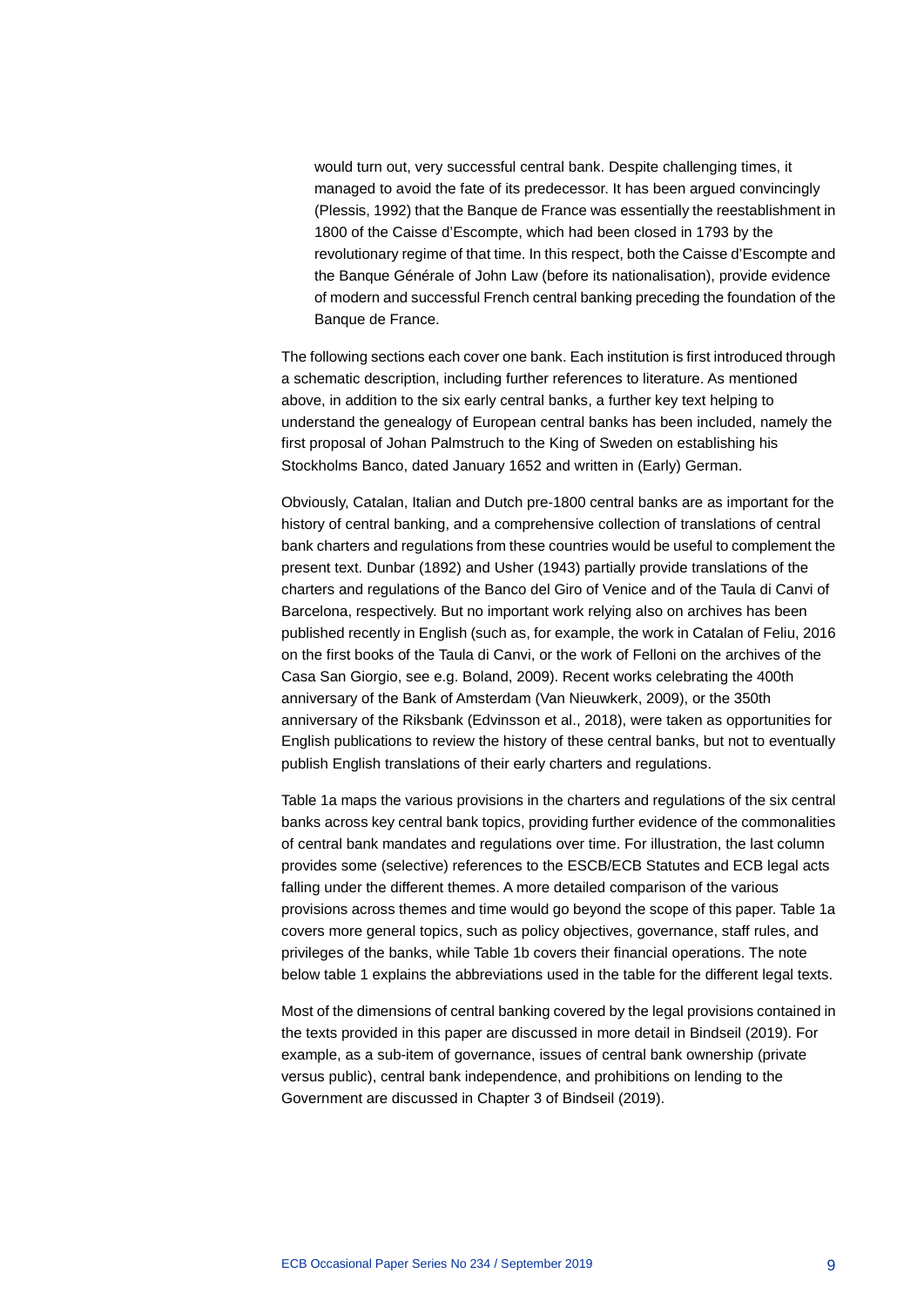would turn out, very successful central bank. Despite challenging times, it managed to avoid the fate of its predecessor. It has been argued convincingly (Plessis, 1992) that the Banque de France was essentially the reestablishment in 1800 of the Caisse d'Escompte, which had been closed in 1793 by the revolutionary regime of that time. In this respect, both the Caisse d'Escompte and the Banque Générale of John Law (before its nationalisation), provide evidence of modern and successful French central banking preceding the foundation of the Banque de France.

The following sections each cover one bank. Each institution is first introduced through a schematic description, including further references to literature. As mentioned above, in addition to the six early central banks, a further key text helping to understand the genealogy of European central banks has been included, namely the first proposal of Johan Palmstruch to the King of Sweden on establishing his Stockholms Banco, dated January 1652 and written in (Early) German.

Obviously, Catalan, Italian and Dutch pre-1800 central banks are as important for the history of central banking, and a comprehensive collection of translations of central bank charters and regulations from these countries would be useful to complement the present text. Dunbar (1892) and Usher (1943) partially provide translations of the charters and regulations of the Banco del Giro of Venice and of the Taula di Canvi of Barcelona, respectively. But no important work relying also on archives has been published recently in English (such as, for example, the work in Catalan of Feliu, 2016 on the first books of the Taula di Canvi, or the work of Felloni on the archives of the Casa San Giorgio, see e.g. Boland, 2009). Recent works celebrating the 400th anniversary of the Bank of Amsterdam (Van Nieuwkerk, 2009), or the 350th anniversary of the Riksbank (Edvinsson et al., 2018), were taken as opportunities for English publications to review the history of these central banks, but not to eventually publish English translations of their early charters and regulations.

Table 1a maps the various provisions in the charters and regulations of the six central banks across key central bank topics, providing further evidence of the commonalities of central bank mandates and regulations over time. For illustration, the last column provides some (selective) references to the ESCB/ECB Statutes and ECB legal acts falling under the different themes. A more detailed comparison of the various provisions across themes and time would go beyond the scope of this paper. Table 1a covers more general topics, such as policy objectives, governance, staff rules, and privileges of the banks, while Table 1b covers their financial operations. The note below table 1 explains the abbreviations used in the table for the different legal texts.

Most of the dimensions of central banking covered by the legal provisions contained in the texts provided in this paper are discussed in more detail in Bindseil (2019). For example, as a sub-item of governance, issues of central bank ownership (private versus public), central bank independence, and prohibitions on lending to the Government are discussed in Chapter 3 of Bindseil (2019).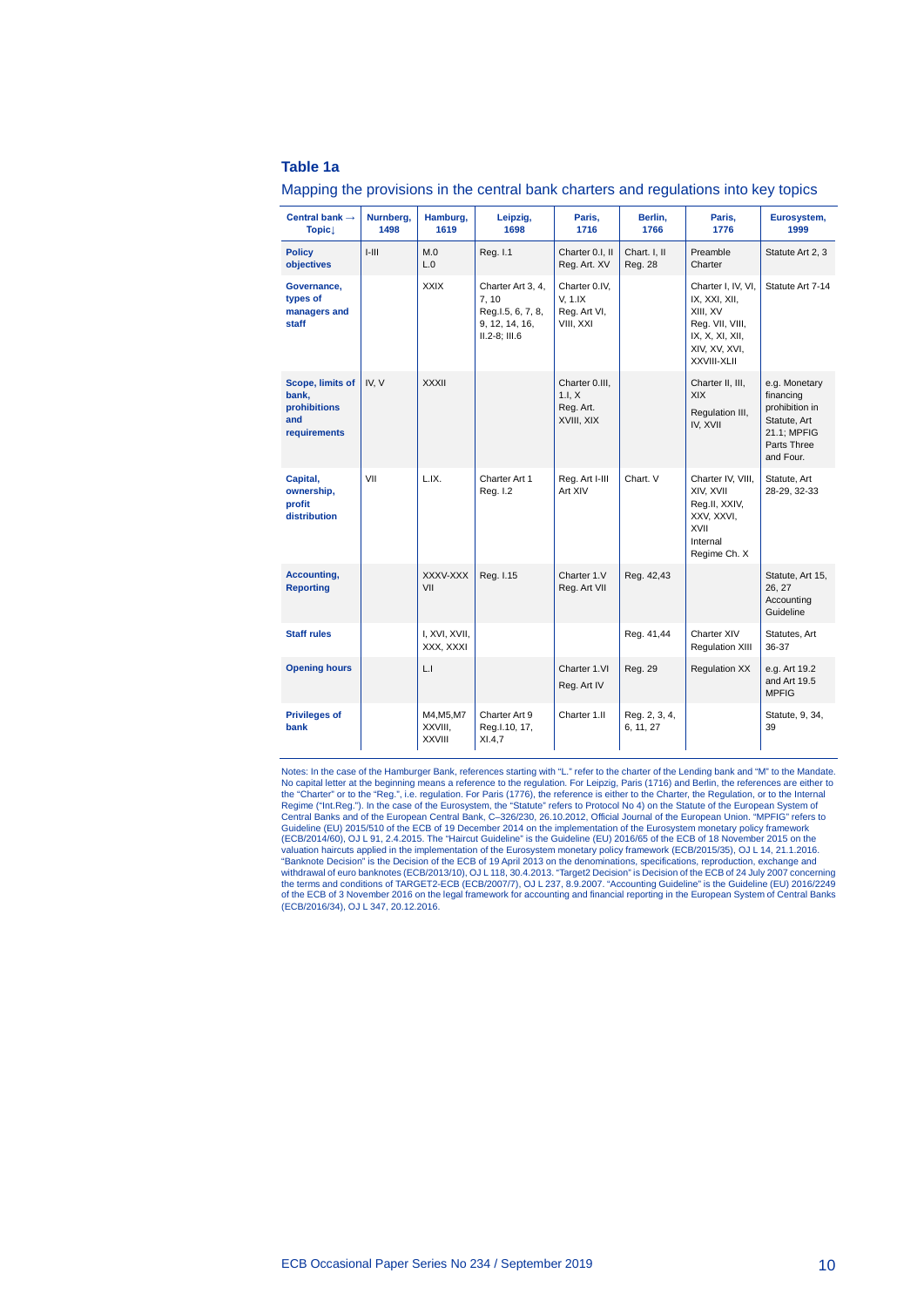#### **Table 1a**

|  |  |  |  | Mapping the provisions in the central bank charters and regulations into key topics |  |
|--|--|--|--|-------------------------------------------------------------------------------------|--|
|--|--|--|--|-------------------------------------------------------------------------------------|--|

| Central bank $\rightarrow$<br><b>Topic</b>                       | Nurnberg,<br>1498 | Hamburg,<br>1619                       | Leipzig,<br>1698                                                                       | Paris,<br>1716                                        | Berlin,<br>1766            | Paris,<br>1776                                                                                                        | Eurosystem,<br>1999                                                                                     |
|------------------------------------------------------------------|-------------------|----------------------------------------|----------------------------------------------------------------------------------------|-------------------------------------------------------|----------------------------|-----------------------------------------------------------------------------------------------------------------------|---------------------------------------------------------------------------------------------------------|
| <b>Policy</b><br>objectives                                      | $1 - 111$         | M.0<br>L.0                             | Reg. I.1                                                                               | Charter 0.I, II<br>Reg. Art. XV                       | Chart. I, II<br>Reg. 28    | Preamble<br>Charter                                                                                                   | Statute Art 2, 3                                                                                        |
| Governance,<br>types of<br>managers and<br>staff                 |                   | <b>XXIX</b>                            | Charter Art 3, 4,<br>7.10<br>Reg.l.5, 6, 7, 8,<br>9, 12, 14, 16,<br>$II.2-8$ ; $III.6$ | Charter 0.IV.<br>V, 1.IX<br>Reg. Art VI,<br>VIII, XXI |                            | Charter I, IV, VI,<br>IX, XXI, XII,<br>XIII, XV<br>Reg. VII, VIII,<br>IX, X, XI, XII,<br>XIV, XV, XVI,<br>XXVIII-XLII | Statute Art 7-14                                                                                        |
| Scope, limits of<br>bank,<br>prohibitions<br>and<br>requirements | IV, V             | <b>XXXII</b>                           |                                                                                        | Charter 0.III.<br>1.I. X<br>Reg. Art.<br>XVIII, XIX   |                            | Charter II, III,<br><b>XIX</b><br>Regulation III,<br>IV, XVII                                                         | e.g. Monetary<br>financing<br>prohibition in<br>Statute, Art<br>21.1; MPFIG<br>Parts Three<br>and Four. |
| Capital,<br>ownership,<br>profit<br>distribution                 | VII               | L.IX.                                  | Charter Art 1<br>Reg. I.2                                                              | Reg. Art I-III<br>Art XIV                             | Chart. V                   | Charter IV, VIII,<br>XIV, XVII<br>Reg.II, XXIV,<br>XXV, XXVI,<br>XVII<br>Internal<br>Regime Ch. X                     | Statute, Art<br>28-29, 32-33                                                                            |
| Accounting,<br><b>Reporting</b>                                  |                   | XXXV-XXX<br>VII                        | Reg. I.15                                                                              | Charter 1.V<br>Reg. Art VII                           | Reg. 42,43                 |                                                                                                                       | Statute, Art 15,<br>26, 27<br>Accounting<br>Guideline                                                   |
| <b>Staff rules</b>                                               |                   | I, XVI, XVII,<br>XXX, XXXI             |                                                                                        |                                                       | Reg. 41,44                 | Charter XIV<br><b>Regulation XIII</b>                                                                                 | Statutes, Art<br>36-37                                                                                  |
| <b>Opening hours</b>                                             |                   | L.I                                    |                                                                                        | Charter 1.VI<br>Reg. Art IV                           | Reg. 29                    | <b>Regulation XX</b>                                                                                                  | e.g. Art 19.2<br>and Art 19.5<br><b>MPFIG</b>                                                           |
| <b>Privileges of</b><br>bank                                     |                   | M4, M5, M7<br>XXVIII.<br><b>XXVIII</b> | Charter Art 9<br>Reg.I.10, 17,<br>XI.4.7                                               | Charter 1.II                                          | Reg. 2, 3, 4,<br>6, 11, 27 |                                                                                                                       | Statute, 9, 34,<br>39                                                                                   |

Notes: In the case of the Hamburger Bank, references starting with "L." refer to the charter of the Lending bank and "M" to the Mandate. No capital letter at the beginning means a reference to the regulation. For Leipzig, Paris (1716) and Berlin, the references are either to<br>the "Charter" or to the "Reg.", i.e. regulation. For Paris (1776), the reference is (ECB/2014/60), OJ L 91, 2.4.2015. The "Haircut Guideline" is the Guideline (EU) 2016/65 of the ECB of 18 November 2015 on the<br>valuation haircuts applied in the implementation of the Eurosystem monetary policy framework (EC "Banknote Decision" is the Decision of the ECB of 19 April 2013 on the denominations, specifications, reproduction, exchange and<br>withdrawal of euro banknotes (ECB/2013/10), OJL 118, 30.4.2013. "Target2 Decision" is Decisio of the ECB of 3 November 2016 on the legal framework for accounting and financial reporting in the European System of Central Banks (ECB/2016/34), OJ L 347, 20.12.2016.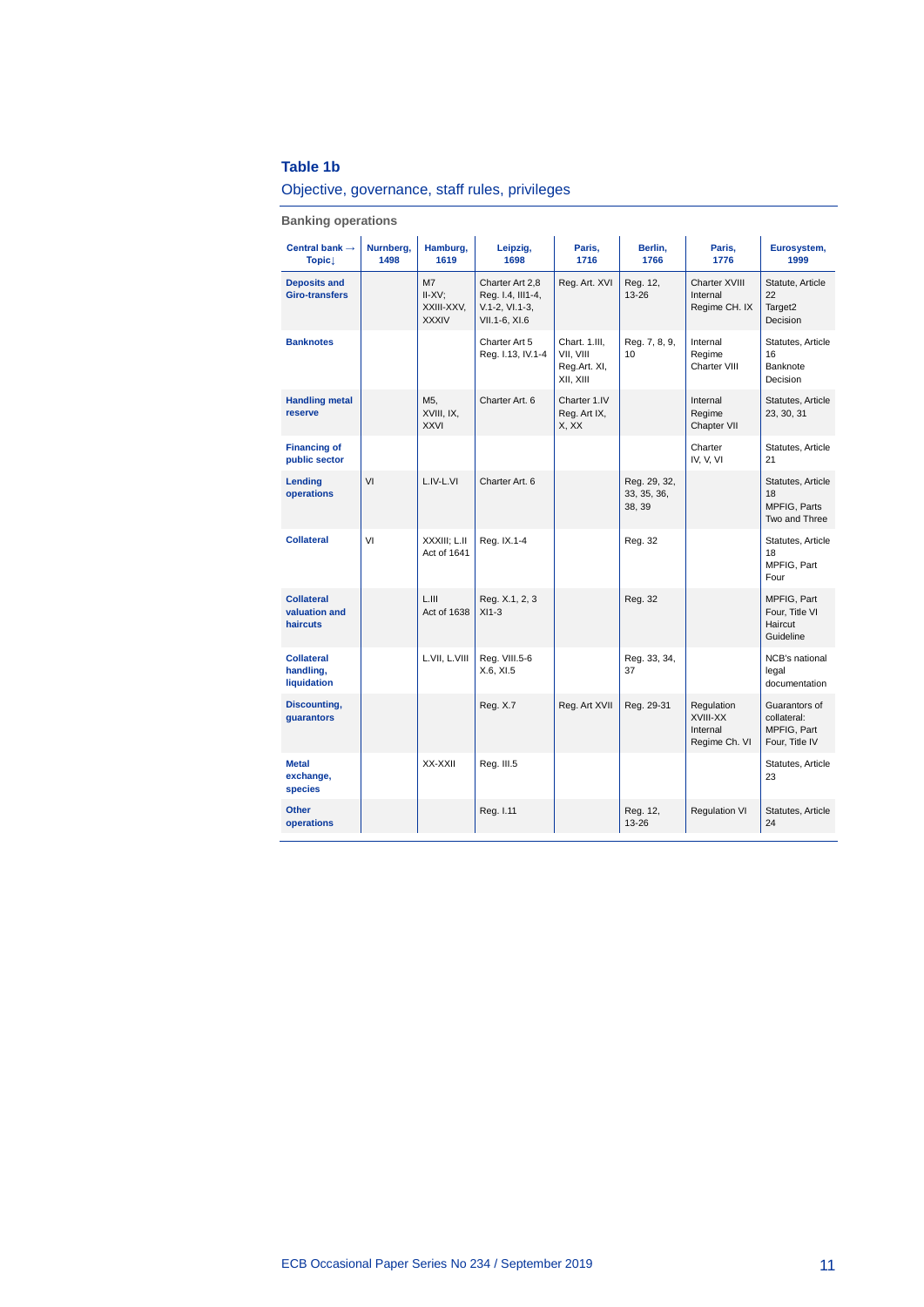## **Table 1b**<br>Objective

| Objective, governance, staff rules, privileges |  |
|------------------------------------------------|--|

**Banking operations**

| Central bank $\rightarrow$<br>$Topic\perp$     | Nurnberg,<br>1498 | Hamburg,<br>1619                                          | Leipzig,<br>1698                                                          | Paris,<br>1716                                          | Berlin,<br>1766                       | Paris,<br>1776                                      | Eurosystem,<br>1999                                           |
|------------------------------------------------|-------------------|-----------------------------------------------------------|---------------------------------------------------------------------------|---------------------------------------------------------|---------------------------------------|-----------------------------------------------------|---------------------------------------------------------------|
| <b>Deposits and</b><br><b>Giro-transfers</b>   |                   | M <sub>7</sub><br>$II-XV$ ;<br>XXIII-XXV,<br><b>XXXIV</b> | Charter Art 2,8<br>Reg. I.4, III1-4,<br>$V.1-2, V1.1-3,$<br>VII.1-6, XI.6 | Reg. Art. XVI                                           | Reg. 12,<br>13-26                     | Charter XVIII<br>Internal<br>Regime CH. IX          | Statute, Article<br>22<br>Target2<br>Decision                 |
| <b>Banknotes</b>                               |                   |                                                           | Charter Art 5<br>Reg. I.13, IV.1-4                                        | Chart. 1.III,<br>VII, VIII<br>Reg.Art. XI,<br>XII, XIII | Reg. 7, 8, 9,<br>10                   | Internal<br>Regime<br>Charter VIII                  | Statutes, Article<br>16<br>Banknote<br>Decision               |
| <b>Handling metal</b><br>reserve               |                   | M5,<br>XVIII, IX,<br><b>XXVI</b>                          | Charter Art. 6                                                            | Charter 1.IV<br>Reg. Art IX,<br>X, XX                   |                                       | Internal<br>Regime<br>Chapter VII                   | Statutes, Article<br>23, 30, 31                               |
| <b>Financing of</b><br>public sector           |                   |                                                           |                                                                           |                                                         |                                       | Charter<br>IV, V, VI                                | Statutes, Article<br>21                                       |
| Lending<br>operations                          | VI                | L.IV-L.VI                                                 | Charter Art. 6                                                            |                                                         | Reg. 29, 32,<br>33, 35, 36,<br>38, 39 |                                                     | Statutes, Article<br>18<br>MPFIG, Parts<br>Two and Three      |
| <b>Collateral</b>                              | VI                | XXXIII: L.II<br>Act of 1641                               | Reg. IX.1-4                                                               |                                                         | Reg. 32                               |                                                     | Statutes, Article<br>18<br>MPFIG, Part<br>Four                |
| <b>Collateral</b><br>valuation and<br>haircuts |                   | L.HI<br>Act of 1638                                       | Reg. X.1, 2, 3<br>$XI1-3$                                                 |                                                         | Reg. 32                               |                                                     | MPFIG, Part<br>Four, Title VI<br>Haircut<br>Guideline         |
| <b>Collateral</b><br>handling,<br>liquidation  |                   | L.VII, L.VIII                                             | Reg. VIII.5-6<br>X.6, XI.5                                                |                                                         | Reg. 33, 34,<br>37                    |                                                     | NCB's national<br>legal<br>documentation                      |
| Discounting,<br>guarantors                     |                   |                                                           | Reg. X.7                                                                  | Reg. Art XVII                                           | Reg. 29-31                            | Regulation<br>XVIII-XX<br>Internal<br>Regime Ch. VI | Guarantors of<br>collateral:<br>MPFIG, Part<br>Four, Title IV |
| <b>Metal</b><br>exchange,<br>species           |                   | XX-XXII                                                   | Reg. III.5                                                                |                                                         |                                       |                                                     | Statutes, Article<br>23                                       |
| <b>Other</b><br>operations                     |                   |                                                           | Reg. I.11                                                                 |                                                         | Reg. 12,<br>13-26                     | <b>Regulation VI</b>                                | Statutes, Article<br>24                                       |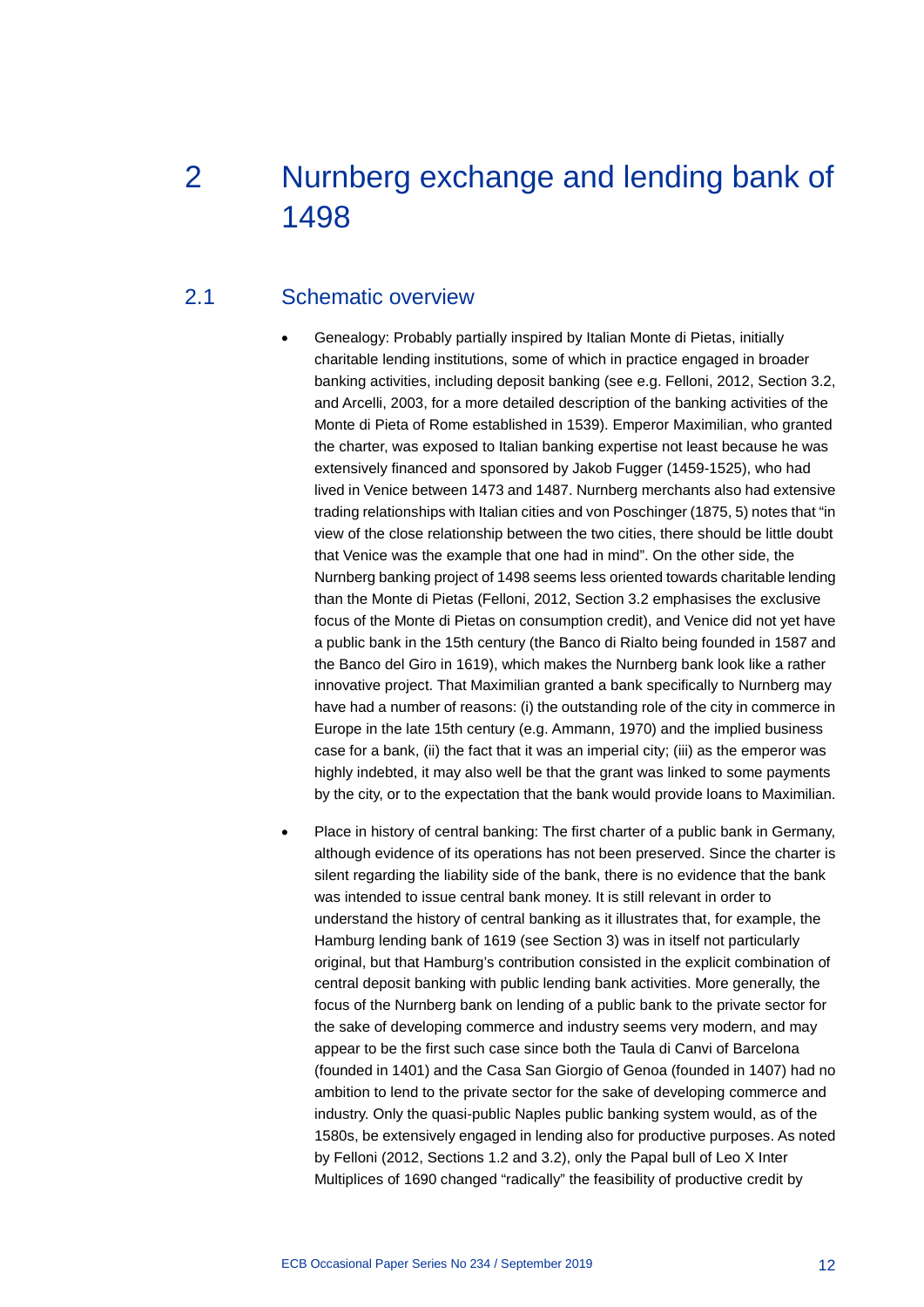# <span id="page-12-0"></span>2 Nurnberg exchange and lending bank of 1498

### 2.1 Schematic overview

- <span id="page-12-1"></span>• Genealogy: Probably partially inspired by Italian Monte di Pietas, initially charitable lending institutions, some of which in practice engaged in broader banking activities, including deposit banking (see e.g. Felloni, 2012, Section 3.2, and Arcelli, 2003, for a more detailed description of the banking activities of the Monte di Pieta of Rome established in 1539). Emperor Maximilian, who granted the charter, was exposed to Italian banking expertise not least because he was extensively financed and sponsored by Jakob Fugger (1459-1525), who had lived in Venice between 1473 and 1487. Nurnberg merchants also had extensive trading relationships with Italian cities and von Poschinger (1875, 5) notes that "in view of the close relationship between the two cities, there should be little doubt that Venice was the example that one had in mind". On the other side, the Nurnberg banking project of 1498 seems less oriented towards charitable lending than the Monte di Pietas (Felloni, 2012, Section 3.2 emphasises the exclusive focus of the Monte di Pietas on consumption credit), and Venice did not yet have a public bank in the 15th century (the Banco di Rialto being founded in 1587 and the Banco del Giro in 1619), which makes the Nurnberg bank look like a rather innovative project. That Maximilian granted a bank specifically to Nurnberg may have had a number of reasons: (i) the outstanding role of the city in commerce in Europe in the late 15th century (e.g. Ammann, 1970) and the implied business case for a bank, (ii) the fact that it was an imperial city; (iii) as the emperor was highly indebted, it may also well be that the grant was linked to some payments by the city, or to the expectation that the bank would provide loans to Maximilian.
- Place in history of central banking: The first charter of a public bank in Germany, although evidence of its operations has not been preserved. Since the charter is silent regarding the liability side of the bank, there is no evidence that the bank was intended to issue central bank money. It is still relevant in order to understand the history of central banking as it illustrates that, for example, the Hamburg lending bank of 1619 (see Section 3) was in itself not particularly original, but that Hamburg's contribution consisted in the explicit combination of central deposit banking with public lending bank activities. More generally, the focus of the Nurnberg bank on lending of a public bank to the private sector for the sake of developing commerce and industry seems very modern, and may appear to be the first such case since both the Taula di Canvi of Barcelona (founded in 1401) and the Casa San Giorgio of Genoa (founded in 1407) had no ambition to lend to the private sector for the sake of developing commerce and industry. Only the quasi-public Naples public banking system would, as of the 1580s, be extensively engaged in lending also for productive purposes. As noted by Felloni (2012, Sections 1.2 and 3.2), only the Papal bull of Leo X Inter Multiplices of 1690 changed "radically" the feasibility of productive credit by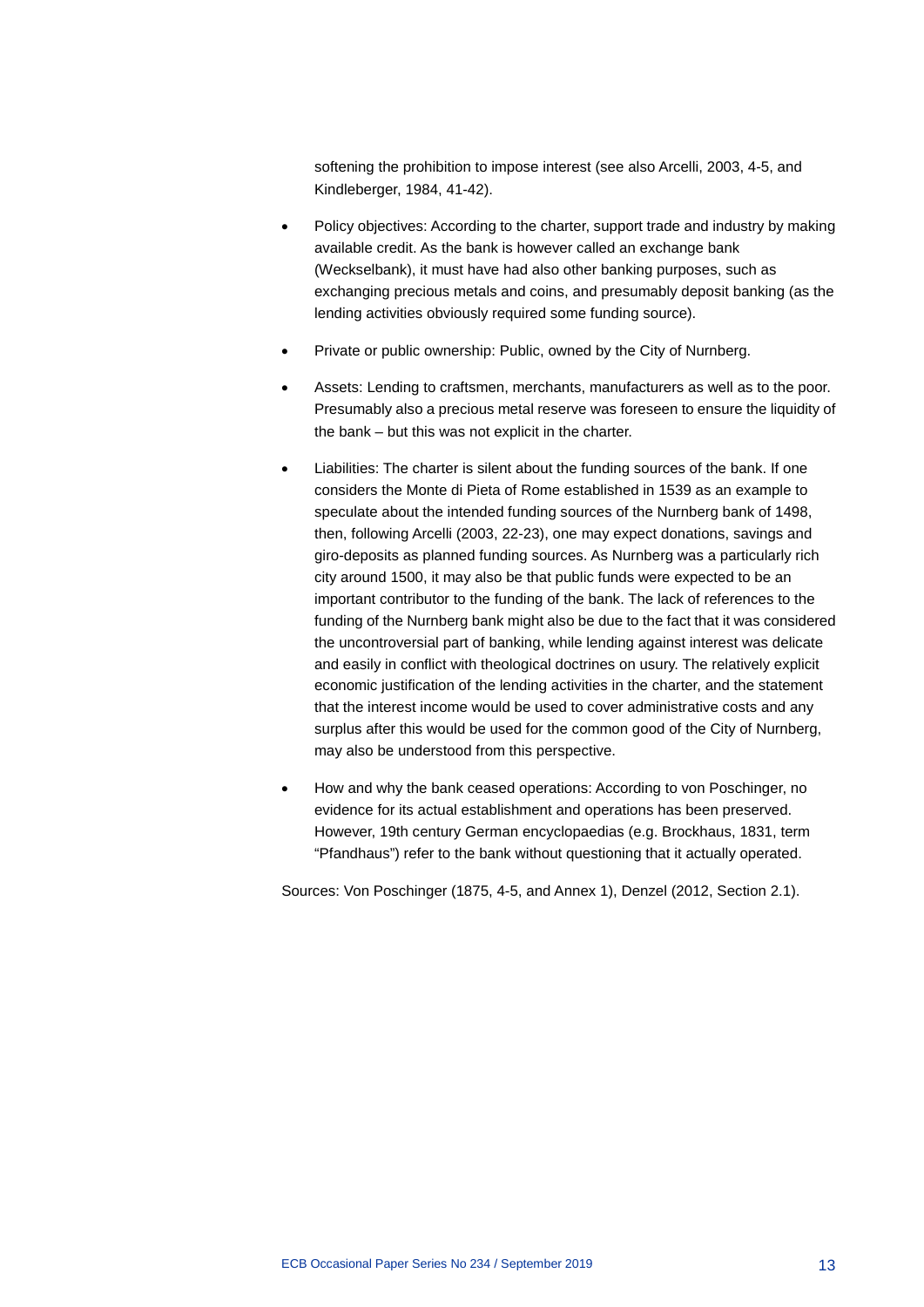softening the prohibition to impose interest (see also Arcelli, 2003, 4-5, and Kindleberger, 1984, 41-42).

- Policy objectives: According to the charter, support trade and industry by making available credit. As the bank is however called an exchange bank (Weckselbank), it must have had also other banking purposes, such as exchanging precious metals and coins, and presumably deposit banking (as the lending activities obviously required some funding source).
- Private or public ownership: Public, owned by the City of Nurnberg.
- Assets: Lending to craftsmen, merchants, manufacturers as well as to the poor. Presumably also a precious metal reserve was foreseen to ensure the liquidity of the bank – but this was not explicit in the charter.
- Liabilities: The charter is silent about the funding sources of the bank. If one considers the Monte di Pieta of Rome established in 1539 as an example to speculate about the intended funding sources of the Nurnberg bank of 1498, then, following Arcelli (2003, 22-23), one may expect donations, savings and giro-deposits as planned funding sources. As Nurnberg was a particularly rich city around 1500, it may also be that public funds were expected to be an important contributor to the funding of the bank. The lack of references to the funding of the Nurnberg bank might also be due to the fact that it was considered the uncontroversial part of banking, while lending against interest was delicate and easily in conflict with theological doctrines on usury. The relatively explicit economic justification of the lending activities in the charter, and the statement that the interest income would be used to cover administrative costs and any surplus after this would be used for the common good of the City of Nurnberg, may also be understood from this perspective.
- How and why the bank ceased operations: According to von Poschinger, no evidence for its actual establishment and operations has been preserved. However, 19th century German encyclopaedias (e.g. Brockhaus, 1831, term "Pfandhaus") refer to the bank without questioning that it actually operated.

Sources: Von Poschinger (1875, 4-5, and Annex 1), Denzel (2012, Section 2.1).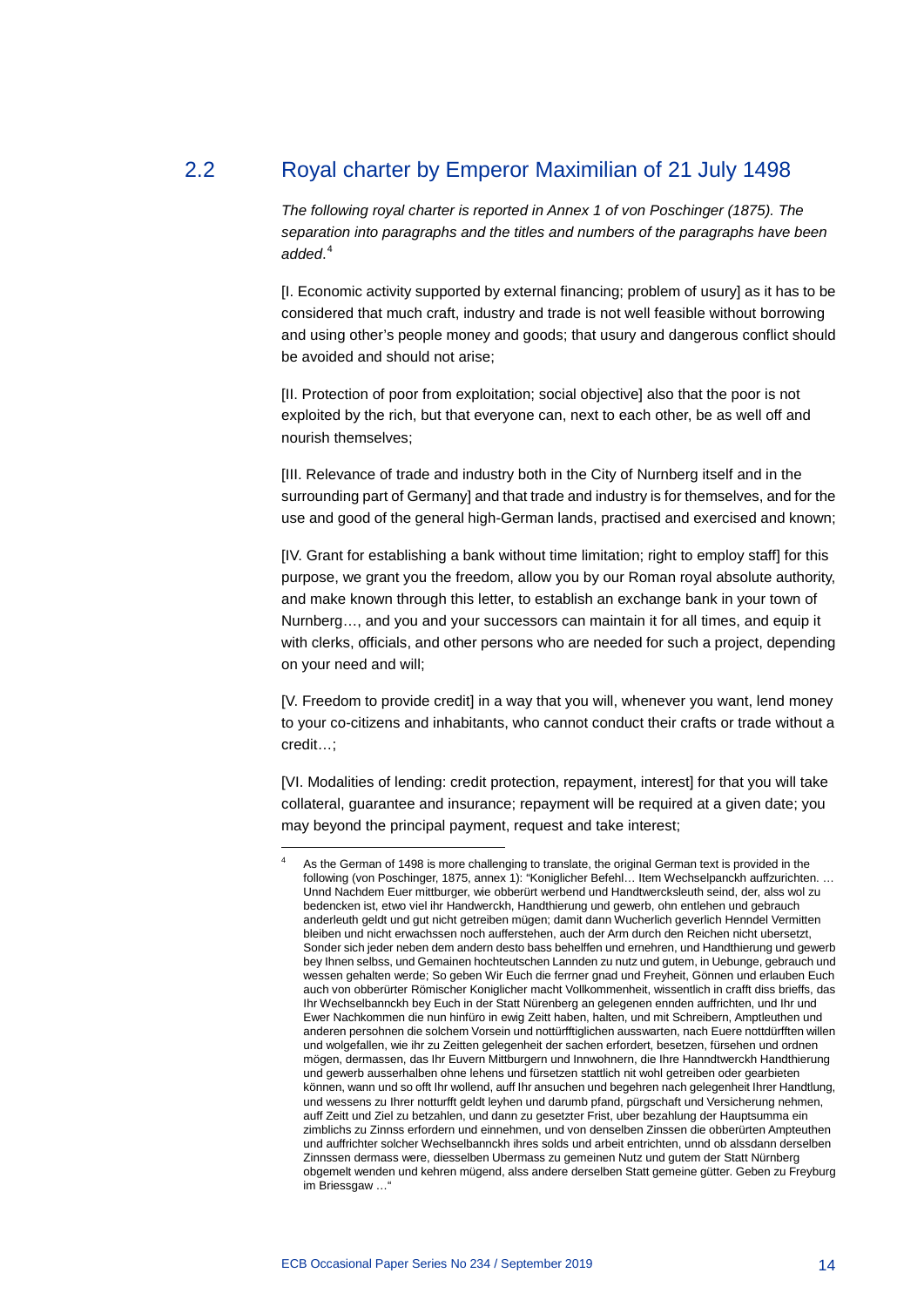### 2.2 Royal charter by Emperor Maximilian of 21 July 1498

<span id="page-14-0"></span>*The following royal charter is reported in Annex 1 of von Poschinger (1875). The separation into paragraphs and the titles and numbers of the paragraphs have been added*. [4](#page-14-1)

[I. Economic activity supported by external financing; problem of usury] as it has to be considered that much craft, industry and trade is not well feasible without borrowing and using other's people money and goods; that usury and dangerous conflict should be avoided and should not arise;

[II. Protection of poor from exploitation; social objective] also that the poor is not exploited by the rich, but that everyone can, next to each other, be as well off and nourish themselves;

[III. Relevance of trade and industry both in the City of Nurnberg itself and in the surrounding part of Germany] and that trade and industry is for themselves, and for the use and good of the general high-German lands, practised and exercised and known;

[IV. Grant for establishing a bank without time limitation; right to employ staff] for this purpose, we grant you the freedom, allow you by our Roman royal absolute authority, and make known through this letter, to establish an exchange bank in your town of Nurnberg…, and you and your successors can maintain it for all times, and equip it with clerks, officials, and other persons who are needed for such a project, depending on your need and will;

[V. Freedom to provide credit] in a way that you will, whenever you want, lend money to your co-citizens and inhabitants, who cannot conduct their crafts or trade without a credit…;

[VI. Modalities of lending: credit protection, repayment, interest] for that you will take collateral, guarantee and insurance; repayment will be required at a given date; you may beyond the principal payment, request and take interest;

<span id="page-14-1"></span>-

As the German of 1498 is more challenging to translate, the original German text is provided in the following (von Poschinger, 1875, annex 1): "Koniglicher Befehl… Item Wechselpanckh auffzurichten. … Unnd Nachdem Euer mittburger, wie obberürt werbend und Handtwercksleuth seind, der, alss wol zu bedencken ist, etwo viel ihr Handwerckh, Handthierung und gewerb, ohn entlehen und gebrauch anderleuth geldt und gut nicht getreiben mügen; damit dann Wucherlich geverlich Henndel Vermitten bleiben und nicht erwachssen noch aufferstehen, auch der Arm durch den Reichen nicht ubersetzt, Sonder sich jeder neben dem andern desto bass behelffen und ernehren, und Handthierung und gewerb bey Ihnen selbss, und Gemainen hochteutschen Lannden zu nutz und gutem, in Uebunge, gebrauch und wessen gehalten werde; So geben Wir Euch die ferrner gnad und Freyheit, Gönnen und erlauben Euch auch von obberürter Römischer Koniglicher macht Vollkommenheit, wissentlich in crafft diss brieffs, das Ihr Wechselbannckh bey Euch in der Statt Nürenberg an gelegenen ennden auffrichten, und Ihr und Ewer Nachkommen die nun hinfüro in ewig Zeitt haben, halten, und mit Schreibern, Amptleuthen und anderen persohnen die solchem Vorsein und nottürfftiglichen ausswarten, nach Euere nottdürfften willen und wolgefallen, wie ihr zu Zeitten gelegenheit der sachen erfordert, besetzen, fürsehen und ordnen mögen, dermassen, das Ihr Euvern Mittburgern und Innwohnern, die Ihre Hanndtwerckh Handthierung und gewerb ausserhalben ohne lehens und fürsetzen stattlich nit wohl getreiben oder gearbieten können, wann und so offt Ihr wollend, auff Ihr ansuchen und begehren nach gelegenheit Ihrer Handtlung, und wessens zu Ihrer notturfft geldt leyhen und darumb pfand, pürgschaft und Versicherung nehmen, auff Zeitt und Ziel zu betzahlen, und dann zu gesetzter Frist, uber bezahlung der Hauptsumma ein zimblichs zu Zinnss erfordern und einnehmen, und von denselben Zinssen die obberürten Ampteuthen und auffrichter solcher Wechselbannckh ihres solds und arbeit entrichten, unnd ob alssdann derselben Zinnssen dermass were, diesselben Ubermass zu gemeinen Nutz und gutem der Statt Nürnberg obgemelt wenden und kehren mügend, alss andere derselben Statt gemeine gütter. Geben zu Freyburg im Briessgaw …"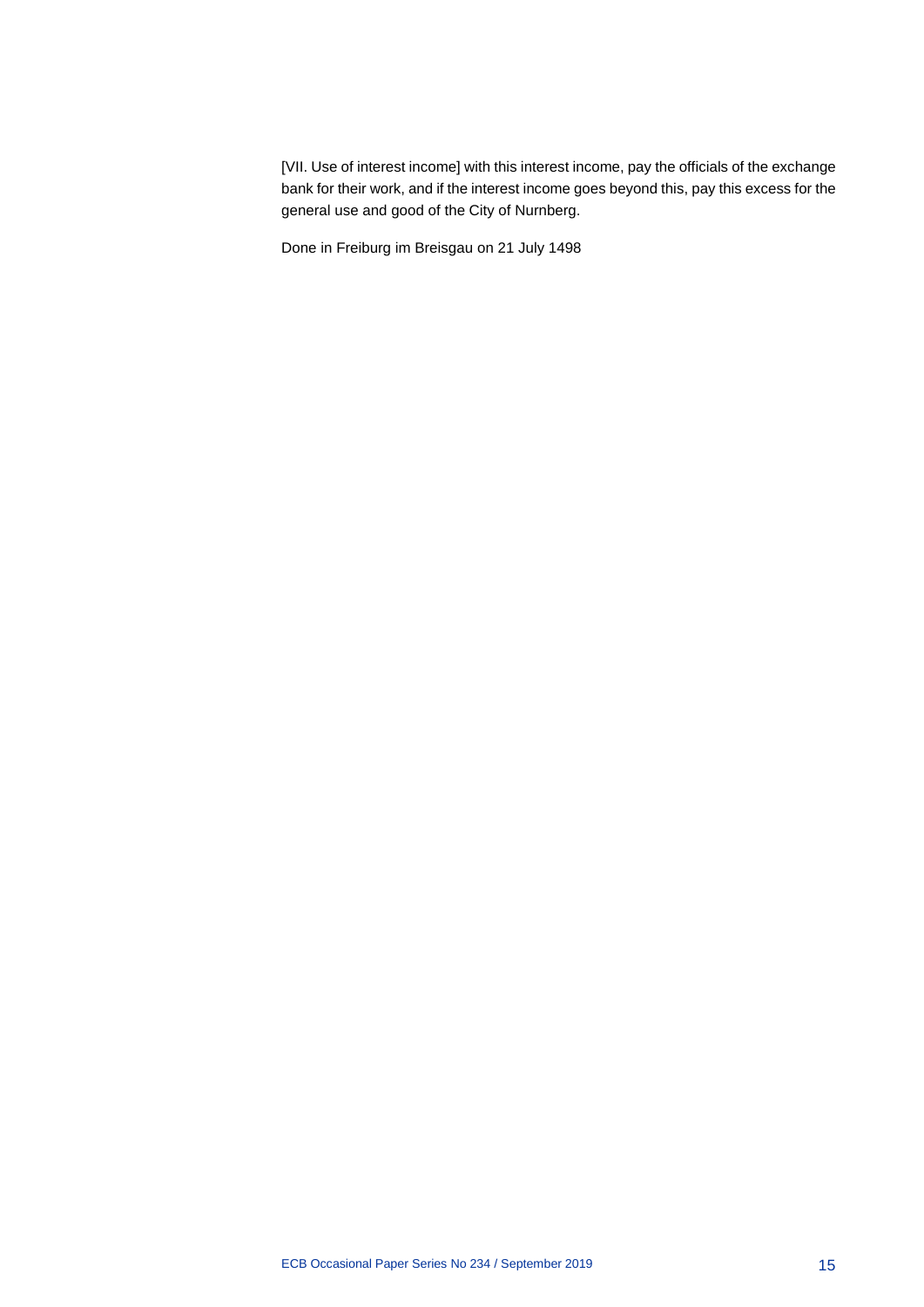[VII. Use of interest income] with this interest income, pay the officials of the exchange bank for their work, and if the interest income goes beyond this, pay this excess for the general use and good of the City of Nurnberg.

Done in Freiburg im Breisgau on 21 July 1498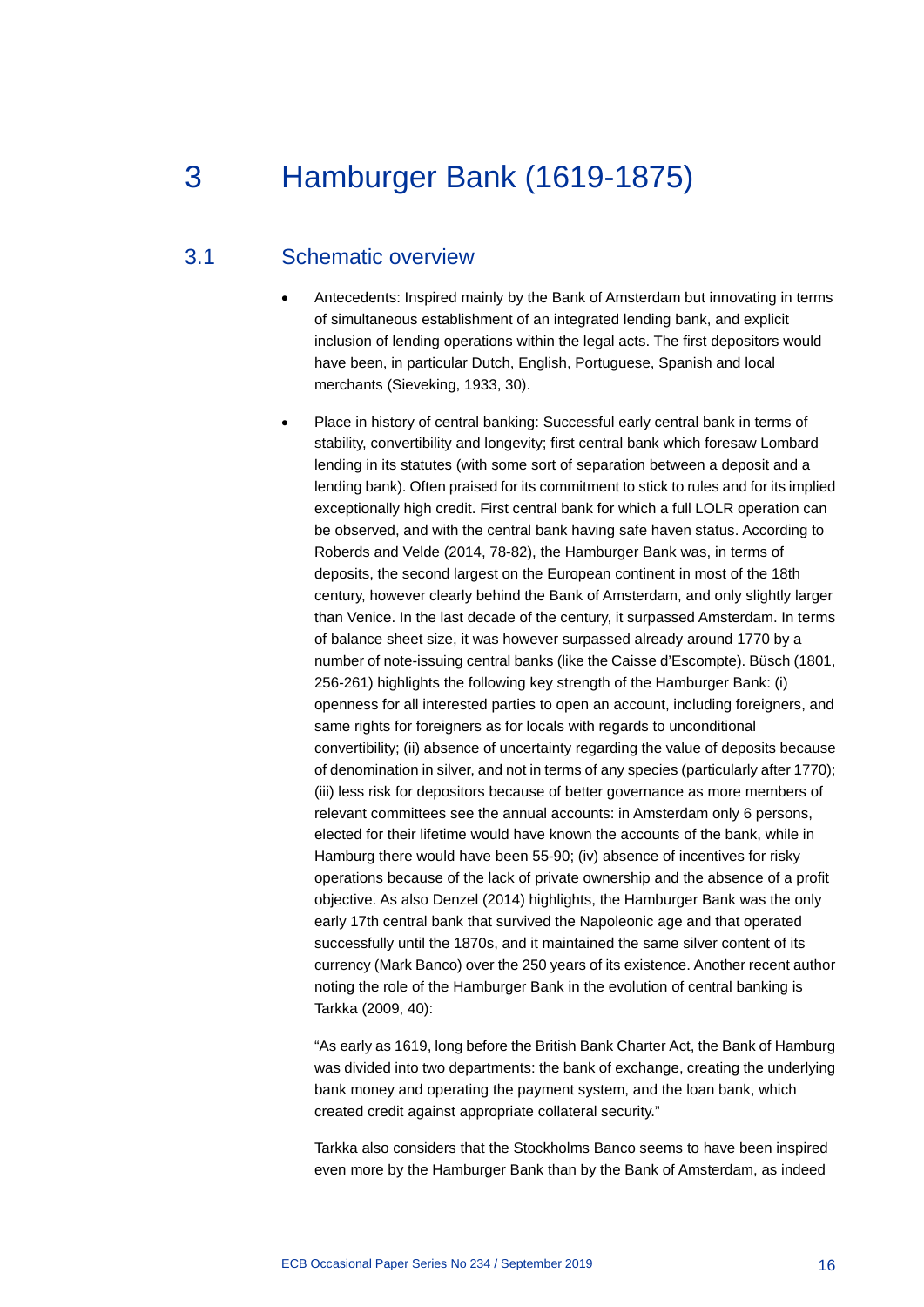## <span id="page-16-0"></span>3 Hamburger Bank (1619-1875)

#### 3.1 Schematic overview

- <span id="page-16-1"></span>• Antecedents: Inspired mainly by the Bank of Amsterdam but innovating in terms of simultaneous establishment of an integrated lending bank, and explicit inclusion of lending operations within the legal acts. The first depositors would have been, in particular Dutch, English, Portuguese, Spanish and local merchants (Sieveking, 1933, 30).
- Place in history of central banking: Successful early central bank in terms of stability, convertibility and longevity; first central bank which foresaw Lombard lending in its statutes (with some sort of separation between a deposit and a lending bank). Often praised for its commitment to stick to rules and for its implied exceptionally high credit. First central bank for which a full LOLR operation can be observed, and with the central bank having safe haven status. According to Roberds and Velde (2014, 78-82), the Hamburger Bank was, in terms of deposits, the second largest on the European continent in most of the 18th century, however clearly behind the Bank of Amsterdam, and only slightly larger than Venice. In the last decade of the century, it surpassed Amsterdam. In terms of balance sheet size, it was however surpassed already around 1770 by a number of note-issuing central banks (like the Caisse d'Escompte). Büsch (1801, 256-261) highlights the following key strength of the Hamburger Bank: (i) openness for all interested parties to open an account, including foreigners, and same rights for foreigners as for locals with regards to unconditional convertibility; (ii) absence of uncertainty regarding the value of deposits because of denomination in silver, and not in terms of any species (particularly after 1770); (iii) less risk for depositors because of better governance as more members of relevant committees see the annual accounts: in Amsterdam only 6 persons, elected for their lifetime would have known the accounts of the bank, while in Hamburg there would have been 55-90; (iv) absence of incentives for risky operations because of the lack of private ownership and the absence of a profit objective. As also Denzel (2014) highlights, the Hamburger Bank was the only early 17th central bank that survived the Napoleonic age and that operated successfully until the 1870s, and it maintained the same silver content of its currency (Mark Banco) over the 250 years of its existence. Another recent author noting the role of the Hamburger Bank in the evolution of central banking is Tarkka (2009, 40):

"As early as 1619, long before the British Bank Charter Act, the Bank of Hamburg was divided into two departments: the bank of exchange, creating the underlying bank money and operating the payment system, and the loan bank, which created credit against appropriate collateral security."

Tarkka also considers that the Stockholms Banco seems to have been inspired even more by the Hamburger Bank than by the Bank of Amsterdam, as indeed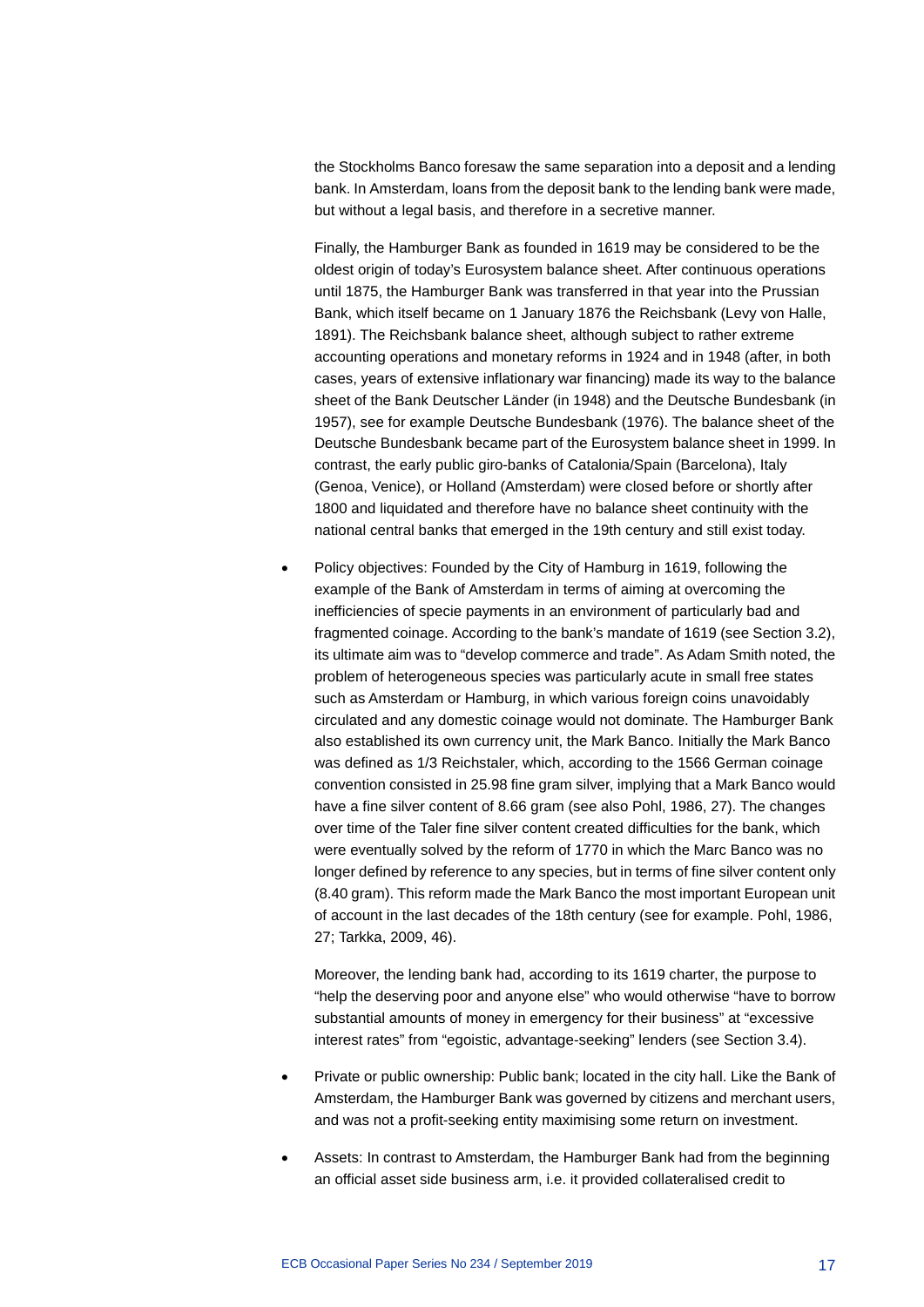the Stockholms Banco foresaw the same separation into a deposit and a lending bank. In Amsterdam, loans from the deposit bank to the lending bank were made, but without a legal basis, and therefore in a secretive manner.

Finally, the Hamburger Bank as founded in 1619 may be considered to be the oldest origin of today's Eurosystem balance sheet. After continuous operations until 1875, the Hamburger Bank was transferred in that year into the Prussian Bank, which itself became on 1 January 1876 the Reichsbank (Levy von Halle, 1891). The Reichsbank balance sheet, although subject to rather extreme accounting operations and monetary reforms in 1924 and in 1948 (after, in both cases, years of extensive inflationary war financing) made its way to the balance sheet of the Bank Deutscher Länder (in 1948) and the Deutsche Bundesbank (in 1957), see for example Deutsche Bundesbank (1976). The balance sheet of the Deutsche Bundesbank became part of the Eurosystem balance sheet in 1999. In contrast, the early public giro-banks of Catalonia/Spain (Barcelona), Italy (Genoa, Venice), or Holland (Amsterdam) were closed before or shortly after 1800 and liquidated and therefore have no balance sheet continuity with the national central banks that emerged in the 19th century and still exist today.

• Policy objectives: Founded by the City of Hamburg in 1619, following the example of the Bank of Amsterdam in terms of aiming at overcoming the inefficiencies of specie payments in an environment of particularly bad and fragmented coinage. According to the bank's mandate of 1619 (see Section 3.2), its ultimate aim was to "develop commerce and trade". As Adam Smith noted, the problem of heterogeneous species was particularly acute in small free states such as Amsterdam or Hamburg, in which various foreign coins unavoidably circulated and any domestic coinage would not dominate. The Hamburger Bank also established its own currency unit, the Mark Banco. Initially the Mark Banco was defined as 1/3 Reichstaler, which, according to the 1566 German coinage convention consisted in 25.98 fine gram silver, implying that a Mark Banco would have a fine silver content of 8.66 gram (see also Pohl, 1986, 27). The changes over time of the Taler fine silver content created difficulties for the bank, which were eventually solved by the reform of 1770 in which the Marc Banco was no longer defined by reference to any species, but in terms of fine silver content only (8.40 gram). This reform made the Mark Banco the most important European unit of account in the last decades of the 18th century (see for example. Pohl, 1986, 27; Tarkka, 2009, 46).

Moreover, the lending bank had, according to its 1619 charter, the purpose to "help the deserving poor and anyone else" who would otherwise "have to borrow substantial amounts of money in emergency for their business" at "excessive interest rates" from "egoistic, advantage-seeking" lenders (see Section 3.4).

- Private or public ownership: Public bank; located in the city hall. Like the Bank of Amsterdam, the Hamburger Bank was governed by citizens and merchant users, and was not a profit-seeking entity maximising some return on investment.
- Assets: In contrast to Amsterdam, the Hamburger Bank had from the beginning an official asset side business arm, i.e. it provided collateralised credit to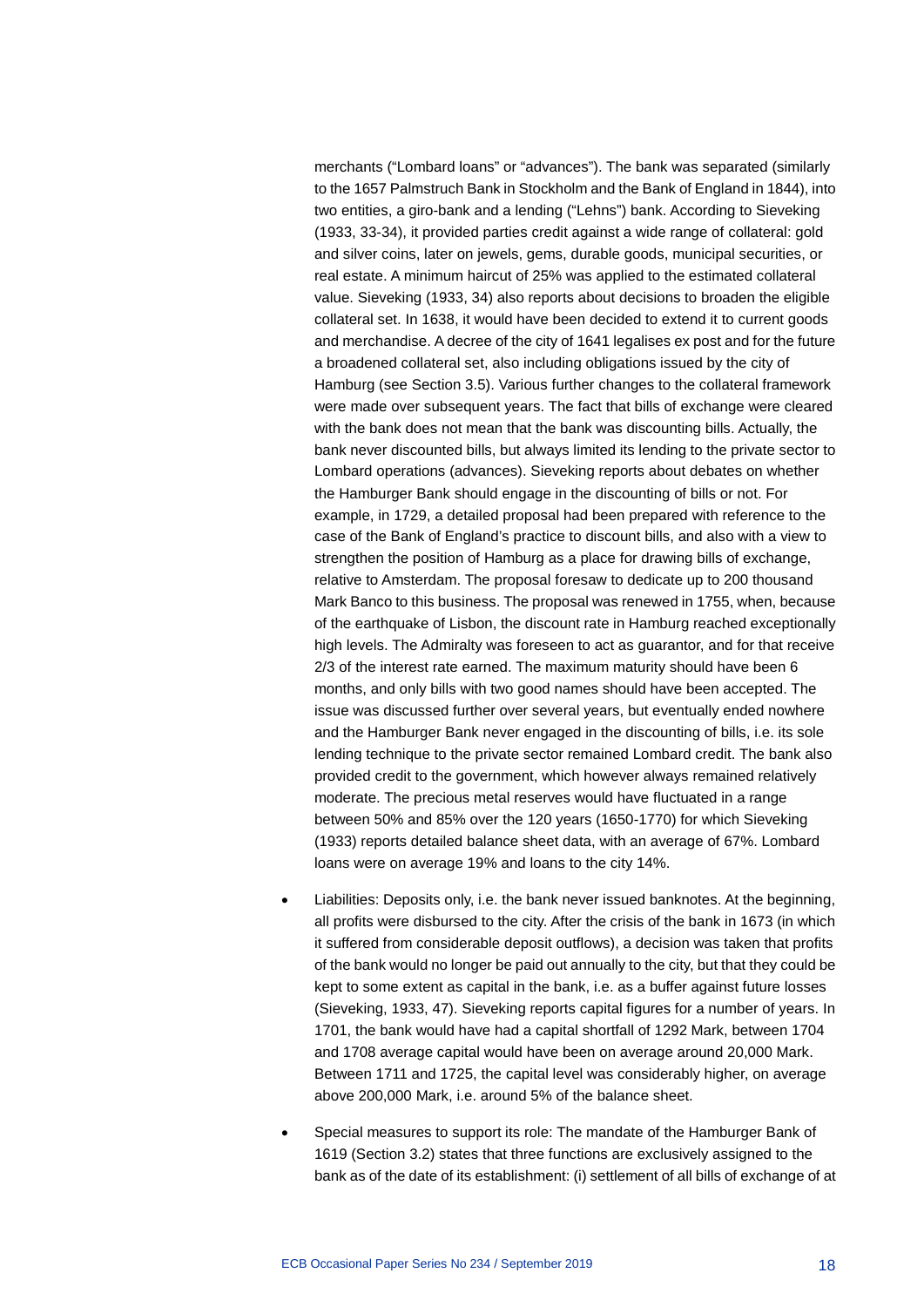merchants ("Lombard loans" or "advances"). The bank was separated (similarly to the 1657 Palmstruch Bank in Stockholm and the Bank of England in 1844), into two entities, a giro-bank and a lending ("Lehns") bank. According to Sieveking (1933, 33-34), it provided parties credit against a wide range of collateral: gold and silver coins, later on jewels, gems, durable goods, municipal securities, or real estate. A minimum haircut of 25% was applied to the estimated collateral value. Sieveking (1933, 34) also reports about decisions to broaden the eligible collateral set. In 1638, it would have been decided to extend it to current goods and merchandise. A decree of the city of 1641 legalises ex post and for the future a broadened collateral set, also including obligations issued by the city of Hamburg (see Section 3.5). Various further changes to the collateral framework were made over subsequent years. The fact that bills of exchange were cleared with the bank does not mean that the bank was discounting bills. Actually, the bank never discounted bills, but always limited its lending to the private sector to Lombard operations (advances). Sieveking reports about debates on whether the Hamburger Bank should engage in the discounting of bills or not. For example, in 1729, a detailed proposal had been prepared with reference to the case of the Bank of England's practice to discount bills, and also with a view to strengthen the position of Hamburg as a place for drawing bills of exchange, relative to Amsterdam. The proposal foresaw to dedicate up to 200 thousand Mark Banco to this business. The proposal was renewed in 1755, when, because of the earthquake of Lisbon, the discount rate in Hamburg reached exceptionally high levels. The Admiralty was foreseen to act as guarantor, and for that receive 2/3 of the interest rate earned. The maximum maturity should have been 6 months, and only bills with two good names should have been accepted. The issue was discussed further over several years, but eventually ended nowhere and the Hamburger Bank never engaged in the discounting of bills, i.e. its sole lending technique to the private sector remained Lombard credit. The bank also provided credit to the government, which however always remained relatively moderate. The precious metal reserves would have fluctuated in a range between 50% and 85% over the 120 years (1650-1770) for which Sieveking (1933) reports detailed balance sheet data, with an average of 67%. Lombard loans were on average 19% and loans to the city 14%.

- Liabilities: Deposits only, i.e. the bank never issued banknotes. At the beginning, all profits were disbursed to the city. After the crisis of the bank in 1673 (in which it suffered from considerable deposit outflows), a decision was taken that profits of the bank would no longer be paid out annually to the city, but that they could be kept to some extent as capital in the bank, i.e. as a buffer against future losses (Sieveking, 1933, 47). Sieveking reports capital figures for a number of years. In 1701, the bank would have had a capital shortfall of 1292 Mark, between 1704 and 1708 average capital would have been on average around 20,000 Mark. Between 1711 and 1725, the capital level was considerably higher, on average above 200,000 Mark, i.e. around 5% of the balance sheet.
- Special measures to support its role: The mandate of the Hamburger Bank of 1619 (Section 3.2) states that three functions are exclusively assigned to the bank as of the date of its establishment: (i) settlement of all bills of exchange of at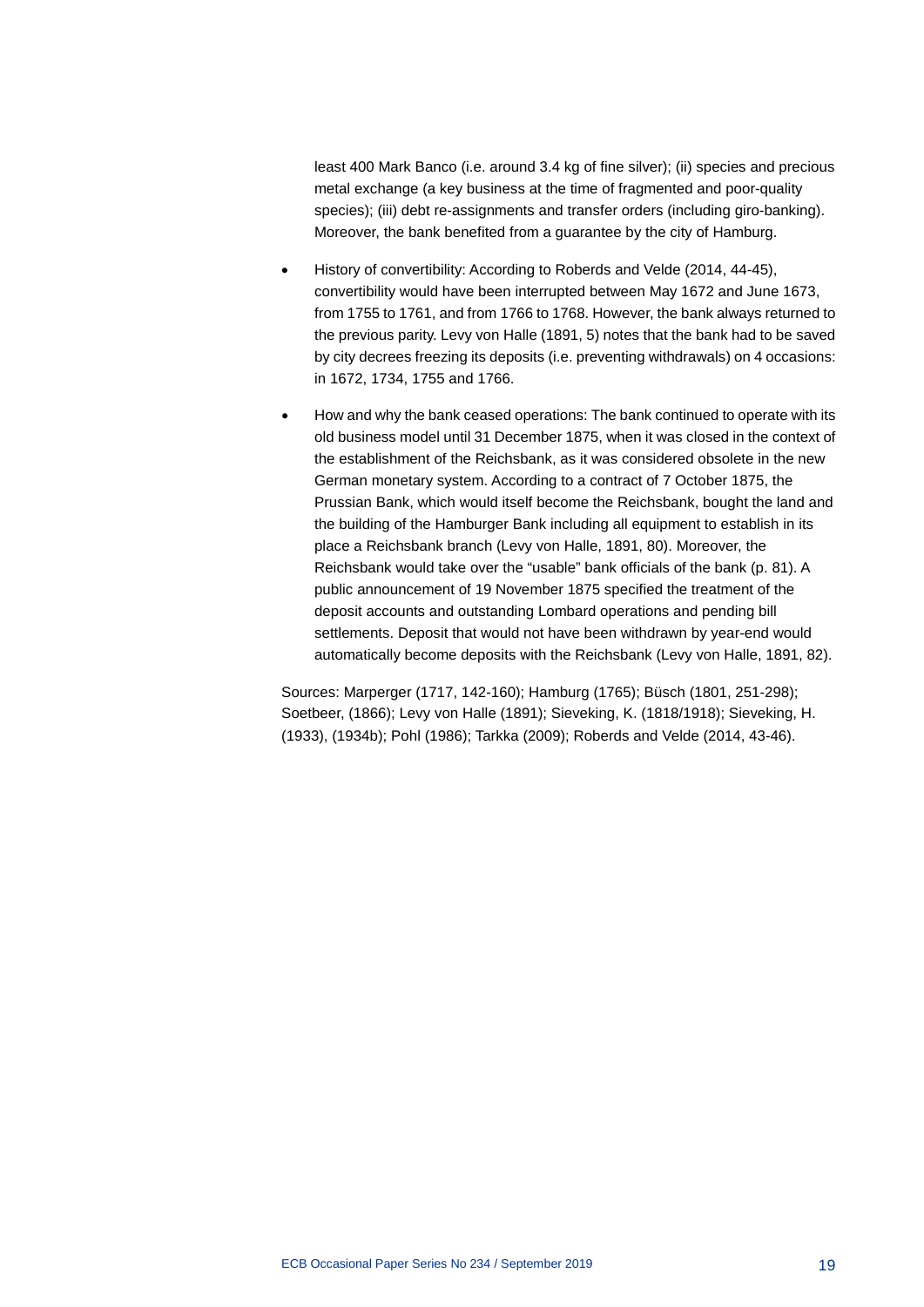least 400 Mark Banco (i.e. around 3.4 kg of fine silver); (ii) species and precious metal exchange (a key business at the time of fragmented and poor-quality species); (iii) debt re-assignments and transfer orders (including giro-banking). Moreover, the bank benefited from a guarantee by the city of Hamburg.

- History of convertibility: According to Roberds and Velde (2014, 44-45), convertibility would have been interrupted between May 1672 and June 1673, from 1755 to 1761, and from 1766 to 1768. However, the bank always returned to the previous parity. Levy von Halle (1891, 5) notes that the bank had to be saved by city decrees freezing its deposits (i.e. preventing withdrawals) on 4 occasions: in 1672, 1734, 1755 and 1766.
- How and why the bank ceased operations: The bank continued to operate with its old business model until 31 December 1875, when it was closed in the context of the establishment of the Reichsbank, as it was considered obsolete in the new German monetary system. According to a contract of 7 October 1875, the Prussian Bank, which would itself become the Reichsbank, bought the land and the building of the Hamburger Bank including all equipment to establish in its place a Reichsbank branch (Levy von Halle, 1891, 80). Moreover, the Reichsbank would take over the "usable" bank officials of the bank (p. 81). A public announcement of 19 November 1875 specified the treatment of the deposit accounts and outstanding Lombard operations and pending bill settlements. Deposit that would not have been withdrawn by year-end would automatically become deposits with the Reichsbank (Levy von Halle, 1891, 82).

Sources: Marperger (1717, 142-160); Hamburg (1765); Büsch (1801, 251-298); Soetbeer, (1866); Levy von Halle (1891); Sieveking, K. (1818/1918); Sieveking, H. (1933), (1934b); Pohl (1986); Tarkka (2009); Roberds and Velde (2014, 43-46).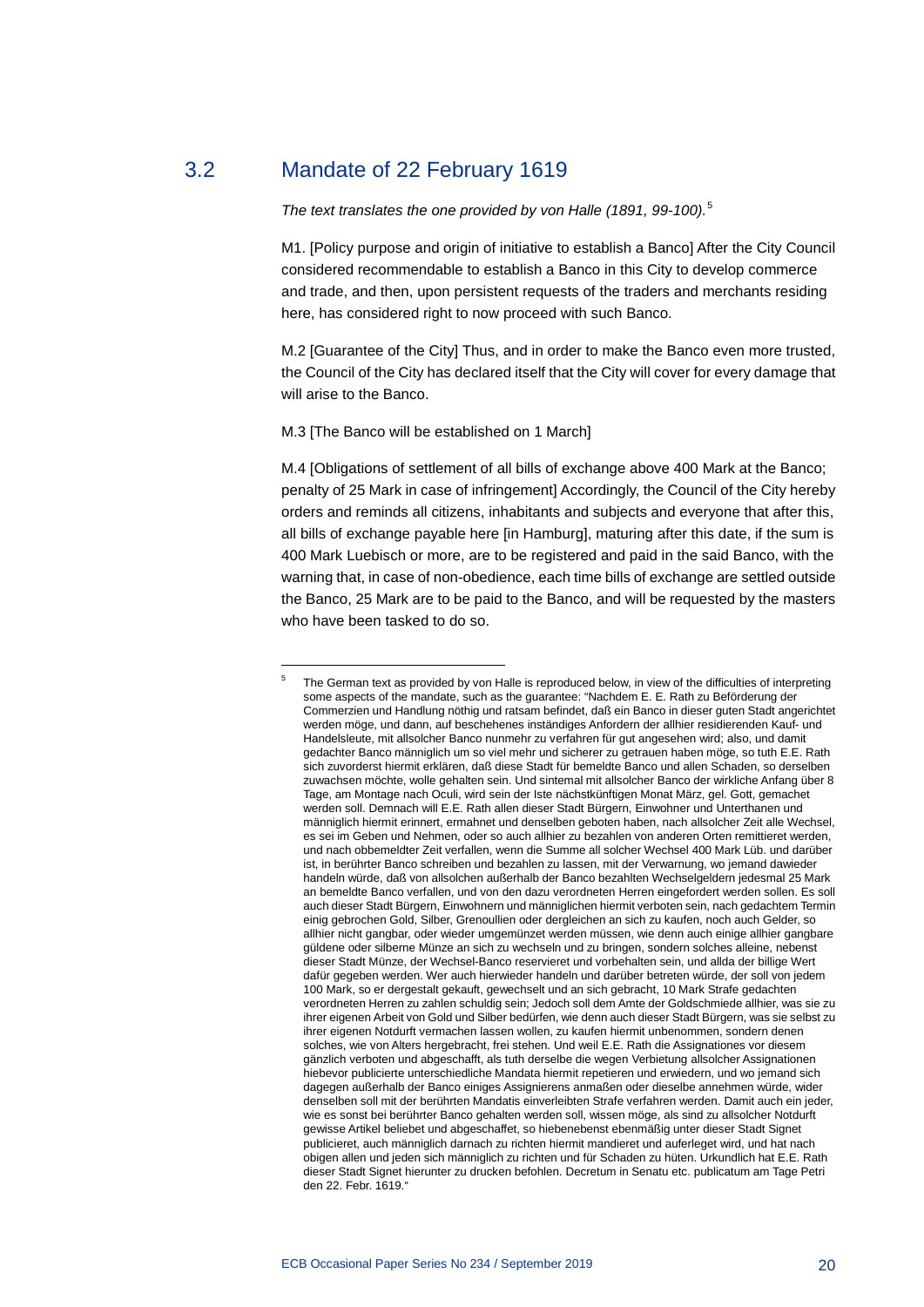#### 3.2 Mandate of 22 February 1619

<span id="page-20-1"></span>-

#### <span id="page-20-0"></span>*The text translates the one provided by von Halle (1891, 99-100).*[5](#page-20-1)

M1. [Policy purpose and origin of initiative to establish a Banco] After the City Council considered recommendable to establish a Banco in this City to develop commerce and trade, and then, upon persistent requests of the traders and merchants residing here, has considered right to now proceed with such Banco.

M.2 [Guarantee of the City] Thus, and in order to make the Banco even more trusted, the Council of the City has declared itself that the City will cover for every damage that will arise to the Banco.

#### M.3 [The Banco will be established on 1 March]

M.4 [Obligations of settlement of all bills of exchange above 400 Mark at the Banco; penalty of 25 Mark in case of infringement] Accordingly, the Council of the City hereby orders and reminds all citizens, inhabitants and subjects and everyone that after this, all bills of exchange payable here [in Hamburg], maturing after this date, if the sum is 400 Mark Luebisch or more, are to be registered and paid in the said Banco, with the warning that, in case of non-obedience, each time bills of exchange are settled outside the Banco, 25 Mark are to be paid to the Banco, and will be requested by the masters who have been tasked to do so.

<sup>5</sup> The German text as provided by von Halle is reproduced below, in view of the difficulties of interpreting some aspects of the mandate, such as the guarantee: "Nachdem E. E. Rath zu Beförderung der Commerzien und Handlung nöthig und ratsam befindet, daß ein Banco in dieser guten Stadt angerichtet werden möge, und dann, auf beschehenes inständiges Anfordern der allhier residierenden Kauf- und Handelsleute, mit allsolcher Banco nunmehr zu verfahren für gut angesehen wird; also, und damit gedachter Banco männiglich um so viel mehr und sicherer zu getrauen haben möge, so tuth E.E. Rath sich zuvorderst hiermit erklären, daß diese Stadt für bemeldte Banco und allen Schaden, so derselben zuwachsen möchte, wolle gehalten sein. Und sintemal mit allsolcher Banco der wirkliche Anfang über 8 Tage, am Montage nach Oculi, wird sein der Iste nächstkünftigen Monat März, gel. Gott, gemachet werden soll. Demnach will E.E. Rath allen dieser Stadt Bürgern, Einwohner und Unterthanen und männiglich hiermit erinnert, ermahnet und denselben geboten haben, nach allsolcher Zeit alle Wechsel, es sei im Geben und Nehmen, oder so auch allhier zu bezahlen von anderen Orten remittieret werden, und nach obbemeldter Zeit verfallen, wenn die Summe all solcher Wechsel 400 Mark Lüb. und darüber ist, in berührter Banco schreiben und bezahlen zu lassen, mit der Verwarnung, wo jemand dawieder handeln würde, daß von allsolchen außerhalb der Banco bezahlten Wechselgeldern jedesmal 25 Mark an bemeldte Banco verfallen, und von den dazu verordneten Herren eingefordert werden sollen. Es soll auch dieser Stadt Bürgern, Einwohnern und männiglichen hiermit verboten sein, nach gedachtem Termin einig gebrochen Gold, Silber, Grenoullien oder dergleichen an sich zu kaufen, noch auch Gelder, so allhier nicht gangbar, oder wieder umgemünzet werden müssen, wie denn auch einige allhier gangbare güldene oder silberne Münze an sich zu wechseln und zu bringen, sondern solches alleine, nebenst dieser Stadt Münze, der Wechsel-Banco reservieret und vorbehalten sein, und allda der billige Wert dafür gegeben werden. Wer auch hierwieder handeln und darüber betreten würde, der soll von jedem 100 Mark, so er dergestalt gekauft, gewechselt und an sich gebracht, 10 Mark Strafe gedachten verordneten Herren zu zahlen schuldig sein; Jedoch soll dem Amte der Goldschmiede allhier, was sie zu ihrer eigenen Arbeit von Gold und Silber bedürfen, wie denn auch dieser Stadt Bürgern, was sie selbst zu ihrer eigenen Notdurft vermachen lassen wollen, zu kaufen hiermit unbenommen, sondern denen solches, wie von Alters hergebracht, frei stehen. Und weil E.E. Rath die Assignationes vor diesem gänzlich verboten und abgeschafft, als tuth derselbe die wegen Verbietung allsolcher Assignationen hiebevor publicierte unterschiedliche Mandata hiermit repetieren und erwiedern, und wo jemand sich dagegen außerhalb der Banco einiges Assignierens anmaßen oder dieselbe annehmen würde, wider denselben soll mit der berührten Mandatis einverleibten Strafe verfahren werden. Damit auch ein jeder, wie es sonst bei berührter Banco gehalten werden soll, wissen möge, als sind zu allsolcher Notdurft gewisse Artikel beliebet und abgeschaffet, so hiebenebenst ebenmäßig unter dieser Stadt Signet publicieret, auch männiglich darnach zu richten hiermit mandieret und auferleget wird, und hat nach obigen allen und jeden sich männiglich zu richten und für Schaden zu hüten. Urkundlich hat E.E. Rath dieser Stadt Signet hierunter zu drucken befohlen. Decretum in Senatu etc. publicatum am Tage Petri den 22. Febr. 1619."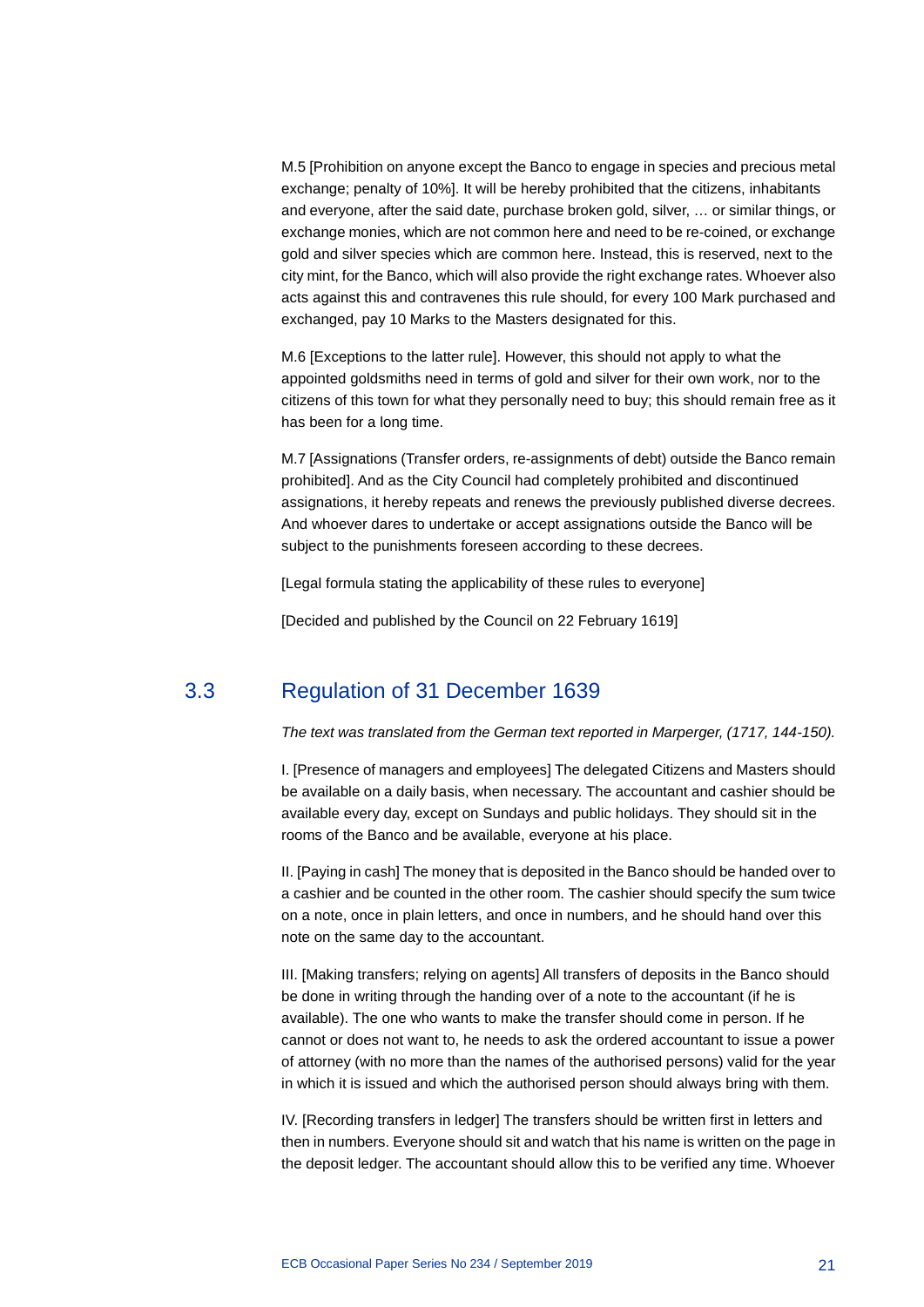M.5 [Prohibition on anyone except the Banco to engage in species and precious metal exchange; penalty of 10%]. It will be hereby prohibited that the citizens, inhabitants and everyone, after the said date, purchase broken gold, silver, … or similar things, or exchange monies, which are not common here and need to be re-coined, or exchange gold and silver species which are common here. Instead, this is reserved, next to the city mint, for the Banco, which will also provide the right exchange rates. Whoever also acts against this and contravenes this rule should, for every 100 Mark purchased and exchanged, pay 10 Marks to the Masters designated for this.

M.6 [Exceptions to the latter rule]. However, this should not apply to what the appointed goldsmiths need in terms of gold and silver for their own work, nor to the citizens of this town for what they personally need to buy; this should remain free as it has been for a long time.

M.7 [Assignations (Transfer orders, re-assignments of debt) outside the Banco remain prohibited]. And as the City Council had completely prohibited and discontinued assignations, it hereby repeats and renews the previously published diverse decrees. And whoever dares to undertake or accept assignations outside the Banco will be subject to the punishments foreseen according to these decrees.

[Legal formula stating the applicability of these rules to everyone]

<span id="page-21-0"></span>[Decided and published by the Council on 22 February 1619]

#### 3.3 Regulation of 31 December 1639

#### *The text was translated from the German text reported in Marperger, (1717, 144-150).*

I. [Presence of managers and employees] The delegated Citizens and Masters should be available on a daily basis, when necessary. The accountant and cashier should be available every day, except on Sundays and public holidays. They should sit in the rooms of the Banco and be available, everyone at his place.

II. [Paying in cash] The money that is deposited in the Banco should be handed over to a cashier and be counted in the other room. The cashier should specify the sum twice on a note, once in plain letters, and once in numbers, and he should hand over this note on the same day to the accountant.

III. [Making transfers; relying on agents] All transfers of deposits in the Banco should be done in writing through the handing over of a note to the accountant (if he is available). The one who wants to make the transfer should come in person. If he cannot or does not want to, he needs to ask the ordered accountant to issue a power of attorney (with no more than the names of the authorised persons) valid for the year in which it is issued and which the authorised person should always bring with them.

IV. [Recording transfers in ledger] The transfers should be written first in letters and then in numbers. Everyone should sit and watch that his name is written on the page in the deposit ledger. The accountant should allow this to be verified any time. Whoever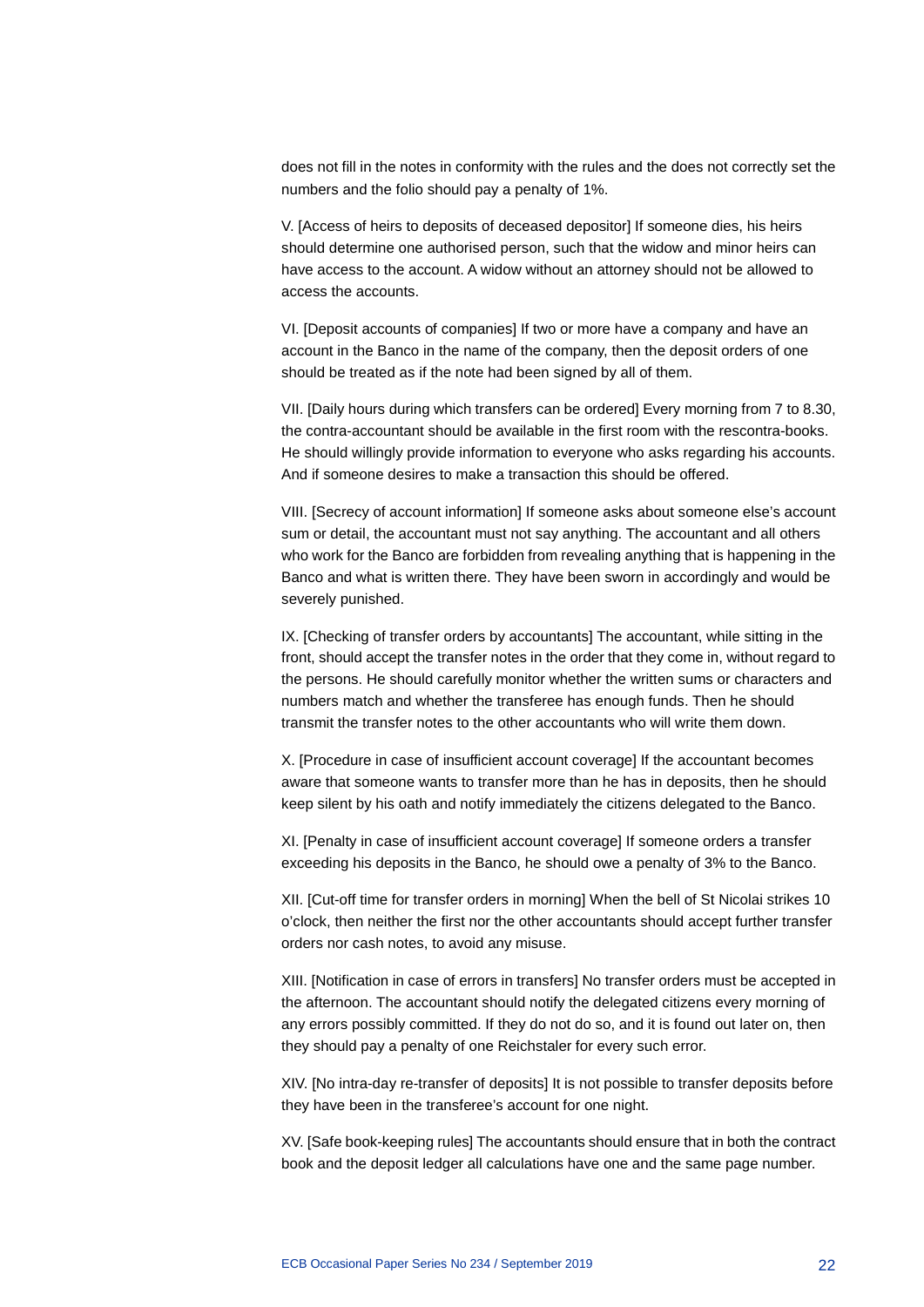does not fill in the notes in conformity with the rules and the does not correctly set the numbers and the folio should pay a penalty of 1%.

V. [Access of heirs to deposits of deceased depositor] If someone dies, his heirs should determine one authorised person, such that the widow and minor heirs can have access to the account. A widow without an attorney should not be allowed to access the accounts.

VI. [Deposit accounts of companies] If two or more have a company and have an account in the Banco in the name of the company, then the deposit orders of one should be treated as if the note had been signed by all of them.

VII. [Daily hours during which transfers can be ordered] Every morning from 7 to 8.30, the contra-accountant should be available in the first room with the rescontra-books. He should willingly provide information to everyone who asks regarding his accounts. And if someone desires to make a transaction this should be offered.

VIII. [Secrecy of account information] If someone asks about someone else's account sum or detail, the accountant must not say anything. The accountant and all others who work for the Banco are forbidden from revealing anything that is happening in the Banco and what is written there. They have been sworn in accordingly and would be severely punished.

IX. [Checking of transfer orders by accountants] The accountant, while sitting in the front, should accept the transfer notes in the order that they come in, without regard to the persons. He should carefully monitor whether the written sums or characters and numbers match and whether the transferee has enough funds. Then he should transmit the transfer notes to the other accountants who will write them down.

X. [Procedure in case of insufficient account coverage] If the accountant becomes aware that someone wants to transfer more than he has in deposits, then he should keep silent by his oath and notify immediately the citizens delegated to the Banco.

XI. [Penalty in case of insufficient account coverage] If someone orders a transfer exceeding his deposits in the Banco, he should owe a penalty of 3% to the Banco.

XII. [Cut-off time for transfer orders in morning] When the bell of St Nicolai strikes 10 o'clock, then neither the first nor the other accountants should accept further transfer orders nor cash notes, to avoid any misuse.

XIII. [Notification in case of errors in transfers] No transfer orders must be accepted in the afternoon. The accountant should notify the delegated citizens every morning of any errors possibly committed. If they do not do so, and it is found out later on, then they should pay a penalty of one Reichstaler for every such error.

XIV. [No intra-day re-transfer of deposits] It is not possible to transfer deposits before they have been in the transferee's account for one night.

XV. [Safe book-keeping rules] The accountants should ensure that in both the contract book and the deposit ledger all calculations have one and the same page number.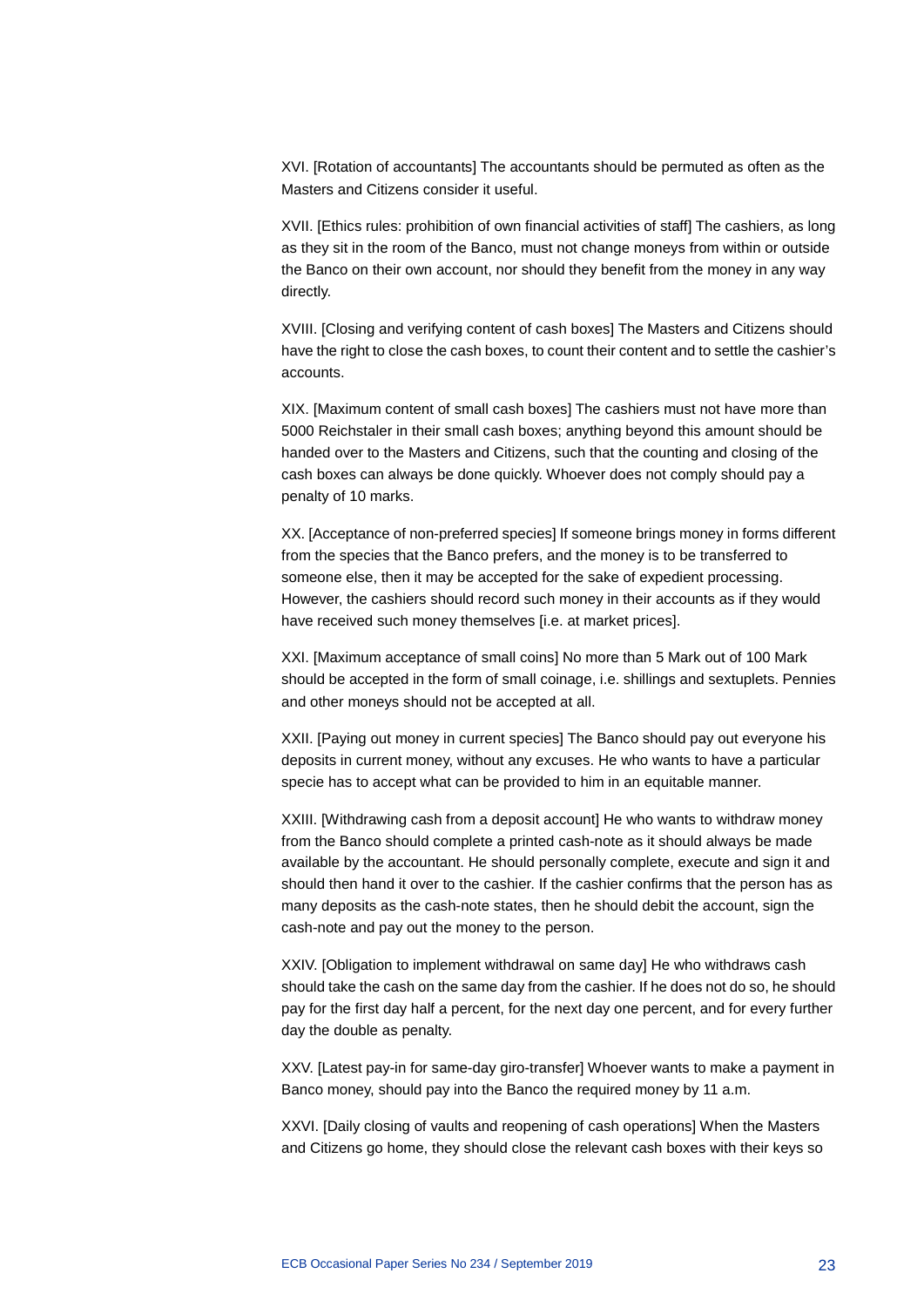XVI. [Rotation of accountants] The accountants should be permuted as often as the Masters and Citizens consider it useful.

XVII. [Ethics rules: prohibition of own financial activities of staff] The cashiers, as long as they sit in the room of the Banco, must not change moneys from within or outside the Banco on their own account, nor should they benefit from the money in any way directly.

XVIII. [Closing and verifying content of cash boxes] The Masters and Citizens should have the right to close the cash boxes, to count their content and to settle the cashier's accounts.

XIX. [Maximum content of small cash boxes] The cashiers must not have more than 5000 Reichstaler in their small cash boxes; anything beyond this amount should be handed over to the Masters and Citizens, such that the counting and closing of the cash boxes can always be done quickly. Whoever does not comply should pay a penalty of 10 marks.

XX. [Acceptance of non-preferred species] If someone brings money in forms different from the species that the Banco prefers, and the money is to be transferred to someone else, then it may be accepted for the sake of expedient processing. However, the cashiers should record such money in their accounts as if they would have received such money themselves [i.e. at market prices].

XXI. [Maximum acceptance of small coins] No more than 5 Mark out of 100 Mark should be accepted in the form of small coinage, i.e. shillings and sextuplets. Pennies and other moneys should not be accepted at all.

XXII. [Paying out money in current species] The Banco should pay out everyone his deposits in current money, without any excuses. He who wants to have a particular specie has to accept what can be provided to him in an equitable manner.

XXIII. [Withdrawing cash from a deposit account] He who wants to withdraw money from the Banco should complete a printed cash-note as it should always be made available by the accountant. He should personally complete, execute and sign it and should then hand it over to the cashier. If the cashier confirms that the person has as many deposits as the cash-note states, then he should debit the account, sign the cash-note and pay out the money to the person.

XXIV. [Obligation to implement withdrawal on same day] He who withdraws cash should take the cash on the same day from the cashier. If he does not do so, he should pay for the first day half a percent, for the next day one percent, and for every further day the double as penalty.

XXV. [Latest pay-in for same-day giro-transfer] Whoever wants to make a payment in Banco money, should pay into the Banco the required money by 11 a.m.

XXVI. [Daily closing of vaults and reopening of cash operations] When the Masters and Citizens go home, they should close the relevant cash boxes with their keys so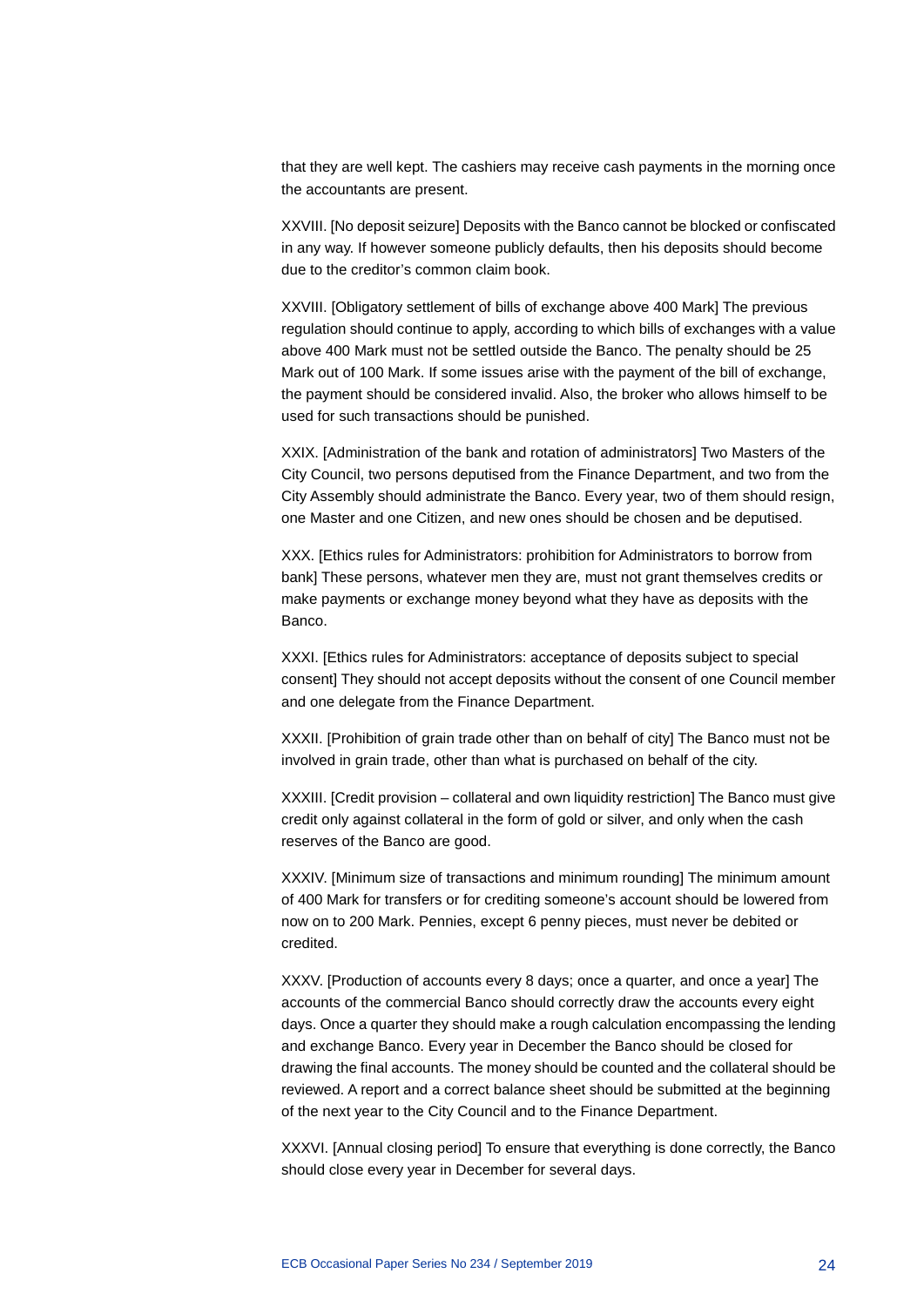that they are well kept. The cashiers may receive cash payments in the morning once the accountants are present.

XXVIII. [No deposit seizure] Deposits with the Banco cannot be blocked or confiscated in any way. If however someone publicly defaults, then his deposits should become due to the creditor's common claim book.

XXVIII. [Obligatory settlement of bills of exchange above 400 Mark] The previous regulation should continue to apply, according to which bills of exchanges with a value above 400 Mark must not be settled outside the Banco. The penalty should be 25 Mark out of 100 Mark. If some issues arise with the payment of the bill of exchange, the payment should be considered invalid. Also, the broker who allows himself to be used for such transactions should be punished.

XXIX. [Administration of the bank and rotation of administrators] Two Masters of the City Council, two persons deputised from the Finance Department, and two from the City Assembly should administrate the Banco. Every year, two of them should resign, one Master and one Citizen, and new ones should be chosen and be deputised.

XXX. [Ethics rules for Administrators: prohibition for Administrators to borrow from bank] These persons, whatever men they are, must not grant themselves credits or make payments or exchange money beyond what they have as deposits with the Banco.

XXXI. [Ethics rules for Administrators: acceptance of deposits subject to special consent] They should not accept deposits without the consent of one Council member and one delegate from the Finance Department.

XXXII. [Prohibition of grain trade other than on behalf of city] The Banco must not be involved in grain trade, other than what is purchased on behalf of the city.

XXXIII. [Credit provision – collateral and own liquidity restriction] The Banco must give credit only against collateral in the form of gold or silver, and only when the cash reserves of the Banco are good.

XXXIV. [Minimum size of transactions and minimum rounding] The minimum amount of 400 Mark for transfers or for crediting someone's account should be lowered from now on to 200 Mark. Pennies, except 6 penny pieces, must never be debited or credited.

XXXV. [Production of accounts every 8 days; once a quarter, and once a year] The accounts of the commercial Banco should correctly draw the accounts every eight days. Once a quarter they should make a rough calculation encompassing the lending and exchange Banco. Every year in December the Banco should be closed for drawing the final accounts. The money should be counted and the collateral should be reviewed. A report and a correct balance sheet should be submitted at the beginning of the next year to the City Council and to the Finance Department.

XXXVI. [Annual closing period] To ensure that everything is done correctly, the Banco should close every year in December for several days.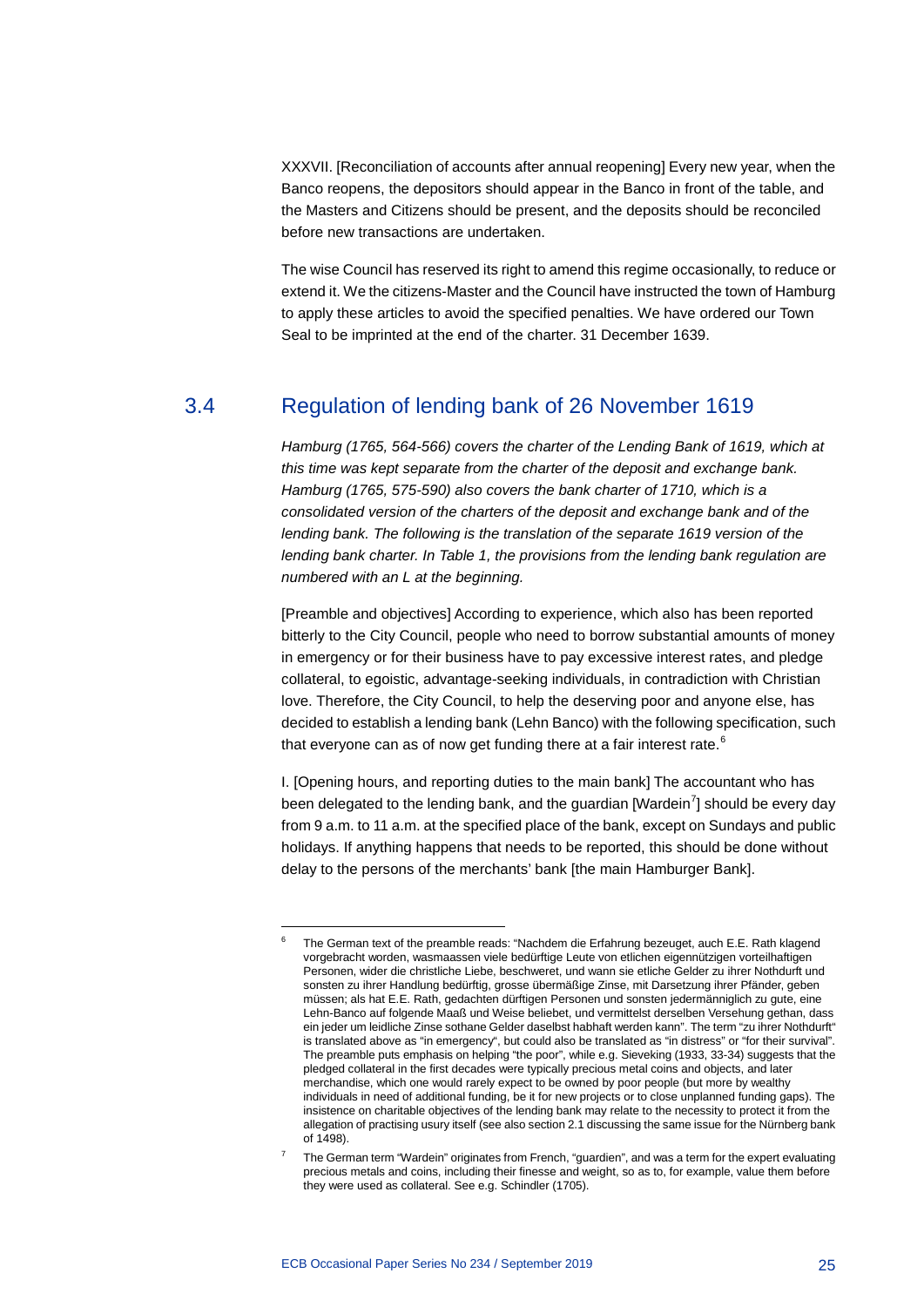XXXVII. [Reconciliation of accounts after annual reopening] Every new year, when the Banco reopens, the depositors should appear in the Banco in front of the table, and the Masters and Citizens should be present, and the deposits should be reconciled before new transactions are undertaken.

The wise Council has reserved its right to amend this regime occasionally, to reduce or extend it. We the citizens-Master and the Council have instructed the town of Hamburg to apply these articles to avoid the specified penalties. We have ordered our Town Seal to be imprinted at the end of the charter. 31 December 1639.

#### 3.4 Regulation of lending bank of 26 November 1619

<span id="page-25-0"></span>*Hamburg (1765, 564-566) covers the charter of the Lending Bank of 1619, which at this time was kept separate from the charter of the deposit and exchange bank. Hamburg (1765, 575-590) also covers the bank charter of 1710, which is a consolidated version of the charters of the deposit and exchange bank and of the lending bank. The following is the translation of the separate 1619 version of the lending bank charter. In Table 1, the provisions from the lending bank regulation are numbered with an L at the beginning.*

[Preamble and objectives] According to experience, which also has been reported bitterly to the City Council, people who need to borrow substantial amounts of money in emergency or for their business have to pay excessive interest rates, and pledge collateral, to egoistic, advantage-seeking individuals, in contradiction with Christian love. Therefore, the City Council, to help the deserving poor and anyone else, has decided to establish a lending bank (Lehn Banco) with the following specification, such that everyone can as of now get funding there at a fair interest rate. $6$ 

I. [Opening hours, and reporting duties to the main bank] The accountant who has been delegated to the lending bank, and the guardian [Wardein<sup>[7](#page-25-2)</sup>] should be every day from 9 a.m. to 11 a.m. at the specified place of the bank, except on Sundays and public holidays. If anything happens that needs to be reported, this should be done without delay to the persons of the merchants' bank [the main Hamburger Bank].

<span id="page-25-1"></span>-

<sup>6</sup> The German text of the preamble reads: "Nachdem die Erfahrung bezeuget, auch E.E. Rath klagend vorgebracht worden, wasmaassen viele bedürftige Leute von etlichen eigennützigen vorteilhaftigen Personen, wider die christliche Liebe, beschweret, und wann sie etliche Gelder zu ihrer Nothdurft und sonsten zu ihrer Handlung bedürftig, grosse übermäßige Zinse, mit Darsetzung ihrer Pfänder, geben müssen; als hat E.E. Rath, gedachten dürftigen Personen und sonsten jedermänniglich zu gute, eine Lehn-Banco auf folgende Maaß und Weise beliebet, und vermittelst derselben Versehung gethan, dass ein jeder um leidliche Zinse sothane Gelder daselbst habhaft werden kann". The term "zu ihrer Nothdurft" is translated above as "in emergency", but could also be translated as "in distress" or "for their survival". The preamble puts emphasis on helping "the poor", while e.g. Sieveking (1933, 33-34) suggests that the pledged collateral in the first decades were typically precious metal coins and objects, and later merchandise, which one would rarely expect to be owned by poor people (but more by wealthy individuals in need of additional funding, be it for new projects or to close unplanned funding gaps). The insistence on charitable objectives of the lending bank may relate to the necessity to protect it from the allegation of practising usury itself (see also section 2.1 discussing the same issue for the Nürnberg bank of 1498).

<span id="page-25-2"></span><sup>7</sup> The German term "Wardein" originates from French, "guardien", and was a term for the expert evaluating precious metals and coins, including their finesse and weight, so as to, for example, value them before they were used as collateral. See e.g. Schindler (1705).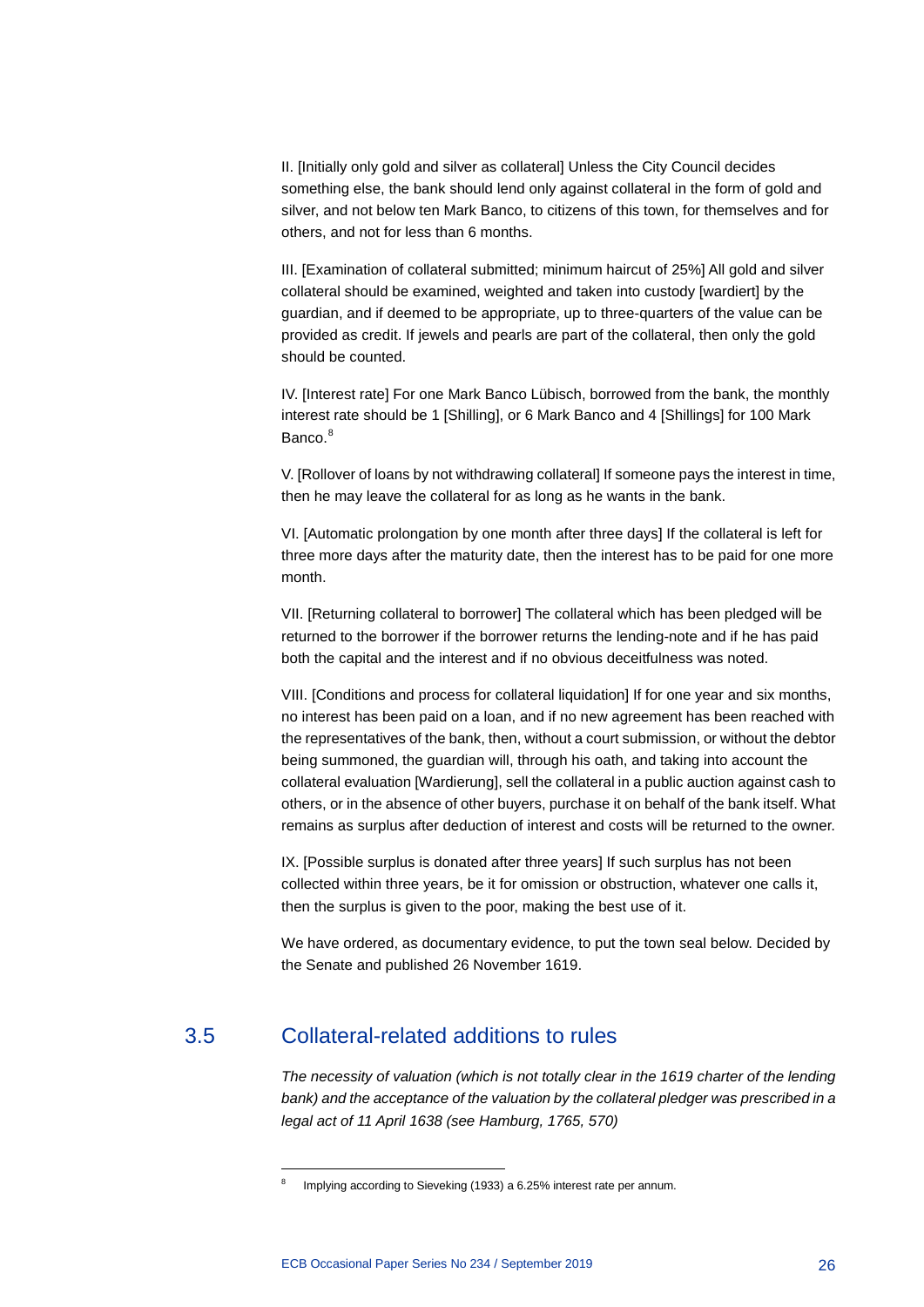II. [Initially only gold and silver as collateral] Unless the City Council decides something else, the bank should lend only against collateral in the form of gold and silver, and not below ten Mark Banco, to citizens of this town, for themselves and for others, and not for less than 6 months.

III. [Examination of collateral submitted; minimum haircut of 25%] All gold and silver collateral should be examined, weighted and taken into custody [wardiert] by the guardian, and if deemed to be appropriate, up to three-quarters of the value can be provided as credit. If jewels and pearls are part of the collateral, then only the gold should be counted.

IV. [Interest rate] For one Mark Banco Lübisch, borrowed from the bank, the monthly interest rate should be 1 [Shilling], or 6 Mark Banco and 4 [Shillings] for 100 Mark Banco.<sup>[8](#page-26-1)</sup>

V. [Rollover of loans by not withdrawing collateral] If someone pays the interest in time, then he may leave the collateral for as long as he wants in the bank.

VI. [Automatic prolongation by one month after three days] If the collateral is left for three more days after the maturity date, then the interest has to be paid for one more month.

VII. [Returning collateral to borrower] The collateral which has been pledged will be returned to the borrower if the borrower returns the lending-note and if he has paid both the capital and the interest and if no obvious deceitfulness was noted.

VIII. [Conditions and process for collateral liquidation] If for one year and six months, no interest has been paid on a loan, and if no new agreement has been reached with the representatives of the bank, then, without a court submission, or without the debtor being summoned, the guardian will, through his oath, and taking into account the collateral evaluation [Wardierung], sell the collateral in a public auction against cash to others, or in the absence of other buyers, purchase it on behalf of the bank itself. What remains as surplus after deduction of interest and costs will be returned to the owner.

IX. [Possible surplus is donated after three years] If such surplus has not been collected within three years, be it for omission or obstruction, whatever one calls it, then the surplus is given to the poor, making the best use of it.

<span id="page-26-0"></span>We have ordered, as documentary evidence, to put the town seal below. Decided by the Senate and published 26 November 1619.

### <span id="page-26-1"></span>3.5 Collateral-related additions to rules

-

*The necessity of valuation (which is not totally clear in the 1619 charter of the lending bank) and the acceptance of the valuation by the collateral pledger was prescribed in a legal act of 11 April 1638 (see Hamburg, 1765, 570)*

Implying according to Sieveking (1933) a 6.25% interest rate per annum.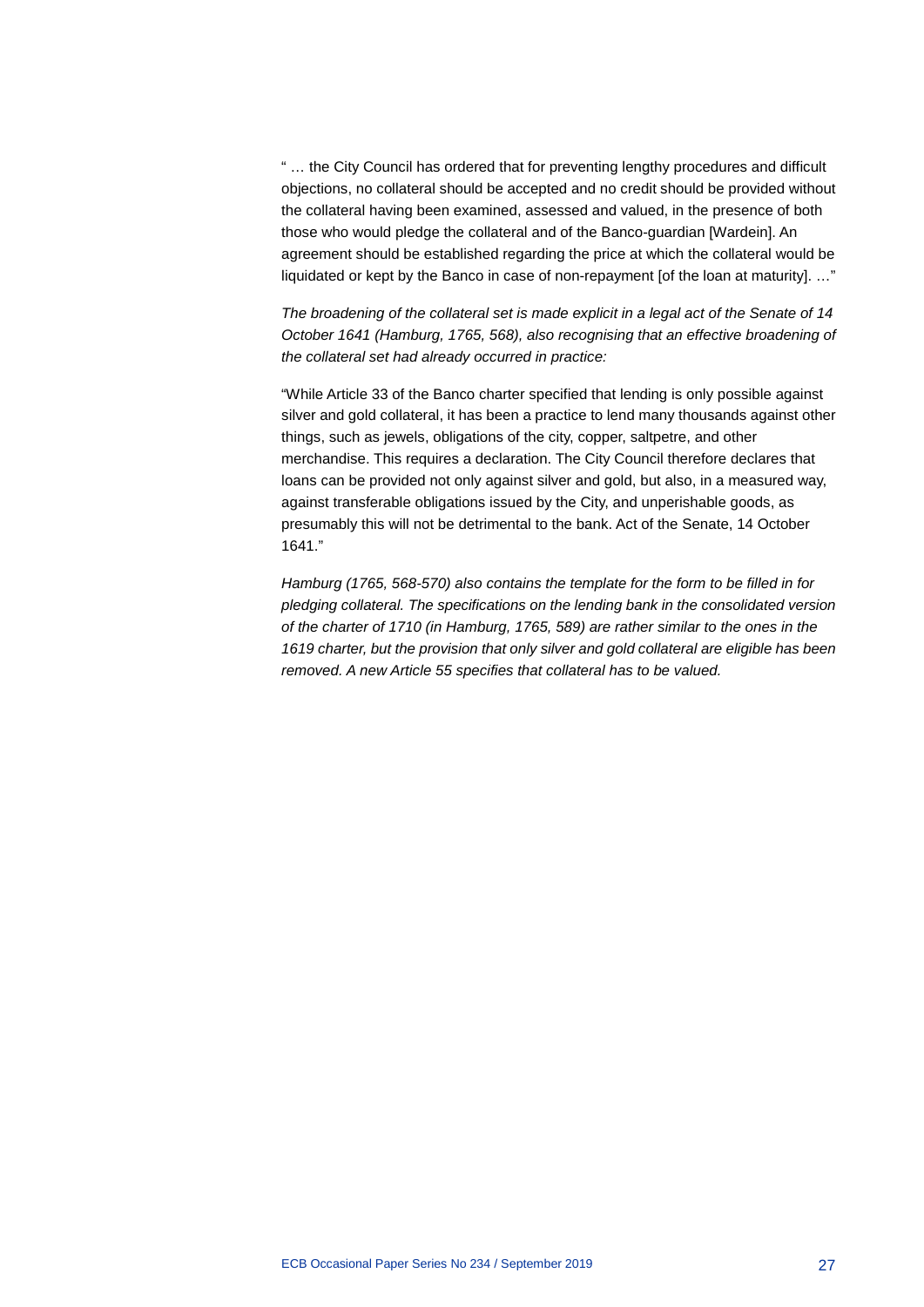" … the City Council has ordered that for preventing lengthy procedures and difficult objections, no collateral should be accepted and no credit should be provided without the collateral having been examined, assessed and valued, in the presence of both those who would pledge the collateral and of the Banco-guardian [Wardein]. An agreement should be established regarding the price at which the collateral would be liquidated or kept by the Banco in case of non-repayment [of the loan at maturity]. ..."

*The broadening of the collateral set is made explicit in a legal act of the Senate of 14 October 1641 (Hamburg, 1765, 568), also recognising that an effective broadening of the collateral set had already occurred in practice:*

"While Article 33 of the Banco charter specified that lending is only possible against silver and gold collateral, it has been a practice to lend many thousands against other things, such as jewels, obligations of the city, copper, saltpetre, and other merchandise. This requires a declaration. The City Council therefore declares that loans can be provided not only against silver and gold, but also, in a measured way, against transferable obligations issued by the City, and unperishable goods, as presumably this will not be detrimental to the bank. Act of the Senate, 14 October 1641."

*Hamburg (1765, 568-570) also contains the template for the form to be filled in for pledging collateral. The specifications on the lending bank in the consolidated version of the charter of 1710 (in Hamburg, 1765, 589) are rather similar to the ones in the 1619 charter, but the provision that only silver and gold collateral are eligible has been removed. A new Article 55 specifies that collateral has to be valued.*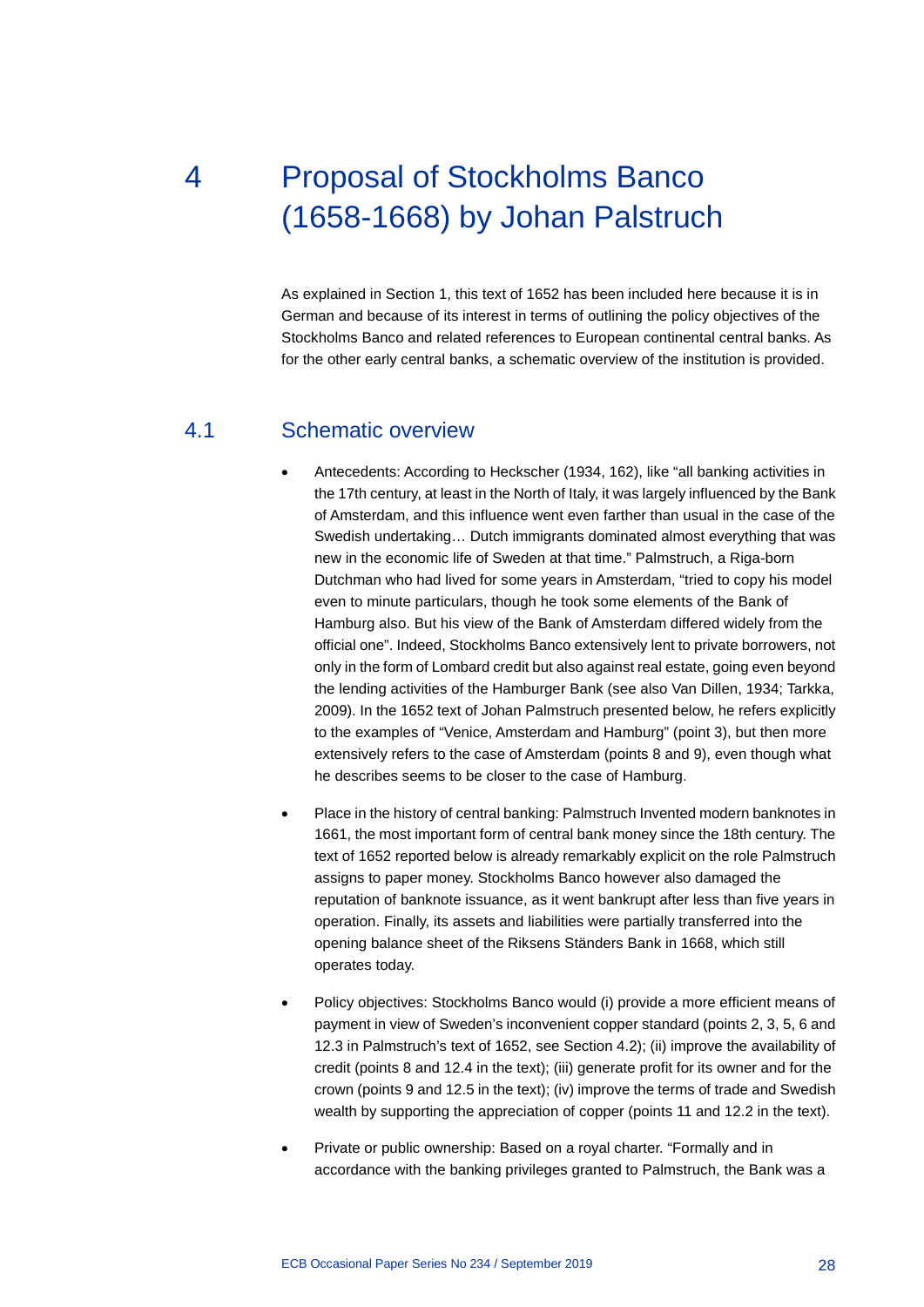# <span id="page-28-0"></span>4 Proposal of Stockholms Banco (1658-1668) by Johan Palstruch

As explained in Section 1, this text of 1652 has been included here because it is in German and because of its interest in terms of outlining the policy objectives of the Stockholms Banco and related references to European continental central banks. As for the other early central banks, a schematic overview of the institution is provided.

#### 4.1 Schematic overview

- <span id="page-28-1"></span>• Antecedents: According to Heckscher (1934, 162), like "all banking activities in the 17th century, at least in the North of Italy, it was largely influenced by the Bank of Amsterdam, and this influence went even farther than usual in the case of the Swedish undertaking… Dutch immigrants dominated almost everything that was new in the economic life of Sweden at that time." Palmstruch, a Riga-born Dutchman who had lived for some years in Amsterdam, "tried to copy his model even to minute particulars, though he took some elements of the Bank of Hamburg also. But his view of the Bank of Amsterdam differed widely from the official one". Indeed, Stockholms Banco extensively lent to private borrowers, not only in the form of Lombard credit but also against real estate, going even beyond the lending activities of the Hamburger Bank (see also Van Dillen, 1934; Tarkka, 2009). In the 1652 text of Johan Palmstruch presented below, he refers explicitly to the examples of "Venice, Amsterdam and Hamburg" (point 3), but then more extensively refers to the case of Amsterdam (points 8 and 9), even though what he describes seems to be closer to the case of Hamburg.
- Place in the history of central banking: Palmstruch Invented modern banknotes in 1661, the most important form of central bank money since the 18th century. The text of 1652 reported below is already remarkably explicit on the role Palmstruch assigns to paper money. Stockholms Banco however also damaged the reputation of banknote issuance, as it went bankrupt after less than five years in operation. Finally, its assets and liabilities were partially transferred into the opening balance sheet of the Riksens Ständers Bank in 1668, which still operates today.
- Policy objectives: Stockholms Banco would (i) provide a more efficient means of payment in view of Sweden's inconvenient copper standard (points 2, 3, 5, 6 and 12.3 in Palmstruch's text of 1652, see Section 4.2); (ii) improve the availability of credit (points 8 and 12.4 in the text); (iii) generate profit for its owner and for the crown (points 9 and 12.5 in the text); (iv) improve the terms of trade and Swedish wealth by supporting the appreciation of copper (points 11 and 12.2 in the text).
- Private or public ownership: Based on a royal charter. "Formally and in accordance with the banking privileges granted to Palmstruch, the Bank was a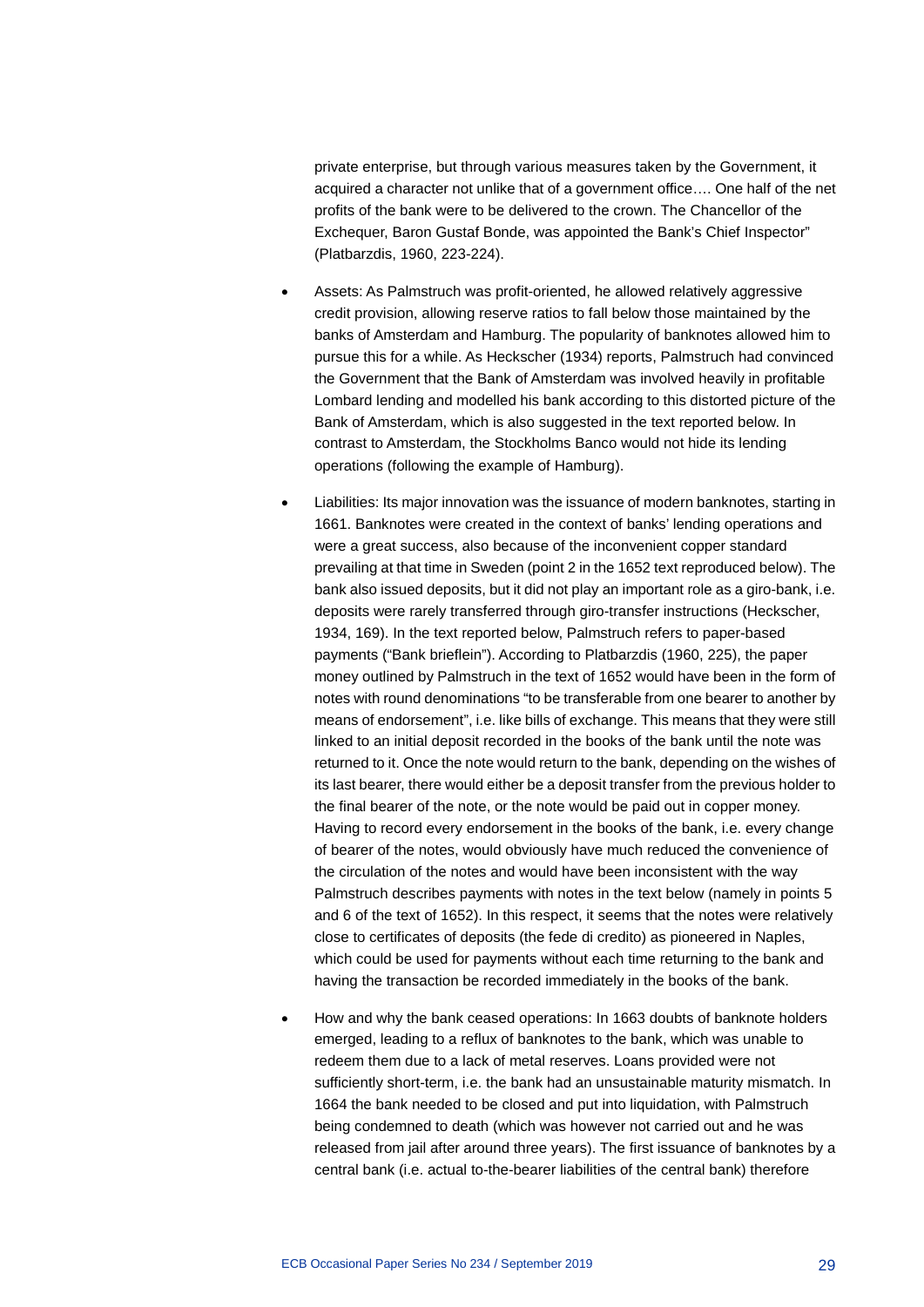private enterprise, but through various measures taken by the Government, it acquired a character not unlike that of a government office…. One half of the net profits of the bank were to be delivered to the crown. The Chancellor of the Exchequer, Baron Gustaf Bonde, was appointed the Bank's Chief Inspector" (Platbarzdis, 1960, 223-224).

- Assets: As Palmstruch was profit-oriented, he allowed relatively aggressive credit provision, allowing reserve ratios to fall below those maintained by the banks of Amsterdam and Hamburg. The popularity of banknotes allowed him to pursue this for a while. As Heckscher (1934) reports, Palmstruch had convinced the Government that the Bank of Amsterdam was involved heavily in profitable Lombard lending and modelled his bank according to this distorted picture of the Bank of Amsterdam, which is also suggested in the text reported below. In contrast to Amsterdam, the Stockholms Banco would not hide its lending operations (following the example of Hamburg).
- Liabilities: Its major innovation was the issuance of modern banknotes, starting in 1661. Banknotes were created in the context of banks' lending operations and were a great success, also because of the inconvenient copper standard prevailing at that time in Sweden (point 2 in the 1652 text reproduced below). The bank also issued deposits, but it did not play an important role as a giro-bank, i.e. deposits were rarely transferred through giro-transfer instructions (Heckscher, 1934, 169). In the text reported below, Palmstruch refers to paper-based payments ("Bank brieflein"). According to Platbarzdis (1960, 225), the paper money outlined by Palmstruch in the text of 1652 would have been in the form of notes with round denominations "to be transferable from one bearer to another by means of endorsement", i.e. like bills of exchange. This means that they were still linked to an initial deposit recorded in the books of the bank until the note was returned to it. Once the note would return to the bank, depending on the wishes of its last bearer, there would either be a deposit transfer from the previous holder to the final bearer of the note, or the note would be paid out in copper money. Having to record every endorsement in the books of the bank, i.e. every change of bearer of the notes, would obviously have much reduced the convenience of the circulation of the notes and would have been inconsistent with the way Palmstruch describes payments with notes in the text below (namely in points 5 and 6 of the text of 1652). In this respect, it seems that the notes were relatively close to certificates of deposits (the fede di credito) as pioneered in Naples, which could be used for payments without each time returning to the bank and having the transaction be recorded immediately in the books of the bank.
- How and why the bank ceased operations: In 1663 doubts of banknote holders emerged, leading to a reflux of banknotes to the bank, which was unable to redeem them due to a lack of metal reserves. Loans provided were not sufficiently short-term, i.e. the bank had an unsustainable maturity mismatch. In 1664 the bank needed to be closed and put into liquidation, with Palmstruch being condemned to death (which was however not carried out and he was released from jail after around three years). The first issuance of banknotes by a central bank (i.e. actual to-the-bearer liabilities of the central bank) therefore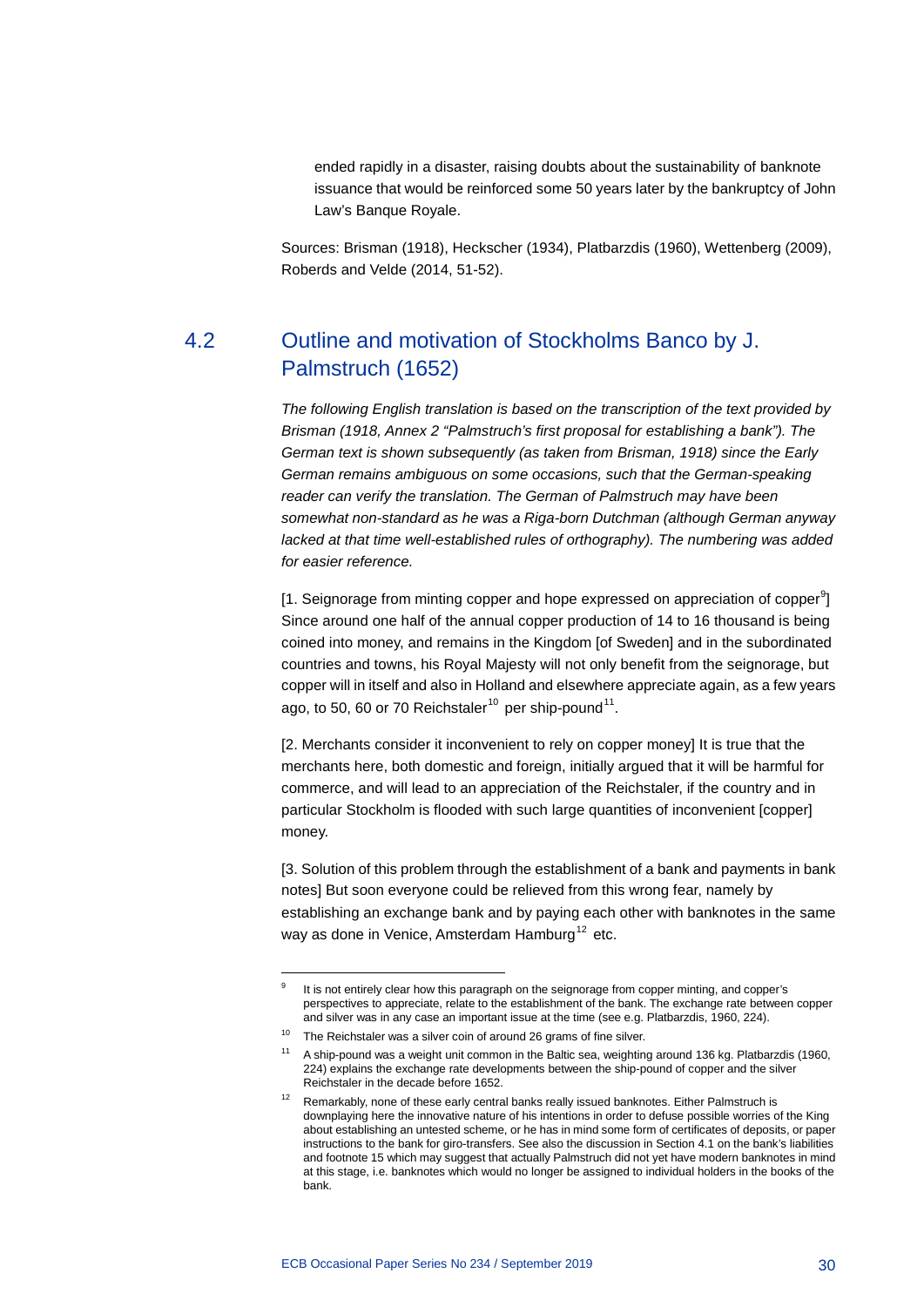ended rapidly in a disaster, raising doubts about the sustainability of banknote issuance that would be reinforced some 50 years later by the bankruptcy of John Law's Banque Royale.

<span id="page-30-0"></span>Sources: Brisman (1918), Heckscher (1934), Platbarzdis (1960), Wettenberg (2009), Roberds and Velde (2014, 51-52).

### 4.2 Outline and motivation of Stockholms Banco by J. Palmstruch (1652)

*The following English translation is based on the transcription of the text provided by Brisman (1918, Annex 2 "Palmstruch's first proposal for establishing a bank"). The German text is shown subsequently (as taken from Brisman, 1918) since the Early German remains ambiguous on some occasions, such that the German-speaking reader can verify the translation. The German of Palmstruch may have been somewhat non-standard as he was a Riga-born Dutchman (although German anyway lacked at that time well-established rules of orthography). The numbering was added for easier reference.*

[1. Seignorage from minting copper and hope expressed on appreciation of copper<sup>[9](#page-30-1)</sup>] Since around one half of the annual copper production of 14 to 16 thousand is being coined into money, and remains in the Kingdom [of Sweden] and in the subordinated countries and towns, his Royal Majesty will not only benefit from the seignorage, but copper will in itself and also in Holland and elsewhere appreciate again, as a few years ago, to 50, 60 or 70 Reichstaler<sup>[10](#page-30-2)</sup> per ship-pound<sup>[11](#page-30-3)</sup>.

[2. Merchants consider it inconvenient to rely on copper money] It is true that the merchants here, both domestic and foreign, initially argued that it will be harmful for commerce, and will lead to an appreciation of the Reichstaler, if the country and in particular Stockholm is flooded with such large quantities of inconvenient [copper] money.

[3. Solution of this problem through the establishment of a bank and payments in bank notes] But soon everyone could be relieved from this wrong fear, namely by establishing an exchange bank and by paying each other with banknotes in the same way as done in Venice, Amsterdam Hamburg<sup>[12](#page-30-4)</sup> etc.

<span id="page-30-1"></span>-

It is not entirely clear how this paragraph on the seignorage from copper minting, and copper's perspectives to appreciate, relate to the establishment of the bank. The exchange rate between copper and silver was in any case an important issue at the time (see e.g. Platbarzdis, 1960, 224).

<span id="page-30-2"></span> $10$  The Reichstaler was a silver coin of around 26 grams of fine silver.

<span id="page-30-3"></span><sup>&</sup>lt;sup>11</sup> A ship-pound was a weight unit common in the Baltic sea, weighting around 136 kg. Platbarzdis (1960, 224) explains the exchange rate developments between the ship-pound of copper and the silver Reichstaler in the decade before 1652.

<span id="page-30-4"></span><sup>&</sup>lt;sup>12</sup> Remarkably, none of these early central banks really issued banknotes. Either Palmstruch is downplaying here the innovative nature of his intentions in order to defuse possible worries of the King about establishing an untested scheme, or he has in mind some form of certificates of deposits, or paper instructions to the bank for giro-transfers. See also the discussion in Section 4.1 on the bank's liabilities and footnote 15 which may suggest that actually Palmstruch did not yet have modern banknotes in mind at this stage, i.e. banknotes which would no longer be assigned to individual holders in the books of the bank.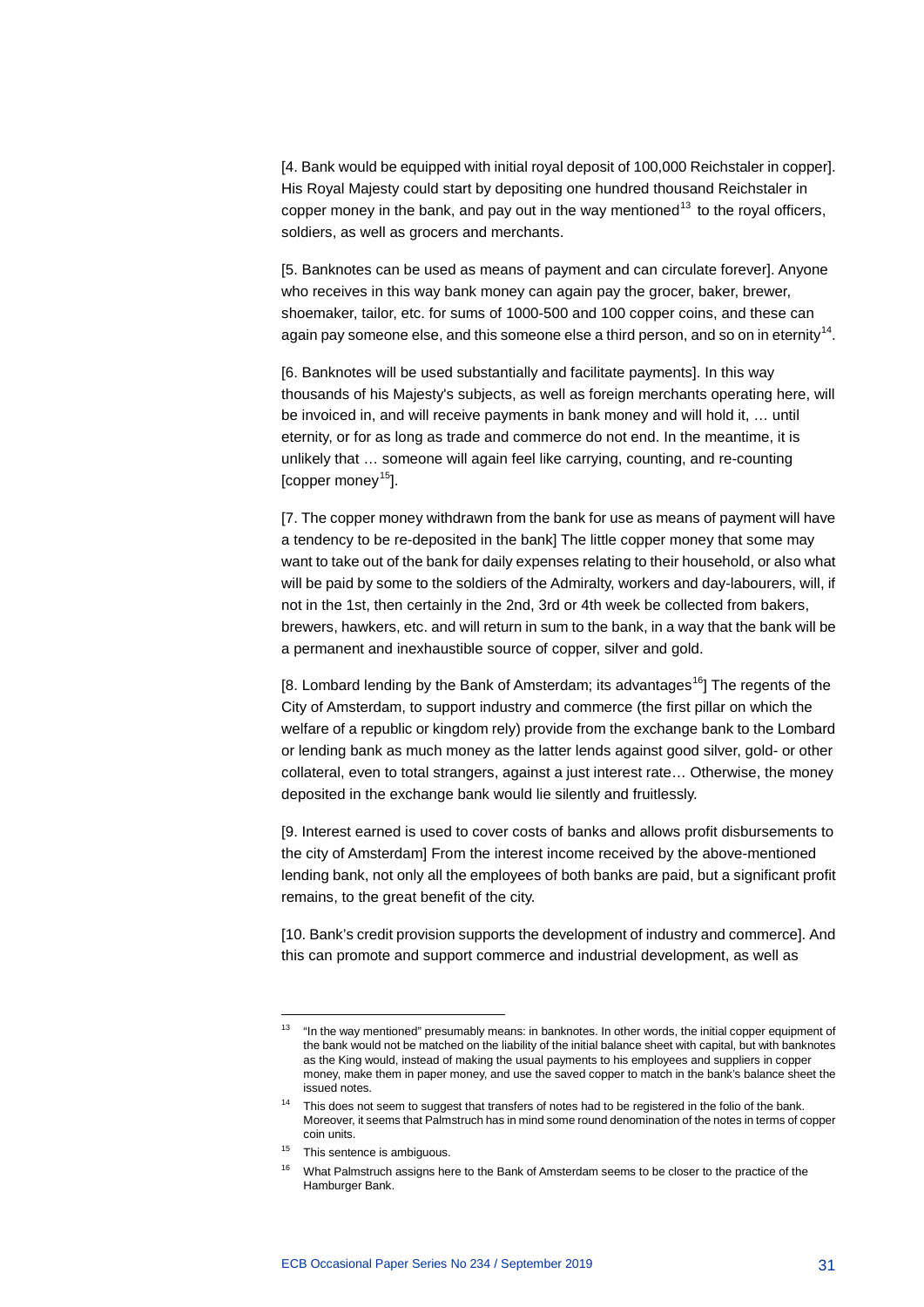[4. Bank would be equipped with initial royal deposit of 100,000 Reichstaler in copper]. His Royal Majesty could start by depositing one hundred thousand Reichstaler in copper money in the bank, and pay out in the way mentioned<sup>[13](#page-31-0)</sup> to the royal officers, soldiers, as well as grocers and merchants.

[5. Banknotes can be used as means of payment and can circulate forever]. Anyone who receives in this way bank money can again pay the grocer, baker, brewer, shoemaker, tailor, etc. for sums of 1000-500 and 100 copper coins, and these can again pay someone else, and this someone else a third person, and so on in eternity<sup>[14](#page-31-1)</sup>.

[6. Banknotes will be used substantially and facilitate payments]. In this way thousands of his Majesty's subjects, as well as foreign merchants operating here, will be invoiced in, and will receive payments in bank money and will hold it, … until eternity, or for as long as trade and commerce do not end. In the meantime, it is unlikely that … someone will again feel like carrying, counting, and re-counting [copper money $^{15}$ ].

[7. The copper money withdrawn from the bank for use as means of payment will have a tendency to be re-deposited in the bank] The little copper money that some may want to take out of the bank for daily expenses relating to their household, or also what will be paid by some to the soldiers of the Admiralty, workers and day-labourers, will, if not in the 1st, then certainly in the 2nd, 3rd or 4th week be collected from bakers, brewers, hawkers, etc. and will return in sum to the bank, in a way that the bank will be a permanent and inexhaustible source of copper, silver and gold.

[8. Lombard lending by the Bank of Amsterdam; its advantages<sup>[16](#page-31-3)</sup>] The regents of the City of Amsterdam, to support industry and commerce (the first pillar on which the welfare of a republic or kingdom rely) provide from the exchange bank to the Lombard or lending bank as much money as the latter lends against good silver, gold- or other collateral, even to total strangers, against a just interest rate… Otherwise, the money deposited in the exchange bank would lie silently and fruitlessly.

[9. Interest earned is used to cover costs of banks and allows profit disbursements to the city of Amsterdam] From the interest income received by the above-mentioned lending bank, not only all the employees of both banks are paid, but a significant profit remains, to the great benefit of the city.

[10. Bank's credit provision supports the development of industry and commerce]. And this can promote and support commerce and industrial development, as well as

-

<span id="page-31-0"></span><sup>&</sup>lt;sup>13</sup> "In the way mentioned" presumably means: in banknotes. In other words, the initial copper equipment of the bank would not be matched on the liability of the initial balance sheet with capital, but with banknotes as the King would, instead of making the usual payments to his employees and suppliers in copper money, make them in paper money, and use the saved copper to match in the bank's balance sheet the issued notes

<span id="page-31-1"></span><sup>&</sup>lt;sup>14</sup> This does not seem to suggest that transfers of notes had to be registered in the folio of the bank. Moreover, it seems that Palmstruch has in mind some round denomination of the notes in terms of copper coin units.

<span id="page-31-3"></span><span id="page-31-2"></span><sup>&</sup>lt;sup>15</sup> This sentence is ambiguous.

<sup>&</sup>lt;sup>16</sup> What Palmstruch assigns here to the Bank of Amsterdam seems to be closer to the practice of the Hamburger Bank.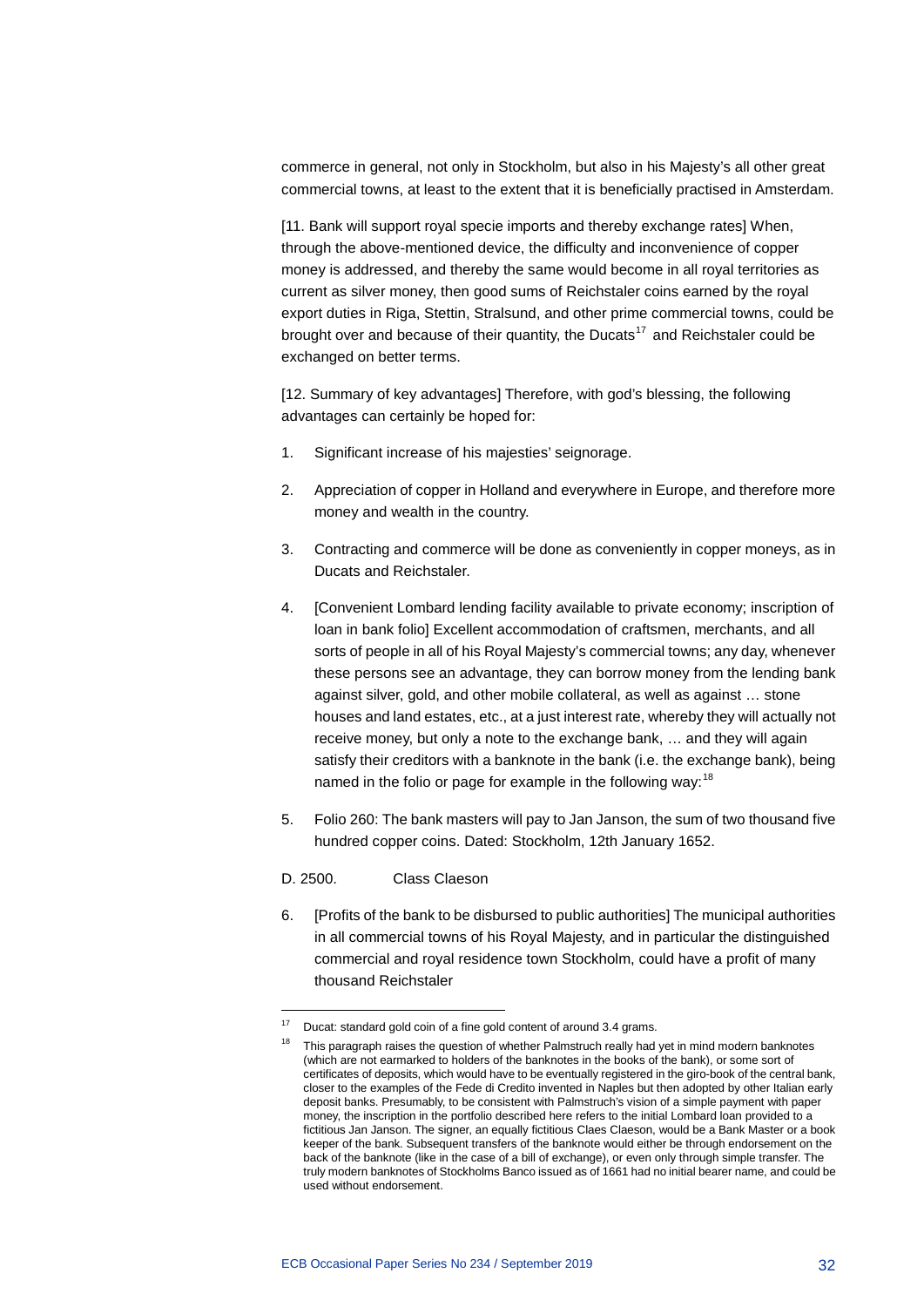commerce in general, not only in Stockholm, but also in his Majesty's all other great commercial towns, at least to the extent that it is beneficially practised in Amsterdam.

[11. Bank will support royal specie imports and thereby exchange rates] When, through the above-mentioned device, the difficulty and inconvenience of copper money is addressed, and thereby the same would become in all royal territories as current as silver money, then good sums of Reichstaler coins earned by the royal export duties in Riga, Stettin, Stralsund, and other prime commercial towns, could be brought over and because of their quantity, the Ducats<sup>[17](#page-32-0)</sup> and Reichstaler could be exchanged on better terms.

[12. Summary of key advantages] Therefore, with god's blessing, the following advantages can certainly be hoped for:

- 1. Significant increase of his majesties' seignorage.
- 2. Appreciation of copper in Holland and everywhere in Europe, and therefore more money and wealth in the country.
- 3. Contracting and commerce will be done as conveniently in copper moneys, as in Ducats and Reichstaler.
- 4. [Convenient Lombard lending facility available to private economy; inscription of loan in bank folio] Excellent accommodation of craftsmen, merchants, and all sorts of people in all of his Royal Majesty's commercial towns; any day, whenever these persons see an advantage, they can borrow money from the lending bank against silver, gold, and other mobile collateral, as well as against … stone houses and land estates, etc., at a just interest rate, whereby they will actually not receive money, but only a note to the exchange bank, … and they will again satisfy their creditors with a banknote in the bank (i.e. the exchange bank), being named in the folio or page for example in the following way:  $18$
- 5. Folio 260: The bank masters will pay to Jan Janson, the sum of two thousand five hundred copper coins. Dated: Stockholm, 12th January 1652.
- D. 2500. Class Claeson

-

6. [Profits of the bank to be disbursed to public authorities] The municipal authorities in all commercial towns of his Royal Majesty, and in particular the distinguished commercial and royal residence town Stockholm, could have a profit of many thousand Reichstaler

<span id="page-32-1"></span><span id="page-32-0"></span><sup>&</sup>lt;sup>17</sup> Ducat: standard gold coin of a fine gold content of around 3.4 grams.

<sup>&</sup>lt;sup>18</sup> This paragraph raises the question of whether Palmstruch really had yet in mind modern banknotes (which are not earmarked to holders of the banknotes in the books of the bank), or some sort of certificates of deposits, which would have to be eventually registered in the giro-book of the central bank, closer to the examples of the Fede di Credito invented in Naples but then adopted by other Italian early deposit banks. Presumably, to be consistent with Palmstruch's vision of a simple payment with paper money, the inscription in the portfolio described here refers to the initial Lombard loan provided to a fictitious Jan Janson. The signer, an equally fictitious Claes Claeson, would be a Bank Master or a book keeper of the bank. Subsequent transfers of the banknote would either be through endorsement on the back of the banknote (like in the case of a bill of exchange), or even only through simple transfer. The truly modern banknotes of Stockholms Banco issued as of 1661 had no initial bearer name, and could be used without endorsement.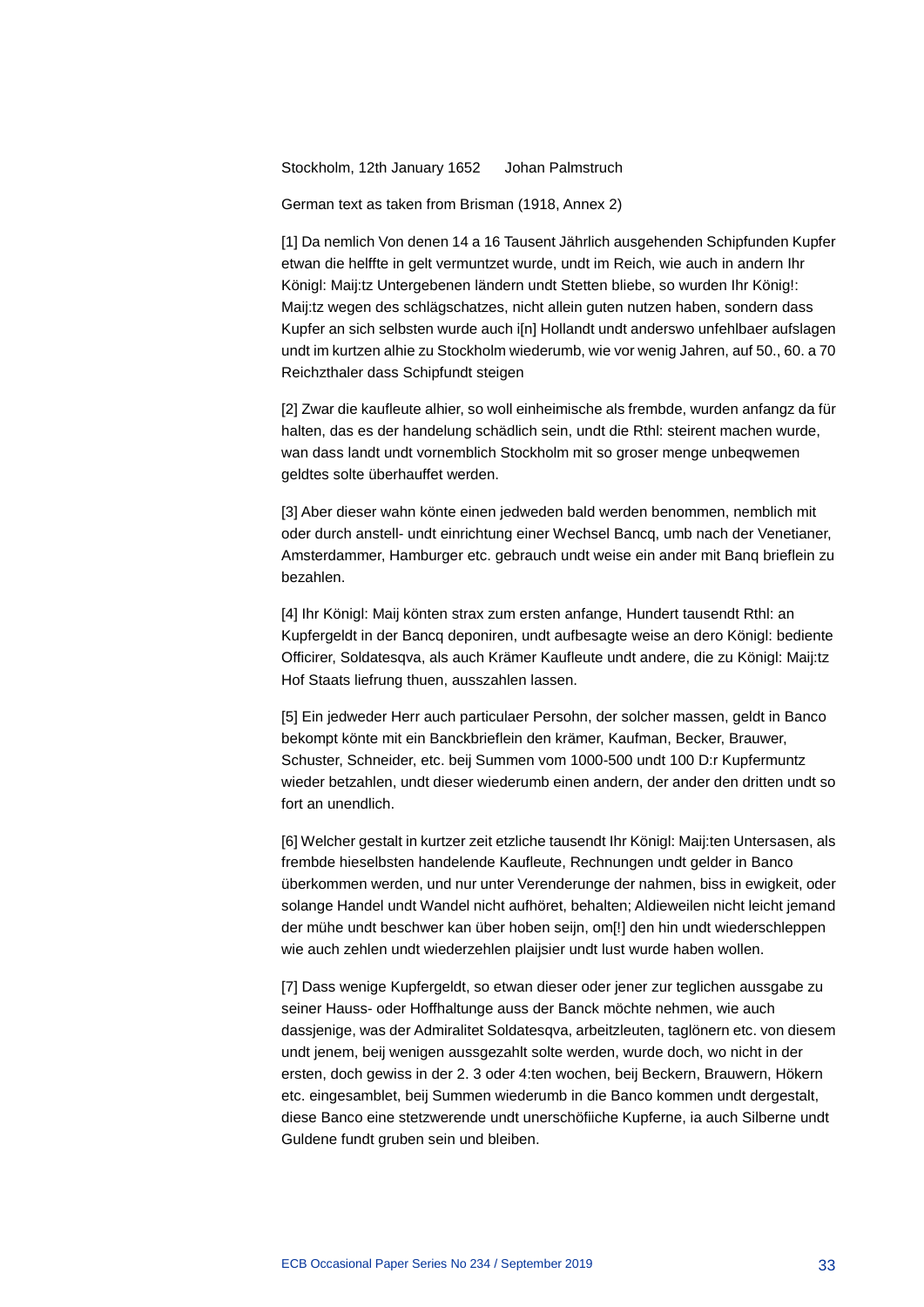Stockholm, 12th January 1652 Johan Palmstruch

German text as taken from Brisman (1918, Annex 2)

[1] Da nemlich Von denen 14 a 16 Tausent Jährlich ausgehenden Schipfunden Kupfer etwan die helffte in gelt vermuntzet wurde, undt im Reich, wie auch in andern Ihr Königl: Maij:tz Untergebenen ländern undt Stetten bliebe, so wurden Ihr König!: Maij:tz wegen des schlägschatzes, nicht allein guten nutzen haben, sondern dass Kupfer an sich selbsten wurde auch i[n] Hollandt undt anderswo unfehlbaer aufslagen undt im kurtzen alhie zu Stockholm wiederumb, wie vor wenig Jahren, auf 50., 60. a 70 Reichzthaler dass Schipfundt steigen

[2] Zwar die kaufleute alhier, so woll einheimische als frembde, wurden anfangz da für halten, das es der handelung schädlich sein, undt die Rthl: steirent machen wurde, wan dass landt undt vornemblich Stockholm mit so groser menge unbeqwemen geldtes solte überhauffet werden.

[3] Aber dieser wahn könte einen jedweden bald werden benommen, nemblich mit oder durch anstell- undt einrichtung einer Wechsel Bancq, umb nach der Venetianer, Amsterdammer, Hamburger etc. gebrauch undt weise ein ander mit Banq brieflein zu bezahlen.

[4] Ihr Königl: Maij könten strax zum ersten anfange, Hundert tausendt Rthl: an Kupfergeldt in der Bancq deponiren, undt aufbesagte weise an dero Königl: bediente Officirer, Soldatesqva, als auch Krämer Kaufleute undt andere, die zu Königl: Maij:tz Hof Staats liefrung thuen, ausszahlen lassen.

[5] Ein jedweder Herr auch particulaer Persohn, der solcher massen, geldt in Banco bekompt könte mit ein Banckbrieflein den krämer, Kaufman, Becker, Brauwer, Schuster, Schneider, etc. beij Summen vom 1000-500 undt 100 D:r Kupfermuntz wieder betzahlen, undt dieser wiederumb einen andern, der ander den dritten undt so fort an unendlich.

[6] Welcher gestalt in kurtzer zeit etzliche tausendt Ihr Königl: Maij:ten Untersasen, als frembde hieselbsten handelende Kaufleute, Rechnungen undt gelder in Banco überkommen werden, und nur unter Verenderunge der nahmen, biss in ewigkeit, oder solange Handel undt Wandel nicht aufhöret, behalten; Aldieweilen nicht leicht jemand der mühe undt beschwer kan über hoben seijn, om[!] den hin undt wiederschleppen wie auch zehlen undt wiederzehlen plaijsier undt lust wurde haben wollen.

[7] Dass wenige Kupfergeldt, so etwan dieser oder jener zur teglichen aussgabe zu seiner Hauss- oder Hoffhaltunge auss der Banck möchte nehmen, wie auch dassjenige, was der Admiralitet Soldatesqva, arbeitzleuten, taglönern etc. von diesem undt jenem, beij wenigen aussgezahlt solte werden, wurde doch, wo nicht in der ersten, doch gewiss in der 2. 3 oder 4:ten wochen, beij Beckern, Brauwern, Hökern etc. eingesamblet, beij Summen wiederumb in die Banco kommen undt dergestalt, diese Banco eine stetzwerende undt unerschöfiiche Kupferne, ia auch Silberne undt Guldene fundt gruben sein und bleiben.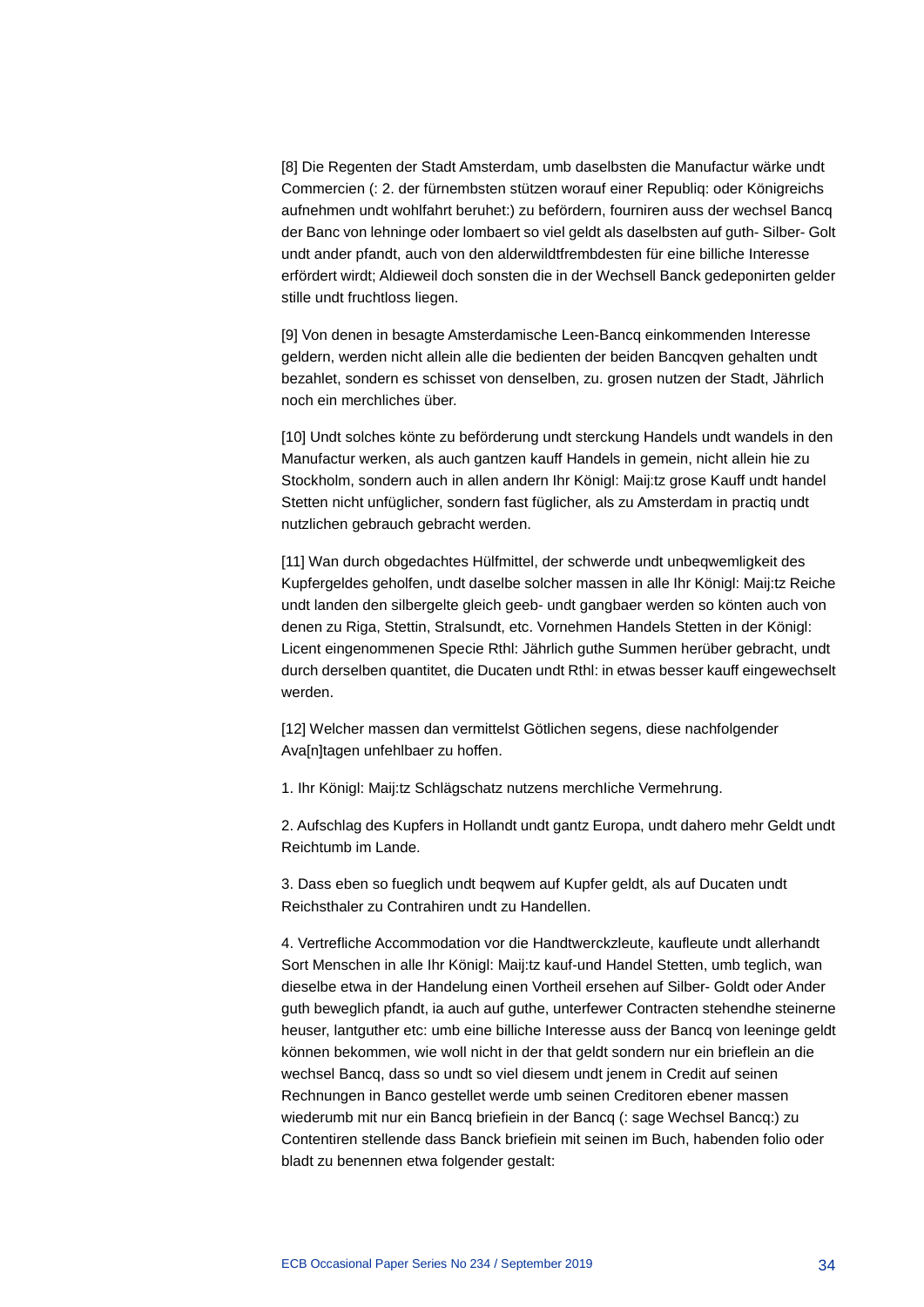[8] Die Regenten der Stadt Amsterdam, umb daselbsten die Manufactur wärke undt Commercien (: 2. der fürnembsten stützen worauf einer Republiq: oder Königreichs aufnehmen undt wohlfahrt beruhet:) zu befördern, fourniren auss der wechsel Bancq der Banc von lehninge oder lombaert so viel geldt als daselbsten auf guth- Silber- Golt undt ander pfandt, auch von den alderwildtfrembdesten für eine billiche Interesse erfördert wirdt; Aldieweil doch sonsten die in der Wechsell Banck gedeponirten gelder stille undt fruchtloss liegen.

[9] Von denen in besagte Amsterdamische Leen-Bancq einkommenden Interesse geldern, werden nicht allein alle die bedienten der beiden Bancqven gehalten undt bezahlet, sondern es schisset von denselben, zu. grosen nutzen der Stadt, Jährlich noch ein merchliches über.

[10] Undt solches könte zu beförderung undt sterckung Handels undt wandels in den Manufactur werken, als auch gantzen kauff Handels in gemein, nicht allein hie zu Stockholm, sondern auch in allen andern Ihr Königl: Maij:tz grose Kauff undt handel Stetten nicht unfüglicher, sondern fast füglicher, als zu Amsterdam in practiq undt nutzlichen gebrauch gebracht werden.

[11] Wan durch obgedachtes Hülfmittel, der schwerde undt unbeqwemligkeit des Kupfergeldes geholfen, undt daselbe solcher massen in alle Ihr Königl: Maij:tz Reiche undt landen den silbergelte gleich geeb- undt gangbaer werden so könten auch von denen zu Riga, Stettin, Stralsundt, etc. Vornehmen Handels Stetten in der Königl: Licent eingenommenen Specie Rthl: Jährlich guthe Summen herüber gebracht, undt durch derselben quantitet, die Ducaten undt Rthl: in etwas besser kauff eingewechselt werden.

[12] Welcher massen dan vermittelst Götlichen segens, diese nachfolgender Ava[n]tagen unfehlbaer zu hoffen.

1. Ihr Königl: Maij:tz Schlägschatz nutzens merchIiche Vermehrung.

2. Aufschlag des Kupfers in Hollandt undt gantz Europa, undt dahero mehr Geldt undt Reichtumb im Lande.

3. Dass eben so fueglich undt beqwem auf Kupfer geldt, als auf Ducaten undt Reichsthaler zu Contrahiren undt zu Handellen.

4. Vertrefliche Accommodation vor die Handtwerckzleute, kaufleute undt allerhandt Sort Menschen in alle Ihr Königl: Maij:tz kauf-und Handel Stetten, umb teglich, wan dieselbe etwa in der Handelung einen Vortheil ersehen auf Silber- Goldt oder Ander guth beweglich pfandt, ia auch auf guthe, unterfewer Contracten stehendhe steinerne heuser, lantguther etc: umb eine billiche Interesse auss der Bancq von leeninge geldt können bekommen, wie woll nicht in der that geldt sondern nur ein brieflein an die wechsel Bancq, dass so undt so viel diesem undt jenem in Credit auf seinen Rechnungen in Banco gestellet werde umb seinen Creditoren ebener massen wiederumb mit nur ein Bancq briefiein in der Bancq (: sage Wechsel Bancq:) zu Contentiren stellende dass Banck briefiein mit seinen im Buch, habenden folio oder bladt zu benennen etwa folgender gestalt: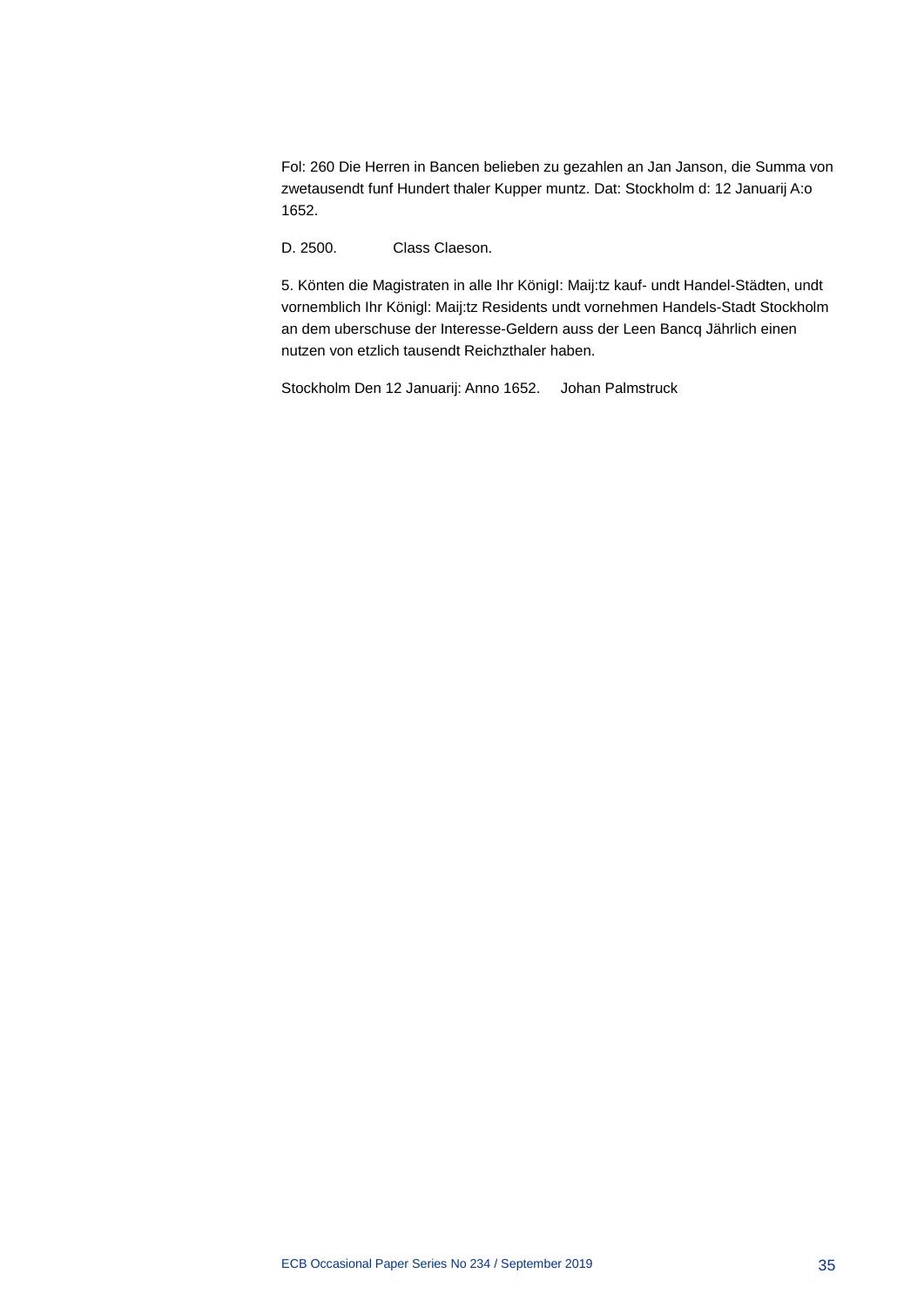Fol: 260 Die Herren in Bancen belieben zu gezahlen an Jan Janson, die Summa von zwetausendt funf Hundert thaler Kupper muntz. Dat: Stockholm d: 12 Januarij A:o 1652.

D. 2500. Class Claeson.

5. Könten die Magistraten in alle Ihr KönigI: Maij:tz kauf- undt Handel-Städten, undt vornemblich Ihr Königl: Maij:tz Residents undt vornehmen Handels-Stadt Stockholm an dem uberschuse der Interesse-Geldern auss der Leen Bancq Jährlich einen nutzen von etzlich tausendt Reichzthaler haben.

Stockholm Den 12 Januarij: Anno 1652. Johan Palmstruck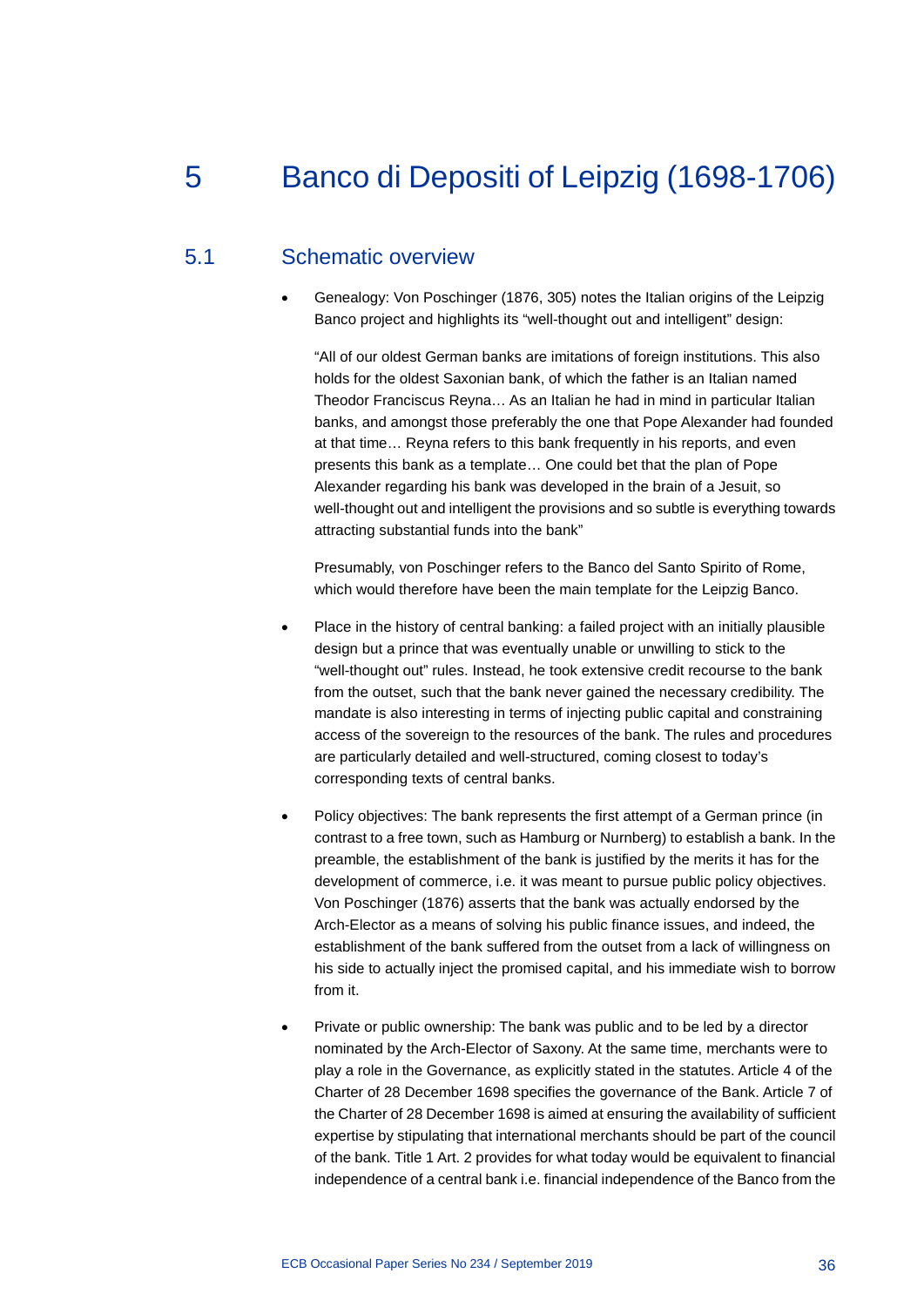# 5 Banco di Depositi of Leipzig (1698-1706)

# 5.1 Schematic overview

• Genealogy: Von Poschinger (1876, 305) notes the Italian origins of the Leipzig Banco project and highlights its "well-thought out and intelligent" design:

"All of our oldest German banks are imitations of foreign institutions. This also holds for the oldest Saxonian bank, of which the father is an Italian named Theodor Franciscus Reyna… As an Italian he had in mind in particular Italian banks, and amongst those preferably the one that Pope Alexander had founded at that time… Reyna refers to this bank frequently in his reports, and even presents this bank as a template… One could bet that the plan of Pope Alexander regarding his bank was developed in the brain of a Jesuit, so well-thought out and intelligent the provisions and so subtle is everything towards attracting substantial funds into the bank"

Presumably, von Poschinger refers to the Banco del Santo Spirito of Rome, which would therefore have been the main template for the Leipzig Banco.

- Place in the history of central banking: a failed project with an initially plausible design but a prince that was eventually unable or unwilling to stick to the "well-thought out" rules. Instead, he took extensive credit recourse to the bank from the outset, such that the bank never gained the necessary credibility. The mandate is also interesting in terms of injecting public capital and constraining access of the sovereign to the resources of the bank. The rules and procedures are particularly detailed and well-structured, coming closest to today's corresponding texts of central banks.
- Policy objectives: The bank represents the first attempt of a German prince (in contrast to a free town, such as Hamburg or Nurnberg) to establish a bank. In the preamble, the establishment of the bank is justified by the merits it has for the development of commerce, i.e. it was meant to pursue public policy objectives. Von Poschinger (1876) asserts that the bank was actually endorsed by the Arch-Elector as a means of solving his public finance issues, and indeed, the establishment of the bank suffered from the outset from a lack of willingness on his side to actually inject the promised capital, and his immediate wish to borrow from it.
- Private or public ownership: The bank was public and to be led by a director nominated by the Arch-Elector of Saxony. At the same time, merchants were to play a role in the Governance, as explicitly stated in the statutes. Article 4 of the Charter of 28 December 1698 specifies the governance of the Bank. Article 7 of the Charter of 28 December 1698 is aimed at ensuring the availability of sufficient expertise by stipulating that international merchants should be part of the council of the bank. Title 1 Art. 2 provides for what today would be equivalent to financial independence of a central bank i.e. financial independence of the Banco from the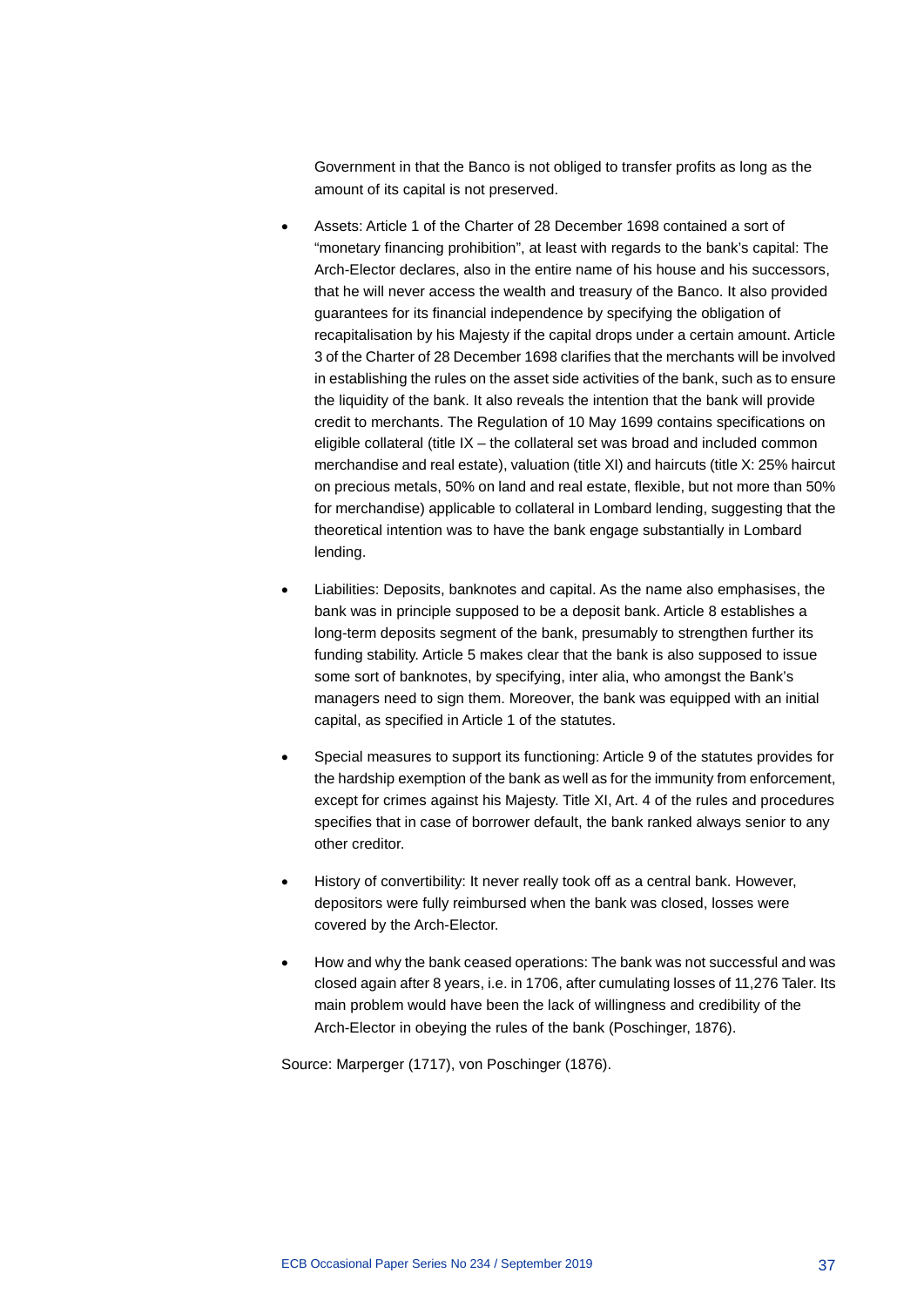Government in that the Banco is not obliged to transfer profits as long as the amount of its capital is not preserved.

- Assets: Article 1 of the Charter of 28 December 1698 contained a sort of "monetary financing prohibition", at least with regards to the bank's capital: The Arch-Elector declares, also in the entire name of his house and his successors, that he will never access the wealth and treasury of the Banco. It also provided guarantees for its financial independence by specifying the obligation of recapitalisation by his Majesty if the capital drops under a certain amount. Article 3 of the Charter of 28 December 1698 clarifies that the merchants will be involved in establishing the rules on the asset side activities of the bank, such as to ensure the liquidity of the bank. It also reveals the intention that the bank will provide credit to merchants. The Regulation of 10 May 1699 contains specifications on eligible collateral (title IX – the collateral set was broad and included common merchandise and real estate), valuation (title XI) and haircuts (title X: 25% haircut on precious metals, 50% on land and real estate, flexible, but not more than 50% for merchandise) applicable to collateral in Lombard lending, suggesting that the theoretical intention was to have the bank engage substantially in Lombard lending.
- Liabilities: Deposits, banknotes and capital. As the name also emphasises, the bank was in principle supposed to be a deposit bank. Article 8 establishes a long-term deposits segment of the bank, presumably to strengthen further its funding stability. Article 5 makes clear that the bank is also supposed to issue some sort of banknotes, by specifying, inter alia, who amongst the Bank's managers need to sign them. Moreover, the bank was equipped with an initial capital, as specified in Article 1 of the statutes.
- Special measures to support its functioning: Article 9 of the statutes provides for the hardship exemption of the bank as well as for the immunity from enforcement, except for crimes against his Majesty. Title XI, Art. 4 of the rules and procedures specifies that in case of borrower default, the bank ranked always senior to any other creditor.
- History of convertibility: It never really took off as a central bank. However, depositors were fully reimbursed when the bank was closed, losses were covered by the Arch-Elector.
- How and why the bank ceased operations: The bank was not successful and was closed again after 8 years, i.e. in 1706, after cumulating losses of 11,276 Taler. Its main problem would have been the lack of willingness and credibility of the Arch-Elector in obeying the rules of the bank (Poschinger, 1876).

Source: Marperger (1717), von Poschinger (1876).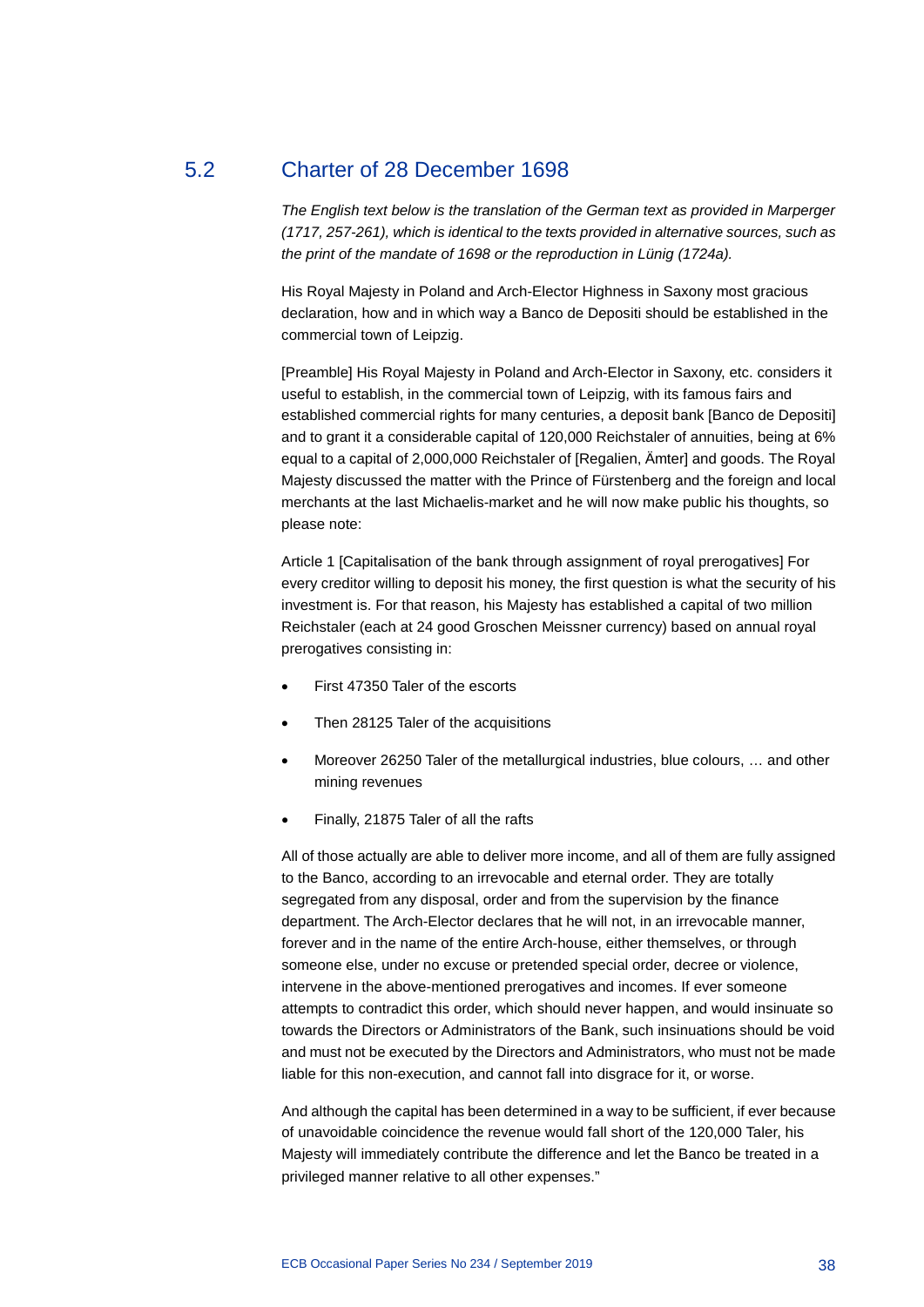# 5.2 Charter of 28 December 1698

*The English text below is the translation of the German text as provided in Marperger (1717, 257-261), which is identical to the texts provided in alternative sources, such as the print of the mandate of 1698 or the reproduction in Lünig (1724a).*

His Royal Majesty in Poland and Arch-Elector Highness in Saxony most gracious declaration, how and in which way a Banco de Depositi should be established in the commercial town of Leipzig.

[Preamble] His Royal Majesty in Poland and Arch-Elector in Saxony, etc. considers it useful to establish, in the commercial town of Leipzig, with its famous fairs and established commercial rights for many centuries, a deposit bank [Banco de Depositi] and to grant it a considerable capital of 120,000 Reichstaler of annuities, being at 6% equal to a capital of 2,000,000 Reichstaler of [Regalien, Ämter] and goods. The Royal Majesty discussed the matter with the Prince of Fürstenberg and the foreign and local merchants at the last Michaelis-market and he will now make public his thoughts, so please note:

Article 1 [Capitalisation of the bank through assignment of royal prerogatives] For every creditor willing to deposit his money, the first question is what the security of his investment is. For that reason, his Majesty has established a capital of two million Reichstaler (each at 24 good Groschen Meissner currency) based on annual royal prerogatives consisting in:

- First 47350 Taler of the escorts
- Then 28125 Taler of the acquisitions
- Moreover 26250 Taler of the metallurgical industries, blue colours, … and other mining revenues
- Finally, 21875 Taler of all the rafts

All of those actually are able to deliver more income, and all of them are fully assigned to the Banco, according to an irrevocable and eternal order. They are totally segregated from any disposal, order and from the supervision by the finance department. The Arch-Elector declares that he will not, in an irrevocable manner, forever and in the name of the entire Arch-house, either themselves, or through someone else, under no excuse or pretended special order, decree or violence, intervene in the above-mentioned prerogatives and incomes. If ever someone attempts to contradict this order, which should never happen, and would insinuate so towards the Directors or Administrators of the Bank, such insinuations should be void and must not be executed by the Directors and Administrators, who must not be made liable for this non-execution, and cannot fall into disgrace for it, or worse.

And although the capital has been determined in a way to be sufficient, if ever because of unavoidable coincidence the revenue would fall short of the 120,000 Taler, his Majesty will immediately contribute the difference and let the Banco be treated in a privileged manner relative to all other expenses."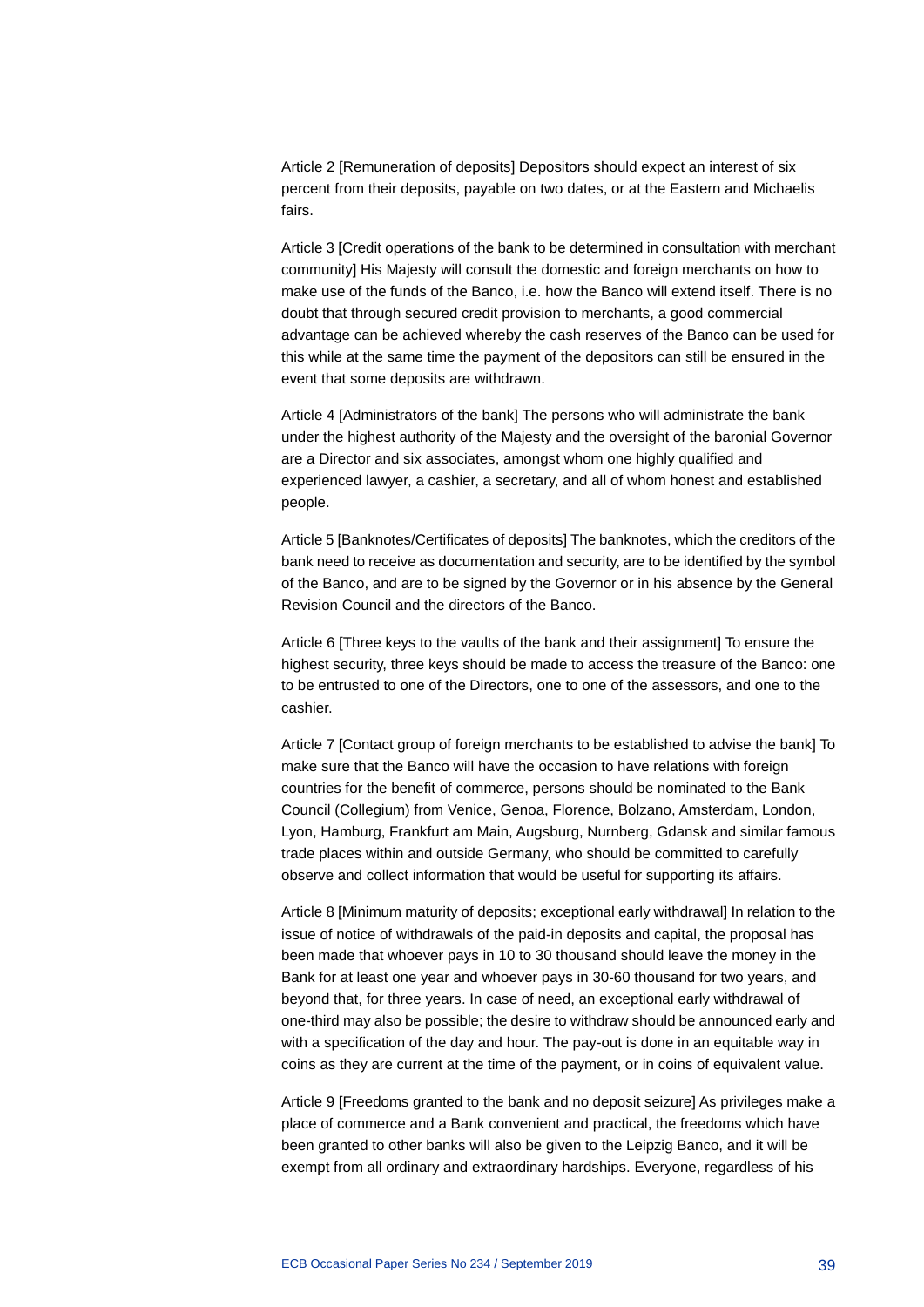Article 2 [Remuneration of deposits] Depositors should expect an interest of six percent from their deposits, payable on two dates, or at the Eastern and Michaelis fairs.

Article 3 [Credit operations of the bank to be determined in consultation with merchant community] His Majesty will consult the domestic and foreign merchants on how to make use of the funds of the Banco, i.e. how the Banco will extend itself. There is no doubt that through secured credit provision to merchants, a good commercial advantage can be achieved whereby the cash reserves of the Banco can be used for this while at the same time the payment of the depositors can still be ensured in the event that some deposits are withdrawn.

Article 4 [Administrators of the bank] The persons who will administrate the bank under the highest authority of the Majesty and the oversight of the baronial Governor are a Director and six associates, amongst whom one highly qualified and experienced lawyer, a cashier, a secretary, and all of whom honest and established people.

Article 5 [Banknotes/Certificates of deposits] The banknotes, which the creditors of the bank need to receive as documentation and security, are to be identified by the symbol of the Banco, and are to be signed by the Governor or in his absence by the General Revision Council and the directors of the Banco.

Article 6 [Three keys to the vaults of the bank and their assignment] To ensure the highest security, three keys should be made to access the treasure of the Banco: one to be entrusted to one of the Directors, one to one of the assessors, and one to the cashier.

Article 7 [Contact group of foreign merchants to be established to advise the bank] To make sure that the Banco will have the occasion to have relations with foreign countries for the benefit of commerce, persons should be nominated to the Bank Council (Collegium) from Venice, Genoa, Florence, Bolzano, Amsterdam, London, Lyon, Hamburg, Frankfurt am Main, Augsburg, Nurnberg, Gdansk and similar famous trade places within and outside Germany, who should be committed to carefully observe and collect information that would be useful for supporting its affairs.

Article 8 [Minimum maturity of deposits; exceptional early withdrawal] In relation to the issue of notice of withdrawals of the paid-in deposits and capital, the proposal has been made that whoever pays in 10 to 30 thousand should leave the money in the Bank for at least one year and whoever pays in 30-60 thousand for two years, and beyond that, for three years. In case of need, an exceptional early withdrawal of one-third may also be possible; the desire to withdraw should be announced early and with a specification of the day and hour. The pay-out is done in an equitable way in coins as they are current at the time of the payment, or in coins of equivalent value.

Article 9 [Freedoms granted to the bank and no deposit seizure] As privileges make a place of commerce and a Bank convenient and practical, the freedoms which have been granted to other banks will also be given to the Leipzig Banco, and it will be exempt from all ordinary and extraordinary hardships. Everyone, regardless of his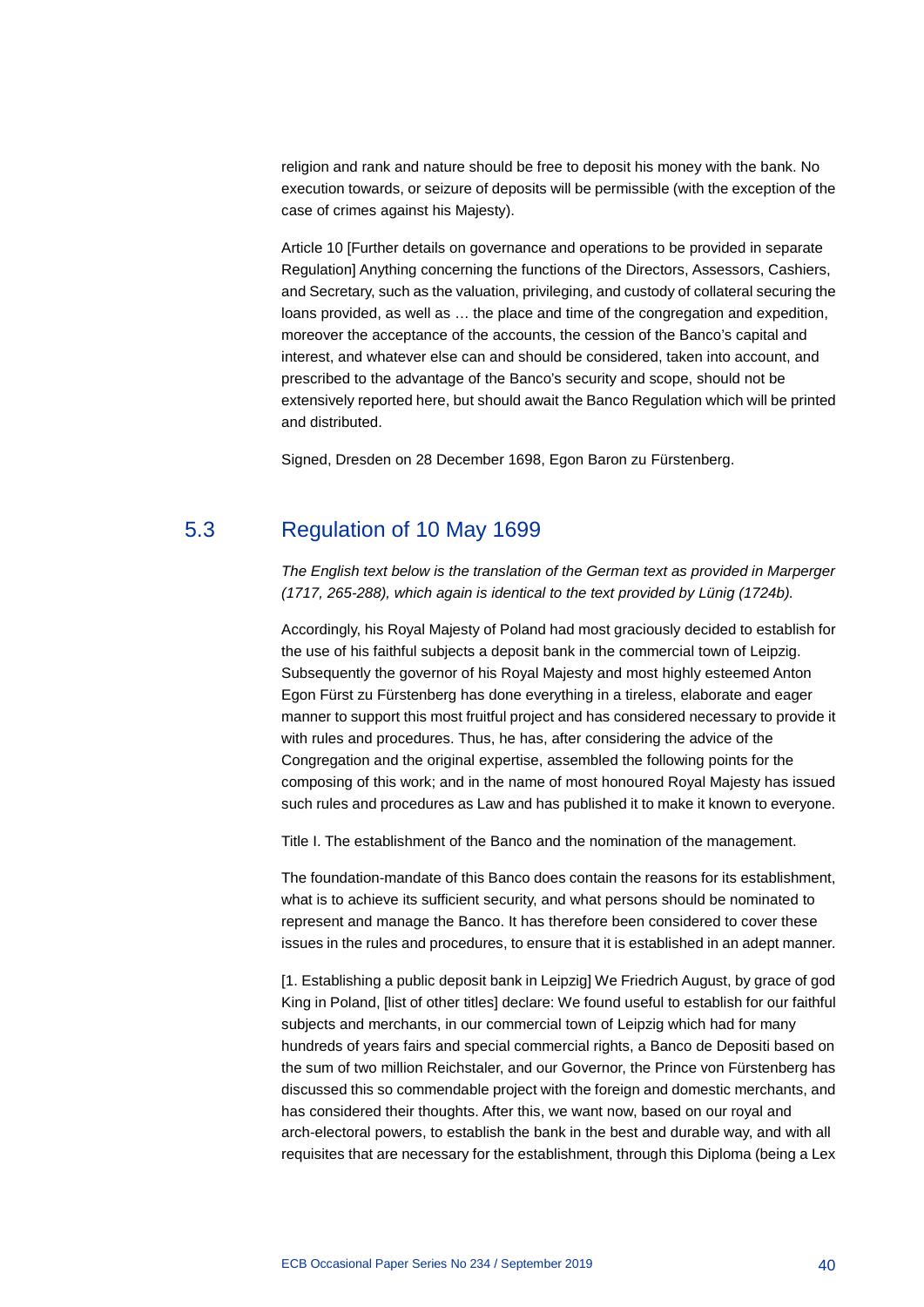religion and rank and nature should be free to deposit his money with the bank. No execution towards, or seizure of deposits will be permissible (with the exception of the case of crimes against his Majesty).

Article 10 [Further details on governance and operations to be provided in separate Regulation] Anything concerning the functions of the Directors, Assessors, Cashiers, and Secretary, such as the valuation, privileging, and custody of collateral securing the loans provided, as well as … the place and time of the congregation and expedition, moreover the acceptance of the accounts, the cession of the Banco's capital and interest, and whatever else can and should be considered, taken into account, and prescribed to the advantage of the Banco's security and scope, should not be extensively reported here, but should await the Banco Regulation which will be printed and distributed.

Signed, Dresden on 28 December 1698, Egon Baron zu Fürstenberg.

## 5.3 Regulation of 10 May 1699

*The English text below is the translation of the German text as provided in Marperger (1717, 265-288), which again is identical to the text provided by Lünig (1724b).*

Accordingly, his Royal Majesty of Poland had most graciously decided to establish for the use of his faithful subjects a deposit bank in the commercial town of Leipzig. Subsequently the governor of his Royal Majesty and most highly esteemed Anton Egon Fürst zu Fürstenberg has done everything in a tireless, elaborate and eager manner to support this most fruitful project and has considered necessary to provide it with rules and procedures. Thus, he has, after considering the advice of the Congregation and the original expertise, assembled the following points for the composing of this work; and in the name of most honoured Royal Majesty has issued such rules and procedures as Law and has published it to make it known to everyone.

Title I. The establishment of the Banco and the nomination of the management.

The foundation-mandate of this Banco does contain the reasons for its establishment, what is to achieve its sufficient security, and what persons should be nominated to represent and manage the Banco. It has therefore been considered to cover these issues in the rules and procedures, to ensure that it is established in an adept manner.

[1. Establishing a public deposit bank in Leipzig] We Friedrich August, by grace of god King in Poland, [list of other titles] declare: We found useful to establish for our faithful subjects and merchants, in our commercial town of Leipzig which had for many hundreds of years fairs and special commercial rights, a Banco de Depositi based on the sum of two million Reichstaler, and our Governor, the Prince von Fürstenberg has discussed this so commendable project with the foreign and domestic merchants, and has considered their thoughts. After this, we want now, based on our royal and arch-electoral powers, to establish the bank in the best and durable way, and with all requisites that are necessary for the establishment, through this Diploma (being a Lex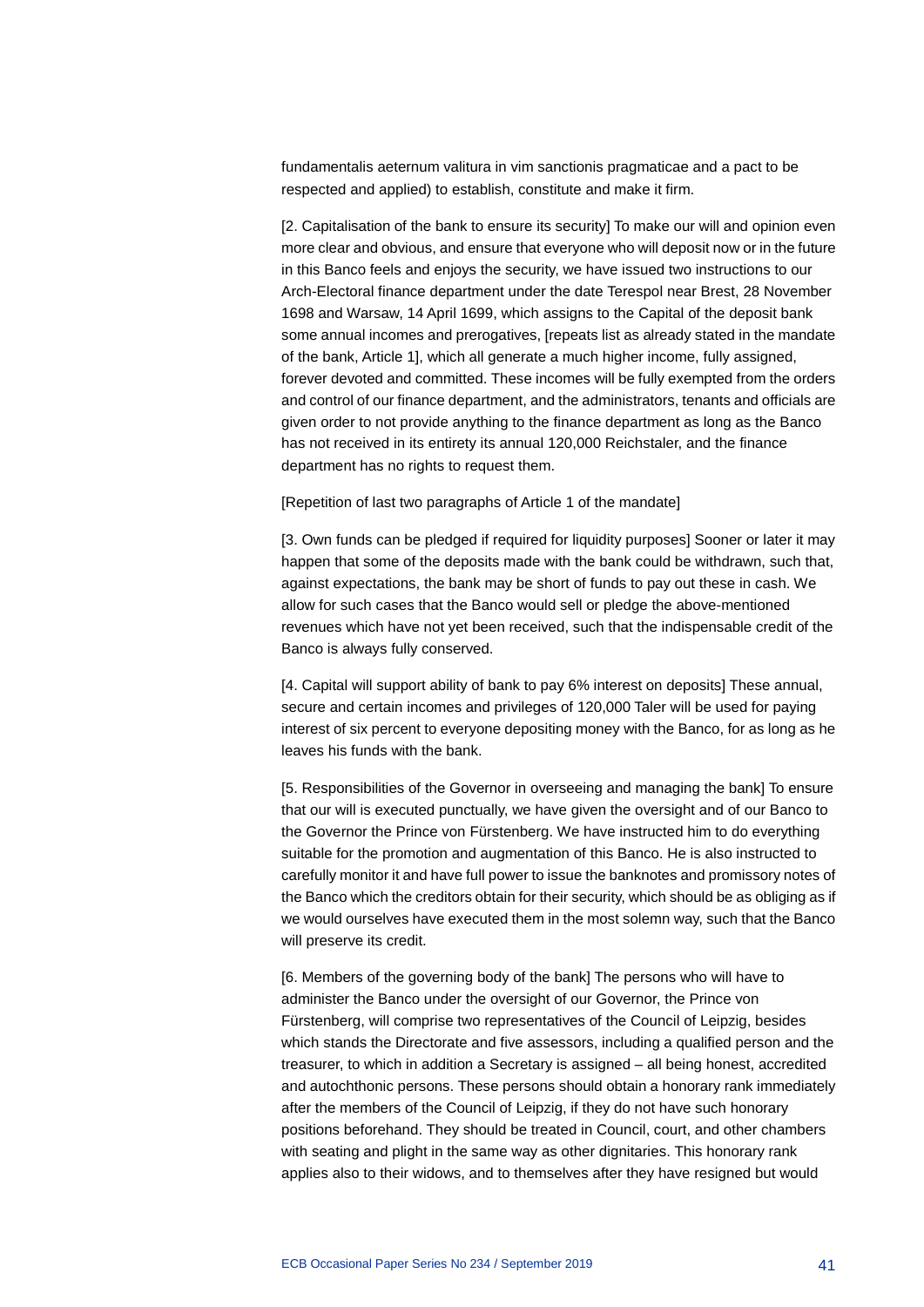fundamentalis aeternum valitura in vim sanctionis pragmaticae and a pact to be respected and applied) to establish, constitute and make it firm.

[2. Capitalisation of the bank to ensure its security] To make our will and opinion even more clear and obvious, and ensure that everyone who will deposit now or in the future in this Banco feels and enjoys the security, we have issued two instructions to our Arch-Electoral finance department under the date Terespol near Brest, 28 November 1698 and Warsaw, 14 April 1699, which assigns to the Capital of the deposit bank some annual incomes and prerogatives, [repeats list as already stated in the mandate of the bank, Article 1], which all generate a much higher income, fully assigned, forever devoted and committed. These incomes will be fully exempted from the orders and control of our finance department, and the administrators, tenants and officials are given order to not provide anything to the finance department as long as the Banco has not received in its entirety its annual 120,000 Reichstaler, and the finance department has no rights to request them.

[Repetition of last two paragraphs of Article 1 of the mandate]

[3. Own funds can be pledged if required for liquidity purposes] Sooner or later it may happen that some of the deposits made with the bank could be withdrawn, such that, against expectations, the bank may be short of funds to pay out these in cash. We allow for such cases that the Banco would sell or pledge the above-mentioned revenues which have not yet been received, such that the indispensable credit of the Banco is always fully conserved.

[4. Capital will support ability of bank to pay 6% interest on deposits] These annual, secure and certain incomes and privileges of 120,000 Taler will be used for paying interest of six percent to everyone depositing money with the Banco, for as long as he leaves his funds with the bank.

[5. Responsibilities of the Governor in overseeing and managing the bank] To ensure that our will is executed punctually, we have given the oversight and of our Banco to the Governor the Prince von Fürstenberg. We have instructed him to do everything suitable for the promotion and augmentation of this Banco. He is also instructed to carefully monitor it and have full power to issue the banknotes and promissory notes of the Banco which the creditors obtain for their security, which should be as obliging as if we would ourselves have executed them in the most solemn way, such that the Banco will preserve its credit.

[6. Members of the governing body of the bank] The persons who will have to administer the Banco under the oversight of our Governor, the Prince von Fürstenberg, will comprise two representatives of the Council of Leipzig, besides which stands the Directorate and five assessors, including a qualified person and the treasurer, to which in addition a Secretary is assigned – all being honest, accredited and autochthonic persons. These persons should obtain a honorary rank immediately after the members of the Council of Leipzig, if they do not have such honorary positions beforehand. They should be treated in Council, court, and other chambers with seating and plight in the same way as other dignitaries. This honorary rank applies also to their widows, and to themselves after they have resigned but would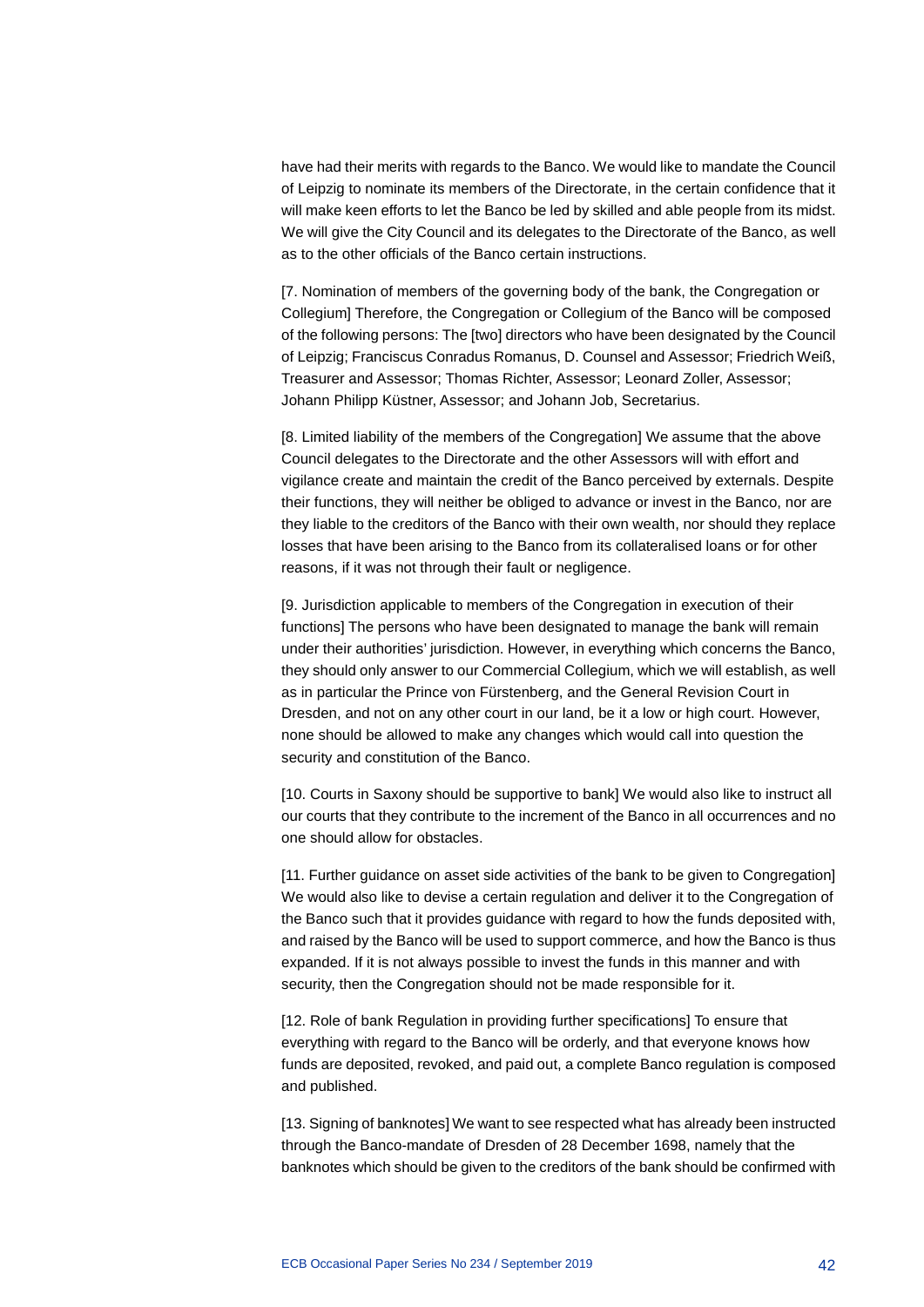have had their merits with regards to the Banco. We would like to mandate the Council of Leipzig to nominate its members of the Directorate, in the certain confidence that it will make keen efforts to let the Banco be led by skilled and able people from its midst. We will give the City Council and its delegates to the Directorate of the Banco, as well as to the other officials of the Banco certain instructions.

[7. Nomination of members of the governing body of the bank, the Congregation or Collegium] Therefore, the Congregation or Collegium of the Banco will be composed of the following persons: The [two] directors who have been designated by the Council of Leipzig; Franciscus Conradus Romanus, D. Counsel and Assessor; Friedrich Weiß, Treasurer and Assessor; Thomas Richter, Assessor; Leonard Zoller, Assessor; Johann Philipp Küstner, Assessor; and Johann Job, Secretarius.

[8. Limited liability of the members of the Congregation] We assume that the above Council delegates to the Directorate and the other Assessors will with effort and vigilance create and maintain the credit of the Banco perceived by externals. Despite their functions, they will neither be obliged to advance or invest in the Banco, nor are they liable to the creditors of the Banco with their own wealth, nor should they replace losses that have been arising to the Banco from its collateralised loans or for other reasons, if it was not through their fault or negligence.

[9. Jurisdiction applicable to members of the Congregation in execution of their functions] The persons who have been designated to manage the bank will remain under their authorities' jurisdiction. However, in everything which concerns the Banco, they should only answer to our Commercial Collegium, which we will establish, as well as in particular the Prince von Fürstenberg, and the General Revision Court in Dresden, and not on any other court in our land, be it a low or high court. However, none should be allowed to make any changes which would call into question the security and constitution of the Banco.

[10. Courts in Saxony should be supportive to bank] We would also like to instruct all our courts that they contribute to the increment of the Banco in all occurrences and no one should allow for obstacles.

[11. Further guidance on asset side activities of the bank to be given to Congregation] We would also like to devise a certain regulation and deliver it to the Congregation of the Banco such that it provides guidance with regard to how the funds deposited with, and raised by the Banco will be used to support commerce, and how the Banco is thus expanded. If it is not always possible to invest the funds in this manner and with security, then the Congregation should not be made responsible for it.

[12. Role of bank Regulation in providing further specifications] To ensure that everything with regard to the Banco will be orderly, and that everyone knows how funds are deposited, revoked, and paid out, a complete Banco regulation is composed and published.

[13. Signing of banknotes] We want to see respected what has already been instructed through the Banco-mandate of Dresden of 28 December 1698, namely that the banknotes which should be given to the creditors of the bank should be confirmed with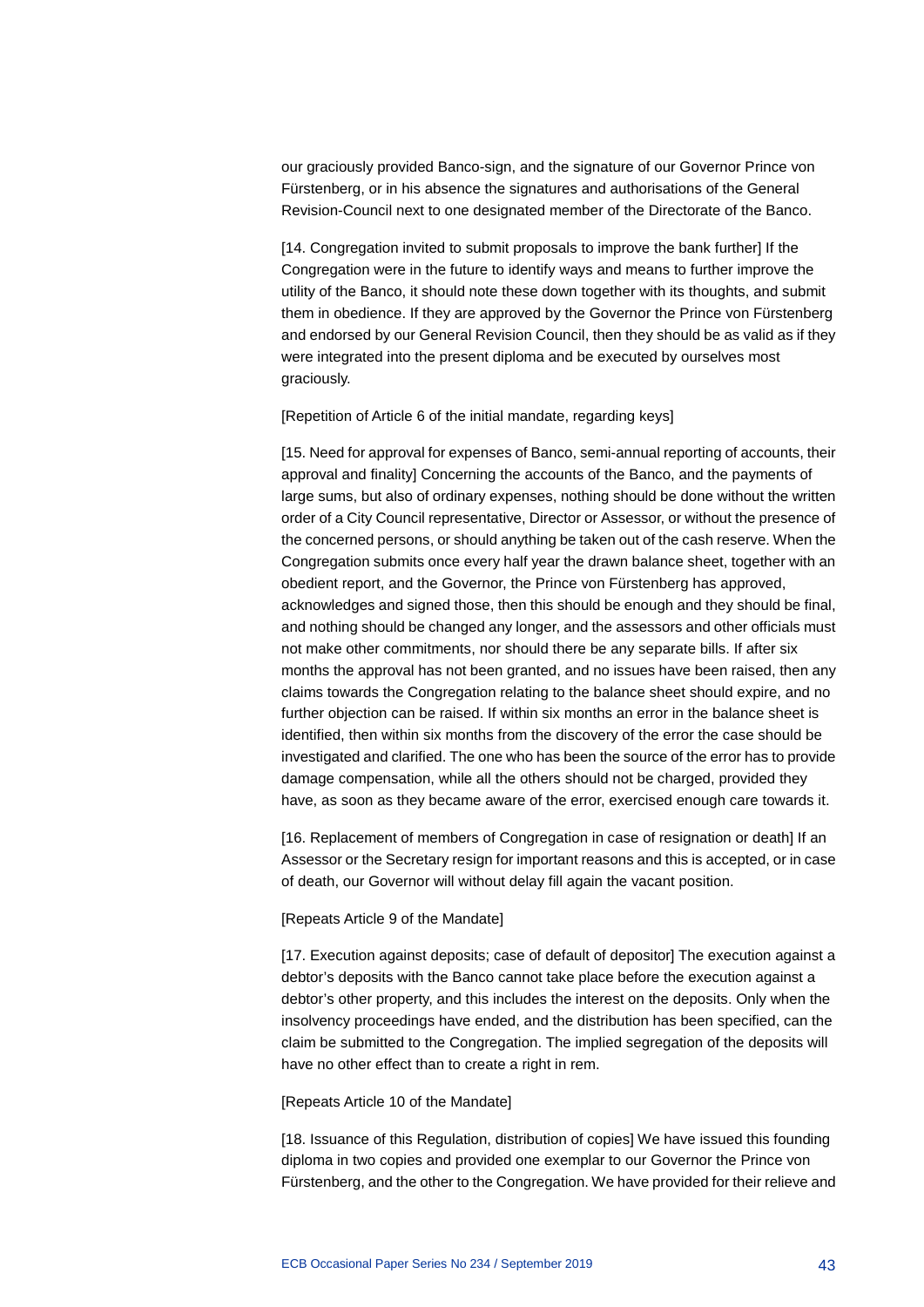our graciously provided Banco-sign, and the signature of our Governor Prince von Fürstenberg, or in his absence the signatures and authorisations of the General Revision-Council next to one designated member of the Directorate of the Banco.

[14. Congregation invited to submit proposals to improve the bank further] If the Congregation were in the future to identify ways and means to further improve the utility of the Banco, it should note these down together with its thoughts, and submit them in obedience. If they are approved by the Governor the Prince von Fürstenberg and endorsed by our General Revision Council, then they should be as valid as if they were integrated into the present diploma and be executed by ourselves most graciously.

[Repetition of Article 6 of the initial mandate, regarding keys]

[15. Need for approval for expenses of Banco, semi-annual reporting of accounts, their approval and finality] Concerning the accounts of the Banco, and the payments of large sums, but also of ordinary expenses, nothing should be done without the written order of a City Council representative, Director or Assessor, or without the presence of the concerned persons, or should anything be taken out of the cash reserve. When the Congregation submits once every half year the drawn balance sheet, together with an obedient report, and the Governor, the Prince von Fürstenberg has approved, acknowledges and signed those, then this should be enough and they should be final, and nothing should be changed any longer, and the assessors and other officials must not make other commitments, nor should there be any separate bills. If after six months the approval has not been granted, and no issues have been raised, then any claims towards the Congregation relating to the balance sheet should expire, and no further objection can be raised. If within six months an error in the balance sheet is identified, then within six months from the discovery of the error the case should be investigated and clarified. The one who has been the source of the error has to provide damage compensation, while all the others should not be charged, provided they have, as soon as they became aware of the error, exercised enough care towards it.

[16. Replacement of members of Congregation in case of resignation or death] If an Assessor or the Secretary resign for important reasons and this is accepted, or in case of death, our Governor will without delay fill again the vacant position.

#### [Repeats Article 9 of the Mandate]

[17. Execution against deposits; case of default of depositor] The execution against a debtor's deposits with the Banco cannot take place before the execution against a debtor's other property, and this includes the interest on the deposits. Only when the insolvency proceedings have ended, and the distribution has been specified, can the claim be submitted to the Congregation. The implied segregation of the deposits will have no other effect than to create a right in rem.

#### [Repeats Article 10 of the Mandate]

[18. Issuance of this Regulation, distribution of copies] We have issued this founding diploma in two copies and provided one exemplar to our Governor the Prince von Fürstenberg, and the other to the Congregation. We have provided for their relieve and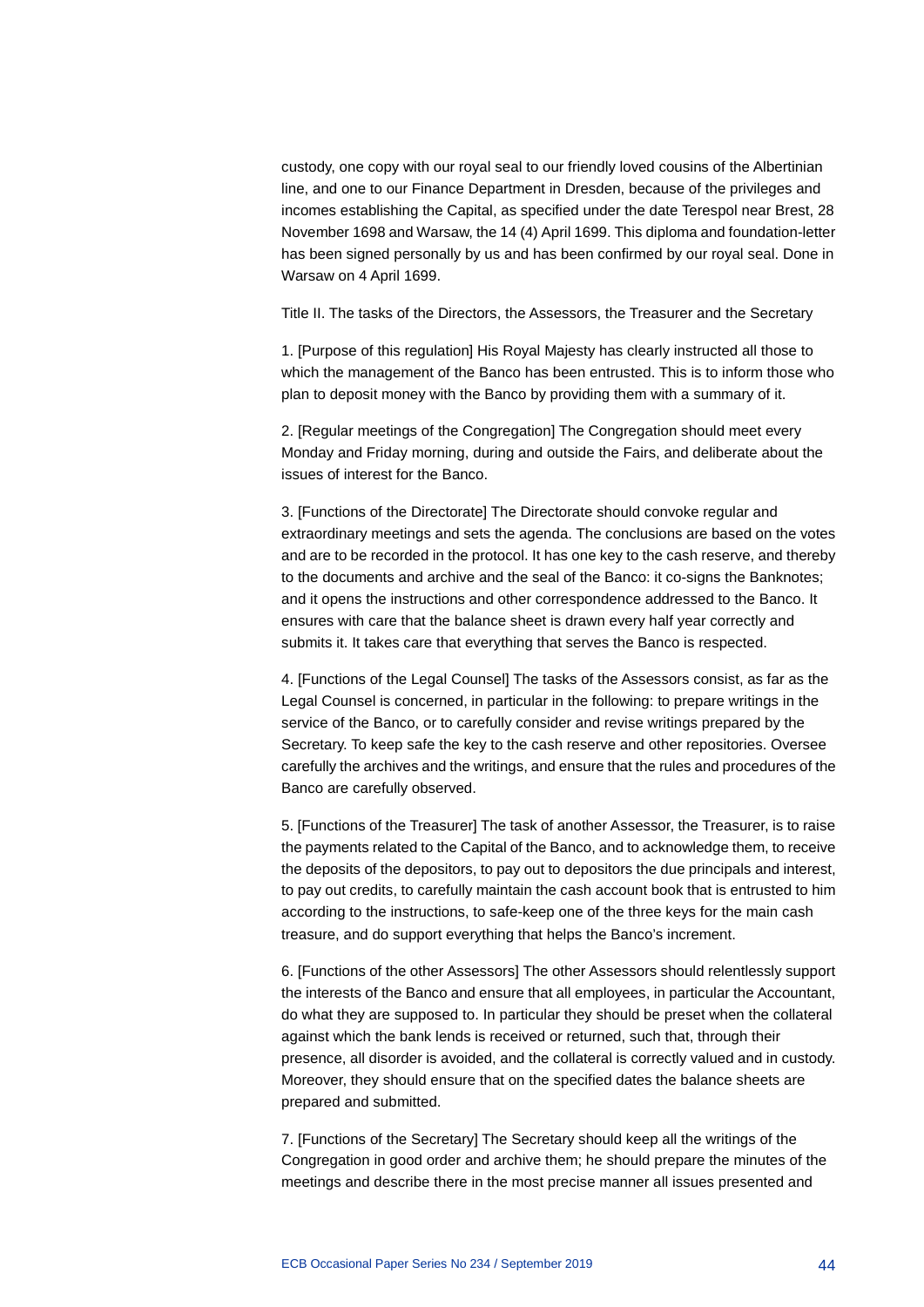custody, one copy with our royal seal to our friendly loved cousins of the Albertinian line, and one to our Finance Department in Dresden, because of the privileges and incomes establishing the Capital, as specified under the date Terespol near Brest, 28 November 1698 and Warsaw, the 14 (4) April 1699. This diploma and foundation-letter has been signed personally by us and has been confirmed by our royal seal. Done in Warsaw on 4 April 1699.

Title II. The tasks of the Directors, the Assessors, the Treasurer and the Secretary

1. [Purpose of this regulation] His Royal Majesty has clearly instructed all those to which the management of the Banco has been entrusted. This is to inform those who plan to deposit money with the Banco by providing them with a summary of it.

2. [Regular meetings of the Congregation] The Congregation should meet every Monday and Friday morning, during and outside the Fairs, and deliberate about the issues of interest for the Banco.

3. [Functions of the Directorate] The Directorate should convoke regular and extraordinary meetings and sets the agenda. The conclusions are based on the votes and are to be recorded in the protocol. It has one key to the cash reserve, and thereby to the documents and archive and the seal of the Banco: it co-signs the Banknotes; and it opens the instructions and other correspondence addressed to the Banco. It ensures with care that the balance sheet is drawn every half year correctly and submits it. It takes care that everything that serves the Banco is respected.

4. [Functions of the Legal Counsel] The tasks of the Assessors consist, as far as the Legal Counsel is concerned, in particular in the following: to prepare writings in the service of the Banco, or to carefully consider and revise writings prepared by the Secretary. To keep safe the key to the cash reserve and other repositories. Oversee carefully the archives and the writings, and ensure that the rules and procedures of the Banco are carefully observed.

5. [Functions of the Treasurer] The task of another Assessor, the Treasurer, is to raise the payments related to the Capital of the Banco, and to acknowledge them, to receive the deposits of the depositors, to pay out to depositors the due principals and interest, to pay out credits, to carefully maintain the cash account book that is entrusted to him according to the instructions, to safe-keep one of the three keys for the main cash treasure, and do support everything that helps the Banco's increment.

6. [Functions of the other Assessors] The other Assessors should relentlessly support the interests of the Banco and ensure that all employees, in particular the Accountant, do what they are supposed to. In particular they should be preset when the collateral against which the bank lends is received or returned, such that, through their presence, all disorder is avoided, and the collateral is correctly valued and in custody. Moreover, they should ensure that on the specified dates the balance sheets are prepared and submitted.

7. [Functions of the Secretary] The Secretary should keep all the writings of the Congregation in good order and archive them; he should prepare the minutes of the meetings and describe there in the most precise manner all issues presented and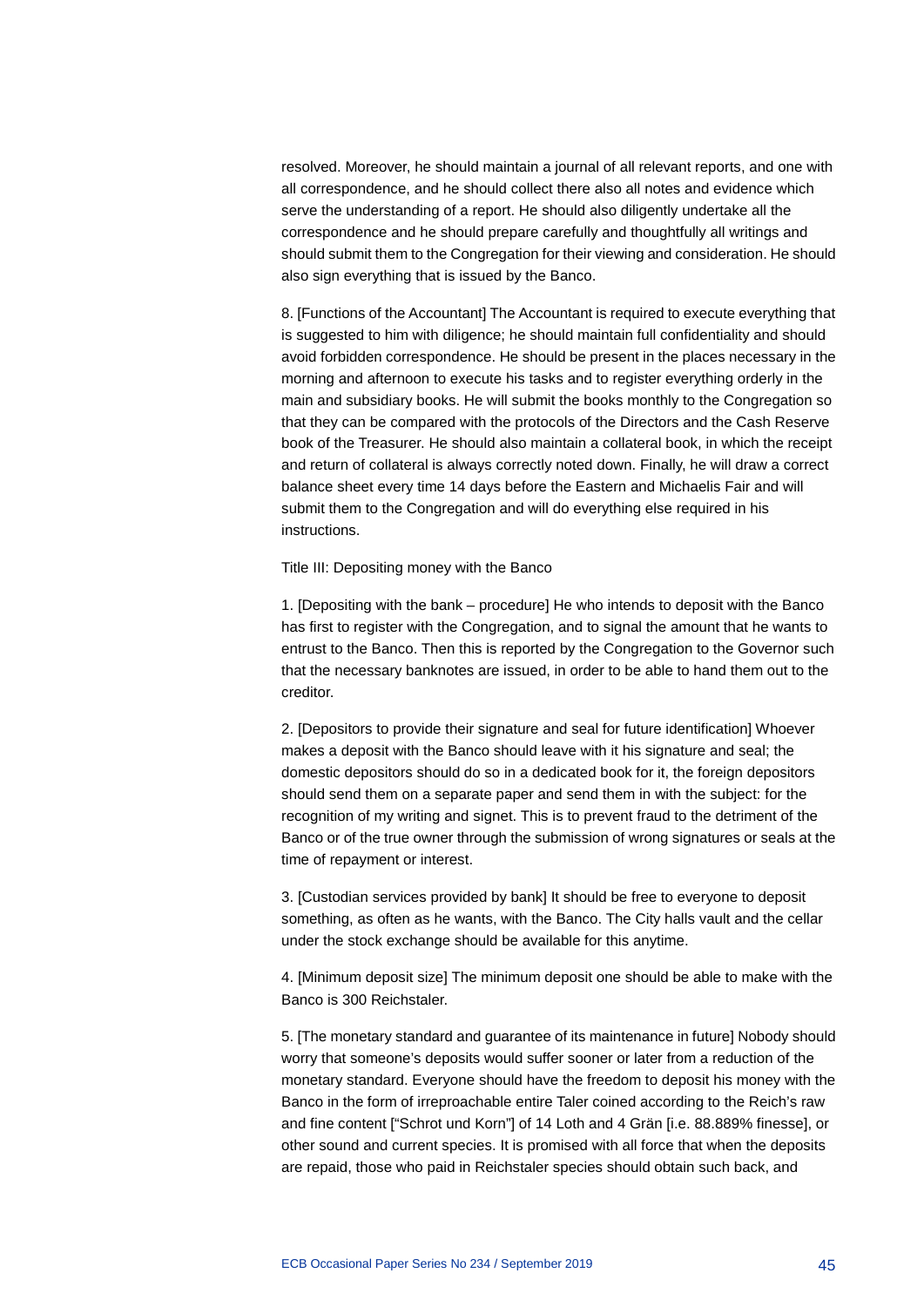resolved. Moreover, he should maintain a journal of all relevant reports, and one with all correspondence, and he should collect there also all notes and evidence which serve the understanding of a report. He should also diligently undertake all the correspondence and he should prepare carefully and thoughtfully all writings and should submit them to the Congregation for their viewing and consideration. He should also sign everything that is issued by the Banco.

8. [Functions of the Accountant] The Accountant is required to execute everything that is suggested to him with diligence; he should maintain full confidentiality and should avoid forbidden correspondence. He should be present in the places necessary in the morning and afternoon to execute his tasks and to register everything orderly in the main and subsidiary books. He will submit the books monthly to the Congregation so that they can be compared with the protocols of the Directors and the Cash Reserve book of the Treasurer. He should also maintain a collateral book, in which the receipt and return of collateral is always correctly noted down. Finally, he will draw a correct balance sheet every time 14 days before the Eastern and Michaelis Fair and will submit them to the Congregation and will do everything else required in his instructions.

Title III: Depositing money with the Banco

1. [Depositing with the bank – procedure] He who intends to deposit with the Banco has first to register with the Congregation, and to signal the amount that he wants to entrust to the Banco. Then this is reported by the Congregation to the Governor such that the necessary banknotes are issued, in order to be able to hand them out to the creditor.

2. [Depositors to provide their signature and seal for future identification] Whoever makes a deposit with the Banco should leave with it his signature and seal; the domestic depositors should do so in a dedicated book for it, the foreign depositors should send them on a separate paper and send them in with the subject: for the recognition of my writing and signet. This is to prevent fraud to the detriment of the Banco or of the true owner through the submission of wrong signatures or seals at the time of repayment or interest.

3. [Custodian services provided by bank] It should be free to everyone to deposit something, as often as he wants, with the Banco. The City halls vault and the cellar under the stock exchange should be available for this anytime.

4. [Minimum deposit size] The minimum deposit one should be able to make with the Banco is 300 Reichstaler.

5. [The monetary standard and guarantee of its maintenance in future] Nobody should worry that someone's deposits would suffer sooner or later from a reduction of the monetary standard. Everyone should have the freedom to deposit his money with the Banco in the form of irreproachable entire Taler coined according to the Reich's raw and fine content ["Schrot und Korn"] of 14 Loth and 4 Grän [i.e. 88.889% finesse], or other sound and current species. It is promised with all force that when the deposits are repaid, those who paid in Reichstaler species should obtain such back, and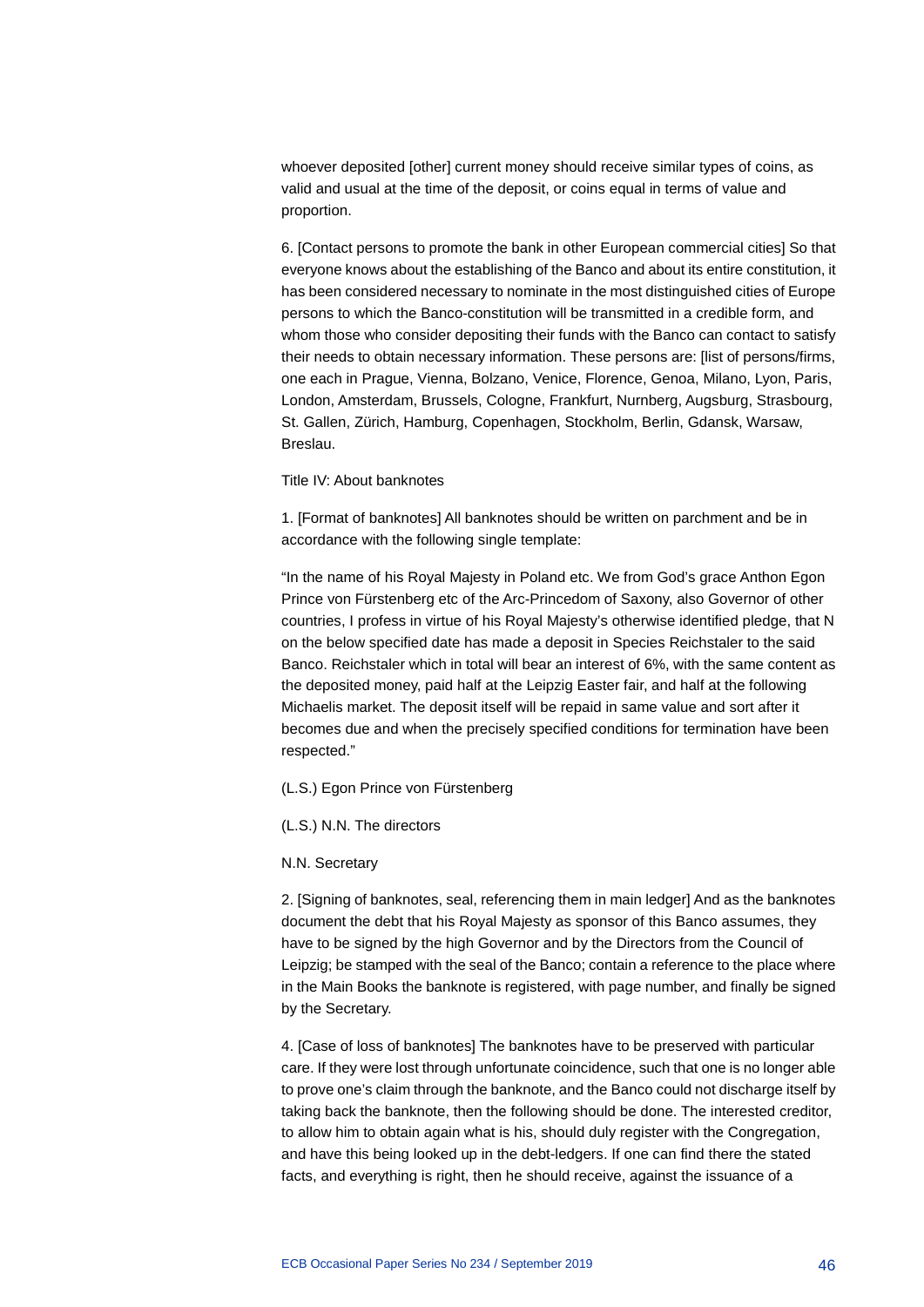whoever deposited [other] current money should receive similar types of coins, as valid and usual at the time of the deposit, or coins equal in terms of value and proportion.

6. [Contact persons to promote the bank in other European commercial cities] So that everyone knows about the establishing of the Banco and about its entire constitution, it has been considered necessary to nominate in the most distinguished cities of Europe persons to which the Banco-constitution will be transmitted in a credible form, and whom those who consider depositing their funds with the Banco can contact to satisfy their needs to obtain necessary information. These persons are: [list of persons/firms, one each in Prague, Vienna, Bolzano, Venice, Florence, Genoa, Milano, Lyon, Paris, London, Amsterdam, Brussels, Cologne, Frankfurt, Nurnberg, Augsburg, Strasbourg, St. Gallen, Zürich, Hamburg, Copenhagen, Stockholm, Berlin, Gdansk, Warsaw, Breslau.

### Title IV: About banknotes

1. [Format of banknotes] All banknotes should be written on parchment and be in accordance with the following single template:

"In the name of his Royal Majesty in Poland etc. We from God's grace Anthon Egon Prince von Fürstenberg etc of the Arc-Princedom of Saxony, also Governor of other countries, I profess in virtue of his Royal Majesty's otherwise identified pledge, that N on the below specified date has made a deposit in Species Reichstaler to the said Banco. Reichstaler which in total will bear an interest of 6%, with the same content as the deposited money, paid half at the Leipzig Easter fair, and half at the following Michaelis market. The deposit itself will be repaid in same value and sort after it becomes due and when the precisely specified conditions for termination have been respected."

(L.S.) Egon Prince von Fürstenberg

(L.S.) N.N. The directors

N.N. Secretary

2. [Signing of banknotes, seal, referencing them in main ledger] And as the banknotes document the debt that his Royal Majesty as sponsor of this Banco assumes, they have to be signed by the high Governor and by the Directors from the Council of Leipzig; be stamped with the seal of the Banco; contain a reference to the place where in the Main Books the banknote is registered, with page number, and finally be signed by the Secretary.

4. [Case of loss of banknotes] The banknotes have to be preserved with particular care. If they were lost through unfortunate coincidence, such that one is no longer able to prove one's claim through the banknote, and the Banco could not discharge itself by taking back the banknote, then the following should be done. The interested creditor, to allow him to obtain again what is his, should duly register with the Congregation, and have this being looked up in the debt-ledgers. If one can find there the stated facts, and everything is right, then he should receive, against the issuance of a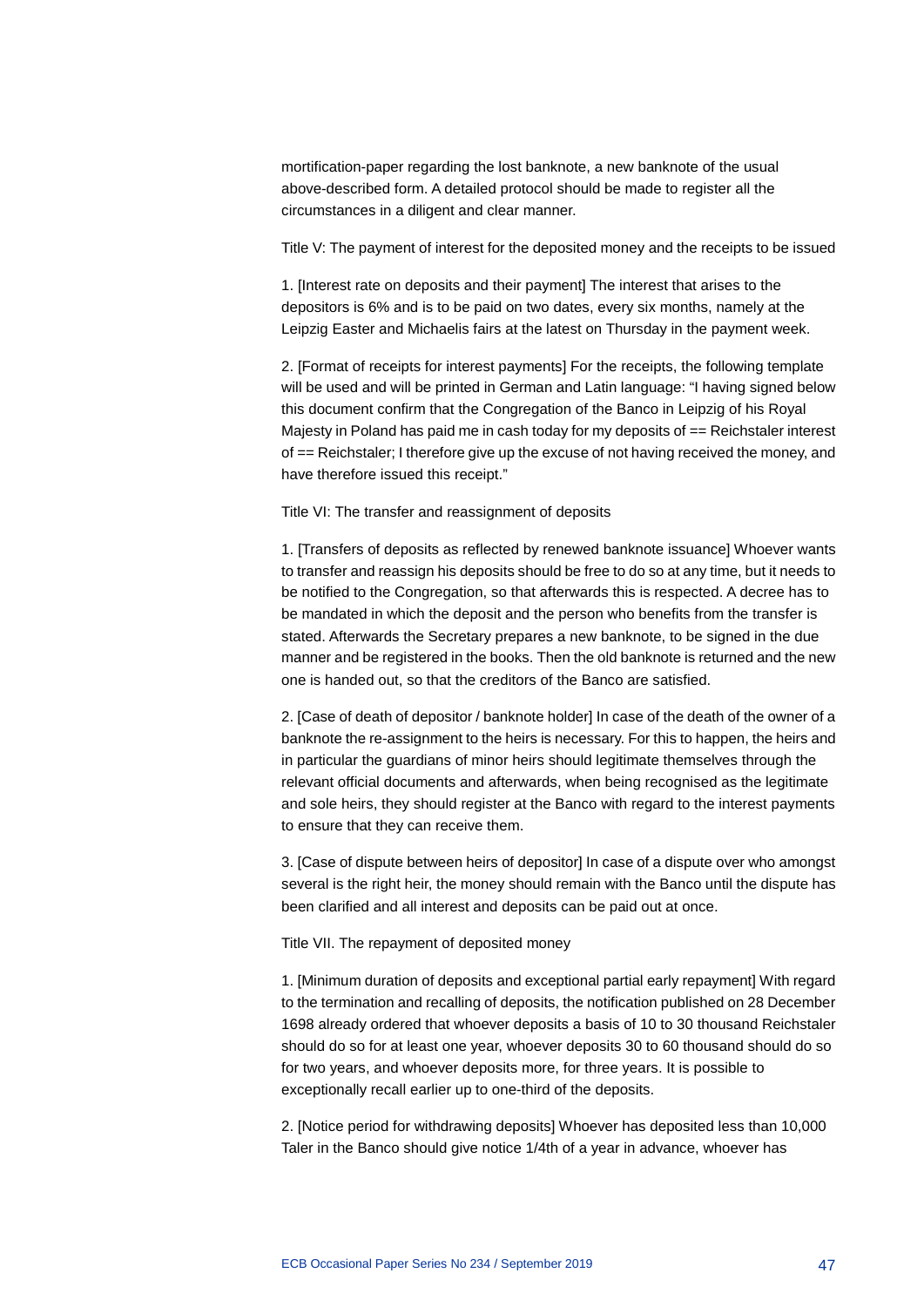mortification-paper regarding the lost banknote, a new banknote of the usual above-described form. A detailed protocol should be made to register all the circumstances in a diligent and clear manner.

Title V: The payment of interest for the deposited money and the receipts to be issued

1. [Interest rate on deposits and their payment] The interest that arises to the depositors is 6% and is to be paid on two dates, every six months, namely at the Leipzig Easter and Michaelis fairs at the latest on Thursday in the payment week.

2. [Format of receipts for interest payments] For the receipts, the following template will be used and will be printed in German and Latin language: "I having signed below this document confirm that the Congregation of the Banco in Leipzig of his Royal Majesty in Poland has paid me in cash today for my deposits of == Reichstaler interest of == Reichstaler; I therefore give up the excuse of not having received the money, and have therefore issued this receipt."

Title VI: The transfer and reassignment of deposits

1. [Transfers of deposits as reflected by renewed banknote issuance] Whoever wants to transfer and reassign his deposits should be free to do so at any time, but it needs to be notified to the Congregation, so that afterwards this is respected. A decree has to be mandated in which the deposit and the person who benefits from the transfer is stated. Afterwards the Secretary prepares a new banknote, to be signed in the due manner and be registered in the books. Then the old banknote is returned and the new one is handed out, so that the creditors of the Banco are satisfied.

2. [Case of death of depositor / banknote holder] In case of the death of the owner of a banknote the re-assignment to the heirs is necessary. For this to happen, the heirs and in particular the guardians of minor heirs should legitimate themselves through the relevant official documents and afterwards, when being recognised as the legitimate and sole heirs, they should register at the Banco with regard to the interest payments to ensure that they can receive them.

3. [Case of dispute between heirs of depositor] In case of a dispute over who amongst several is the right heir, the money should remain with the Banco until the dispute has been clarified and all interest and deposits can be paid out at once.

Title VII. The repayment of deposited money

1. [Minimum duration of deposits and exceptional partial early repayment] With regard to the termination and recalling of deposits, the notification published on 28 December 1698 already ordered that whoever deposits a basis of 10 to 30 thousand Reichstaler should do so for at least one year, whoever deposits 30 to 60 thousand should do so for two years, and whoever deposits more, for three years. It is possible to exceptionally recall earlier up to one-third of the deposits.

2. [Notice period for withdrawing deposits] Whoever has deposited less than 10,000 Taler in the Banco should give notice 1/4th of a year in advance, whoever has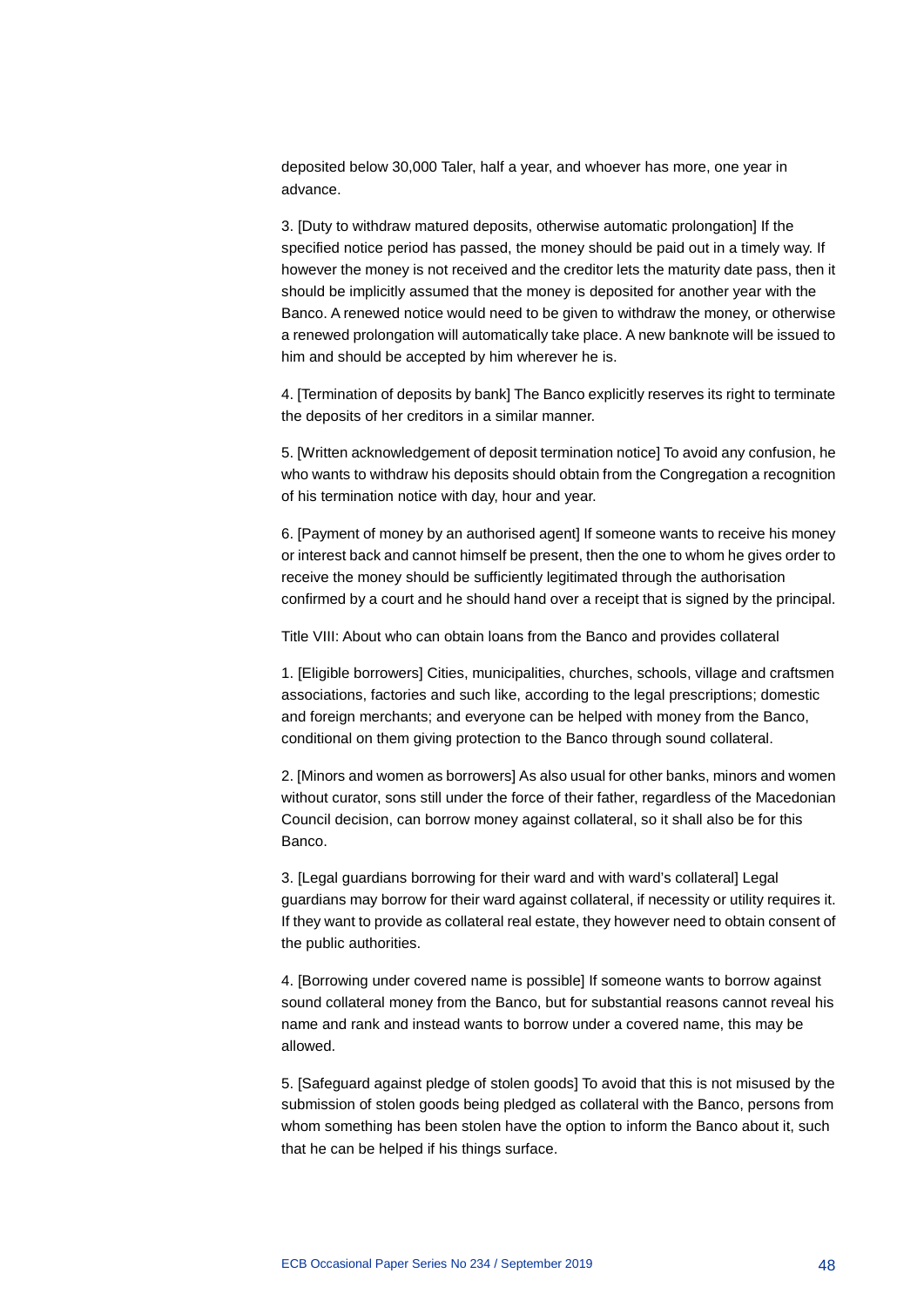deposited below 30,000 Taler, half a year, and whoever has more, one year in advance.

3. [Duty to withdraw matured deposits, otherwise automatic prolongation] If the specified notice period has passed, the money should be paid out in a timely way. If however the money is not received and the creditor lets the maturity date pass, then it should be implicitly assumed that the money is deposited for another year with the Banco. A renewed notice would need to be given to withdraw the money, or otherwise a renewed prolongation will automatically take place. A new banknote will be issued to him and should be accepted by him wherever he is.

4. [Termination of deposits by bank] The Banco explicitly reserves its right to terminate the deposits of her creditors in a similar manner.

5. [Written acknowledgement of deposit termination notice] To avoid any confusion, he who wants to withdraw his deposits should obtain from the Congregation a recognition of his termination notice with day, hour and year.

6. [Payment of money by an authorised agent] If someone wants to receive his money or interest back and cannot himself be present, then the one to whom he gives order to receive the money should be sufficiently legitimated through the authorisation confirmed by a court and he should hand over a receipt that is signed by the principal.

Title VIII: About who can obtain loans from the Banco and provides collateral

1. [Eligible borrowers] Cities, municipalities, churches, schools, village and craftsmen associations, factories and such like, according to the legal prescriptions; domestic and foreign merchants; and everyone can be helped with money from the Banco, conditional on them giving protection to the Banco through sound collateral.

2. [Minors and women as borrowers] As also usual for other banks, minors and women without curator, sons still under the force of their father, regardless of the Macedonian Council decision, can borrow money against collateral, so it shall also be for this Banco.

3. [Legal guardians borrowing for their ward and with ward's collateral] Legal guardians may borrow for their ward against collateral, if necessity or utility requires it. If they want to provide as collateral real estate, they however need to obtain consent of the public authorities.

4. [Borrowing under covered name is possible] If someone wants to borrow against sound collateral money from the Banco, but for substantial reasons cannot reveal his name and rank and instead wants to borrow under a covered name, this may be allowed.

5. [Safeguard against pledge of stolen goods] To avoid that this is not misused by the submission of stolen goods being pledged as collateral with the Banco, persons from whom something has been stolen have the option to inform the Banco about it, such that he can be helped if his things surface.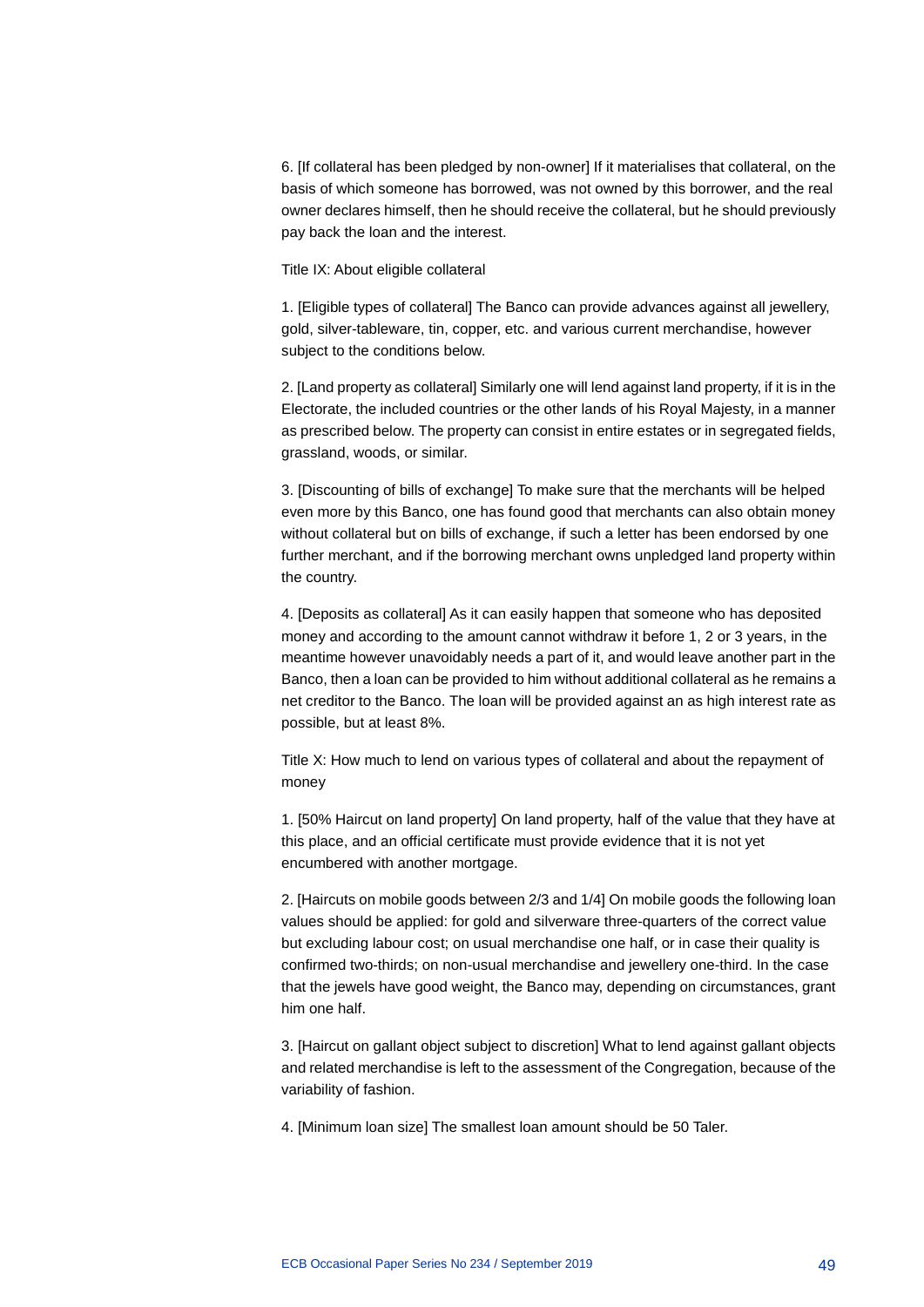6. [If collateral has been pledged by non-owner] If it materialises that collateral, on the basis of which someone has borrowed, was not owned by this borrower, and the real owner declares himself, then he should receive the collateral, but he should previously pay back the loan and the interest.

Title IX: About eligible collateral

1. [Eligible types of collateral] The Banco can provide advances against all jewellery, gold, silver-tableware, tin, copper, etc. and various current merchandise, however subject to the conditions below.

2. [Land property as collateral] Similarly one will lend against land property, if it is in the Electorate, the included countries or the other lands of his Royal Majesty, in a manner as prescribed below. The property can consist in entire estates or in segregated fields, grassland, woods, or similar.

3. [Discounting of bills of exchange] To make sure that the merchants will be helped even more by this Banco, one has found good that merchants can also obtain money without collateral but on bills of exchange, if such a letter has been endorsed by one further merchant, and if the borrowing merchant owns unpledged land property within the country.

4. [Deposits as collateral] As it can easily happen that someone who has deposited money and according to the amount cannot withdraw it before 1, 2 or 3 years, in the meantime however unavoidably needs a part of it, and would leave another part in the Banco, then a loan can be provided to him without additional collateral as he remains a net creditor to the Banco. The loan will be provided against an as high interest rate as possible, but at least 8%.

Title X: How much to lend on various types of collateral and about the repayment of money

1. [50% Haircut on land property] On land property, half of the value that they have at this place, and an official certificate must provide evidence that it is not yet encumbered with another mortgage.

2. [Haircuts on mobile goods between 2/3 and 1/4] On mobile goods the following loan values should be applied: for gold and silverware three-quarters of the correct value but excluding labour cost; on usual merchandise one half, or in case their quality is confirmed two-thirds; on non-usual merchandise and jewellery one-third. In the case that the jewels have good weight, the Banco may, depending on circumstances, grant him one half.

3. [Haircut on gallant object subject to discretion] What to lend against gallant objects and related merchandise is left to the assessment of the Congregation, because of the variability of fashion.

4. [Minimum loan size] The smallest loan amount should be 50 Taler.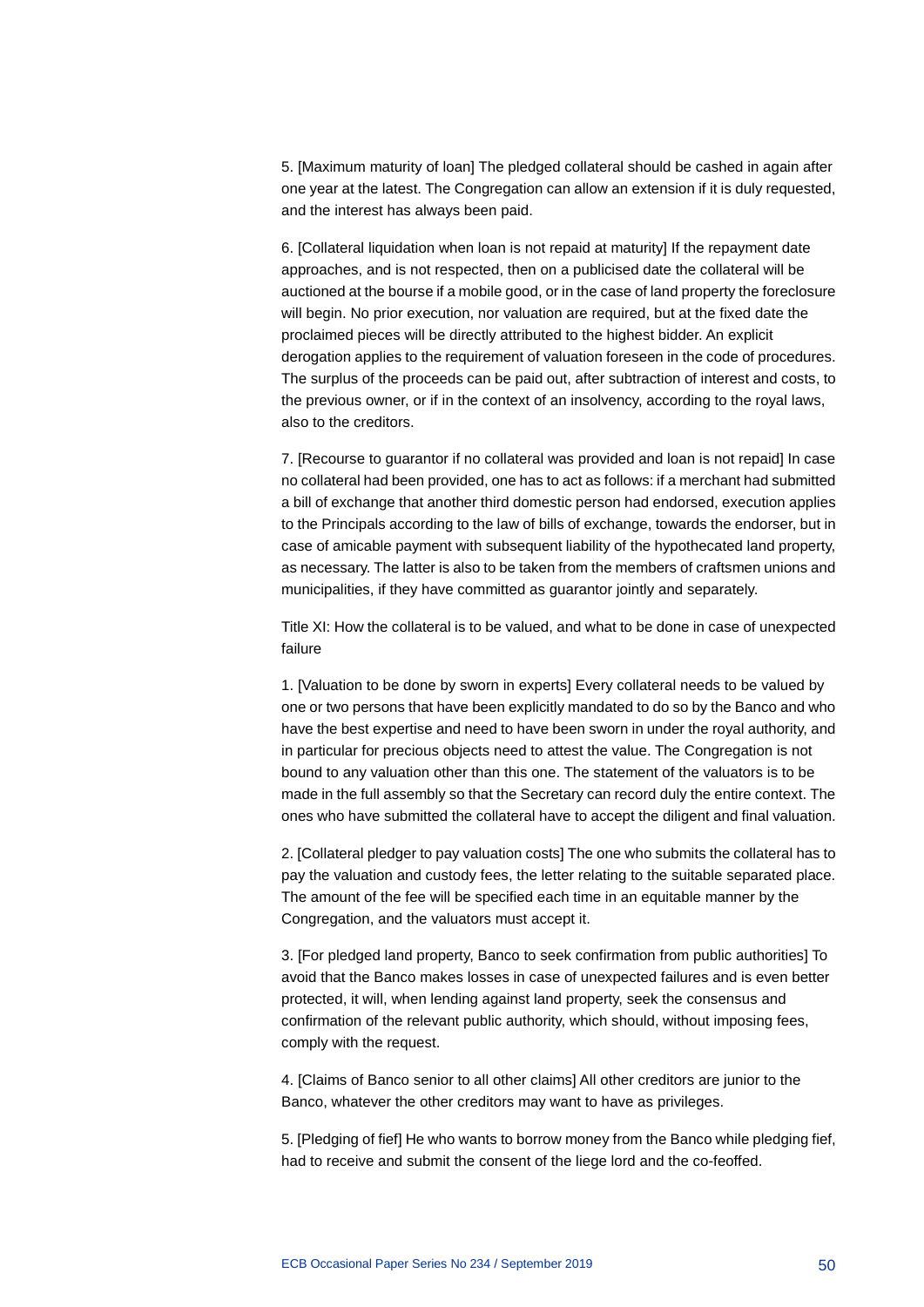5. [Maximum maturity of loan] The pledged collateral should be cashed in again after one year at the latest. The Congregation can allow an extension if it is duly requested, and the interest has always been paid.

6. [Collateral liquidation when loan is not repaid at maturity] If the repayment date approaches, and is not respected, then on a publicised date the collateral will be auctioned at the bourse if a mobile good, or in the case of land property the foreclosure will begin. No prior execution, nor valuation are required, but at the fixed date the proclaimed pieces will be directly attributed to the highest bidder. An explicit derogation applies to the requirement of valuation foreseen in the code of procedures. The surplus of the proceeds can be paid out, after subtraction of interest and costs, to the previous owner, or if in the context of an insolvency, according to the royal laws, also to the creditors.

7. [Recourse to guarantor if no collateral was provided and loan is not repaid] In case no collateral had been provided, one has to act as follows: if a merchant had submitted a bill of exchange that another third domestic person had endorsed, execution applies to the Principals according to the law of bills of exchange, towards the endorser, but in case of amicable payment with subsequent liability of the hypothecated land property, as necessary. The latter is also to be taken from the members of craftsmen unions and municipalities, if they have committed as guarantor jointly and separately.

Title XI: How the collateral is to be valued, and what to be done in case of unexpected failure

1. [Valuation to be done by sworn in experts] Every collateral needs to be valued by one or two persons that have been explicitly mandated to do so by the Banco and who have the best expertise and need to have been sworn in under the royal authority, and in particular for precious objects need to attest the value. The Congregation is not bound to any valuation other than this one. The statement of the valuators is to be made in the full assembly so that the Secretary can record duly the entire context. The ones who have submitted the collateral have to accept the diligent and final valuation.

2. [Collateral pledger to pay valuation costs] The one who submits the collateral has to pay the valuation and custody fees, the letter relating to the suitable separated place. The amount of the fee will be specified each time in an equitable manner by the Congregation, and the valuators must accept it.

3. [For pledged land property, Banco to seek confirmation from public authorities] To avoid that the Banco makes losses in case of unexpected failures and is even better protected, it will, when lending against land property, seek the consensus and confirmation of the relevant public authority, which should, without imposing fees, comply with the request.

4. [Claims of Banco senior to all other claims] All other creditors are junior to the Banco, whatever the other creditors may want to have as privileges.

5. [Pledging of fief] He who wants to borrow money from the Banco while pledging fief, had to receive and submit the consent of the liege lord and the co-feoffed.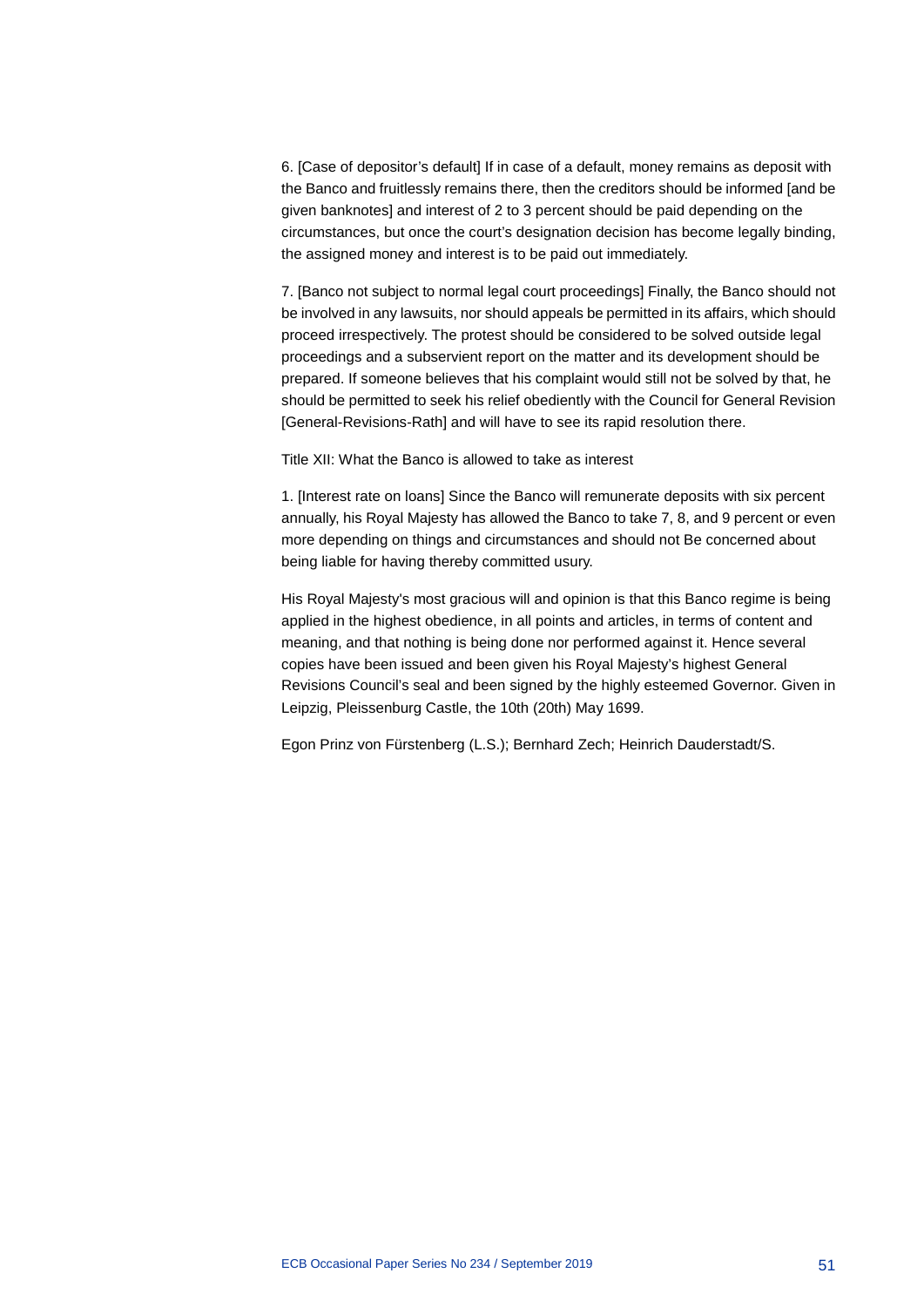6. [Case of depositor's default] If in case of a default, money remains as deposit with the Banco and fruitlessly remains there, then the creditors should be informed [and be given banknotes] and interest of 2 to 3 percent should be paid depending on the circumstances, but once the court's designation decision has become legally binding, the assigned money and interest is to be paid out immediately.

7. [Banco not subject to normal legal court proceedings] Finally, the Banco should not be involved in any lawsuits, nor should appeals be permitted in its affairs, which should proceed irrespectively. The protest should be considered to be solved outside legal proceedings and a subservient report on the matter and its development should be prepared. If someone believes that his complaint would still not be solved by that, he should be permitted to seek his relief obediently with the Council for General Revision [General-Revisions-Rath] and will have to see its rapid resolution there.

Title XII: What the Banco is allowed to take as interest

1. [Interest rate on loans] Since the Banco will remunerate deposits with six percent annually, his Royal Majesty has allowed the Banco to take 7, 8, and 9 percent or even more depending on things and circumstances and should not Be concerned about being liable for having thereby committed usury.

His Royal Majesty's most gracious will and opinion is that this Banco regime is being applied in the highest obedience, in all points and articles, in terms of content and meaning, and that nothing is being done nor performed against it. Hence several copies have been issued and been given his Royal Majesty's highest General Revisions Council's seal and been signed by the highly esteemed Governor. Given in Leipzig, Pleissenburg Castle, the 10th (20th) May 1699.

Egon Prinz von Fürstenberg (L.S.); Bernhard Zech; Heinrich Dauderstadt/S.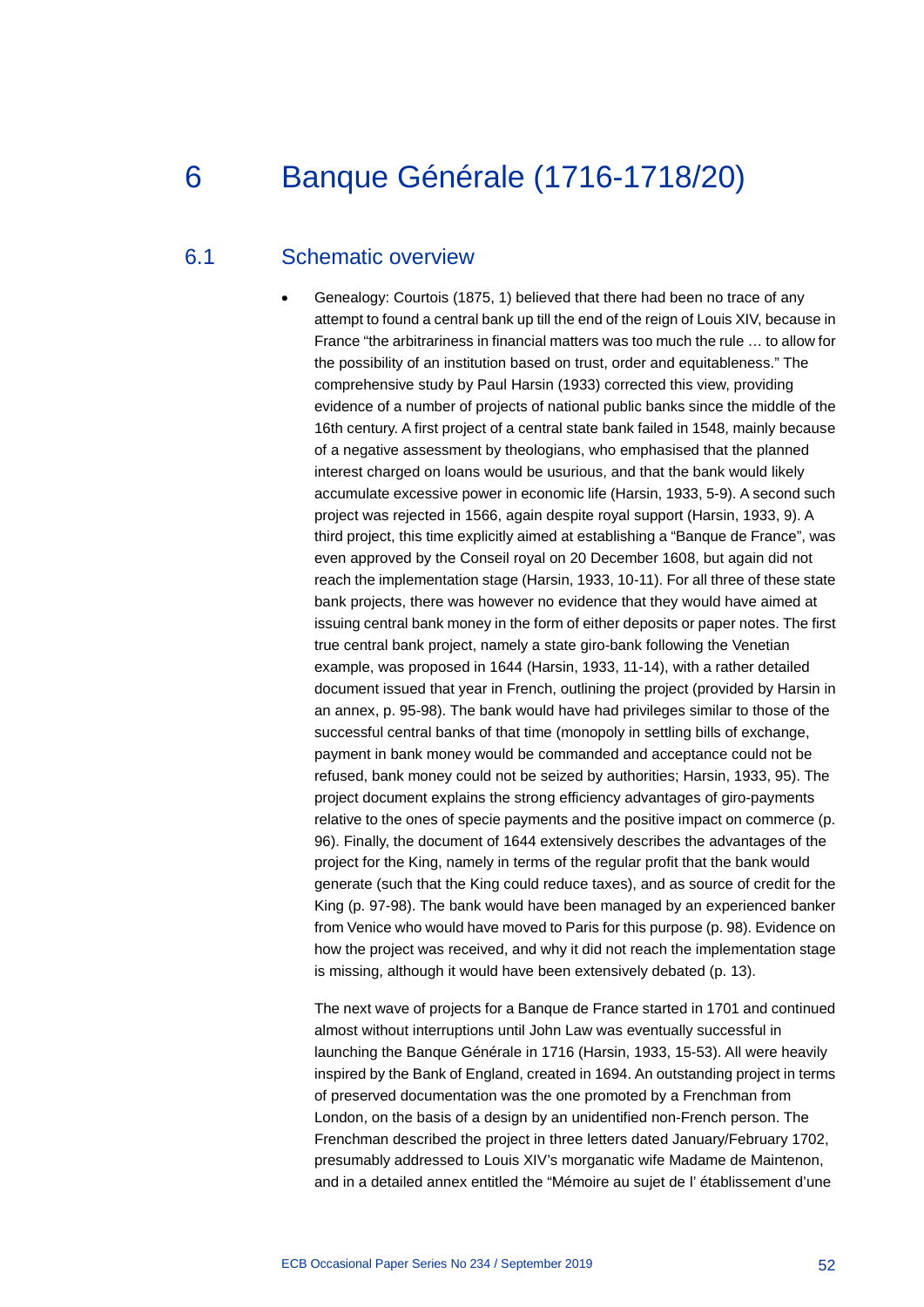# 6 Banque Générale (1716-1718/20)

### 6.1 Schematic overview

• Genealogy: Courtois (1875, 1) believed that there had been no trace of any attempt to found a central bank up till the end of the reign of Louis XIV, because in France "the arbitrariness in financial matters was too much the rule … to allow for the possibility of an institution based on trust, order and equitableness." The comprehensive study by Paul Harsin (1933) corrected this view, providing evidence of a number of projects of national public banks since the middle of the 16th century. A first project of a central state bank failed in 1548, mainly because of a negative assessment by theologians, who emphasised that the planned interest charged on loans would be usurious, and that the bank would likely accumulate excessive power in economic life (Harsin, 1933, 5-9). A second such project was rejected in 1566, again despite royal support (Harsin, 1933, 9). A third project, this time explicitly aimed at establishing a "Banque de France", was even approved by the Conseil royal on 20 December 1608, but again did not reach the implementation stage (Harsin, 1933, 10-11). For all three of these state bank projects, there was however no evidence that they would have aimed at issuing central bank money in the form of either deposits or paper notes. The first true central bank project, namely a state giro-bank following the Venetian example, was proposed in 1644 (Harsin, 1933, 11-14), with a rather detailed document issued that year in French, outlining the project (provided by Harsin in an annex, p. 95-98). The bank would have had privileges similar to those of the successful central banks of that time (monopoly in settling bills of exchange, payment in bank money would be commanded and acceptance could not be refused, bank money could not be seized by authorities; Harsin, 1933, 95). The project document explains the strong efficiency advantages of giro-payments relative to the ones of specie payments and the positive impact on commerce (p. 96). Finally, the document of 1644 extensively describes the advantages of the project for the King, namely in terms of the regular profit that the bank would generate (such that the King could reduce taxes), and as source of credit for the King (p. 97-98). The bank would have been managed by an experienced banker from Venice who would have moved to Paris for this purpose (p. 98). Evidence on how the project was received, and why it did not reach the implementation stage is missing, although it would have been extensively debated (p. 13).

The next wave of projects for a Banque de France started in 1701 and continued almost without interruptions until John Law was eventually successful in launching the Banque Générale in 1716 (Harsin, 1933, 15-53). All were heavily inspired by the Bank of England, created in 1694. An outstanding project in terms of preserved documentation was the one promoted by a Frenchman from London, on the basis of a design by an unidentified non-French person. The Frenchman described the project in three letters dated January/February 1702, presumably addressed to Louis XIV's morganatic wife Madame de Maintenon, and in a detailed annex entitled the "Mémoire au sujet de l' établissement d'une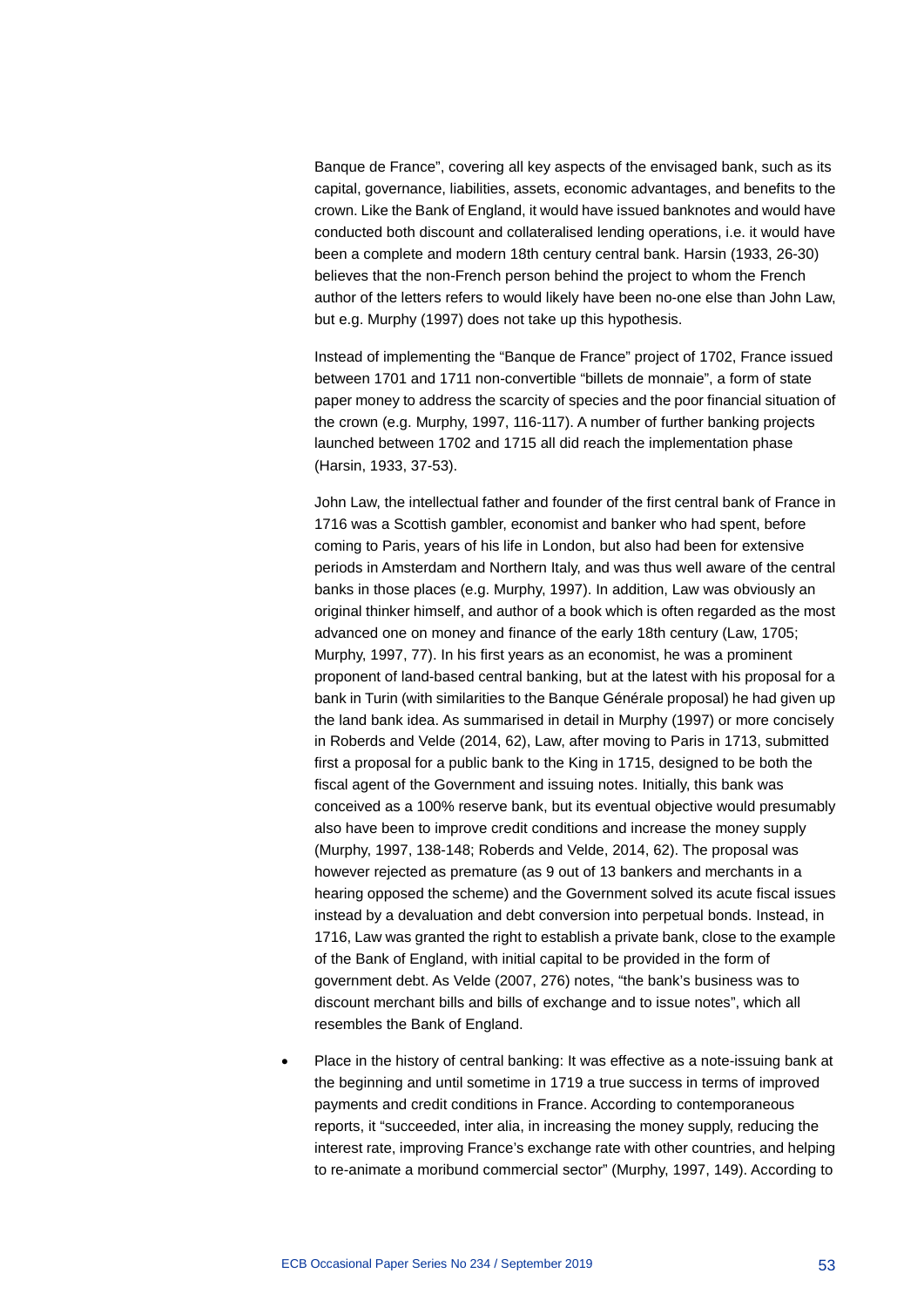Banque de France", covering all key aspects of the envisaged bank, such as its capital, governance, liabilities, assets, economic advantages, and benefits to the crown. Like the Bank of England, it would have issued banknotes and would have conducted both discount and collateralised lending operations, i.e. it would have been a complete and modern 18th century central bank. Harsin (1933, 26-30) believes that the non-French person behind the project to whom the French author of the letters refers to would likely have been no-one else than John Law, but e.g. Murphy (1997) does not take up this hypothesis.

Instead of implementing the "Banque de France" project of 1702, France issued between 1701 and 1711 non-convertible "billets de monnaie", a form of state paper money to address the scarcity of species and the poor financial situation of the crown (e.g. Murphy, 1997, 116-117). A number of further banking projects launched between 1702 and 1715 all did reach the implementation phase (Harsin, 1933, 37-53).

John Law, the intellectual father and founder of the first central bank of France in 1716 was a Scottish gambler, economist and banker who had spent, before coming to Paris, years of his life in London, but also had been for extensive periods in Amsterdam and Northern Italy, and was thus well aware of the central banks in those places (e.g. Murphy, 1997). In addition, Law was obviously an original thinker himself, and author of a book which is often regarded as the most advanced one on money and finance of the early 18th century (Law, 1705; Murphy, 1997, 77). In his first years as an economist, he was a prominent proponent of land-based central banking, but at the latest with his proposal for a bank in Turin (with similarities to the Banque Générale proposal) he had given up the land bank idea. As summarised in detail in Murphy (1997) or more concisely in Roberds and Velde (2014, 62), Law, after moving to Paris in 1713, submitted first a proposal for a public bank to the King in 1715, designed to be both the fiscal agent of the Government and issuing notes. Initially, this bank was conceived as a 100% reserve bank, but its eventual objective would presumably also have been to improve credit conditions and increase the money supply (Murphy, 1997, 138-148; Roberds and Velde, 2014, 62). The proposal was however rejected as premature (as 9 out of 13 bankers and merchants in a hearing opposed the scheme) and the Government solved its acute fiscal issues instead by a devaluation and debt conversion into perpetual bonds. Instead, in 1716, Law was granted the right to establish a private bank, close to the example of the Bank of England, with initial capital to be provided in the form of government debt. As Velde (2007, 276) notes, "the bank's business was to discount merchant bills and bills of exchange and to issue notes", which all resembles the Bank of England.

• Place in the history of central banking: It was effective as a note-issuing bank at the beginning and until sometime in 1719 a true success in terms of improved payments and credit conditions in France. According to contemporaneous reports, it "succeeded, inter alia, in increasing the money supply, reducing the interest rate, improving France's exchange rate with other countries, and helping to re-animate a moribund commercial sector" (Murphy, 1997, 149). According to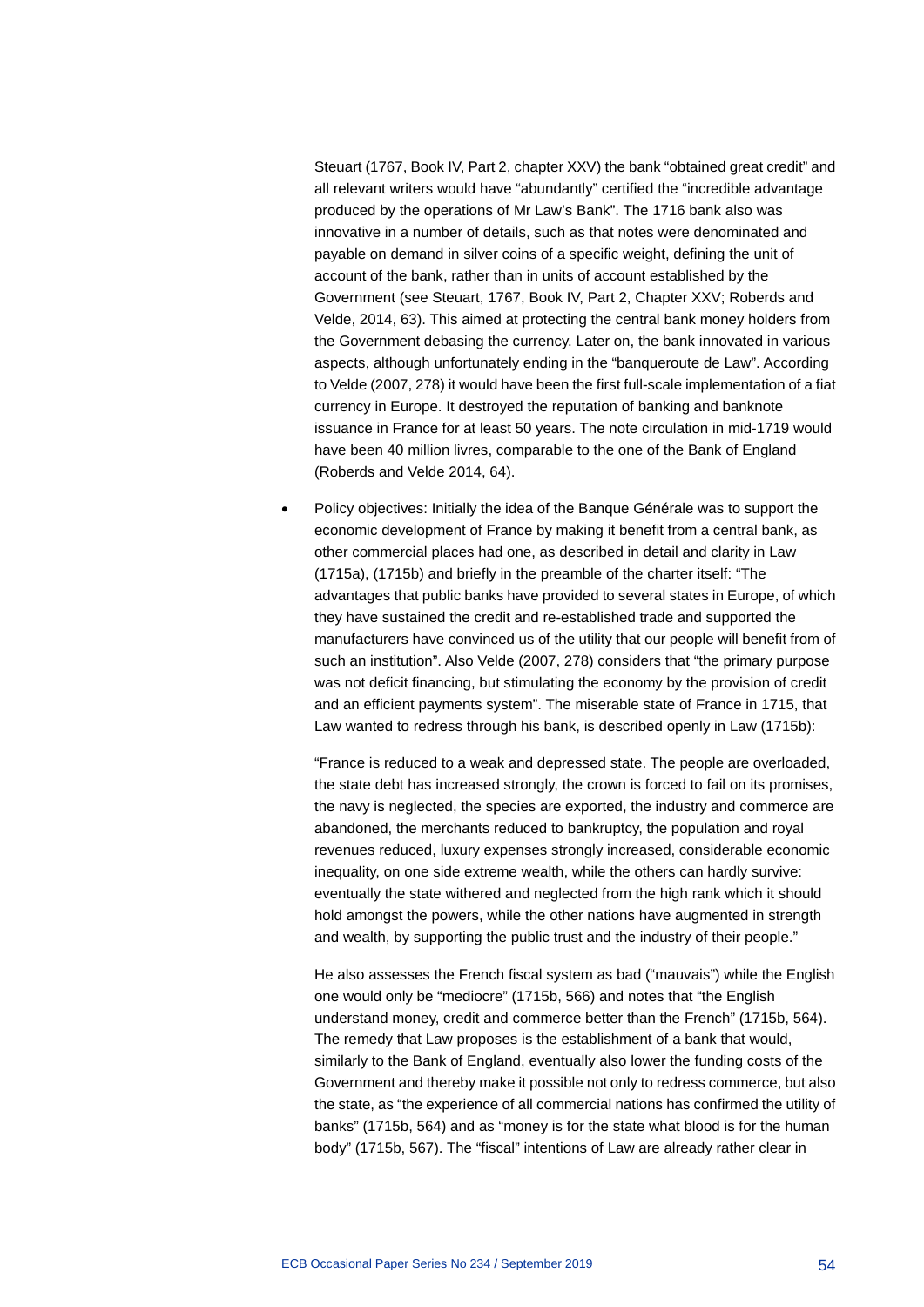Steuart (1767, Book IV, Part 2, chapter XXV) the bank "obtained great credit" and all relevant writers would have "abundantly" certified the "incredible advantage produced by the operations of Mr Law's Bank". The 1716 bank also was innovative in a number of details, such as that notes were denominated and payable on demand in silver coins of a specific weight, defining the unit of account of the bank, rather than in units of account established by the Government (see Steuart, 1767, Book IV, Part 2, Chapter XXV; Roberds and Velde, 2014, 63). This aimed at protecting the central bank money holders from the Government debasing the currency. Later on, the bank innovated in various aspects, although unfortunately ending in the "banqueroute de Law". According to Velde (2007, 278) it would have been the first full-scale implementation of a fiat currency in Europe. It destroyed the reputation of banking and banknote issuance in France for at least 50 years. The note circulation in mid-1719 would have been 40 million livres, comparable to the one of the Bank of England (Roberds and Velde 2014, 64).

• Policy objectives: Initially the idea of the Banque Générale was to support the economic development of France by making it benefit from a central bank, as other commercial places had one, as described in detail and clarity in Law (1715a), (1715b) and briefly in the preamble of the charter itself: "The advantages that public banks have provided to several states in Europe, of which they have sustained the credit and re-established trade and supported the manufacturers have convinced us of the utility that our people will benefit from of such an institution". Also Velde (2007, 278) considers that "the primary purpose was not deficit financing, but stimulating the economy by the provision of credit and an efficient payments system". The miserable state of France in 1715, that Law wanted to redress through his bank, is described openly in Law (1715b):

"France is reduced to a weak and depressed state. The people are overloaded, the state debt has increased strongly, the crown is forced to fail on its promises, the navy is neglected, the species are exported, the industry and commerce are abandoned, the merchants reduced to bankruptcy, the population and royal revenues reduced, luxury expenses strongly increased, considerable economic inequality, on one side extreme wealth, while the others can hardly survive: eventually the state withered and neglected from the high rank which it should hold amongst the powers, while the other nations have augmented in strength and wealth, by supporting the public trust and the industry of their people."

He also assesses the French fiscal system as bad ("mauvais") while the English one would only be "mediocre" (1715b, 566) and notes that "the English understand money, credit and commerce better than the French" (1715b, 564). The remedy that Law proposes is the establishment of a bank that would, similarly to the Bank of England, eventually also lower the funding costs of the Government and thereby make it possible not only to redress commerce, but also the state, as "the experience of all commercial nations has confirmed the utility of banks" (1715b, 564) and as "money is for the state what blood is for the human body" (1715b, 567). The "fiscal" intentions of Law are already rather clear in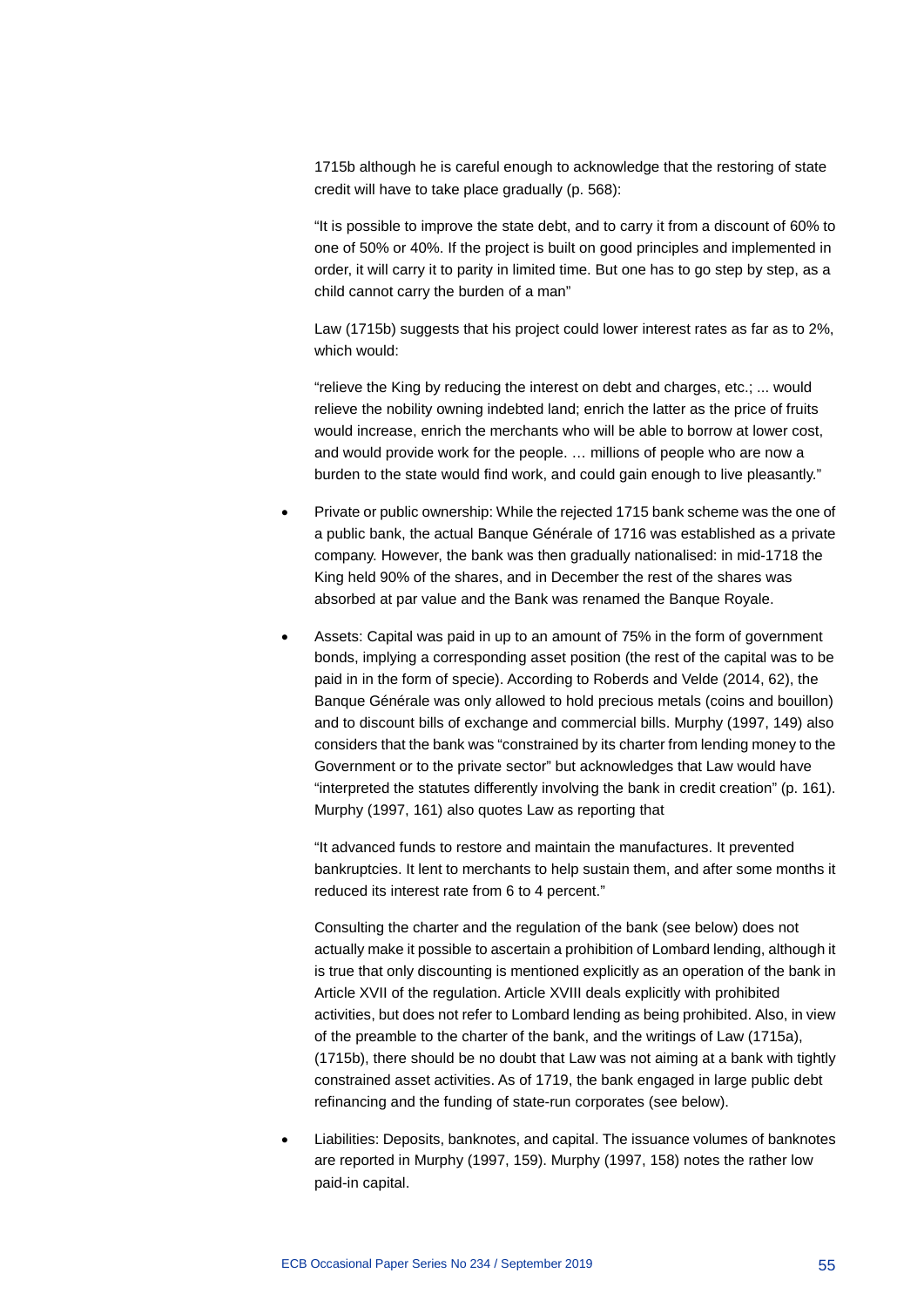1715b although he is careful enough to acknowledge that the restoring of state credit will have to take place gradually (p. 568):

"It is possible to improve the state debt, and to carry it from a discount of 60% to one of 50% or 40%. If the project is built on good principles and implemented in order, it will carry it to parity in limited time. But one has to go step by step, as a child cannot carry the burden of a man"

Law (1715b) suggests that his project could lower interest rates as far as to 2%, which would:

"relieve the King by reducing the interest on debt and charges, etc.; ... would relieve the nobility owning indebted land; enrich the latter as the price of fruits would increase, enrich the merchants who will be able to borrow at lower cost, and would provide work for the people. … millions of people who are now a burden to the state would find work, and could gain enough to live pleasantly."

- Private or public ownership: While the rejected 1715 bank scheme was the one of a public bank, the actual Banque Générale of 1716 was established as a private company. However, the bank was then gradually nationalised: in mid-1718 the King held 90% of the shares, and in December the rest of the shares was absorbed at par value and the Bank was renamed the Banque Royale.
- Assets: Capital was paid in up to an amount of 75% in the form of government bonds, implying a corresponding asset position (the rest of the capital was to be paid in in the form of specie). According to Roberds and Velde (2014, 62), the Banque Générale was only allowed to hold precious metals (coins and bouillon) and to discount bills of exchange and commercial bills. Murphy (1997, 149) also considers that the bank was "constrained by its charter from lending money to the Government or to the private sector" but acknowledges that Law would have "interpreted the statutes differently involving the bank in credit creation" (p. 161). Murphy (1997, 161) also quotes Law as reporting that

"It advanced funds to restore and maintain the manufactures. It prevented bankruptcies. It lent to merchants to help sustain them, and after some months it reduced its interest rate from 6 to 4 percent."

Consulting the charter and the regulation of the bank (see below) does not actually make it possible to ascertain a prohibition of Lombard lending, although it is true that only discounting is mentioned explicitly as an operation of the bank in Article XVII of the regulation. Article XVIII deals explicitly with prohibited activities, but does not refer to Lombard lending as being prohibited. Also, in view of the preamble to the charter of the bank, and the writings of Law (1715a), (1715b), there should be no doubt that Law was not aiming at a bank with tightly constrained asset activities. As of 1719, the bank engaged in large public debt refinancing and the funding of state-run corporates (see below).

• Liabilities: Deposits, banknotes, and capital. The issuance volumes of banknotes are reported in Murphy (1997, 159). Murphy (1997, 158) notes the rather low paid-in capital.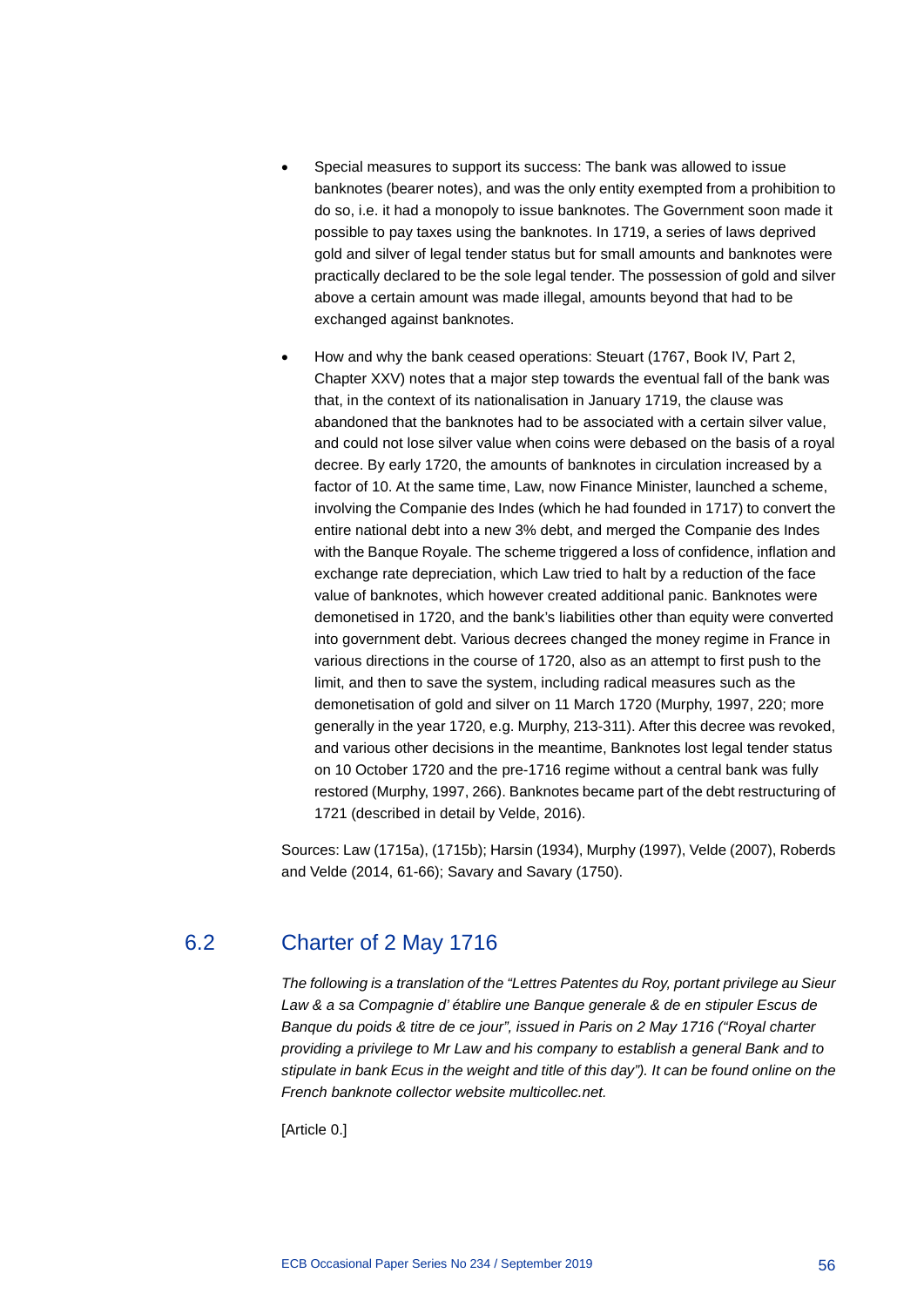- Special measures to support its success: The bank was allowed to issue banknotes (bearer notes), and was the only entity exempted from a prohibition to do so, i.e. it had a monopoly to issue banknotes. The Government soon made it possible to pay taxes using the banknotes. In 1719, a series of laws deprived gold and silver of legal tender status but for small amounts and banknotes were practically declared to be the sole legal tender. The possession of gold and silver above a certain amount was made illegal, amounts beyond that had to be exchanged against banknotes.
- How and why the bank ceased operations: Steuart (1767, Book IV, Part 2, Chapter XXV) notes that a major step towards the eventual fall of the bank was that, in the context of its nationalisation in January 1719, the clause was abandoned that the banknotes had to be associated with a certain silver value, and could not lose silver value when coins were debased on the basis of a royal decree. By early 1720, the amounts of banknotes in circulation increased by a factor of 10. At the same time, Law, now Finance Minister, launched a scheme, involving the Companie des Indes (which he had founded in 1717) to convert the entire national debt into a new 3% debt, and merged the Companie des Indes with the Banque Royale. The scheme triggered a loss of confidence, inflation and exchange rate depreciation, which Law tried to halt by a reduction of the face value of banknotes, which however created additional panic. Banknotes were demonetised in 1720, and the bank's liabilities other than equity were converted into government debt. Various decrees changed the money regime in France in various directions in the course of 1720, also as an attempt to first push to the limit, and then to save the system, including radical measures such as the demonetisation of gold and silver on 11 March 1720 (Murphy, 1997, 220; more generally in the year 1720, e.g. Murphy, 213-311). After this decree was revoked, and various other decisions in the meantime, Banknotes lost legal tender status on 10 October 1720 and the pre-1716 regime without a central bank was fully restored (Murphy, 1997, 266). Banknotes became part of the debt restructuring of 1721 (described in detail by Velde, 2016).

Sources: Law (1715a), (1715b); Harsin (1934), Murphy (1997), Velde (2007), Roberds and Velde (2014, 61-66); Savary and Savary (1750).

# 6.2 Charter of 2 May 1716

*The following is a translation of the "Lettres Patentes du Roy, portant privilege au Sieur Law & a sa Compagnie d' établire une Banque generale & de en stipuler Escus de Banque du poids & titre de ce jour", issued in Paris on 2 May 1716 ("Royal charter providing a privilege to Mr Law and his company to establish a general Bank and to stipulate in bank Ecus in the weight and title of this day"). It can be found online on the French banknote collector website multicollec.net.*

[Article 0.]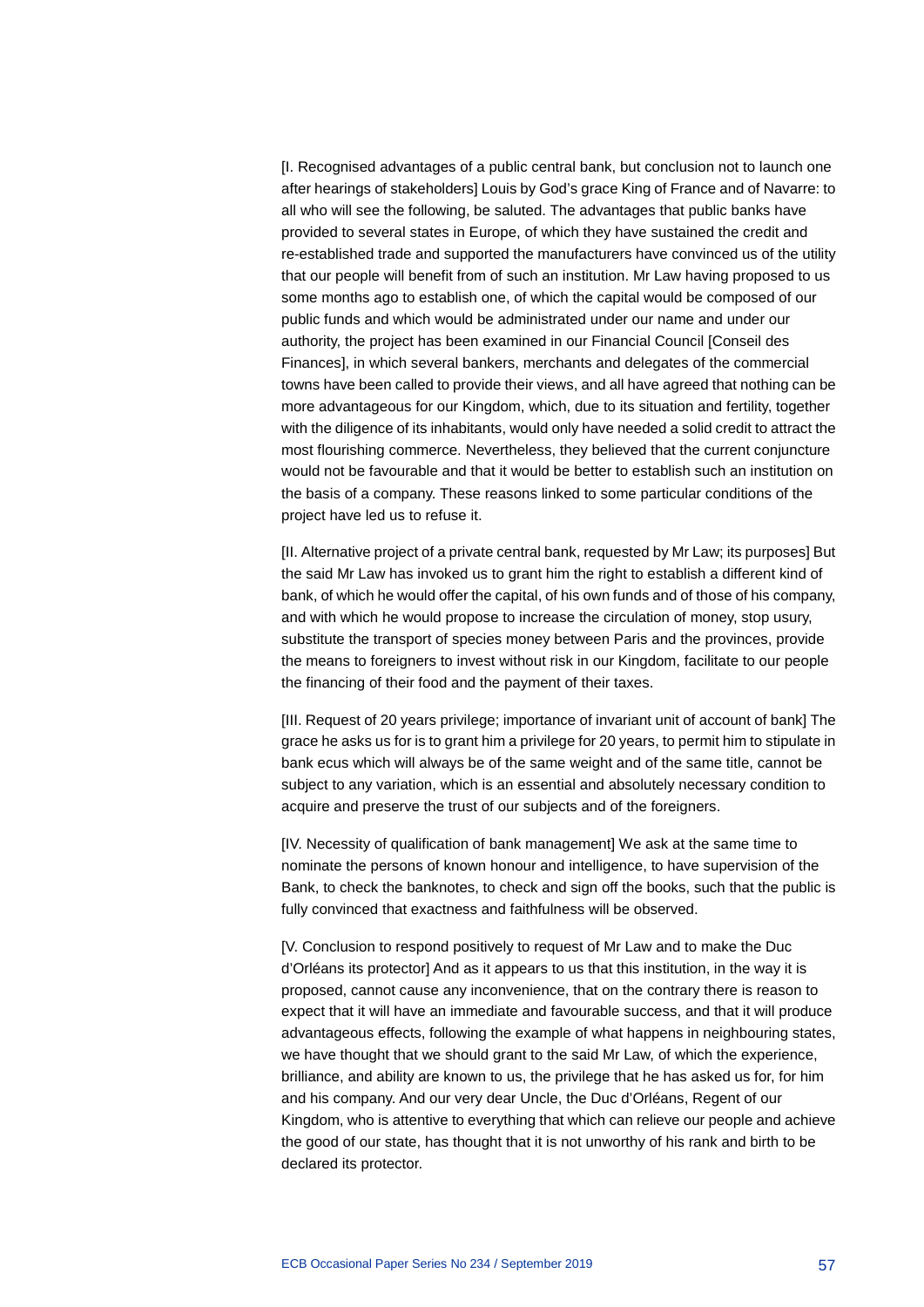[I. Recognised advantages of a public central bank, but conclusion not to launch one after hearings of stakeholders] Louis by God's grace King of France and of Navarre: to all who will see the following, be saluted. The advantages that public banks have provided to several states in Europe, of which they have sustained the credit and re-established trade and supported the manufacturers have convinced us of the utility that our people will benefit from of such an institution. Mr Law having proposed to us some months ago to establish one, of which the capital would be composed of our public funds and which would be administrated under our name and under our authority, the project has been examined in our Financial Council [Conseil des Finances], in which several bankers, merchants and delegates of the commercial towns have been called to provide their views, and all have agreed that nothing can be more advantageous for our Kingdom, which, due to its situation and fertility, together with the diligence of its inhabitants, would only have needed a solid credit to attract the most flourishing commerce. Nevertheless, they believed that the current conjuncture would not be favourable and that it would be better to establish such an institution on the basis of a company. These reasons linked to some particular conditions of the project have led us to refuse it.

[II. Alternative project of a private central bank, requested by Mr Law; its purposes] But the said Mr Law has invoked us to grant him the right to establish a different kind of bank, of which he would offer the capital, of his own funds and of those of his company, and with which he would propose to increase the circulation of money, stop usury, substitute the transport of species money between Paris and the provinces, provide the means to foreigners to invest without risk in our Kingdom, facilitate to our people the financing of their food and the payment of their taxes.

[III. Request of 20 years privilege; importance of invariant unit of account of bank] The grace he asks us for is to grant him a privilege for 20 years, to permit him to stipulate in bank ecus which will always be of the same weight and of the same title, cannot be subject to any variation, which is an essential and absolutely necessary condition to acquire and preserve the trust of our subjects and of the foreigners.

[IV. Necessity of qualification of bank management] We ask at the same time to nominate the persons of known honour and intelligence, to have supervision of the Bank, to check the banknotes, to check and sign off the books, such that the public is fully convinced that exactness and faithfulness will be observed.

[V. Conclusion to respond positively to request of Mr Law and to make the Duc d'Orléans its protector] And as it appears to us that this institution, in the way it is proposed, cannot cause any inconvenience, that on the contrary there is reason to expect that it will have an immediate and favourable success, and that it will produce advantageous effects, following the example of what happens in neighbouring states, we have thought that we should grant to the said Mr Law, of which the experience, brilliance, and ability are known to us, the privilege that he has asked us for, for him and his company. And our very dear Uncle, the Duc d'Orléans, Regent of our Kingdom, who is attentive to everything that which can relieve our people and achieve the good of our state, has thought that it is not unworthy of his rank and birth to be declared its protector.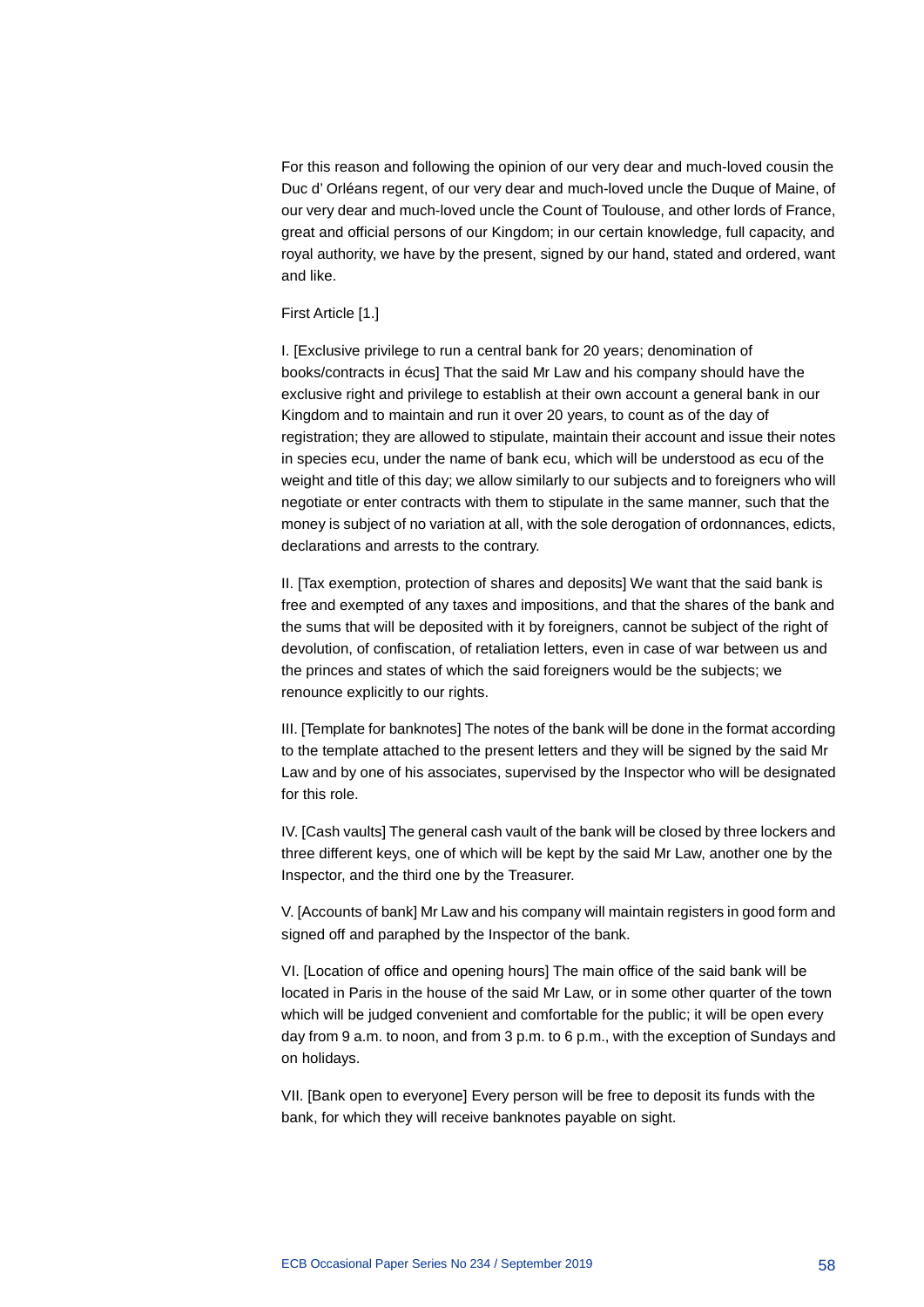For this reason and following the opinion of our very dear and much-loved cousin the Duc d' Orléans regent, of our very dear and much-loved uncle the Duque of Maine, of our very dear and much-loved uncle the Count of Toulouse, and other lords of France, great and official persons of our Kingdom; in our certain knowledge, full capacity, and royal authority, we have by the present, signed by our hand, stated and ordered, want and like.

### First Article [1.]

I. [Exclusive privilege to run a central bank for 20 years; denomination of books/contracts in écus] That the said Mr Law and his company should have the exclusive right and privilege to establish at their own account a general bank in our Kingdom and to maintain and run it over 20 years, to count as of the day of registration; they are allowed to stipulate, maintain their account and issue their notes in species ecu, under the name of bank ecu, which will be understood as ecu of the weight and title of this day; we allow similarly to our subjects and to foreigners who will negotiate or enter contracts with them to stipulate in the same manner, such that the money is subject of no variation at all, with the sole derogation of ordonnances, edicts, declarations and arrests to the contrary.

II. [Tax exemption, protection of shares and deposits] We want that the said bank is free and exempted of any taxes and impositions, and that the shares of the bank and the sums that will be deposited with it by foreigners, cannot be subject of the right of devolution, of confiscation, of retaliation letters, even in case of war between us and the princes and states of which the said foreigners would be the subjects; we renounce explicitly to our rights.

III. [Template for banknotes] The notes of the bank will be done in the format according to the template attached to the present letters and they will be signed by the said Mr Law and by one of his associates, supervised by the Inspector who will be designated for this role.

IV. [Cash vaults] The general cash vault of the bank will be closed by three lockers and three different keys, one of which will be kept by the said Mr Law, another one by the Inspector, and the third one by the Treasurer.

V. [Accounts of bank] Mr Law and his company will maintain registers in good form and signed off and paraphed by the Inspector of the bank.

VI. [Location of office and opening hours] The main office of the said bank will be located in Paris in the house of the said Mr Law, or in some other quarter of the town which will be judged convenient and comfortable for the public; it will be open every day from 9 a.m. to noon, and from 3 p.m. to 6 p.m., with the exception of Sundays and on holidays.

VII. [Bank open to everyone] Every person will be free to deposit its funds with the bank, for which they will receive banknotes payable on sight.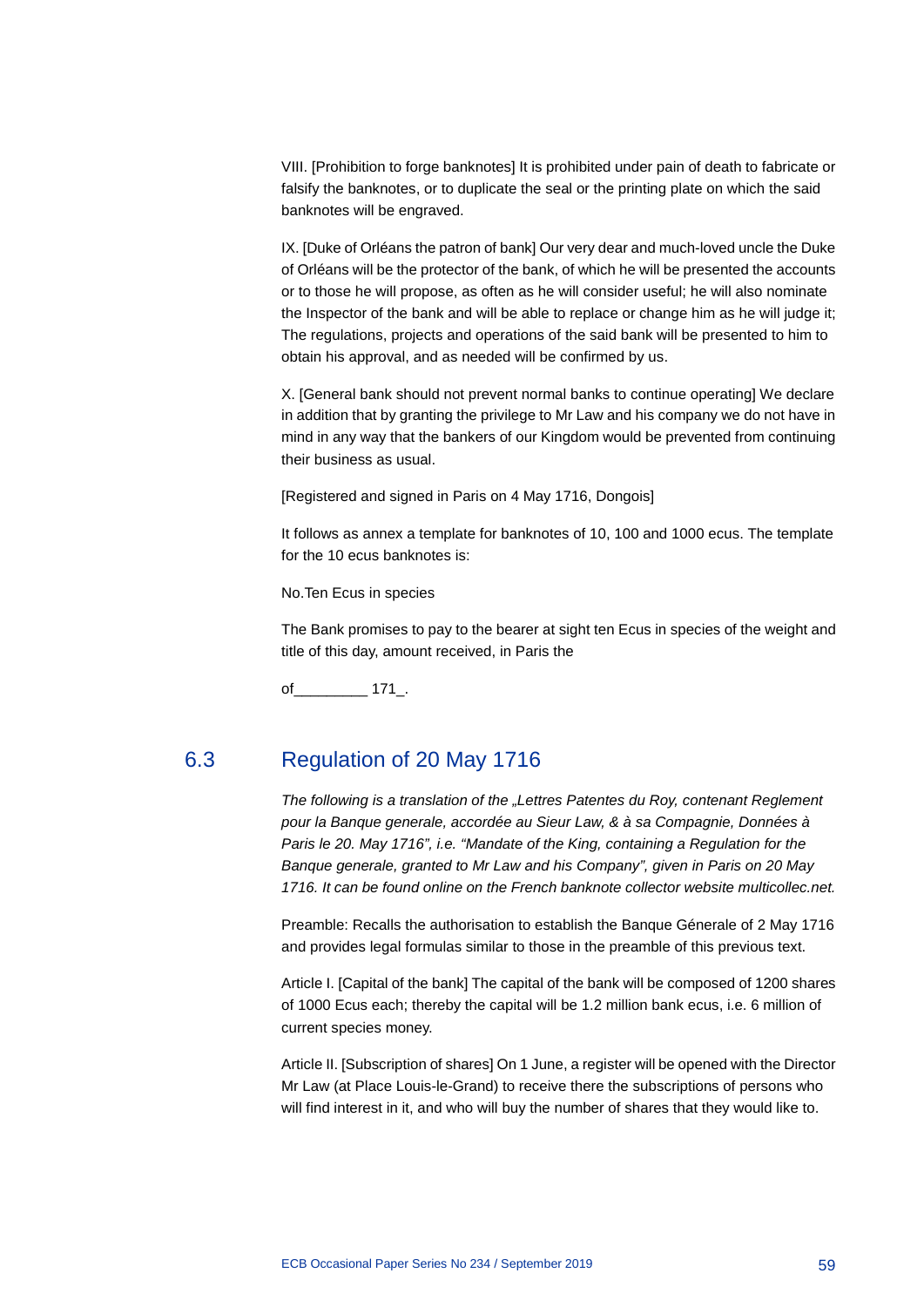VIII. [Prohibition to forge banknotes] It is prohibited under pain of death to fabricate or falsify the banknotes, or to duplicate the seal or the printing plate on which the said banknotes will be engraved.

IX. [Duke of Orléans the patron of bank] Our very dear and much-loved uncle the Duke of Orléans will be the protector of the bank, of which he will be presented the accounts or to those he will propose, as often as he will consider useful; he will also nominate the Inspector of the bank and will be able to replace or change him as he will judge it; The regulations, projects and operations of the said bank will be presented to him to obtain his approval, and as needed will be confirmed by us.

X. [General bank should not prevent normal banks to continue operating] We declare in addition that by granting the privilege to Mr Law and his company we do not have in mind in any way that the bankers of our Kingdom would be prevented from continuing their business as usual.

[Registered and signed in Paris on 4 May 1716, Dongois]

It follows as annex a template for banknotes of 10, 100 and 1000 ecus. The template for the 10 ecus banknotes is:

No.Ten Ecus in species

The Bank promises to pay to the bearer at sight ten Ecus in species of the weight and title of this day, amount received, in Paris the

of 171.

# 6.3 Regulation of 20 May 1716

*The following is a translation of the "Lettres Patentes du Roy, contenant Reglement pour la Banque generale, accordée au Sieur Law, & à sa Compagnie, Données à Paris le 20. May 1716", i.e. "Mandate of the King, containing a Regulation for the Banque generale, granted to Mr Law and his Company", given in Paris on 20 May 1716. It can be found online on the French banknote collector website multicollec.net.*

Preamble: Recalls the authorisation to establish the Banque Génerale of 2 May 1716 and provides legal formulas similar to those in the preamble of this previous text.

Article I. [Capital of the bank] The capital of the bank will be composed of 1200 shares of 1000 Ecus each; thereby the capital will be 1.2 million bank ecus, i.e. 6 million of current species money.

Article II. [Subscription of shares] On 1 June, a register will be opened with the Director Mr Law (at Place Louis-le-Grand) to receive there the subscriptions of persons who will find interest in it, and who will buy the number of shares that they would like to.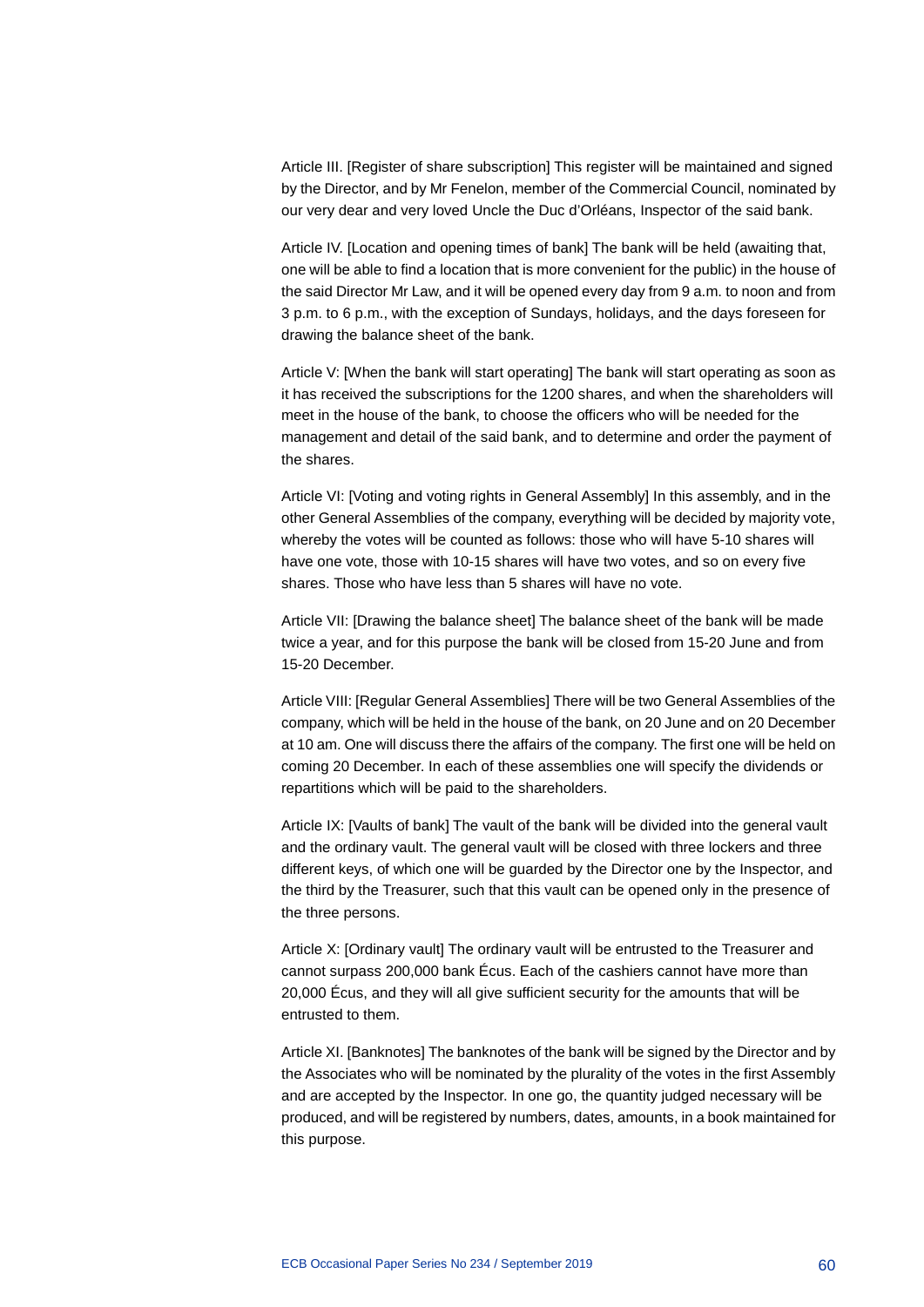Article III. [Register of share subscription] This register will be maintained and signed by the Director, and by Mr Fenelon, member of the Commercial Council, nominated by our very dear and very loved Uncle the Duc d'Orléans, Inspector of the said bank.

Article IV. [Location and opening times of bank] The bank will be held (awaiting that, one will be able to find a location that is more convenient for the public) in the house of the said Director Mr Law, and it will be opened every day from 9 a.m. to noon and from 3 p.m. to 6 p.m., with the exception of Sundays, holidays, and the days foreseen for drawing the balance sheet of the bank.

Article V: [When the bank will start operating] The bank will start operating as soon as it has received the subscriptions for the 1200 shares, and when the shareholders will meet in the house of the bank, to choose the officers who will be needed for the management and detail of the said bank, and to determine and order the payment of the shares.

Article VI: [Voting and voting rights in General Assembly] In this assembly, and in the other General Assemblies of the company, everything will be decided by majority vote, whereby the votes will be counted as follows: those who will have 5-10 shares will have one vote, those with 10-15 shares will have two votes, and so on every five shares. Those who have less than 5 shares will have no vote.

Article VII: [Drawing the balance sheet] The balance sheet of the bank will be made twice a year, and for this purpose the bank will be closed from 15-20 June and from 15-20 December.

Article VIII: [Regular General Assemblies] There will be two General Assemblies of the company, which will be held in the house of the bank, on 20 June and on 20 December at 10 am. One will discuss there the affairs of the company. The first one will be held on coming 20 December. In each of these assemblies one will specify the dividends or repartitions which will be paid to the shareholders.

Article IX: [Vaults of bank] The vault of the bank will be divided into the general vault and the ordinary vault. The general vault will be closed with three lockers and three different keys, of which one will be guarded by the Director one by the Inspector, and the third by the Treasurer, such that this vault can be opened only in the presence of the three persons.

Article X: [Ordinary vault] The ordinary vault will be entrusted to the Treasurer and cannot surpass 200,000 bank Écus. Each of the cashiers cannot have more than 20,000 Écus, and they will all give sufficient security for the amounts that will be entrusted to them.

Article XI. [Banknotes] The banknotes of the bank will be signed by the Director and by the Associates who will be nominated by the plurality of the votes in the first Assembly and are accepted by the Inspector. In one go, the quantity judged necessary will be produced, and will be registered by numbers, dates, amounts, in a book maintained for this purpose.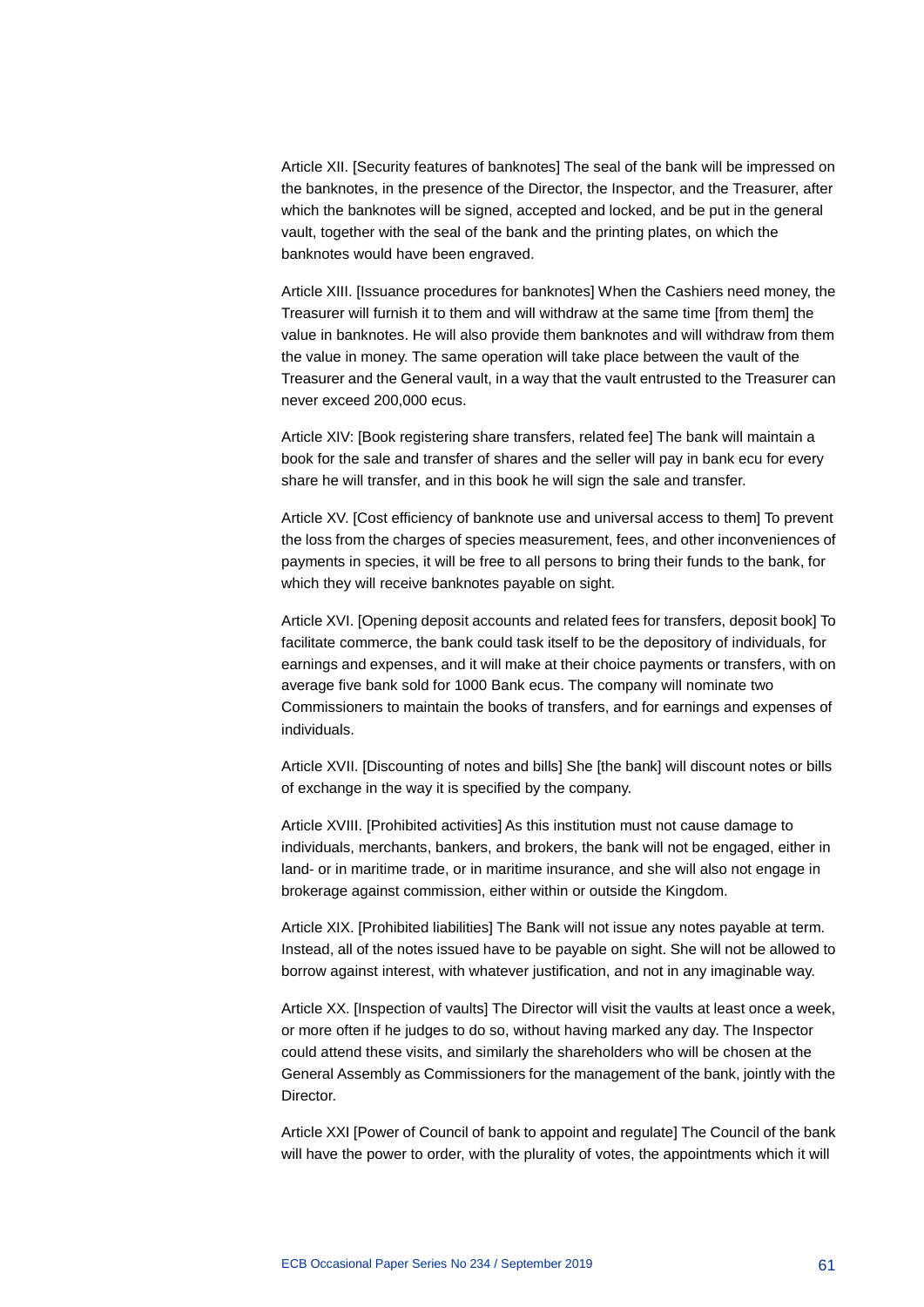Article XII. [Security features of banknotes] The seal of the bank will be impressed on the banknotes, in the presence of the Director, the Inspector, and the Treasurer, after which the banknotes will be signed, accepted and locked, and be put in the general vault, together with the seal of the bank and the printing plates, on which the banknotes would have been engraved.

Article XIII. [Issuance procedures for banknotes] When the Cashiers need money, the Treasurer will furnish it to them and will withdraw at the same time [from them] the value in banknotes. He will also provide them banknotes and will withdraw from them the value in money. The same operation will take place between the vault of the Treasurer and the General vault, in a way that the vault entrusted to the Treasurer can never exceed 200,000 ecus.

Article XIV: [Book registering share transfers, related fee] The bank will maintain a book for the sale and transfer of shares and the seller will pay in bank ecu for every share he will transfer, and in this book he will sign the sale and transfer.

Article XV. [Cost efficiency of banknote use and universal access to them] To prevent the loss from the charges of species measurement, fees, and other inconveniences of payments in species, it will be free to all persons to bring their funds to the bank, for which they will receive banknotes payable on sight.

Article XVI. [Opening deposit accounts and related fees for transfers, deposit book] To facilitate commerce, the bank could task itself to be the depository of individuals, for earnings and expenses, and it will make at their choice payments or transfers, with on average five bank sold for 1000 Bank ecus. The company will nominate two Commissioners to maintain the books of transfers, and for earnings and expenses of individuals.

Article XVII. [Discounting of notes and bills] She [the bank] will discount notes or bills of exchange in the way it is specified by the company.

Article XVIII. [Prohibited activities] As this institution must not cause damage to individuals, merchants, bankers, and brokers, the bank will not be engaged, either in land- or in maritime trade, or in maritime insurance, and she will also not engage in brokerage against commission, either within or outside the Kingdom.

Article XIX. [Prohibited liabilities] The Bank will not issue any notes payable at term. Instead, all of the notes issued have to be payable on sight. She will not be allowed to borrow against interest, with whatever justification, and not in any imaginable way.

Article XX. [Inspection of vaults] The Director will visit the vaults at least once a week, or more often if he judges to do so, without having marked any day. The Inspector could attend these visits, and similarly the shareholders who will be chosen at the General Assembly as Commissioners for the management of the bank, jointly with the Director.

Article XXI [Power of Council of bank to appoint and regulate] The Council of the bank will have the power to order, with the plurality of votes, the appointments which it will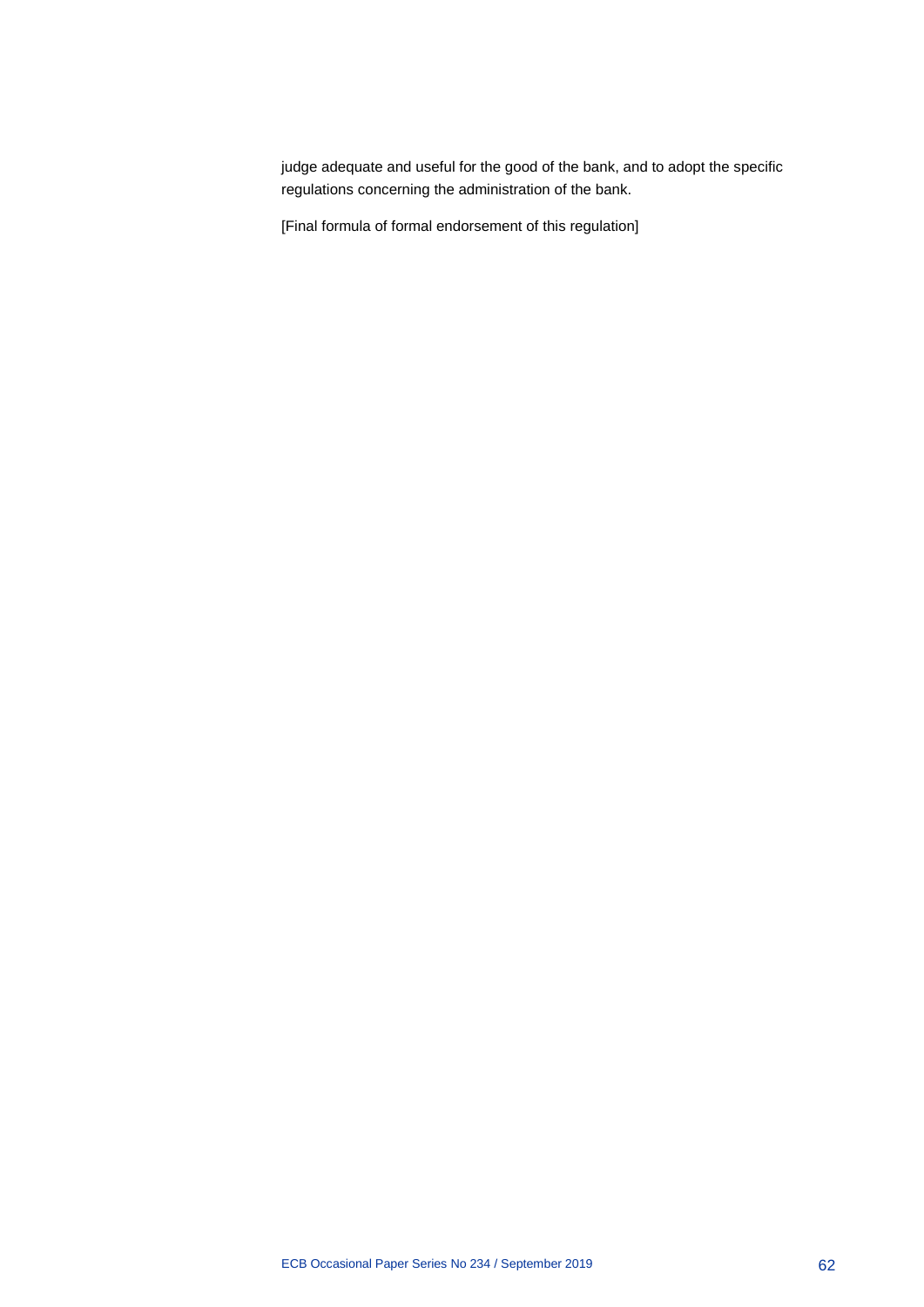judge adequate and useful for the good of the bank, and to adopt the specific regulations concerning the administration of the bank.

[Final formula of formal endorsement of this regulation]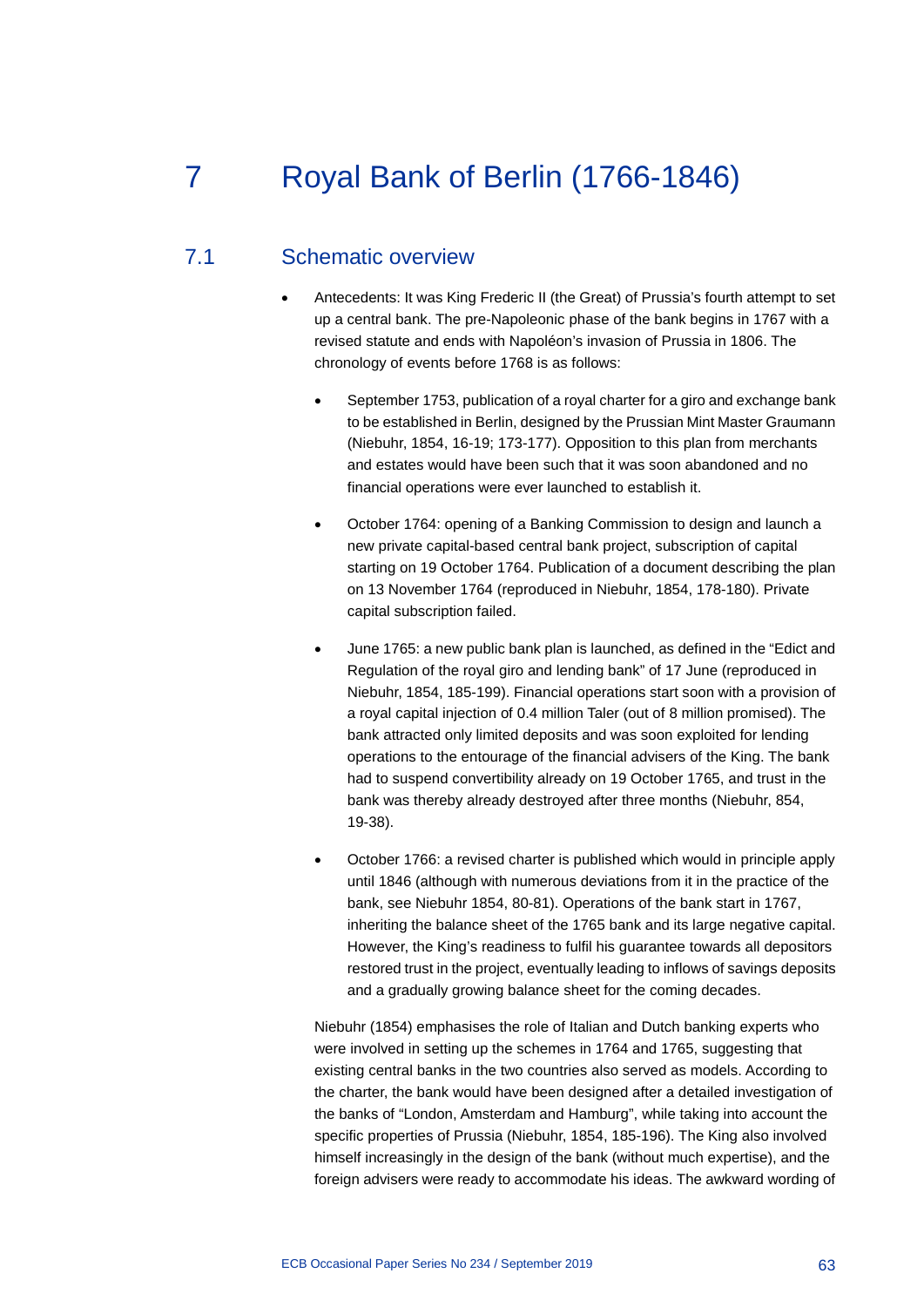# 7 Royal Bank of Berlin (1766-1846)

## 7.1 Schematic overview

- Antecedents: It was King Frederic II (the Great) of Prussia's fourth attempt to set up a central bank. The pre-Napoleonic phase of the bank begins in 1767 with a revised statute and ends with Napoléon's invasion of Prussia in 1806. The chronology of events before 1768 is as follows:
	- September 1753, publication of a royal charter for a giro and exchange bank to be established in Berlin, designed by the Prussian Mint Master Graumann (Niebuhr, 1854, 16-19; 173-177). Opposition to this plan from merchants and estates would have been such that it was soon abandoned and no financial operations were ever launched to establish it.
	- October 1764: opening of a Banking Commission to design and launch a new private capital-based central bank project, subscription of capital starting on 19 October 1764. Publication of a document describing the plan on 13 November 1764 (reproduced in Niebuhr, 1854, 178-180). Private capital subscription failed.
	- June 1765: a new public bank plan is launched, as defined in the "Edict and Regulation of the royal giro and lending bank" of 17 June (reproduced in Niebuhr, 1854, 185-199). Financial operations start soon with a provision of a royal capital injection of 0.4 million Taler (out of 8 million promised). The bank attracted only limited deposits and was soon exploited for lending operations to the entourage of the financial advisers of the King. The bank had to suspend convertibility already on 19 October 1765, and trust in the bank was thereby already destroyed after three months (Niebuhr, 854, 19-38).
	- October 1766: a revised charter is published which would in principle apply until 1846 (although with numerous deviations from it in the practice of the bank, see Niebuhr 1854, 80-81). Operations of the bank start in 1767, inheriting the balance sheet of the 1765 bank and its large negative capital. However, the King's readiness to fulfil his guarantee towards all depositors restored trust in the project, eventually leading to inflows of savings deposits and a gradually growing balance sheet for the coming decades.

Niebuhr (1854) emphasises the role of Italian and Dutch banking experts who were involved in setting up the schemes in 1764 and 1765, suggesting that existing central banks in the two countries also served as models. According to the charter, the bank would have been designed after a detailed investigation of the banks of "London, Amsterdam and Hamburg", while taking into account the specific properties of Prussia (Niebuhr, 1854, 185-196). The King also involved himself increasingly in the design of the bank (without much expertise), and the foreign advisers were ready to accommodate his ideas. The awkward wording of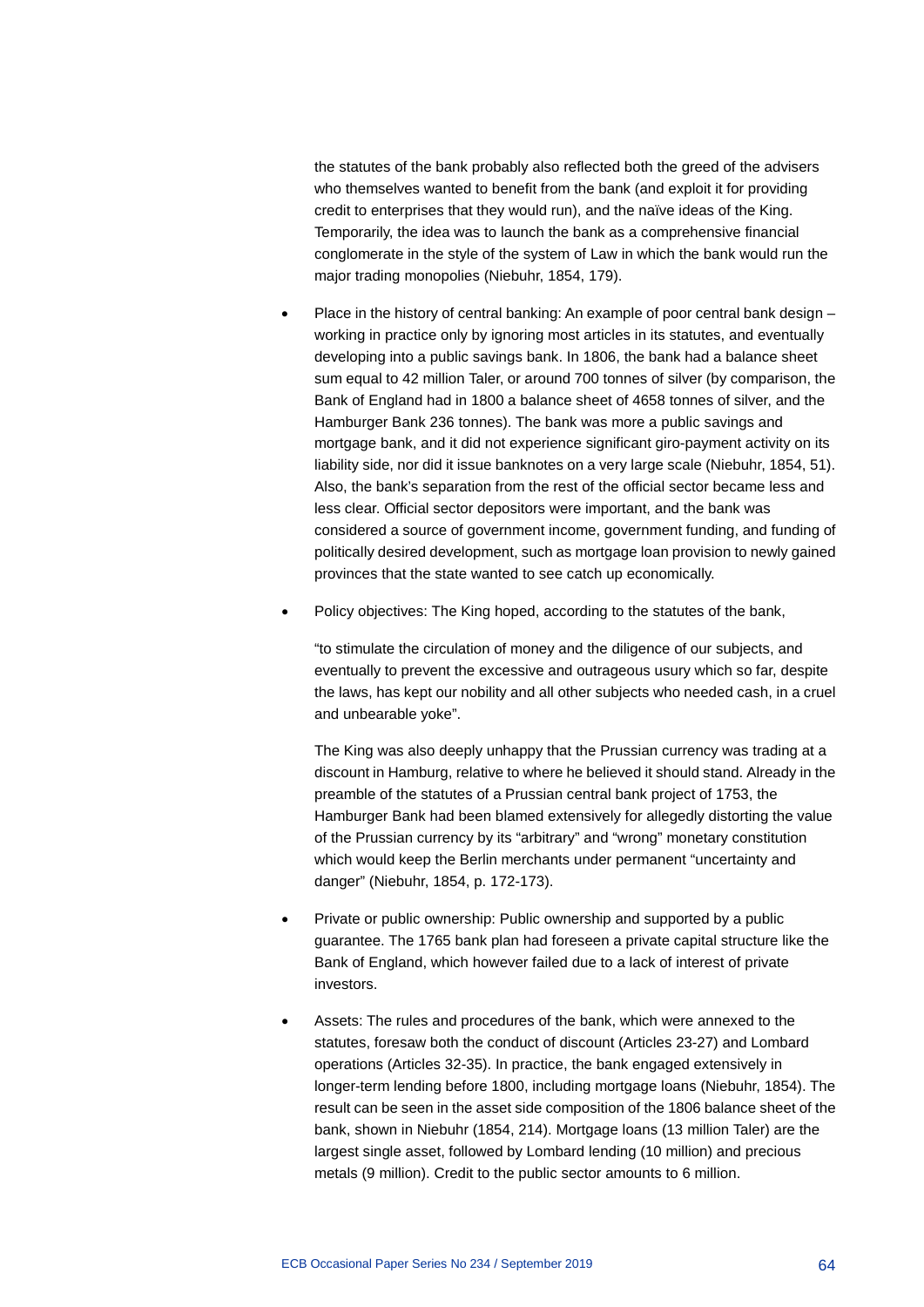the statutes of the bank probably also reflected both the greed of the advisers who themselves wanted to benefit from the bank (and exploit it for providing credit to enterprises that they would run), and the naïve ideas of the King. Temporarily, the idea was to launch the bank as a comprehensive financial conglomerate in the style of the system of Law in which the bank would run the major trading monopolies (Niebuhr, 1854, 179).

- Place in the history of central banking: An example of poor central bank design working in practice only by ignoring most articles in its statutes, and eventually developing into a public savings bank. In 1806, the bank had a balance sheet sum equal to 42 million Taler, or around 700 tonnes of silver (by comparison, the Bank of England had in 1800 a balance sheet of 4658 tonnes of silver, and the Hamburger Bank 236 tonnes). The bank was more a public savings and mortgage bank, and it did not experience significant giro-payment activity on its liability side, nor did it issue banknotes on a very large scale (Niebuhr, 1854, 51). Also, the bank's separation from the rest of the official sector became less and less clear. Official sector depositors were important, and the bank was considered a source of government income, government funding, and funding of politically desired development, such as mortgage loan provision to newly gained provinces that the state wanted to see catch up economically.
- Policy objectives: The King hoped, according to the statutes of the bank,

"to stimulate the circulation of money and the diligence of our subjects, and eventually to prevent the excessive and outrageous usury which so far, despite the laws, has kept our nobility and all other subjects who needed cash, in a cruel and unbearable yoke".

The King was also deeply unhappy that the Prussian currency was trading at a discount in Hamburg, relative to where he believed it should stand. Already in the preamble of the statutes of a Prussian central bank project of 1753, the Hamburger Bank had been blamed extensively for allegedly distorting the value of the Prussian currency by its "arbitrary" and "wrong" monetary constitution which would keep the Berlin merchants under permanent "uncertainty and danger" (Niebuhr, 1854, p. 172-173).

- Private or public ownership: Public ownership and supported by a public guarantee. The 1765 bank plan had foreseen a private capital structure like the Bank of England, which however failed due to a lack of interest of private investors.
- Assets: The rules and procedures of the bank, which were annexed to the statutes, foresaw both the conduct of discount (Articles 23-27) and Lombard operations (Articles 32-35). In practice, the bank engaged extensively in longer-term lending before 1800, including mortgage loans (Niebuhr, 1854). The result can be seen in the asset side composition of the 1806 balance sheet of the bank, shown in Niebuhr (1854, 214). Mortgage loans (13 million Taler) are the largest single asset, followed by Lombard lending (10 million) and precious metals (9 million). Credit to the public sector amounts to 6 million.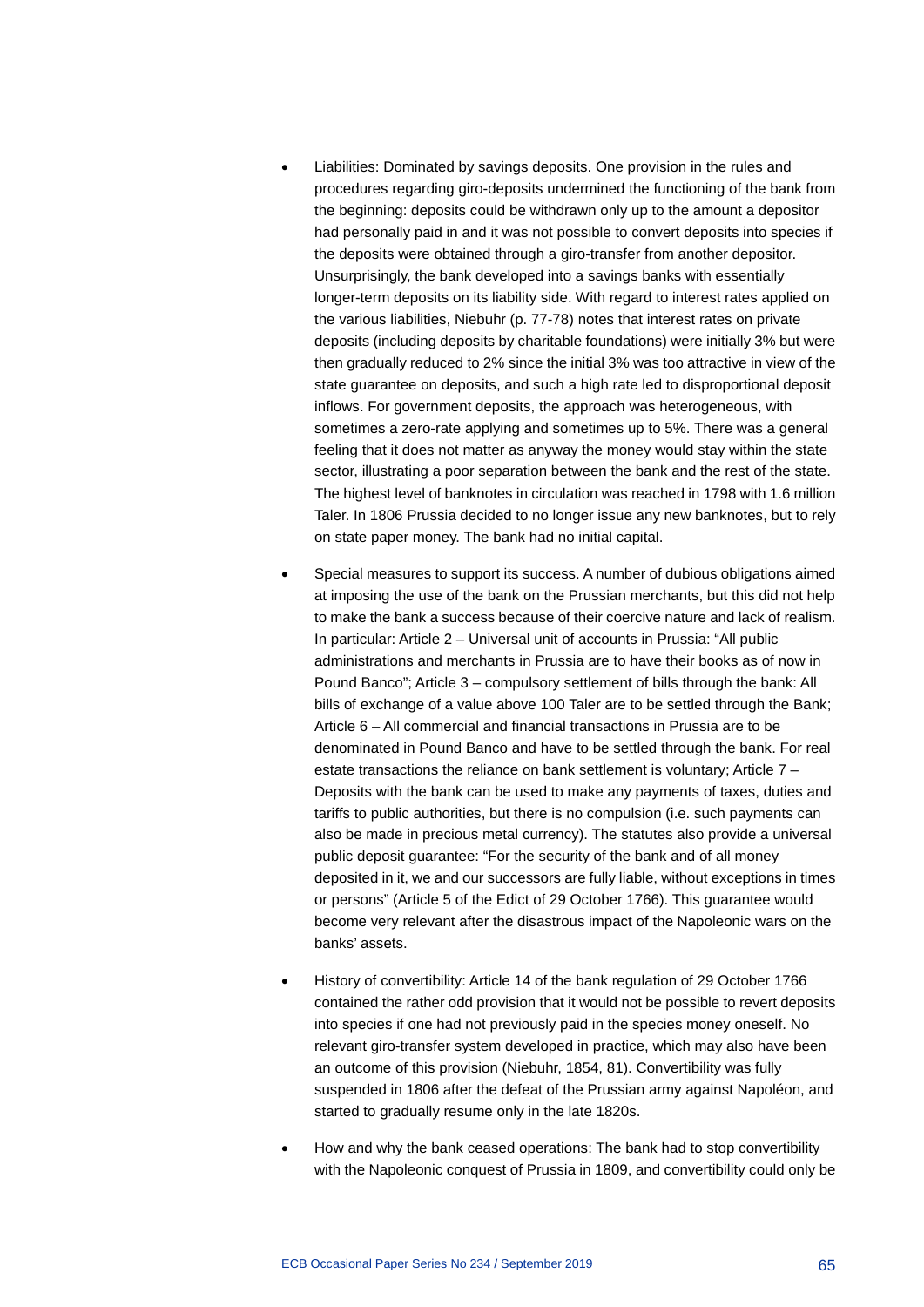- Liabilities: Dominated by savings deposits. One provision in the rules and procedures regarding giro-deposits undermined the functioning of the bank from the beginning: deposits could be withdrawn only up to the amount a depositor had personally paid in and it was not possible to convert deposits into species if the deposits were obtained through a giro-transfer from another depositor. Unsurprisingly, the bank developed into a savings banks with essentially longer-term deposits on its liability side. With regard to interest rates applied on the various liabilities, Niebuhr (p. 77-78) notes that interest rates on private deposits (including deposits by charitable foundations) were initially 3% but were then gradually reduced to 2% since the initial 3% was too attractive in view of the state guarantee on deposits, and such a high rate led to disproportional deposit inflows. For government deposits, the approach was heterogeneous, with sometimes a zero-rate applying and sometimes up to 5%. There was a general feeling that it does not matter as anyway the money would stay within the state sector, illustrating a poor separation between the bank and the rest of the state. The highest level of banknotes in circulation was reached in 1798 with 1.6 million Taler. In 1806 Prussia decided to no longer issue any new banknotes, but to rely on state paper money. The bank had no initial capital.
- Special measures to support its success. A number of dubious obligations aimed at imposing the use of the bank on the Prussian merchants, but this did not help to make the bank a success because of their coercive nature and lack of realism. In particular: Article 2 – Universal unit of accounts in Prussia: "All public administrations and merchants in Prussia are to have their books as of now in Pound Banco"; Article 3 – compulsory settlement of bills through the bank: All bills of exchange of a value above 100 Taler are to be settled through the Bank; Article 6 – All commercial and financial transactions in Prussia are to be denominated in Pound Banco and have to be settled through the bank. For real estate transactions the reliance on bank settlement is voluntary; Article 7 – Deposits with the bank can be used to make any payments of taxes, duties and tariffs to public authorities, but there is no compulsion (i.e. such payments can also be made in precious metal currency). The statutes also provide a universal public deposit guarantee: "For the security of the bank and of all money deposited in it, we and our successors are fully liable, without exceptions in times or persons" (Article 5 of the Edict of 29 October 1766). This guarantee would become very relevant after the disastrous impact of the Napoleonic wars on the banks' assets.
- History of convertibility: Article 14 of the bank regulation of 29 October 1766 contained the rather odd provision that it would not be possible to revert deposits into species if one had not previously paid in the species money oneself. No relevant giro-transfer system developed in practice, which may also have been an outcome of this provision (Niebuhr, 1854, 81). Convertibility was fully suspended in 1806 after the defeat of the Prussian army against Napoléon, and started to gradually resume only in the late 1820s.
- How and why the bank ceased operations: The bank had to stop convertibility with the Napoleonic conquest of Prussia in 1809, and convertibility could only be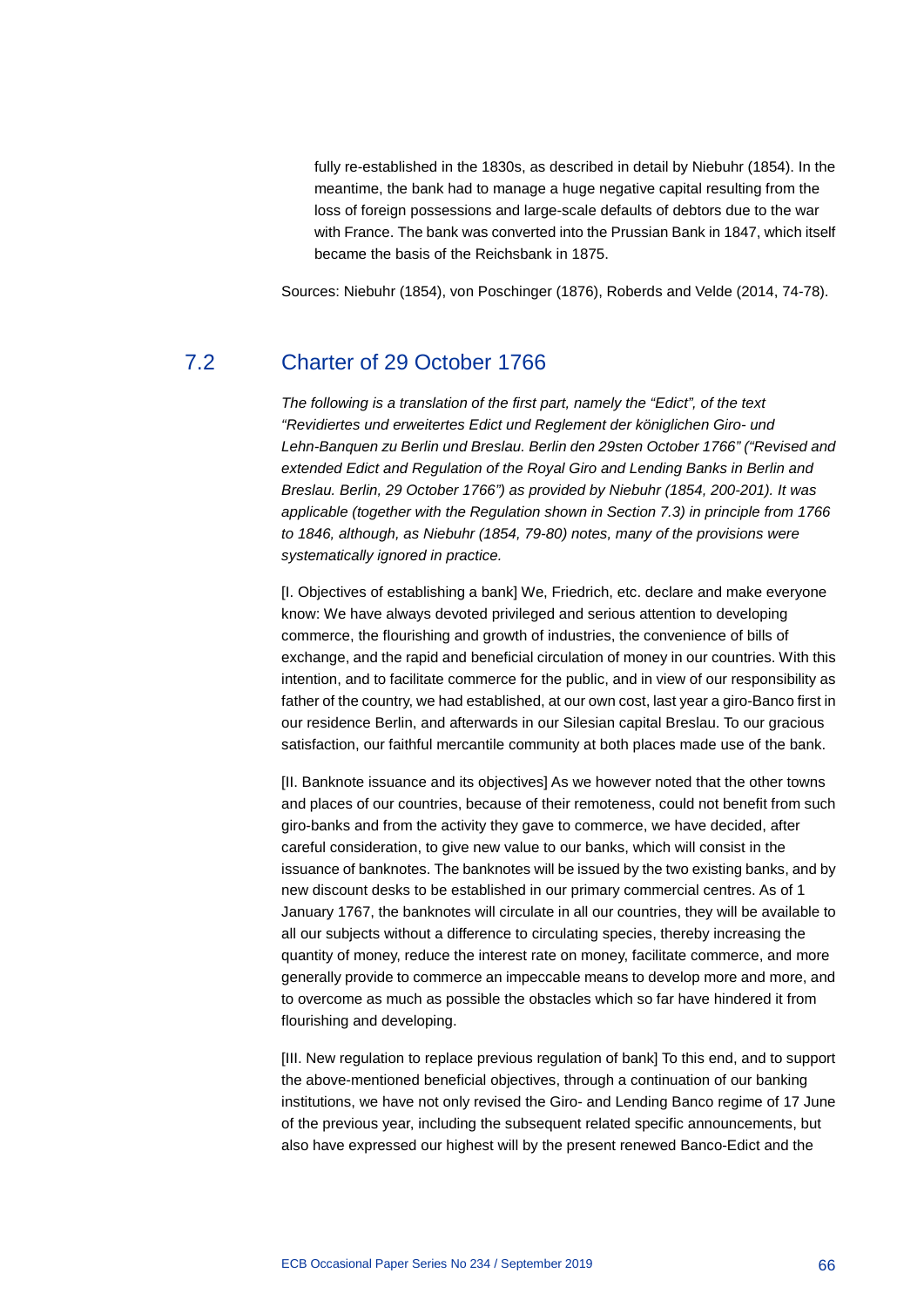fully re-established in the 1830s, as described in detail by Niebuhr (1854). In the meantime, the bank had to manage a huge negative capital resulting from the loss of foreign possessions and large-scale defaults of debtors due to the war with France. The bank was converted into the Prussian Bank in 1847, which itself became the basis of the Reichsbank in 1875.

Sources: Niebuhr (1854), von Poschinger (1876), Roberds and Velde (2014, 74-78).

# 7.2 Charter of 29 October 1766

*The following is a translation of the first part, namely the "Edict", of the text "Revidiertes und erweitertes Edict und Reglement der königlichen Giro- und Lehn-Banquen zu Berlin und Breslau. Berlin den 29sten October 1766" ("Revised and extended Edict and Regulation of the Royal Giro and Lending Banks in Berlin and Breslau. Berlin, 29 October 1766") as provided by Niebuhr (1854, 200-201). It was applicable (together with the Regulation shown in Section 7.3) in principle from 1766 to 1846, although, as Niebuhr (1854, 79-80) notes, many of the provisions were systematically ignored in practice.*

[I. Objectives of establishing a bank] We, Friedrich, etc. declare and make everyone know: We have always devoted privileged and serious attention to developing commerce, the flourishing and growth of industries, the convenience of bills of exchange, and the rapid and beneficial circulation of money in our countries. With this intention, and to facilitate commerce for the public, and in view of our responsibility as father of the country, we had established, at our own cost, last year a giro-Banco first in our residence Berlin, and afterwards in our Silesian capital Breslau. To our gracious satisfaction, our faithful mercantile community at both places made use of the bank.

[II. Banknote issuance and its objectives] As we however noted that the other towns and places of our countries, because of their remoteness, could not benefit from such giro-banks and from the activity they gave to commerce, we have decided, after careful consideration, to give new value to our banks, which will consist in the issuance of banknotes. The banknotes will be issued by the two existing banks, and by new discount desks to be established in our primary commercial centres. As of 1 January 1767, the banknotes will circulate in all our countries, they will be available to all our subjects without a difference to circulating species, thereby increasing the quantity of money, reduce the interest rate on money, facilitate commerce, and more generally provide to commerce an impeccable means to develop more and more, and to overcome as much as possible the obstacles which so far have hindered it from flourishing and developing.

[III. New regulation to replace previous regulation of bank] To this end, and to support the above-mentioned beneficial objectives, through a continuation of our banking institutions, we have not only revised the Giro- and Lending Banco regime of 17 June of the previous year, including the subsequent related specific announcements, but also have expressed our highest will by the present renewed Banco-Edict and the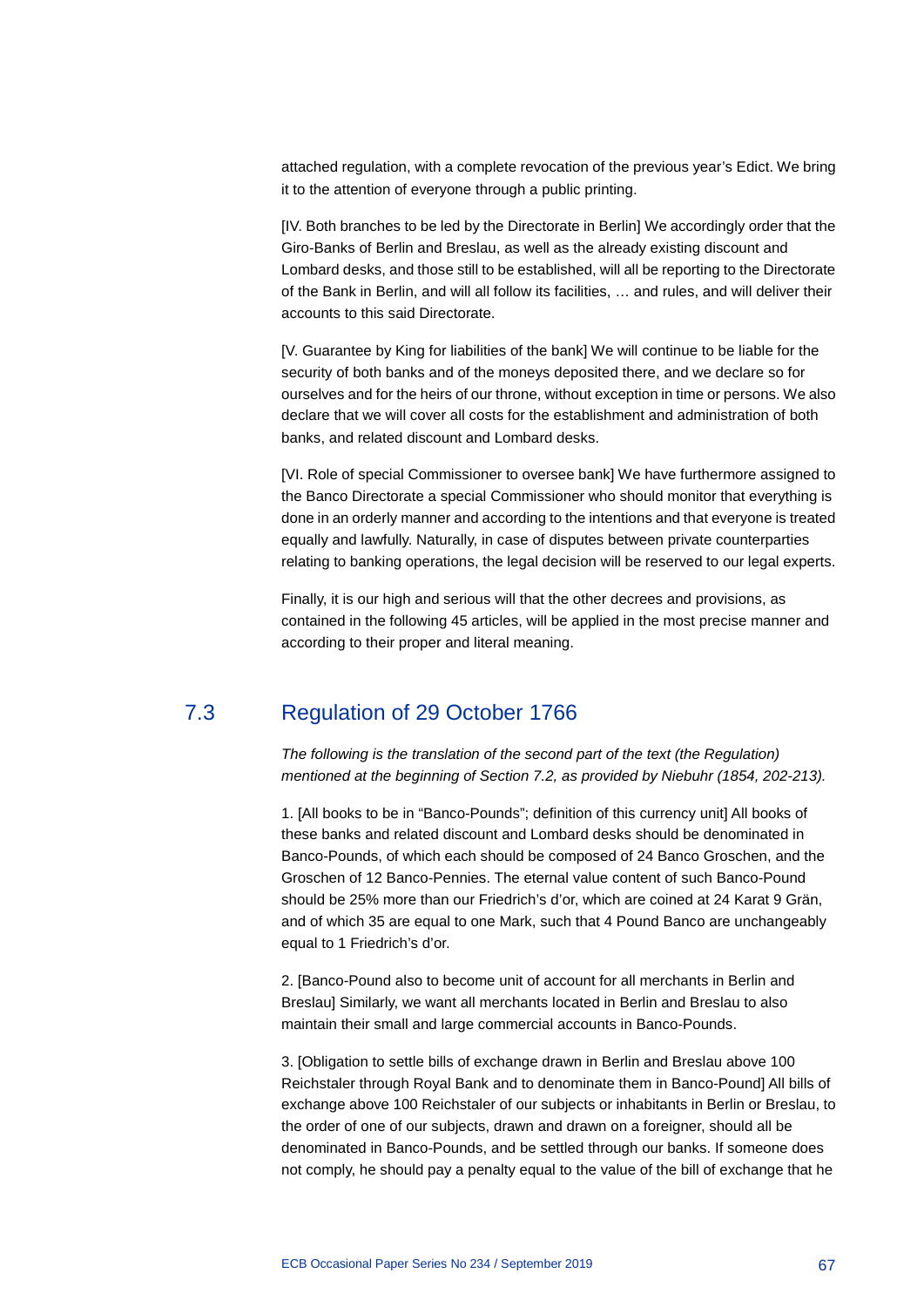attached regulation, with a complete revocation of the previous year's Edict. We bring it to the attention of everyone through a public printing.

[IV. Both branches to be led by the Directorate in Berlin] We accordingly order that the Giro-Banks of Berlin and Breslau, as well as the already existing discount and Lombard desks, and those still to be established, will all be reporting to the Directorate of the Bank in Berlin, and will all follow its facilities, … and rules, and will deliver their accounts to this said Directorate.

[V. Guarantee by King for liabilities of the bank] We will continue to be liable for the security of both banks and of the moneys deposited there, and we declare so for ourselves and for the heirs of our throne, without exception in time or persons. We also declare that we will cover all costs for the establishment and administration of both banks, and related discount and Lombard desks.

[VI. Role of special Commissioner to oversee bank] We have furthermore assigned to the Banco Directorate a special Commissioner who should monitor that everything is done in an orderly manner and according to the intentions and that everyone is treated equally and lawfully. Naturally, in case of disputes between private counterparties relating to banking operations, the legal decision will be reserved to our legal experts.

Finally, it is our high and serious will that the other decrees and provisions, as contained in the following 45 articles, will be applied in the most precise manner and according to their proper and literal meaning.

## 7.3 Regulation of 29 October 1766

*The following is the translation of the second part of the text (the Regulation) mentioned at the beginning of Section 7.2, as provided by Niebuhr (1854, 202-213).*

1. [All books to be in "Banco-Pounds"; definition of this currency unit] All books of these banks and related discount and Lombard desks should be denominated in Banco-Pounds, of which each should be composed of 24 Banco Groschen, and the Groschen of 12 Banco-Pennies. The eternal value content of such Banco-Pound should be 25% more than our Friedrich's d'or, which are coined at 24 Karat 9 Grän, and of which 35 are equal to one Mark, such that 4 Pound Banco are unchangeably equal to 1 Friedrich's d'or.

2. [Banco-Pound also to become unit of account for all merchants in Berlin and Breslau] Similarly, we want all merchants located in Berlin and Breslau to also maintain their small and large commercial accounts in Banco-Pounds.

3. [Obligation to settle bills of exchange drawn in Berlin and Breslau above 100 Reichstaler through Royal Bank and to denominate them in Banco-Pound] All bills of exchange above 100 Reichstaler of our subjects or inhabitants in Berlin or Breslau, to the order of one of our subjects, drawn and drawn on a foreigner, should all be denominated in Banco-Pounds, and be settled through our banks. If someone does not comply, he should pay a penalty equal to the value of the bill of exchange that he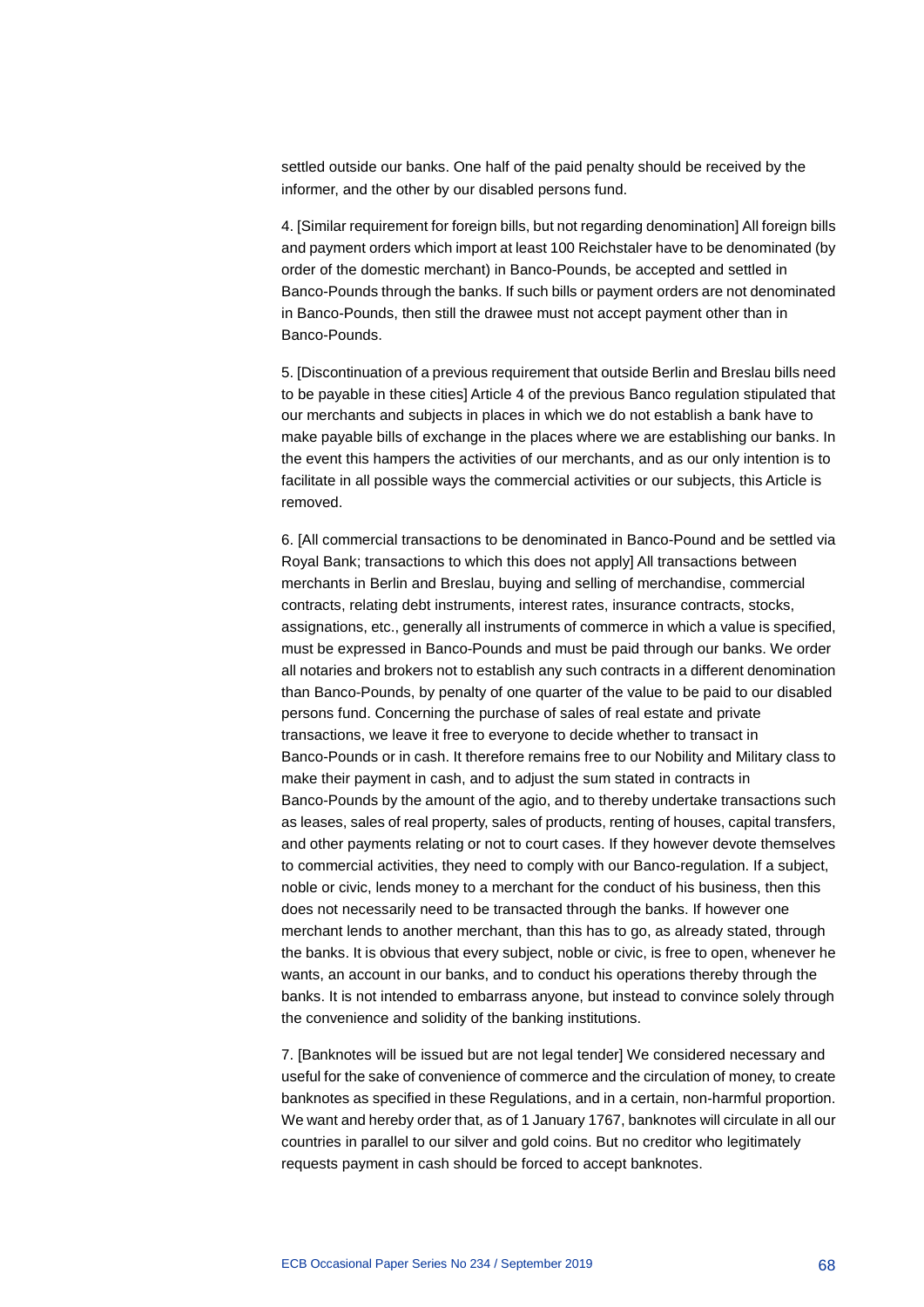settled outside our banks. One half of the paid penalty should be received by the informer, and the other by our disabled persons fund.

4. [Similar requirement for foreign bills, but not regarding denomination] All foreign bills and payment orders which import at least 100 Reichstaler have to be denominated (by order of the domestic merchant) in Banco-Pounds, be accepted and settled in Banco-Pounds through the banks. If such bills or payment orders are not denominated in Banco-Pounds, then still the drawee must not accept payment other than in Banco-Pounds.

5. [Discontinuation of a previous requirement that outside Berlin and Breslau bills need to be payable in these cities] Article 4 of the previous Banco regulation stipulated that our merchants and subjects in places in which we do not establish a bank have to make payable bills of exchange in the places where we are establishing our banks. In the event this hampers the activities of our merchants, and as our only intention is to facilitate in all possible ways the commercial activities or our subjects, this Article is removed.

6. [All commercial transactions to be denominated in Banco-Pound and be settled via Royal Bank; transactions to which this does not apply] All transactions between merchants in Berlin and Breslau, buying and selling of merchandise, commercial contracts, relating debt instruments, interest rates, insurance contracts, stocks, assignations, etc., generally all instruments of commerce in which a value is specified, must be expressed in Banco-Pounds and must be paid through our banks. We order all notaries and brokers not to establish any such contracts in a different denomination than Banco-Pounds, by penalty of one quarter of the value to be paid to our disabled persons fund. Concerning the purchase of sales of real estate and private transactions, we leave it free to everyone to decide whether to transact in Banco-Pounds or in cash. It therefore remains free to our Nobility and Military class to make their payment in cash, and to adjust the sum stated in contracts in Banco-Pounds by the amount of the agio, and to thereby undertake transactions such as leases, sales of real property, sales of products, renting of houses, capital transfers, and other payments relating or not to court cases. If they however devote themselves to commercial activities, they need to comply with our Banco-regulation. If a subject, noble or civic, lends money to a merchant for the conduct of his business, then this does not necessarily need to be transacted through the banks. If however one merchant lends to another merchant, than this has to go, as already stated, through the banks. It is obvious that every subject, noble or civic, is free to open, whenever he wants, an account in our banks, and to conduct his operations thereby through the banks. It is not intended to embarrass anyone, but instead to convince solely through the convenience and solidity of the banking institutions.

7. [Banknotes will be issued but are not legal tender] We considered necessary and useful for the sake of convenience of commerce and the circulation of money, to create banknotes as specified in these Regulations, and in a certain, non-harmful proportion. We want and hereby order that, as of 1 January 1767, banknotes will circulate in all our countries in parallel to our silver and gold coins. But no creditor who legitimately requests payment in cash should be forced to accept banknotes.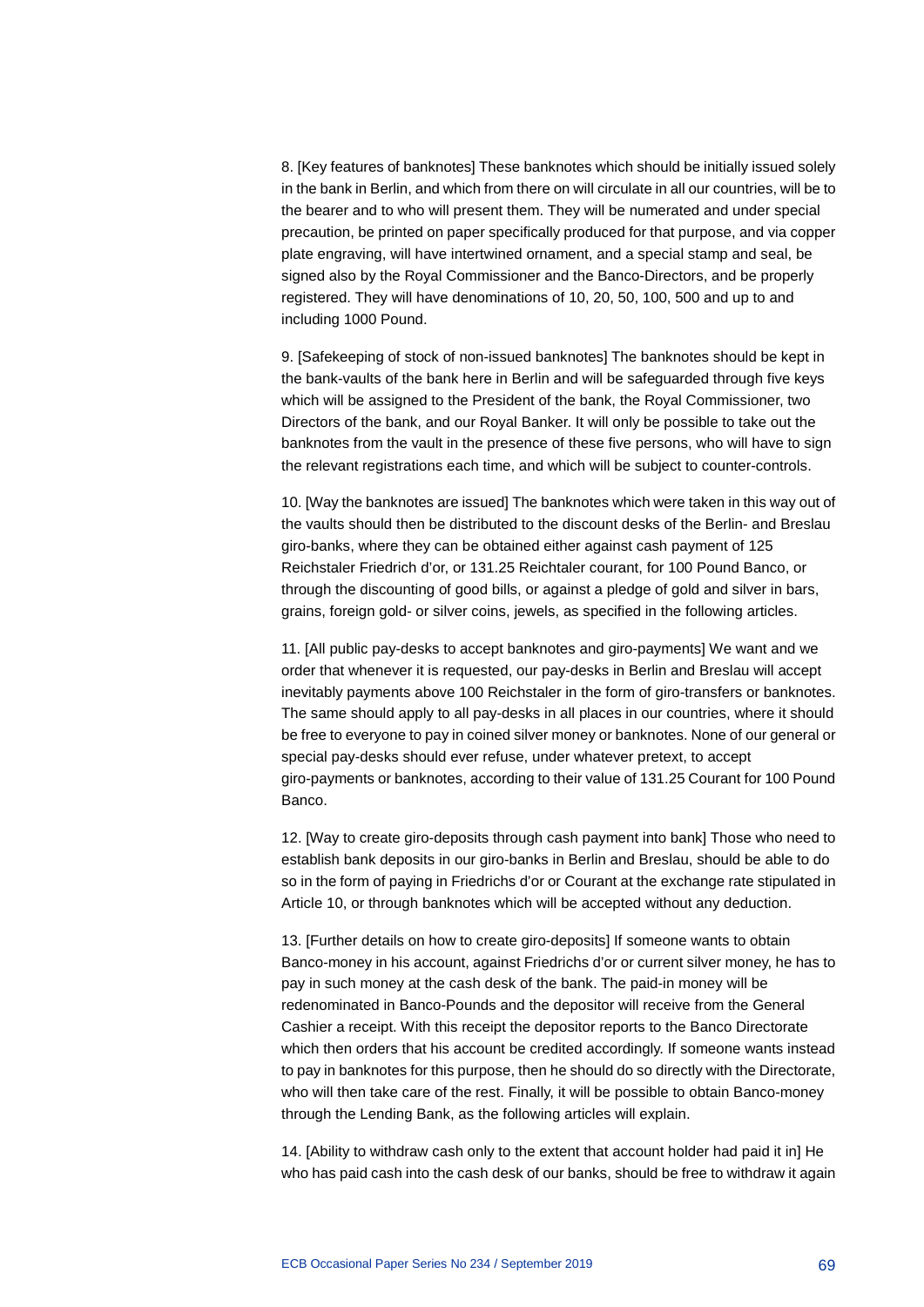8. [Key features of banknotes] These banknotes which should be initially issued solely in the bank in Berlin, and which from there on will circulate in all our countries, will be to the bearer and to who will present them. They will be numerated and under special precaution, be printed on paper specifically produced for that purpose, and via copper plate engraving, will have intertwined ornament, and a special stamp and seal, be signed also by the Royal Commissioner and the Banco-Directors, and be properly registered. They will have denominations of 10, 20, 50, 100, 500 and up to and including 1000 Pound.

9. [Safekeeping of stock of non-issued banknotes] The banknotes should be kept in the bank-vaults of the bank here in Berlin and will be safeguarded through five keys which will be assigned to the President of the bank, the Royal Commissioner, two Directors of the bank, and our Royal Banker. It will only be possible to take out the banknotes from the vault in the presence of these five persons, who will have to sign the relevant registrations each time, and which will be subject to counter-controls.

10. [Way the banknotes are issued] The banknotes which were taken in this way out of the vaults should then be distributed to the discount desks of the Berlin- and Breslau giro-banks, where they can be obtained either against cash payment of 125 Reichstaler Friedrich d'or, or 131.25 Reichtaler courant, for 100 Pound Banco, or through the discounting of good bills, or against a pledge of gold and silver in bars, grains, foreign gold- or silver coins, jewels, as specified in the following articles.

11. [All public pay-desks to accept banknotes and giro-payments] We want and we order that whenever it is requested, our pay-desks in Berlin and Breslau will accept inevitably payments above 100 Reichstaler in the form of giro-transfers or banknotes. The same should apply to all pay-desks in all places in our countries, where it should be free to everyone to pay in coined silver money or banknotes. None of our general or special pay-desks should ever refuse, under whatever pretext, to accept giro-payments or banknotes, according to their value of 131.25 Courant for 100 Pound Banco.

12. [Way to create giro-deposits through cash payment into bank] Those who need to establish bank deposits in our giro-banks in Berlin and Breslau, should be able to do so in the form of paying in Friedrichs d'or or Courant at the exchange rate stipulated in Article 10, or through banknotes which will be accepted without any deduction.

13. [Further details on how to create giro-deposits] If someone wants to obtain Banco-money in his account, against Friedrichs d'or or current silver money, he has to pay in such money at the cash desk of the bank. The paid-in money will be redenominated in Banco-Pounds and the depositor will receive from the General Cashier a receipt. With this receipt the depositor reports to the Banco Directorate which then orders that his account be credited accordingly. If someone wants instead to pay in banknotes for this purpose, then he should do so directly with the Directorate, who will then take care of the rest. Finally, it will be possible to obtain Banco-money through the Lending Bank, as the following articles will explain.

14. [Ability to withdraw cash only to the extent that account holder had paid it in] He who has paid cash into the cash desk of our banks, should be free to withdraw it again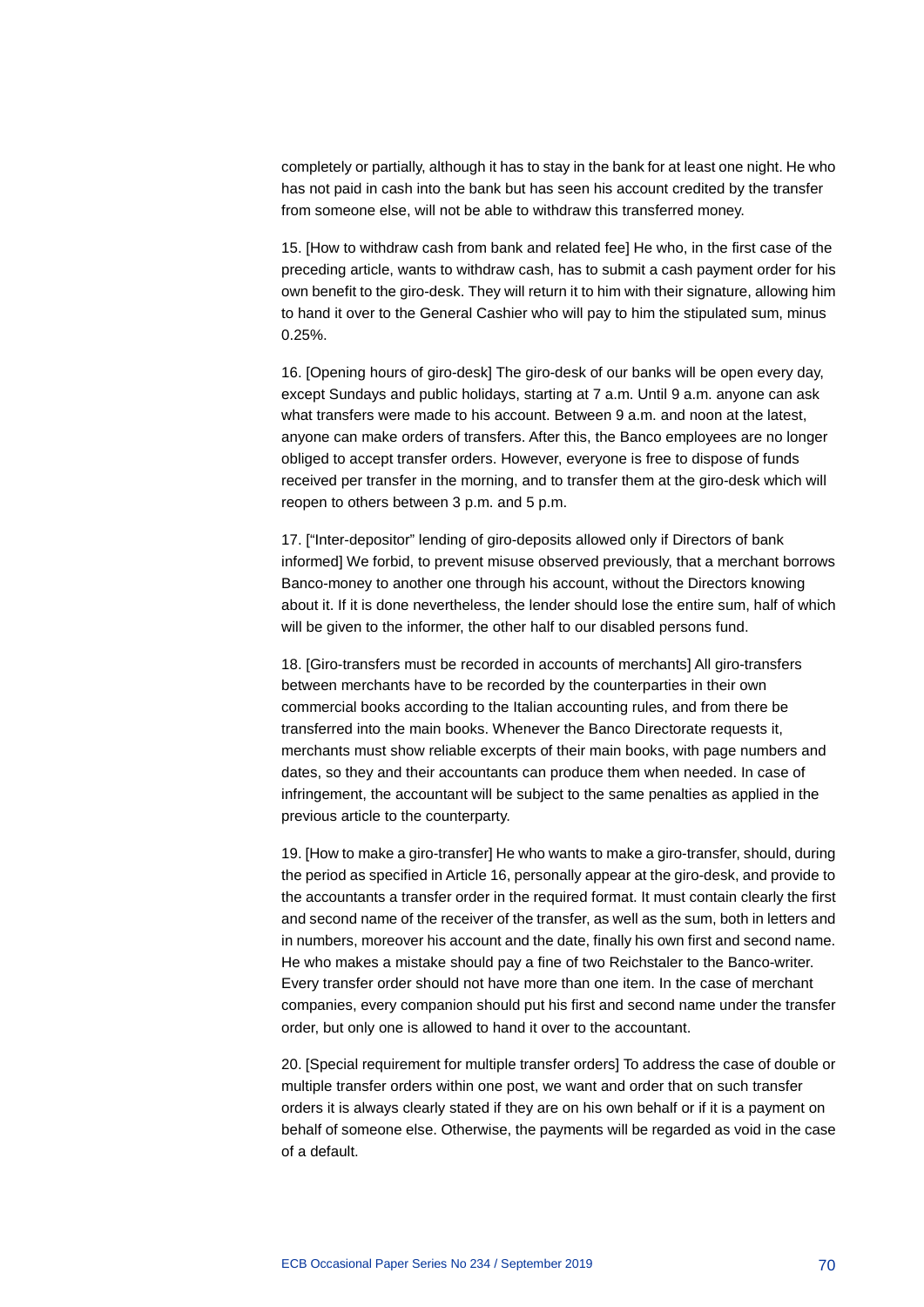completely or partially, although it has to stay in the bank for at least one night. He who has not paid in cash into the bank but has seen his account credited by the transfer from someone else, will not be able to withdraw this transferred money.

15. [How to withdraw cash from bank and related fee] He who, in the first case of the preceding article, wants to withdraw cash, has to submit a cash payment order for his own benefit to the giro-desk. They will return it to him with their signature, allowing him to hand it over to the General Cashier who will pay to him the stipulated sum, minus 0.25%.

16. [Opening hours of giro-desk] The giro-desk of our banks will be open every day, except Sundays and public holidays, starting at 7 a.m. Until 9 a.m. anyone can ask what transfers were made to his account. Between 9 a.m. and noon at the latest, anyone can make orders of transfers. After this, the Banco employees are no longer obliged to accept transfer orders. However, everyone is free to dispose of funds received per transfer in the morning, and to transfer them at the giro-desk which will reopen to others between 3 p.m. and 5 p.m.

17. ["Inter-depositor" lending of giro-deposits allowed only if Directors of bank informed] We forbid, to prevent misuse observed previously, that a merchant borrows Banco-money to another one through his account, without the Directors knowing about it. If it is done nevertheless, the lender should lose the entire sum, half of which will be given to the informer, the other half to our disabled persons fund.

18. [Giro-transfers must be recorded in accounts of merchants] All giro-transfers between merchants have to be recorded by the counterparties in their own commercial books according to the Italian accounting rules, and from there be transferred into the main books. Whenever the Banco Directorate requests it, merchants must show reliable excerpts of their main books, with page numbers and dates, so they and their accountants can produce them when needed. In case of infringement, the accountant will be subject to the same penalties as applied in the previous article to the counterparty.

19. [How to make a giro-transfer] He who wants to make a giro-transfer, should, during the period as specified in Article 16, personally appear at the giro-desk, and provide to the accountants a transfer order in the required format. It must contain clearly the first and second name of the receiver of the transfer, as well as the sum, both in letters and in numbers, moreover his account and the date, finally his own first and second name. He who makes a mistake should pay a fine of two Reichstaler to the Banco-writer. Every transfer order should not have more than one item. In the case of merchant companies, every companion should put his first and second name under the transfer order, but only one is allowed to hand it over to the accountant.

20. [Special requirement for multiple transfer orders] To address the case of double or multiple transfer orders within one post, we want and order that on such transfer orders it is always clearly stated if they are on his own behalf or if it is a payment on behalf of someone else. Otherwise, the payments will be regarded as void in the case of a default.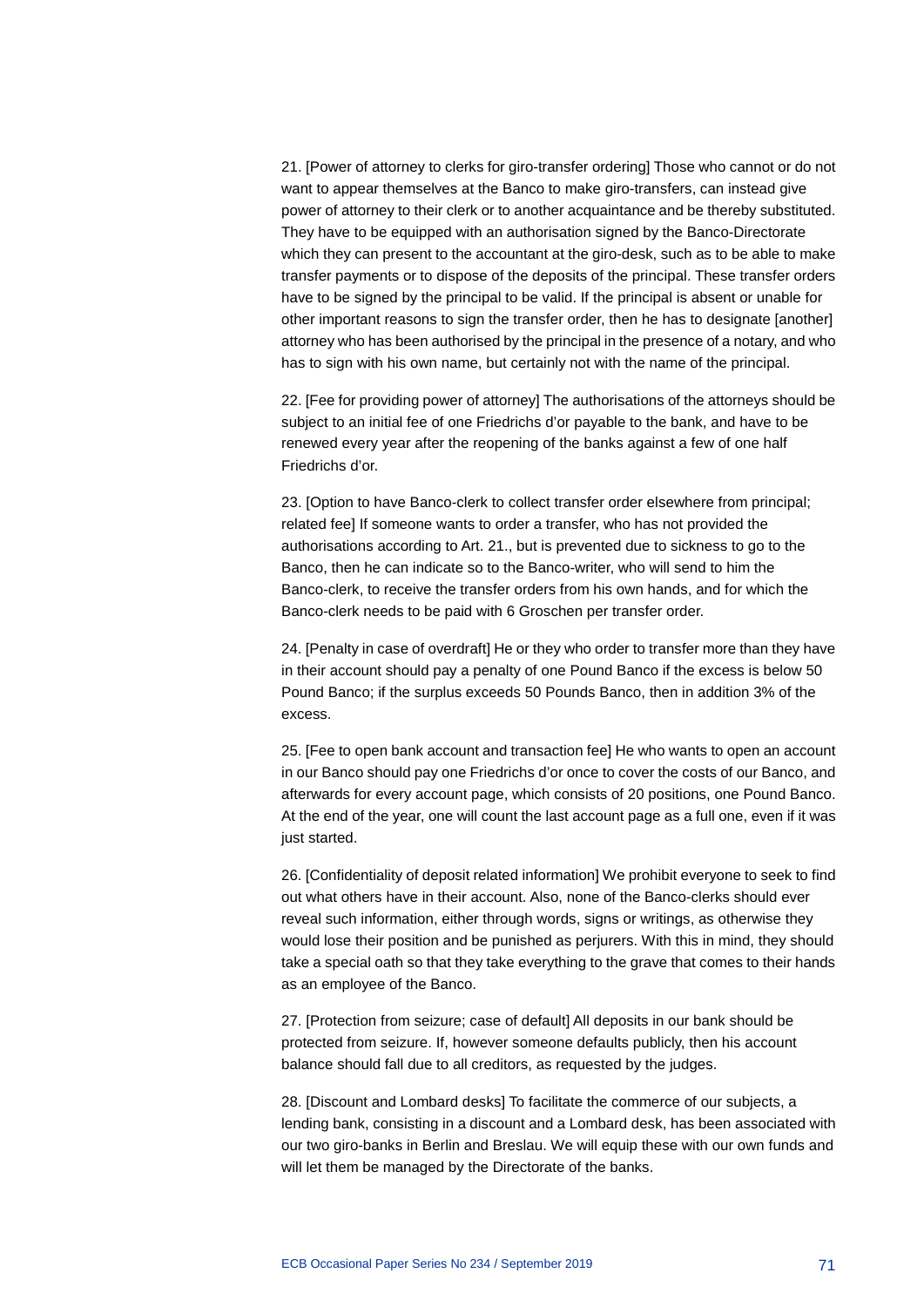21. [Power of attorney to clerks for giro-transfer ordering] Those who cannot or do not want to appear themselves at the Banco to make giro-transfers, can instead give power of attorney to their clerk or to another acquaintance and be thereby substituted. They have to be equipped with an authorisation signed by the Banco-Directorate which they can present to the accountant at the giro-desk, such as to be able to make transfer payments or to dispose of the deposits of the principal. These transfer orders have to be signed by the principal to be valid. If the principal is absent or unable for other important reasons to sign the transfer order, then he has to designate [another] attorney who has been authorised by the principal in the presence of a notary, and who has to sign with his own name, but certainly not with the name of the principal.

22. [Fee for providing power of attorney] The authorisations of the attorneys should be subject to an initial fee of one Friedrichs d'or payable to the bank, and have to be renewed every year after the reopening of the banks against a few of one half Friedrichs d'or.

23. [Option to have Banco-clerk to collect transfer order elsewhere from principal; related fee] If someone wants to order a transfer, who has not provided the authorisations according to Art. 21., but is prevented due to sickness to go to the Banco, then he can indicate so to the Banco-writer, who will send to him the Banco-clerk, to receive the transfer orders from his own hands, and for which the Banco-clerk needs to be paid with 6 Groschen per transfer order.

24. [Penalty in case of overdraft] He or they who order to transfer more than they have in their account should pay a penalty of one Pound Banco if the excess is below 50 Pound Banco; if the surplus exceeds 50 Pounds Banco, then in addition 3% of the excess.

25. [Fee to open bank account and transaction fee] He who wants to open an account in our Banco should pay one Friedrichs d'or once to cover the costs of our Banco, and afterwards for every account page, which consists of 20 positions, one Pound Banco. At the end of the year, one will count the last account page as a full one, even if it was just started.

26. [Confidentiality of deposit related information] We prohibit everyone to seek to find out what others have in their account. Also, none of the Banco-clerks should ever reveal such information, either through words, signs or writings, as otherwise they would lose their position and be punished as perjurers. With this in mind, they should take a special oath so that they take everything to the grave that comes to their hands as an employee of the Banco.

27. [Protection from seizure; case of default] All deposits in our bank should be protected from seizure. If, however someone defaults publicly, then his account balance should fall due to all creditors, as requested by the judges.

28. [Discount and Lombard desks] To facilitate the commerce of our subjects, a lending bank, consisting in a discount and a Lombard desk, has been associated with our two giro-banks in Berlin and Breslau. We will equip these with our own funds and will let them be managed by the Directorate of the banks.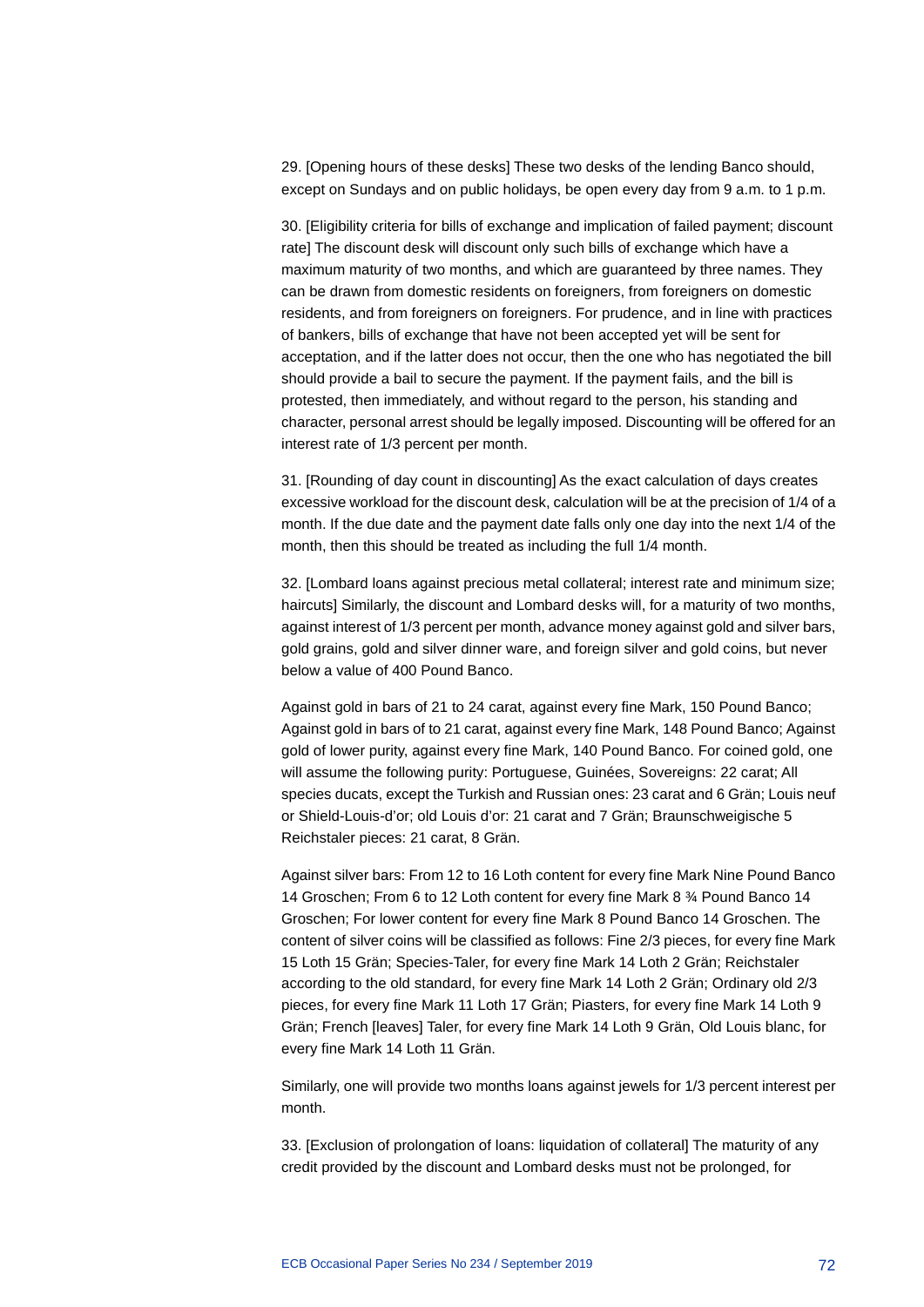29. [Opening hours of these desks] These two desks of the lending Banco should, except on Sundays and on public holidays, be open every day from 9 a.m. to 1 p.m.

30. [Eligibility criteria for bills of exchange and implication of failed payment; discount rate] The discount desk will discount only such bills of exchange which have a maximum maturity of two months, and which are guaranteed by three names. They can be drawn from domestic residents on foreigners, from foreigners on domestic residents, and from foreigners on foreigners. For prudence, and in line with practices of bankers, bills of exchange that have not been accepted yet will be sent for acceptation, and if the latter does not occur, then the one who has negotiated the bill should provide a bail to secure the payment. If the payment fails, and the bill is protested, then immediately, and without regard to the person, his standing and character, personal arrest should be legally imposed. Discounting will be offered for an interest rate of 1/3 percent per month.

31. [Rounding of day count in discounting] As the exact calculation of days creates excessive workload for the discount desk, calculation will be at the precision of 1/4 of a month. If the due date and the payment date falls only one day into the next 1/4 of the month, then this should be treated as including the full 1/4 month.

32. [Lombard loans against precious metal collateral; interest rate and minimum size; haircuts] Similarly, the discount and Lombard desks will, for a maturity of two months, against interest of 1/3 percent per month, advance money against gold and silver bars, gold grains, gold and silver dinner ware, and foreign silver and gold coins, but never below a value of 400 Pound Banco.

Against gold in bars of 21 to 24 carat, against every fine Mark, 150 Pound Banco; Against gold in bars of to 21 carat, against every fine Mark, 148 Pound Banco; Against gold of lower purity, against every fine Mark, 140 Pound Banco. For coined gold, one will assume the following purity: Portuguese, Guinées, Sovereigns: 22 carat; All species ducats, except the Turkish and Russian ones: 23 carat and 6 Grän; Louis neuf or Shield-Louis-d'or; old Louis d'or: 21 carat and 7 Grän; Braunschweigische 5 Reichstaler pieces: 21 carat, 8 Grän.

Against silver bars: From 12 to 16 Loth content for every fine Mark Nine Pound Banco 14 Groschen; From 6 to 12 Loth content for every fine Mark 8 ¾ Pound Banco 14 Groschen; For lower content for every fine Mark 8 Pound Banco 14 Groschen. The content of silver coins will be classified as follows: Fine 2/3 pieces, for every fine Mark 15 Loth 15 Grän; Species-Taler, for every fine Mark 14 Loth 2 Grän; Reichstaler according to the old standard, for every fine Mark 14 Loth 2 Grän; Ordinary old 2/3 pieces, for every fine Mark 11 Loth 17 Grän; Piasters, for every fine Mark 14 Loth 9 Grän; French [leaves] Taler, for every fine Mark 14 Loth 9 Grän, Old Louis blanc, for every fine Mark 14 Loth 11 Grän.

Similarly, one will provide two months loans against jewels for 1/3 percent interest per month.

33. [Exclusion of prolongation of loans: liquidation of collateral] The maturity of any credit provided by the discount and Lombard desks must not be prolonged, for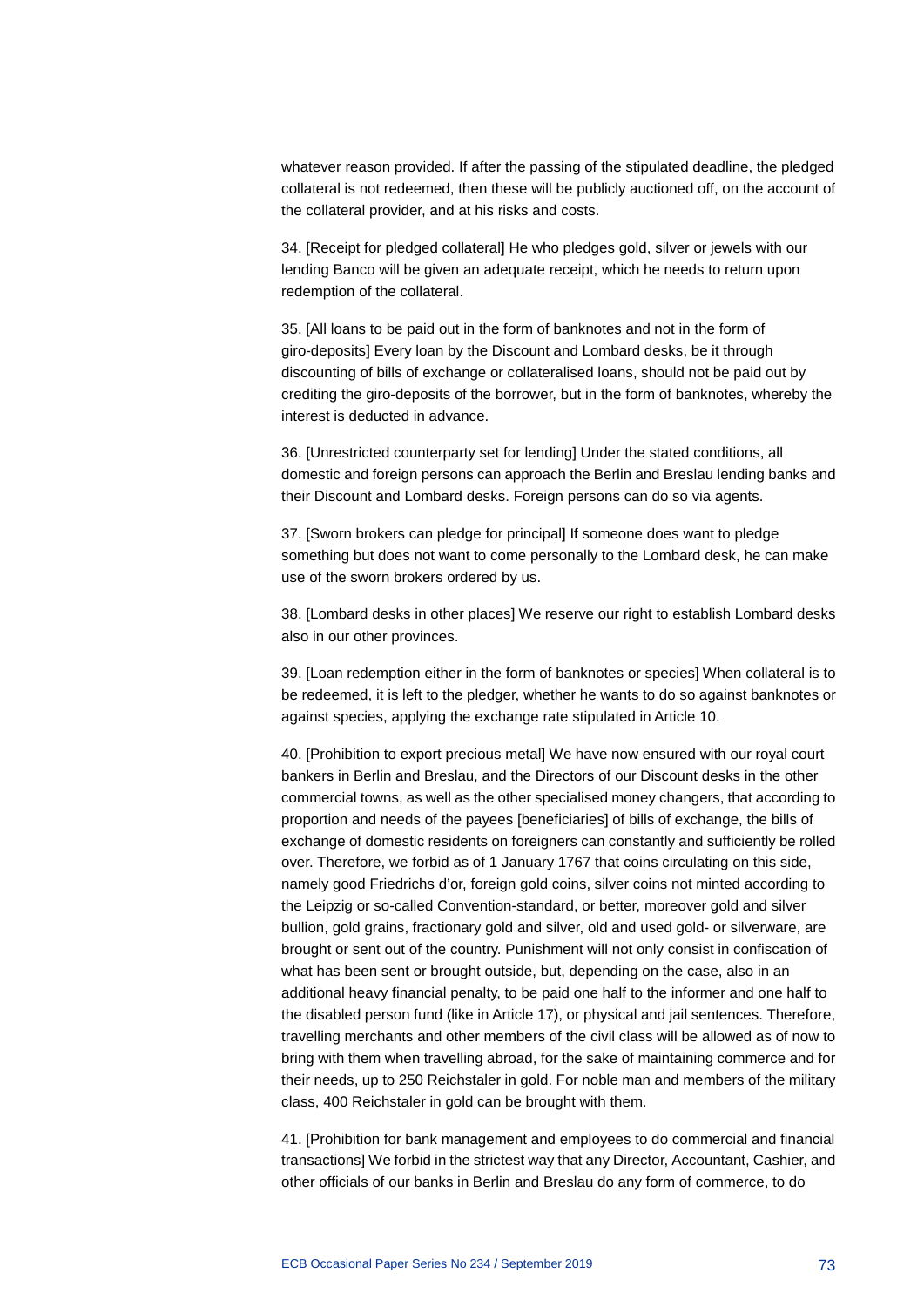whatever reason provided. If after the passing of the stipulated deadline, the pledged collateral is not redeemed, then these will be publicly auctioned off, on the account of the collateral provider, and at his risks and costs.

34. [Receipt for pledged collateral] He who pledges gold, silver or jewels with our lending Banco will be given an adequate receipt, which he needs to return upon redemption of the collateral.

35. [All loans to be paid out in the form of banknotes and not in the form of giro-deposits] Every loan by the Discount and Lombard desks, be it through discounting of bills of exchange or collateralised loans, should not be paid out by crediting the giro-deposits of the borrower, but in the form of banknotes, whereby the interest is deducted in advance.

36. [Unrestricted counterparty set for lending] Under the stated conditions, all domestic and foreign persons can approach the Berlin and Breslau lending banks and their Discount and Lombard desks. Foreign persons can do so via agents.

37. [Sworn brokers can pledge for principal] If someone does want to pledge something but does not want to come personally to the Lombard desk, he can make use of the sworn brokers ordered by us.

38. [Lombard desks in other places] We reserve our right to establish Lombard desks also in our other provinces.

39. [Loan redemption either in the form of banknotes or species] When collateral is to be redeemed, it is left to the pledger, whether he wants to do so against banknotes or against species, applying the exchange rate stipulated in Article 10.

40. [Prohibition to export precious metal] We have now ensured with our royal court bankers in Berlin and Breslau, and the Directors of our Discount desks in the other commercial towns, as well as the other specialised money changers, that according to proportion and needs of the payees [beneficiaries] of bills of exchange, the bills of exchange of domestic residents on foreigners can constantly and sufficiently be rolled over. Therefore, we forbid as of 1 January 1767 that coins circulating on this side, namely good Friedrichs d'or, foreign gold coins, silver coins not minted according to the Leipzig or so-called Convention-standard, or better, moreover gold and silver bullion, gold grains, fractionary gold and silver, old and used gold- or silverware, are brought or sent out of the country. Punishment will not only consist in confiscation of what has been sent or brought outside, but, depending on the case, also in an additional heavy financial penalty, to be paid one half to the informer and one half to the disabled person fund (like in Article 17), or physical and jail sentences. Therefore, travelling merchants and other members of the civil class will be allowed as of now to bring with them when travelling abroad, for the sake of maintaining commerce and for their needs, up to 250 Reichstaler in gold. For noble man and members of the military class, 400 Reichstaler in gold can be brought with them.

41. [Prohibition for bank management and employees to do commercial and financial transactions] We forbid in the strictest way that any Director, Accountant, Cashier, and other officials of our banks in Berlin and Breslau do any form of commerce, to do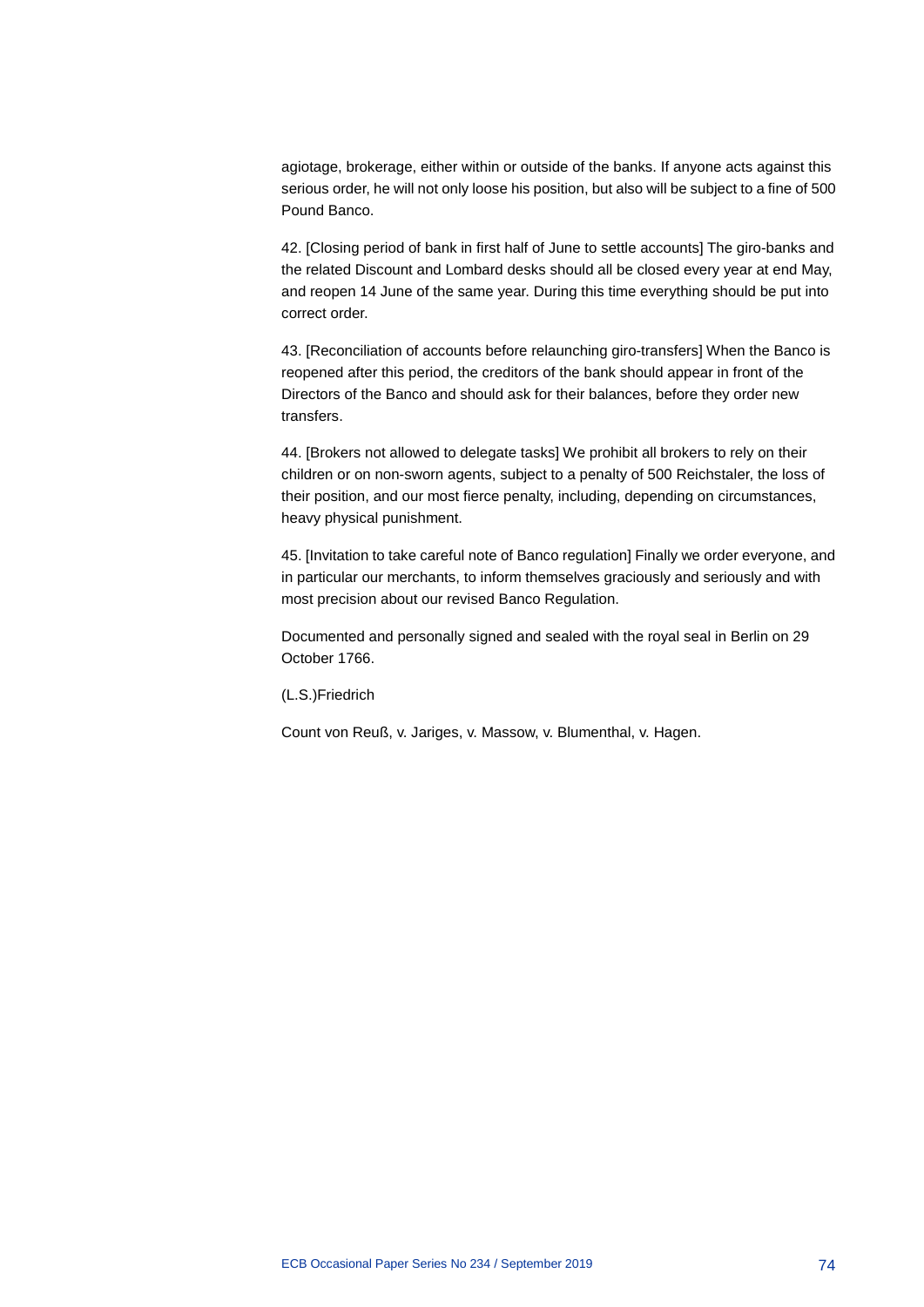agiotage, brokerage, either within or outside of the banks. If anyone acts against this serious order, he will not only loose his position, but also will be subject to a fine of 500 Pound Banco.

42. [Closing period of bank in first half of June to settle accounts] The giro-banks and the related Discount and Lombard desks should all be closed every year at end May, and reopen 14 June of the same year. During this time everything should be put into correct order.

43. [Reconciliation of accounts before relaunching giro-transfers] When the Banco is reopened after this period, the creditors of the bank should appear in front of the Directors of the Banco and should ask for their balances, before they order new transfers.

44. [Brokers not allowed to delegate tasks] We prohibit all brokers to rely on their children or on non-sworn agents, subject to a penalty of 500 Reichstaler, the loss of their position, and our most fierce penalty, including, depending on circumstances, heavy physical punishment.

45. [Invitation to take careful note of Banco regulation] Finally we order everyone, and in particular our merchants, to inform themselves graciously and seriously and with most precision about our revised Banco Regulation.

Documented and personally signed and sealed with the royal seal in Berlin on 29 October 1766.

(L.S.)Friedrich

Count von Reuß, v. Jariges, v. Massow, v. Blumenthal, v. Hagen.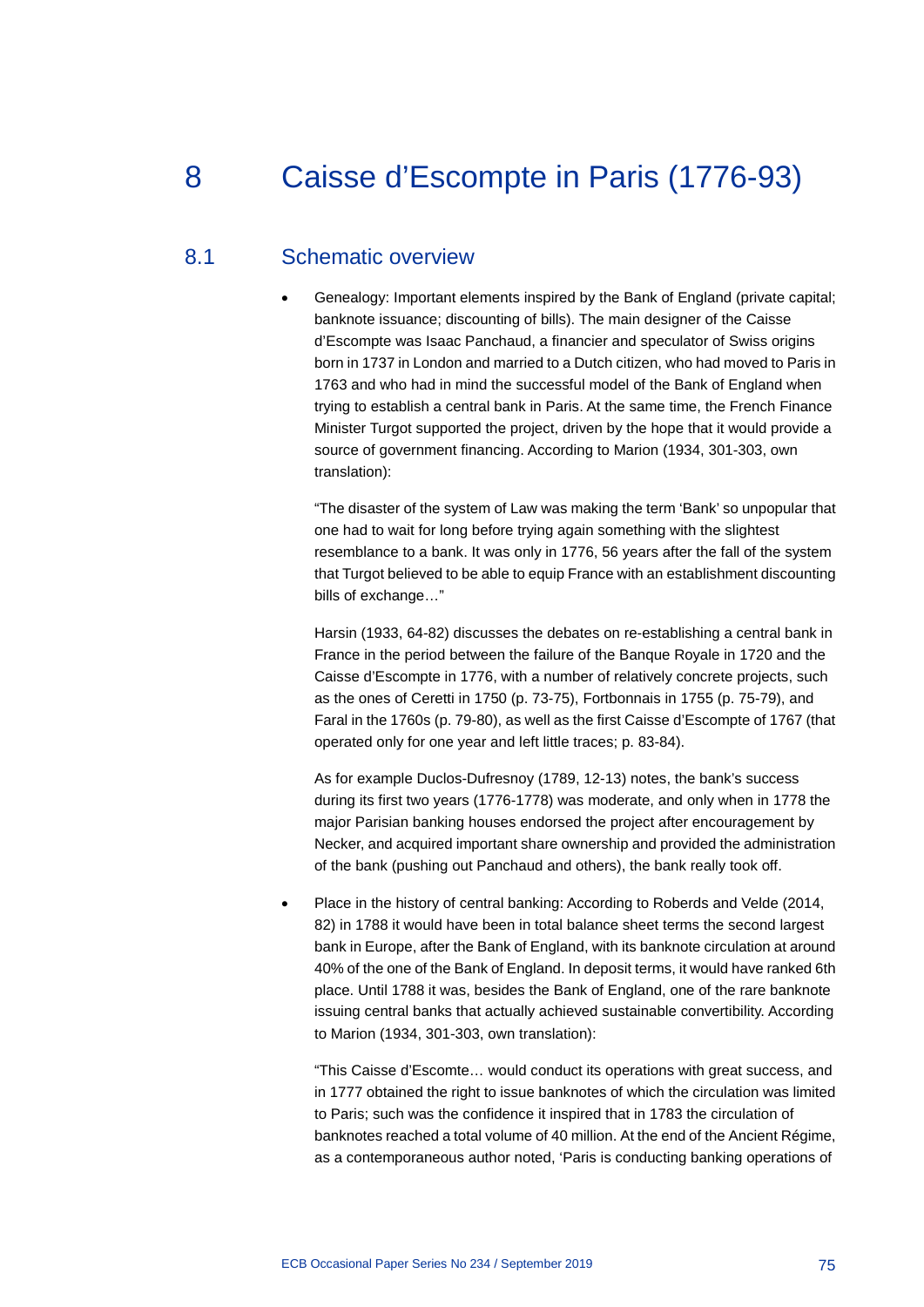# 8 Caisse d'Escompte in Paris (1776-93)

## 8.1 Schematic overview

• Genealogy: Important elements inspired by the Bank of England (private capital; banknote issuance; discounting of bills). The main designer of the Caisse d'Escompte was Isaac Panchaud, a financier and speculator of Swiss origins born in 1737 in London and married to a Dutch citizen, who had moved to Paris in 1763 and who had in mind the successful model of the Bank of England when trying to establish a central bank in Paris. At the same time, the French Finance Minister Turgot supported the project, driven by the hope that it would provide a source of government financing. According to Marion (1934, 301-303, own translation):

"The disaster of the system of Law was making the term 'Bank' so unpopular that one had to wait for long before trying again something with the slightest resemblance to a bank. It was only in 1776, 56 years after the fall of the system that Turgot believed to be able to equip France with an establishment discounting bills of exchange…"

Harsin (1933, 64-82) discusses the debates on re-establishing a central bank in France in the period between the failure of the Banque Royale in 1720 and the Caisse d'Escompte in 1776, with a number of relatively concrete projects, such as the ones of Ceretti in 1750 (p. 73-75), Fortbonnais in 1755 (p. 75-79), and Faral in the 1760s (p. 79-80), as well as the first Caisse d'Escompte of 1767 (that operated only for one year and left little traces; p. 83-84).

As for example Duclos-Dufresnoy (1789, 12-13) notes, the bank's success during its first two years (1776-1778) was moderate, and only when in 1778 the major Parisian banking houses endorsed the project after encouragement by Necker, and acquired important share ownership and provided the administration of the bank (pushing out Panchaud and others), the bank really took off.

• Place in the history of central banking: According to Roberds and Velde (2014, 82) in 1788 it would have been in total balance sheet terms the second largest bank in Europe, after the Bank of England, with its banknote circulation at around 40% of the one of the Bank of England. In deposit terms, it would have ranked 6th place. Until 1788 it was, besides the Bank of England, one of the rare banknote issuing central banks that actually achieved sustainable convertibility. According to Marion (1934, 301-303, own translation):

"This Caisse d'Escomte… would conduct its operations with great success, and in 1777 obtained the right to issue banknotes of which the circulation was limited to Paris; such was the confidence it inspired that in 1783 the circulation of banknotes reached a total volume of 40 million. At the end of the Ancient Régime, as a contemporaneous author noted, 'Paris is conducting banking operations of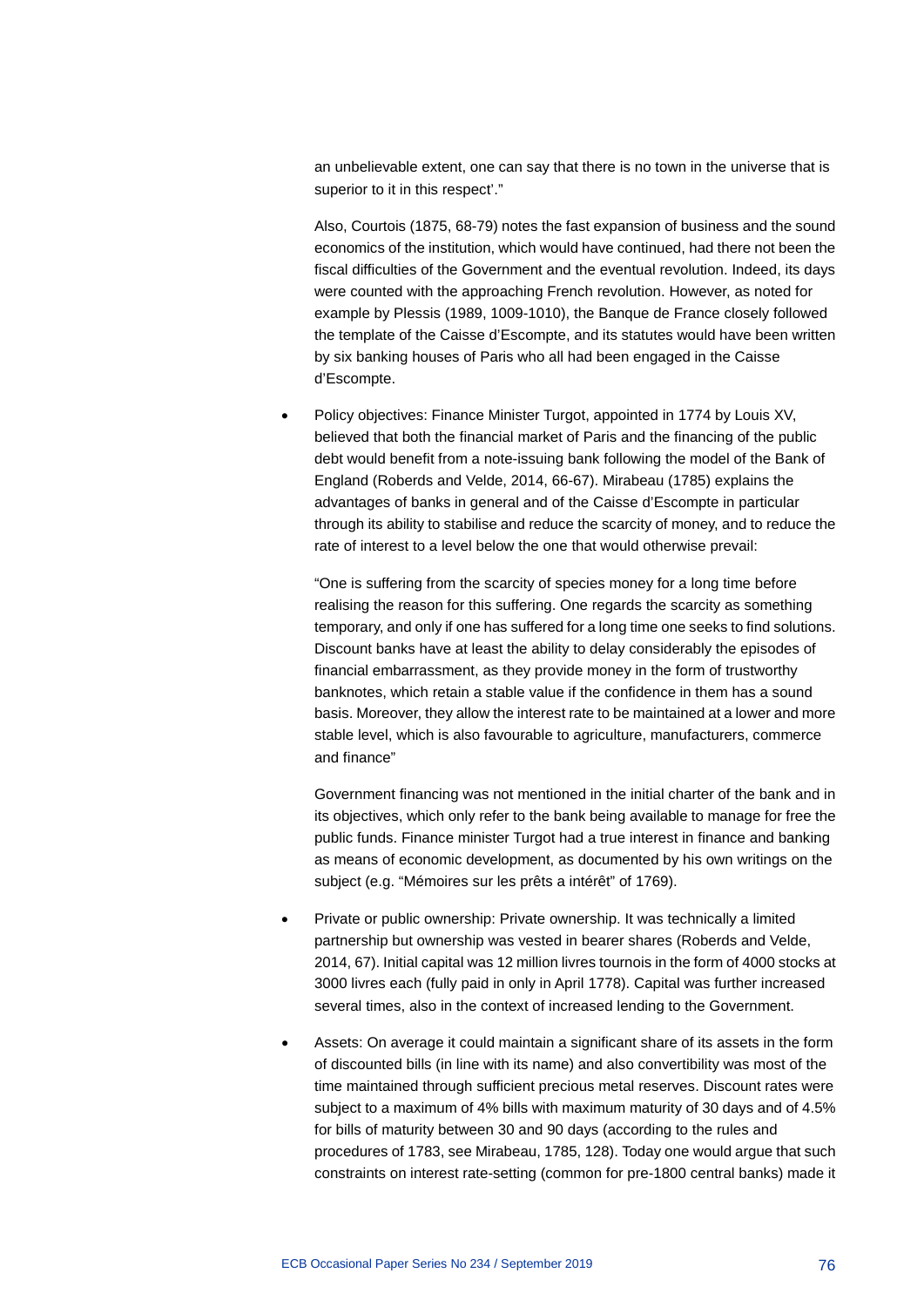an unbelievable extent, one can say that there is no town in the universe that is superior to it in this respect'."

Also, Courtois (1875, 68-79) notes the fast expansion of business and the sound economics of the institution, which would have continued, had there not been the fiscal difficulties of the Government and the eventual revolution. Indeed, its days were counted with the approaching French revolution. However, as noted for example by Plessis (1989, 1009-1010), the Banque de France closely followed the template of the Caisse d'Escompte, and its statutes would have been written by six banking houses of Paris who all had been engaged in the Caisse d'Escompte.

Policy objectives: Finance Minister Turgot, appointed in 1774 by Louis XV, believed that both the financial market of Paris and the financing of the public debt would benefit from a note-issuing bank following the model of the Bank of England (Roberds and Velde, 2014, 66-67). Mirabeau (1785) explains the advantages of banks in general and of the Caisse d'Escompte in particular through its ability to stabilise and reduce the scarcity of money, and to reduce the rate of interest to a level below the one that would otherwise prevail:

"One is suffering from the scarcity of species money for a long time before realising the reason for this suffering. One regards the scarcity as something temporary, and only if one has suffered for a long time one seeks to find solutions. Discount banks have at least the ability to delay considerably the episodes of financial embarrassment, as they provide money in the form of trustworthy banknotes, which retain a stable value if the confidence in them has a sound basis. Moreover, they allow the interest rate to be maintained at a lower and more stable level, which is also favourable to agriculture, manufacturers, commerce and finance"

Government financing was not mentioned in the initial charter of the bank and in its objectives, which only refer to the bank being available to manage for free the public funds. Finance minister Turgot had a true interest in finance and banking as means of economic development, as documented by his own writings on the subject (e.g. "Mémoires sur les prêts a intérêt" of 1769).

- Private or public ownership: Private ownership. It was technically a limited partnership but ownership was vested in bearer shares (Roberds and Velde, 2014, 67). Initial capital was 12 million livres tournois in the form of 4000 stocks at 3000 livres each (fully paid in only in April 1778). Capital was further increased several times, also in the context of increased lending to the Government.
- Assets: On average it could maintain a significant share of its assets in the form of discounted bills (in line with its name) and also convertibility was most of the time maintained through sufficient precious metal reserves. Discount rates were subject to a maximum of 4% bills with maximum maturity of 30 days and of 4.5% for bills of maturity between 30 and 90 days (according to the rules and procedures of 1783, see Mirabeau, 1785, 128). Today one would argue that such constraints on interest rate-setting (common for pre-1800 central banks) made it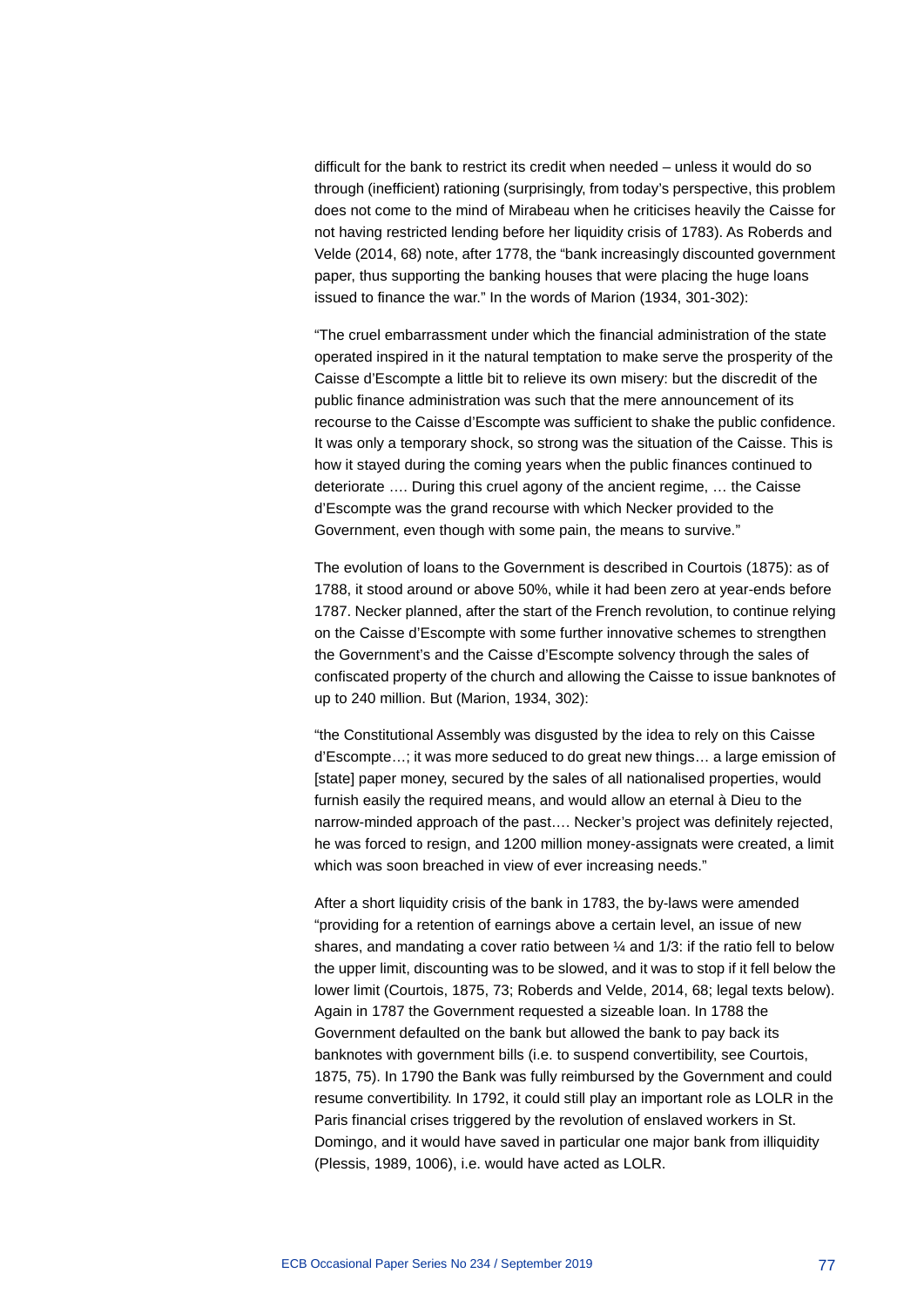difficult for the bank to restrict its credit when needed – unless it would do so through (inefficient) rationing (surprisingly, from today's perspective, this problem does not come to the mind of Mirabeau when he criticises heavily the Caisse for not having restricted lending before her liquidity crisis of 1783). As Roberds and Velde (2014, 68) note, after 1778, the "bank increasingly discounted government paper, thus supporting the banking houses that were placing the huge loans issued to finance the war." In the words of Marion (1934, 301-302):

"The cruel embarrassment under which the financial administration of the state operated inspired in it the natural temptation to make serve the prosperity of the Caisse d'Escompte a little bit to relieve its own misery: but the discredit of the public finance administration was such that the mere announcement of its recourse to the Caisse d'Escompte was sufficient to shake the public confidence. It was only a temporary shock, so strong was the situation of the Caisse. This is how it stayed during the coming years when the public finances continued to deteriorate …. During this cruel agony of the ancient regime, … the Caisse d'Escompte was the grand recourse with which Necker provided to the Government, even though with some pain, the means to survive."

The evolution of loans to the Government is described in Courtois (1875): as of 1788, it stood around or above 50%, while it had been zero at year-ends before 1787. Necker planned, after the start of the French revolution, to continue relying on the Caisse d'Escompte with some further innovative schemes to strengthen the Government's and the Caisse d'Escompte solvency through the sales of confiscated property of the church and allowing the Caisse to issue banknotes of up to 240 million. But (Marion, 1934, 302):

"the Constitutional Assembly was disgusted by the idea to rely on this Caisse d'Escompte…; it was more seduced to do great new things… a large emission of [state] paper money, secured by the sales of all nationalised properties, would furnish easily the required means, and would allow an eternal à Dieu to the narrow-minded approach of the past…. Necker's project was definitely rejected, he was forced to resign, and 1200 million money-assignats were created, a limit which was soon breached in view of ever increasing needs."

After a short liquidity crisis of the bank in 1783, the by-laws were amended "providing for a retention of earnings above a certain level, an issue of new shares, and mandating a cover ratio between  $\frac{1}{4}$  and 1/3: if the ratio fell to below the upper limit, discounting was to be slowed, and it was to stop if it fell below the lower limit (Courtois, 1875, 73; Roberds and Velde, 2014, 68; legal texts below). Again in 1787 the Government requested a sizeable loan. In 1788 the Government defaulted on the bank but allowed the bank to pay back its banknotes with government bills (i.e. to suspend convertibility, see Courtois, 1875, 75). In 1790 the Bank was fully reimbursed by the Government and could resume convertibility. In 1792, it could still play an important role as LOLR in the Paris financial crises triggered by the revolution of enslaved workers in St. Domingo, and it would have saved in particular one major bank from illiquidity (Plessis, 1989, 1006), i.e. would have acted as LOLR.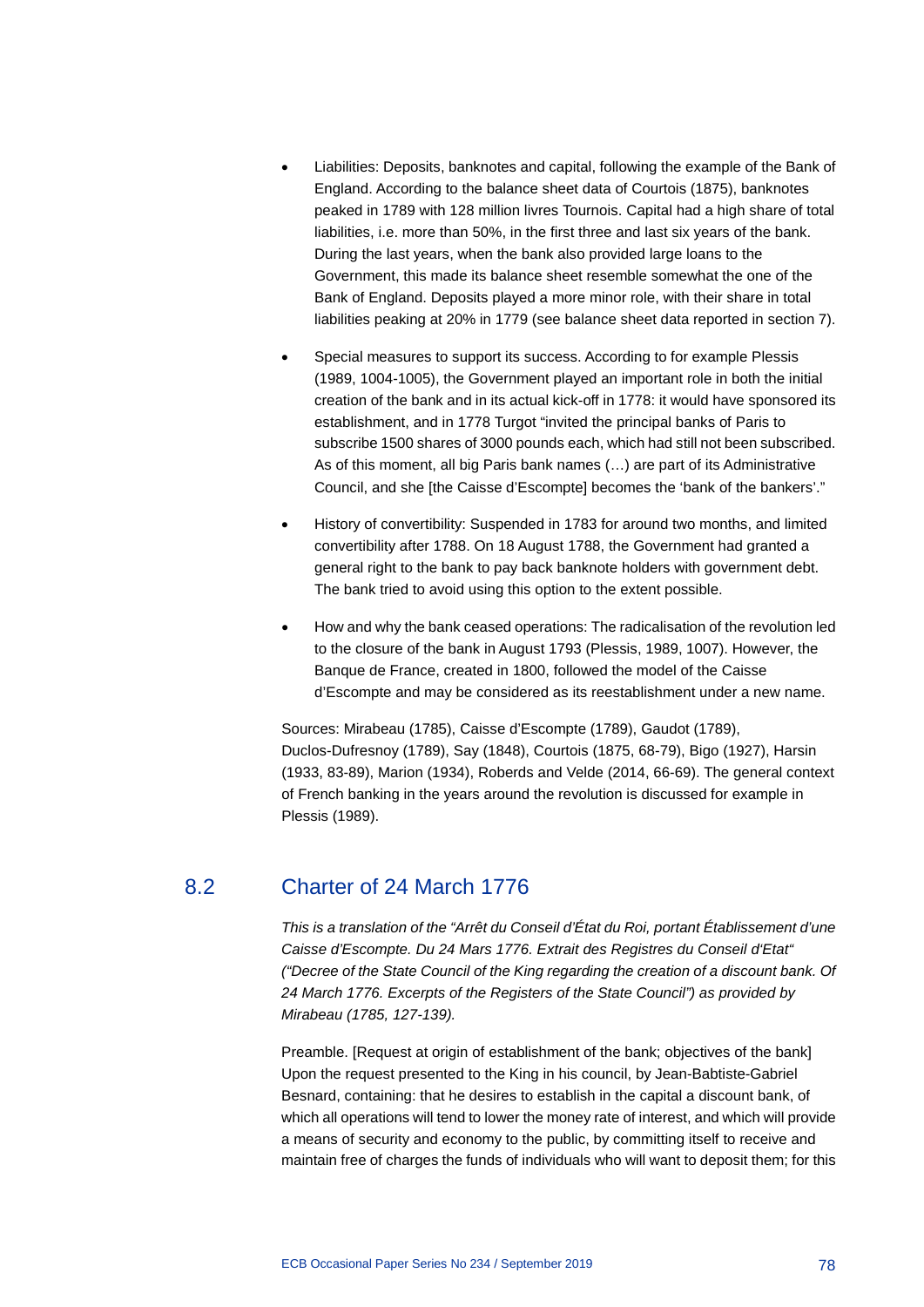- Liabilities: Deposits, banknotes and capital, following the example of the Bank of England. According to the balance sheet data of Courtois (1875), banknotes peaked in 1789 with 128 million livres Tournois. Capital had a high share of total liabilities, i.e. more than 50%, in the first three and last six years of the bank. During the last years, when the bank also provided large loans to the Government, this made its balance sheet resemble somewhat the one of the Bank of England. Deposits played a more minor role, with their share in total liabilities peaking at 20% in 1779 (see balance sheet data reported in section 7).
- Special measures to support its success. According to for example Plessis (1989, 1004-1005), the Government played an important role in both the initial creation of the bank and in its actual kick-off in 1778: it would have sponsored its establishment, and in 1778 Turgot "invited the principal banks of Paris to subscribe 1500 shares of 3000 pounds each, which had still not been subscribed. As of this moment, all big Paris bank names (…) are part of its Administrative Council, and she [the Caisse d'Escompte] becomes the 'bank of the bankers'."
- History of convertibility: Suspended in 1783 for around two months, and limited convertibility after 1788. On 18 August 1788, the Government had granted a general right to the bank to pay back banknote holders with government debt. The bank tried to avoid using this option to the extent possible.
- How and why the bank ceased operations: The radicalisation of the revolution led to the closure of the bank in August 1793 (Plessis, 1989, 1007). However, the Banque de France, created in 1800, followed the model of the Caisse d'Escompte and may be considered as its reestablishment under a new name.

Sources: Mirabeau (1785), Caisse d'Escompte (1789), Gaudot (1789), Duclos-Dufresnoy (1789), Say (1848), Courtois (1875, 68-79), Bigo (1927), Harsin (1933, 83-89), Marion (1934), Roberds and Velde (2014, 66-69). The general context of French banking in the years around the revolution is discussed for example in Plessis (1989).

## 8.2 Charter of 24 March 1776

*This is a translation of the "Arrêt du Conseil d'État du Roi, portant Établissement d'une Caisse d'Escompte. Du 24 Mars 1776. Extrait des Registres du Conseil d'Etat" ("Decree of the State Council of the King regarding the creation of a discount bank. Of 24 March 1776. Excerpts of the Registers of the State Council") as provided by Mirabeau (1785, 127-139).*

Preamble. [Request at origin of establishment of the bank; objectives of the bank] Upon the request presented to the King in his council, by Jean-Babtiste-Gabriel Besnard, containing: that he desires to establish in the capital a discount bank, of which all operations will tend to lower the money rate of interest, and which will provide a means of security and economy to the public, by committing itself to receive and maintain free of charges the funds of individuals who will want to deposit them; for this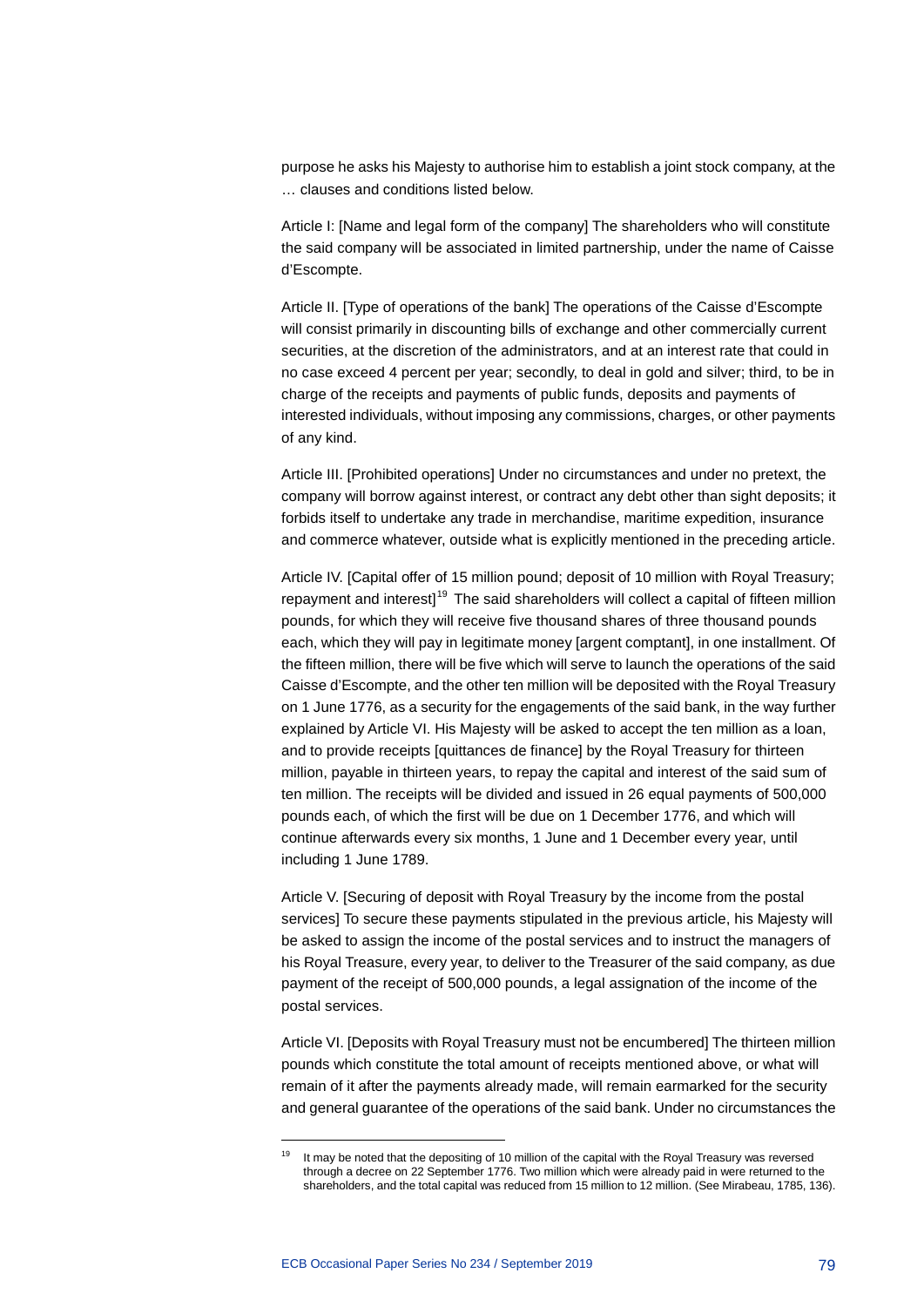purpose he asks his Majesty to authorise him to establish a joint stock company, at the … clauses and conditions listed below.

Article I: [Name and legal form of the company] The shareholders who will constitute the said company will be associated in limited partnership, under the name of Caisse d'Escompte.

Article II. [Type of operations of the bank] The operations of the Caisse d'Escompte will consist primarily in discounting bills of exchange and other commercially current securities, at the discretion of the administrators, and at an interest rate that could in no case exceed 4 percent per year; secondly, to deal in gold and silver; third, to be in charge of the receipts and payments of public funds, deposits and payments of interested individuals, without imposing any commissions, charges, or other payments of any kind.

Article III. [Prohibited operations] Under no circumstances and under no pretext, the company will borrow against interest, or contract any debt other than sight deposits; it forbids itself to undertake any trade in merchandise, maritime expedition, insurance and commerce whatever, outside what is explicitly mentioned in the preceding article.

Article IV. [Capital offer of 15 million pound; deposit of 10 million with Royal Treasury; repayment and interest $1^{19}$  $1^{19}$  $1^{19}$  The said shareholders will collect a capital of fifteen million pounds, for which they will receive five thousand shares of three thousand pounds each, which they will pay in legitimate money [argent comptant], in one installment. Of the fifteen million, there will be five which will serve to launch the operations of the said Caisse d'Escompte, and the other ten million will be deposited with the Royal Treasury on 1 June 1776, as a security for the engagements of the said bank, in the way further explained by Article VI. His Majesty will be asked to accept the ten million as a loan, and to provide receipts [quittances de finance] by the Royal Treasury for thirteen million, payable in thirteen years, to repay the capital and interest of the said sum of ten million. The receipts will be divided and issued in 26 equal payments of 500,000 pounds each, of which the first will be due on 1 December 1776, and which will continue afterwards every six months, 1 June and 1 December every year, until including 1 June 1789.

Article V. [Securing of deposit with Royal Treasury by the income from the postal services] To secure these payments stipulated in the previous article, his Majesty will be asked to assign the income of the postal services and to instruct the managers of his Royal Treasure, every year, to deliver to the Treasurer of the said company, as due payment of the receipt of 500,000 pounds, a legal assignation of the income of the postal services.

Article VI. [Deposits with Royal Treasury must not be encumbered] The thirteen million pounds which constitute the total amount of receipts mentioned above, or what will remain of it after the payments already made, will remain earmarked for the security and general guarantee of the operations of the said bank. Under no circumstances the

-

<span id="page-79-0"></span><sup>&</sup>lt;sup>19</sup> It may be noted that the depositing of 10 million of the capital with the Royal Treasury was reversed through a decree on 22 September 1776. Two million which were already paid in were returned to the shareholders, and the total capital was reduced from 15 million to 12 million. (See Mirabeau, 1785, 136).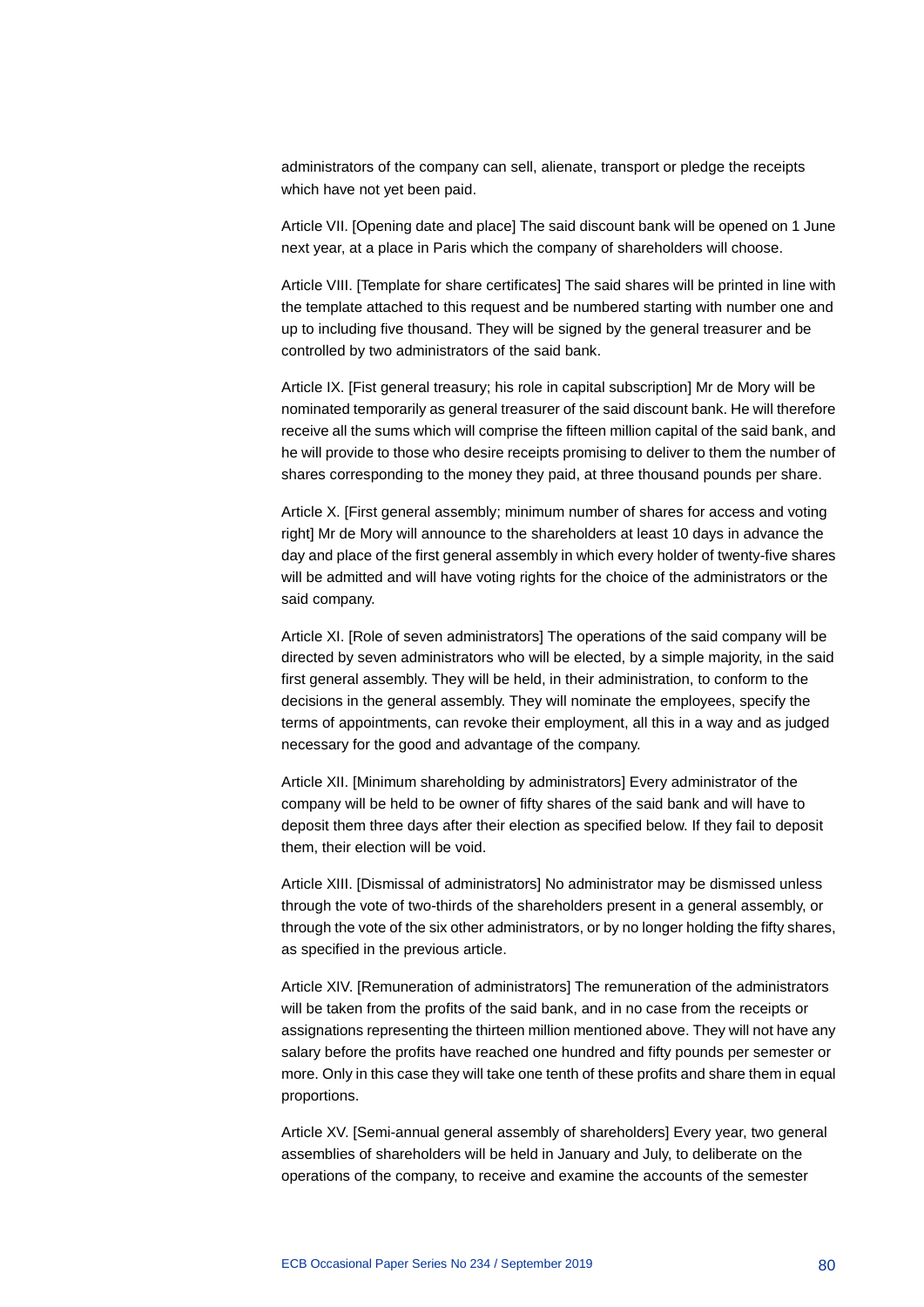administrators of the company can sell, alienate, transport or pledge the receipts which have not yet been paid.

Article VII. [Opening date and place] The said discount bank will be opened on 1 June next year, at a place in Paris which the company of shareholders will choose.

Article VIII. [Template for share certificates] The said shares will be printed in line with the template attached to this request and be numbered starting with number one and up to including five thousand. They will be signed by the general treasurer and be controlled by two administrators of the said bank.

Article IX. [Fist general treasury; his role in capital subscription] Mr de Mory will be nominated temporarily as general treasurer of the said discount bank. He will therefore receive all the sums which will comprise the fifteen million capital of the said bank, and he will provide to those who desire receipts promising to deliver to them the number of shares corresponding to the money they paid, at three thousand pounds per share.

Article X. [First general assembly; minimum number of shares for access and voting right] Mr de Mory will announce to the shareholders at least 10 days in advance the day and place of the first general assembly in which every holder of twenty-five shares will be admitted and will have voting rights for the choice of the administrators or the said company.

Article XI. [Role of seven administrators] The operations of the said company will be directed by seven administrators who will be elected, by a simple majority, in the said first general assembly. They will be held, in their administration, to conform to the decisions in the general assembly. They will nominate the employees, specify the terms of appointments, can revoke their employment, all this in a way and as judged necessary for the good and advantage of the company.

Article XII. [Minimum shareholding by administrators] Every administrator of the company will be held to be owner of fifty shares of the said bank and will have to deposit them three days after their election as specified below. If they fail to deposit them, their election will be void.

Article XIII. [Dismissal of administrators] No administrator may be dismissed unless through the vote of two-thirds of the shareholders present in a general assembly, or through the vote of the six other administrators, or by no longer holding the fifty shares, as specified in the previous article.

Article XIV. [Remuneration of administrators] The remuneration of the administrators will be taken from the profits of the said bank, and in no case from the receipts or assignations representing the thirteen million mentioned above. They will not have any salary before the profits have reached one hundred and fifty pounds per semester or more. Only in this case they will take one tenth of these profits and share them in equal proportions.

Article XV. [Semi-annual general assembly of shareholders] Every year, two general assemblies of shareholders will be held in January and July, to deliberate on the operations of the company, to receive and examine the accounts of the semester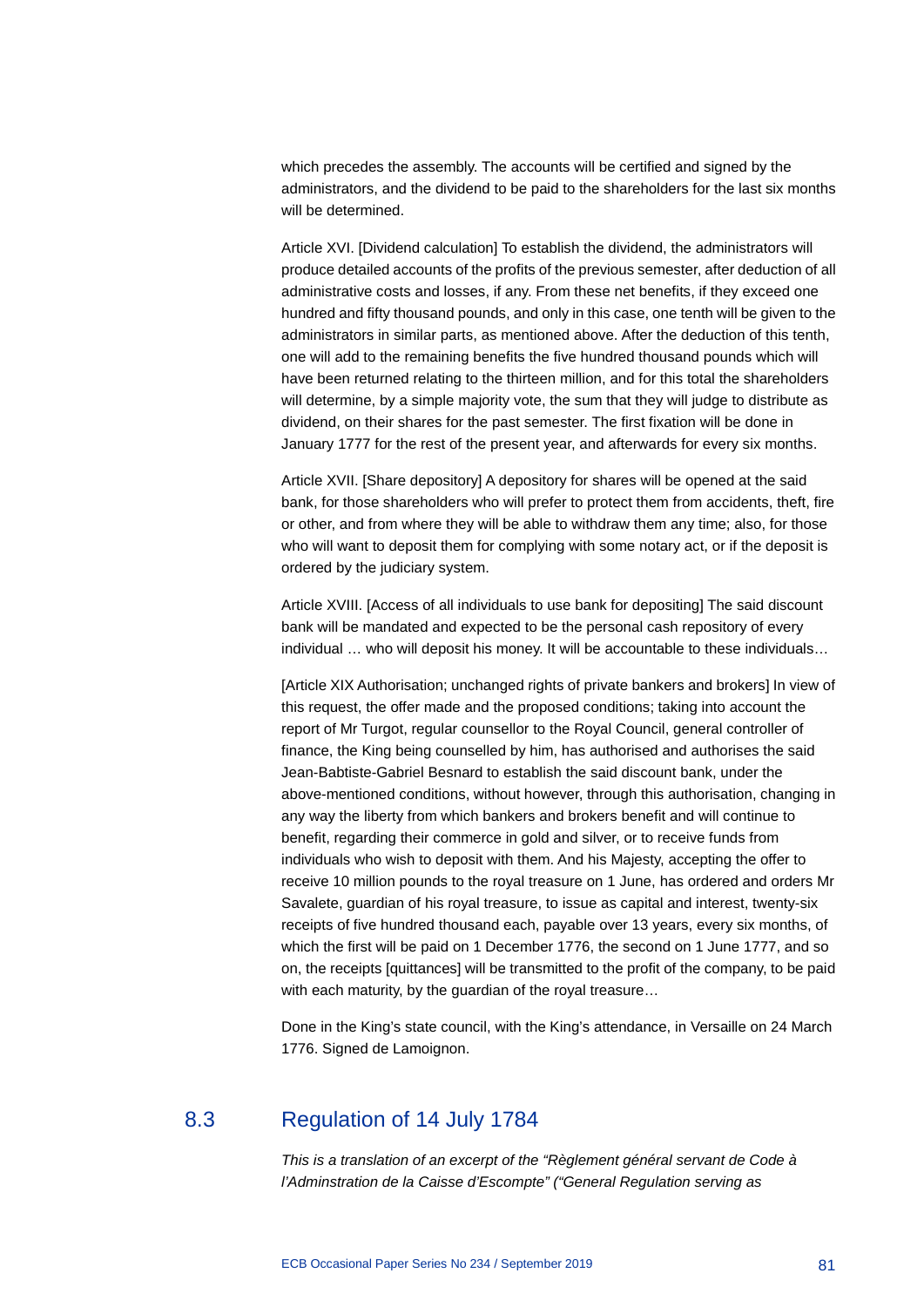which precedes the assembly. The accounts will be certified and signed by the administrators, and the dividend to be paid to the shareholders for the last six months will be determined.

Article XVI. [Dividend calculation] To establish the dividend, the administrators will produce detailed accounts of the profits of the previous semester, after deduction of all administrative costs and losses, if any. From these net benefits, if they exceed one hundred and fifty thousand pounds, and only in this case, one tenth will be given to the administrators in similar parts, as mentioned above. After the deduction of this tenth, one will add to the remaining benefits the five hundred thousand pounds which will have been returned relating to the thirteen million, and for this total the shareholders will determine, by a simple majority vote, the sum that they will judge to distribute as dividend, on their shares for the past semester. The first fixation will be done in January 1777 for the rest of the present year, and afterwards for every six months.

Article XVII. [Share depository] A depository for shares will be opened at the said bank, for those shareholders who will prefer to protect them from accidents, theft, fire or other, and from where they will be able to withdraw them any time; also, for those who will want to deposit them for complying with some notary act, or if the deposit is ordered by the judiciary system.

Article XVIII. [Access of all individuals to use bank for depositing] The said discount bank will be mandated and expected to be the personal cash repository of every individual … who will deposit his money. It will be accountable to these individuals…

[Article XIX Authorisation; unchanged rights of private bankers and brokers] In view of this request, the offer made and the proposed conditions; taking into account the report of Mr Turgot, regular counsellor to the Royal Council, general controller of finance, the King being counselled by him, has authorised and authorises the said Jean-Babtiste-Gabriel Besnard to establish the said discount bank, under the above-mentioned conditions, without however, through this authorisation, changing in any way the liberty from which bankers and brokers benefit and will continue to benefit, regarding their commerce in gold and silver, or to receive funds from individuals who wish to deposit with them. And his Majesty, accepting the offer to receive 10 million pounds to the royal treasure on 1 June, has ordered and orders Mr Savalete, guardian of his royal treasure, to issue as capital and interest, twenty-six receipts of five hundred thousand each, payable over 13 years, every six months, of which the first will be paid on 1 December 1776, the second on 1 June 1777, and so on, the receipts [quittances] will be transmitted to the profit of the company, to be paid with each maturity, by the guardian of the royal treasure…

Done in the King's state council, with the King's attendance, in Versaille on 24 March 1776. Signed de Lamoignon.

## 8.3 Regulation of 14 July 1784

*This is a translation of an excerpt of the "Règlement général servant de Code à l'Adminstration de la Caisse d'Escompte" ("General Regulation serving as*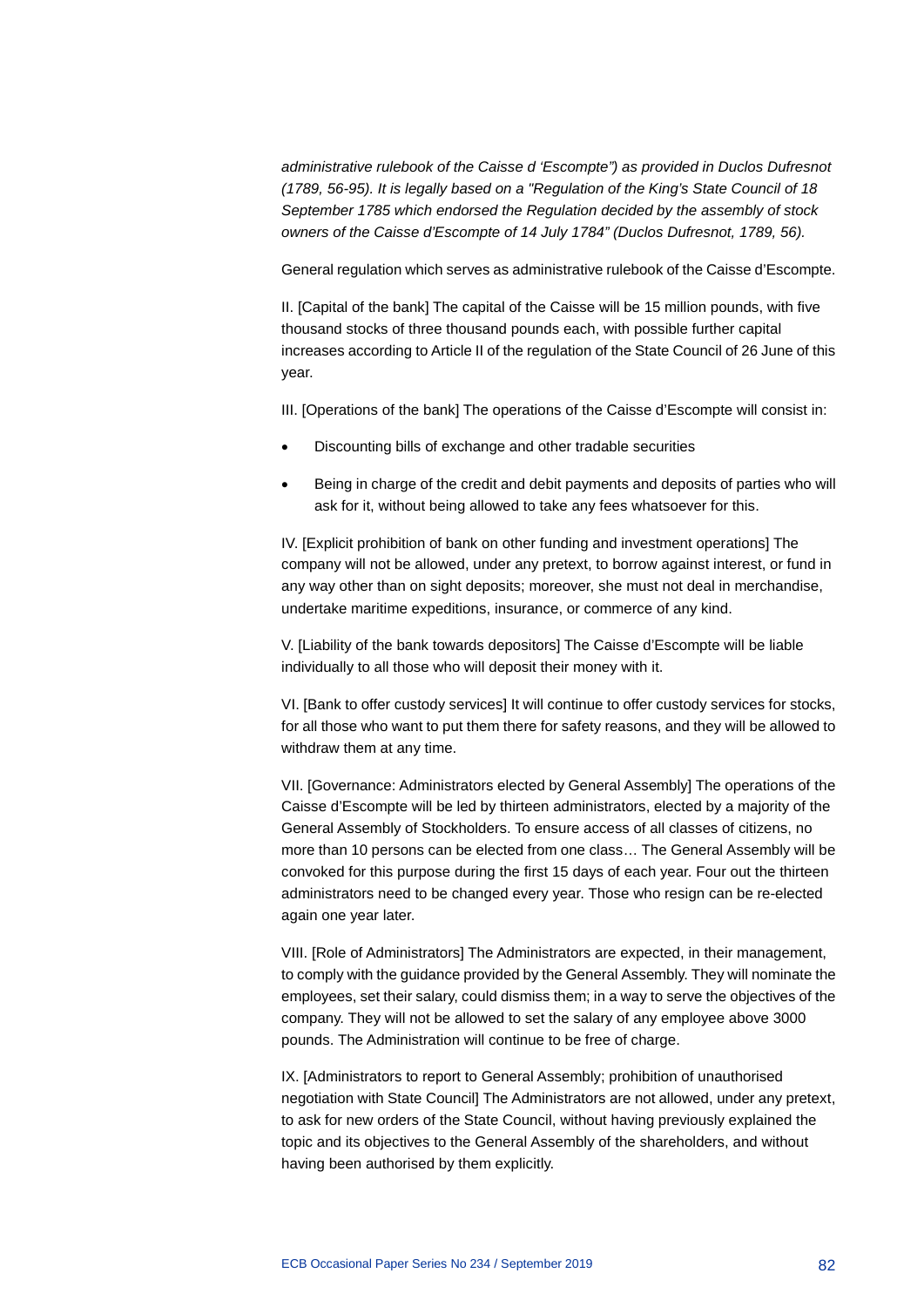*administrative rulebook of the Caisse d 'Escompte") as provided in Duclos Dufresnot (1789, 56-95). It is legally based on a "Regulation of the King's State Council of 18 September 1785 which endorsed the Regulation decided by the assembly of stock owners of the Caisse d'Escompte of 14 July 1784" (Duclos Dufresnot, 1789, 56).*

General regulation which serves as administrative rulebook of the Caisse d'Escompte.

II. [Capital of the bank] The capital of the Caisse will be 15 million pounds, with five thousand stocks of three thousand pounds each, with possible further capital increases according to Article II of the regulation of the State Council of 26 June of this year.

III. [Operations of the bank] The operations of the Caisse d'Escompte will consist in:

- Discounting bills of exchange and other tradable securities
- Being in charge of the credit and debit payments and deposits of parties who will ask for it, without being allowed to take any fees whatsoever for this.

IV. [Explicit prohibition of bank on other funding and investment operations] The company will not be allowed, under any pretext, to borrow against interest, or fund in any way other than on sight deposits; moreover, she must not deal in merchandise, undertake maritime expeditions, insurance, or commerce of any kind.

V. [Liability of the bank towards depositors] The Caisse d'Escompte will be liable individually to all those who will deposit their money with it.

VI. [Bank to offer custody services] It will continue to offer custody services for stocks, for all those who want to put them there for safety reasons, and they will be allowed to withdraw them at any time.

VII. [Governance: Administrators elected by General Assembly] The operations of the Caisse d'Escompte will be led by thirteen administrators, elected by a majority of the General Assembly of Stockholders. To ensure access of all classes of citizens, no more than 10 persons can be elected from one class… The General Assembly will be convoked for this purpose during the first 15 days of each year. Four out the thirteen administrators need to be changed every year. Those who resign can be re-elected again one year later.

VIII. [Role of Administrators] The Administrators are expected, in their management, to comply with the guidance provided by the General Assembly. They will nominate the employees, set their salary, could dismiss them; in a way to serve the objectives of the company. They will not be allowed to set the salary of any employee above 3000 pounds. The Administration will continue to be free of charge.

IX. [Administrators to report to General Assembly; prohibition of unauthorised negotiation with State Council] The Administrators are not allowed, under any pretext, to ask for new orders of the State Council, without having previously explained the topic and its objectives to the General Assembly of the shareholders, and without having been authorised by them explicitly.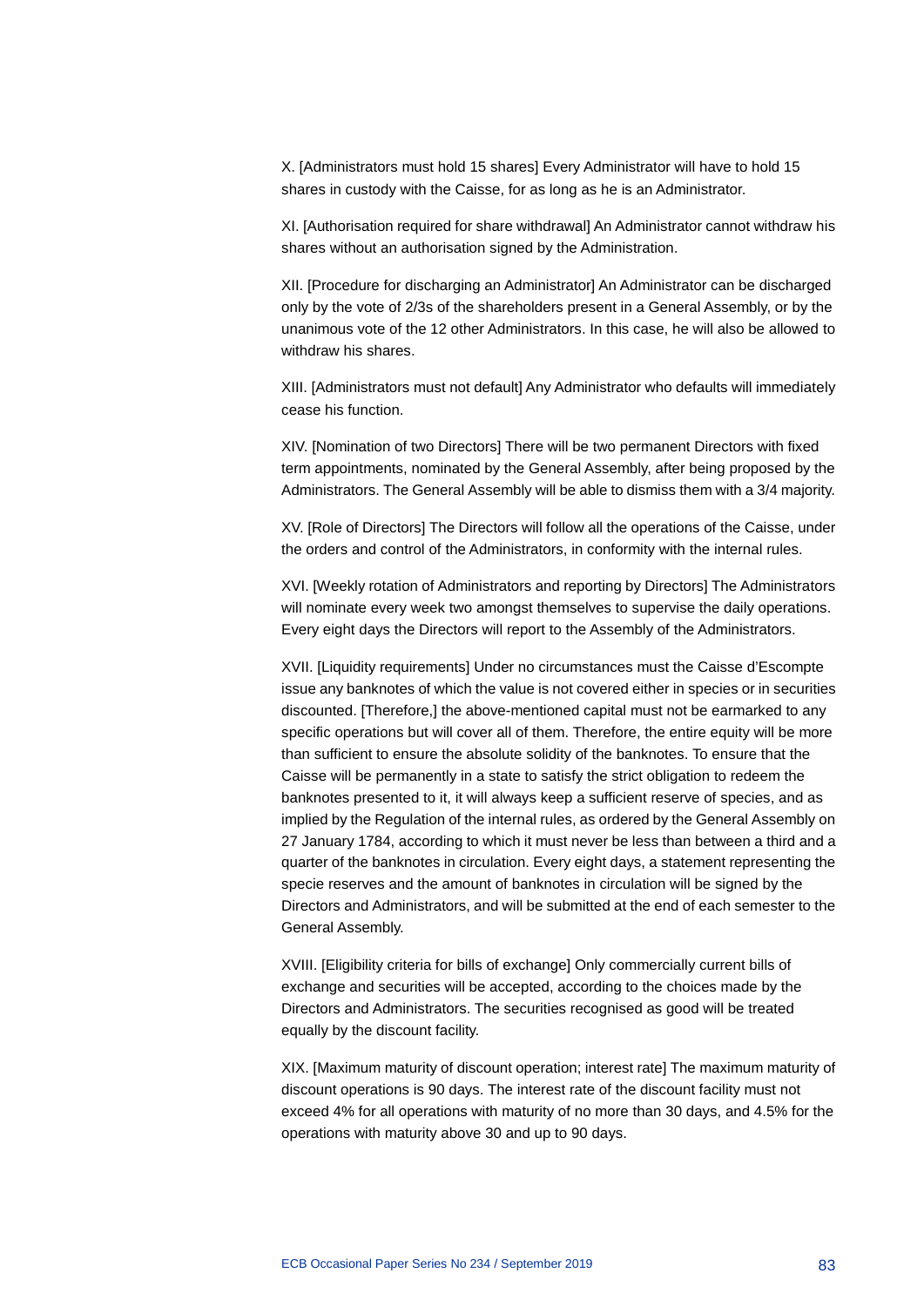X. [Administrators must hold 15 shares] Every Administrator will have to hold 15 shares in custody with the Caisse, for as long as he is an Administrator.

XI. [Authorisation required for share withdrawal] An Administrator cannot withdraw his shares without an authorisation signed by the Administration.

XII. [Procedure for discharging an Administrator] An Administrator can be discharged only by the vote of 2/3s of the shareholders present in a General Assembly, or by the unanimous vote of the 12 other Administrators. In this case, he will also be allowed to withdraw his shares.

XIII. [Administrators must not default] Any Administrator who defaults will immediately cease his function.

XIV. [Nomination of two Directors] There will be two permanent Directors with fixed term appointments, nominated by the General Assembly, after being proposed by the Administrators. The General Assembly will be able to dismiss them with a 3/4 majority.

XV. [Role of Directors] The Directors will follow all the operations of the Caisse, under the orders and control of the Administrators, in conformity with the internal rules.

XVI. [Weekly rotation of Administrators and reporting by Directors] The Administrators will nominate every week two amongst themselves to supervise the daily operations. Every eight days the Directors will report to the Assembly of the Administrators.

XVII. [Liquidity requirements] Under no circumstances must the Caisse d'Escompte issue any banknotes of which the value is not covered either in species or in securities discounted. [Therefore,] the above-mentioned capital must not be earmarked to any specific operations but will cover all of them. Therefore, the entire equity will be more than sufficient to ensure the absolute solidity of the banknotes. To ensure that the Caisse will be permanently in a state to satisfy the strict obligation to redeem the banknotes presented to it, it will always keep a sufficient reserve of species, and as implied by the Regulation of the internal rules, as ordered by the General Assembly on 27 January 1784, according to which it must never be less than between a third and a quarter of the banknotes in circulation. Every eight days, a statement representing the specie reserves and the amount of banknotes in circulation will be signed by the Directors and Administrators, and will be submitted at the end of each semester to the General Assembly.

XVIII. [Eligibility criteria for bills of exchange] Only commercially current bills of exchange and securities will be accepted, according to the choices made by the Directors and Administrators. The securities recognised as good will be treated equally by the discount facility.

XIX. [Maximum maturity of discount operation; interest rate] The maximum maturity of discount operations is 90 days. The interest rate of the discount facility must not exceed 4% for all operations with maturity of no more than 30 days, and 4.5% for the operations with maturity above 30 and up to 90 days.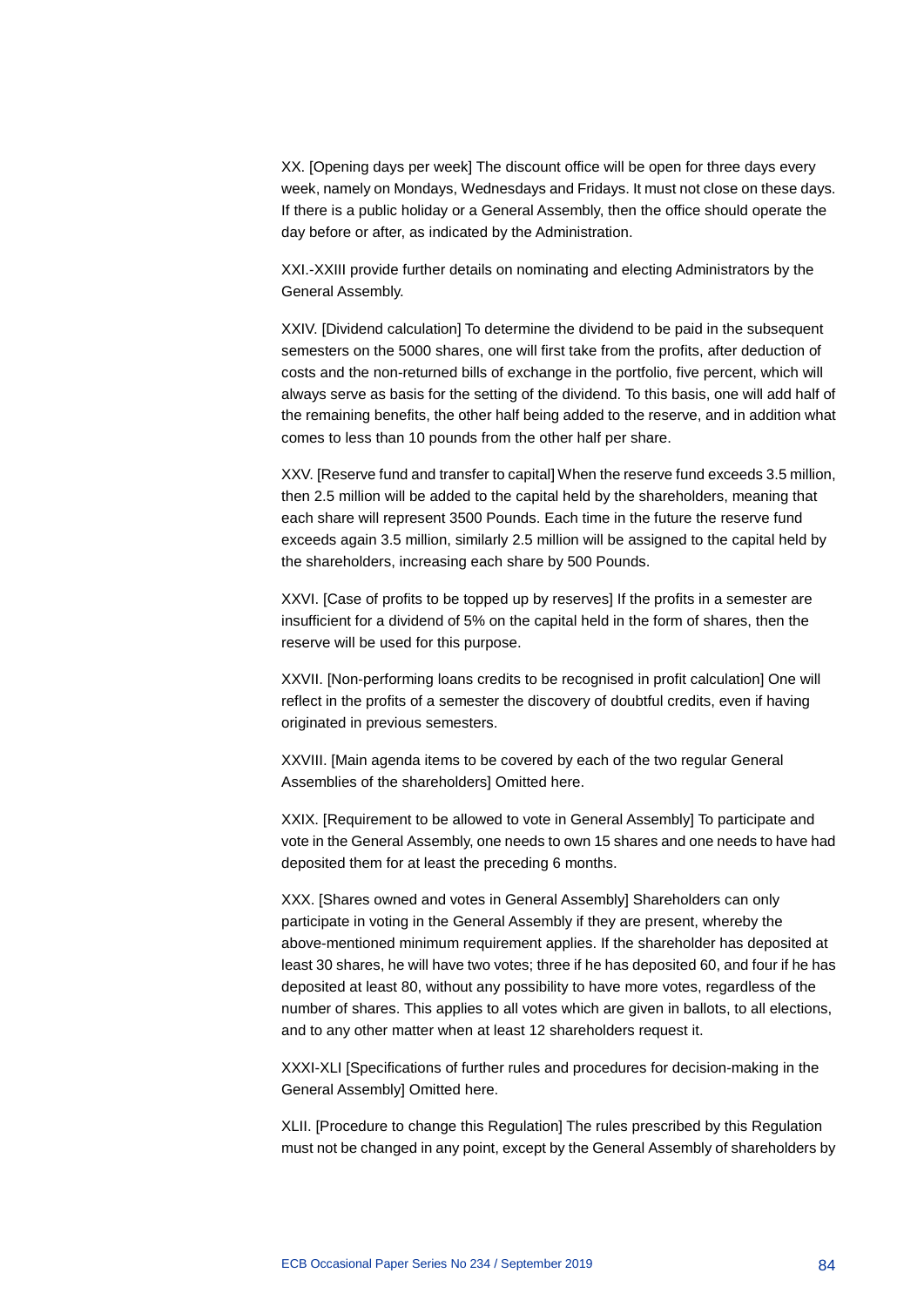XX. [Opening days per week] The discount office will be open for three days every week, namely on Mondays, Wednesdays and Fridays. It must not close on these days. If there is a public holiday or a General Assembly, then the office should operate the day before or after, as indicated by the Administration.

XXI.-XXIII provide further details on nominating and electing Administrators by the General Assembly.

XXIV. [Dividend calculation] To determine the dividend to be paid in the subsequent semesters on the 5000 shares, one will first take from the profits, after deduction of costs and the non-returned bills of exchange in the portfolio, five percent, which will always serve as basis for the setting of the dividend. To this basis, one will add half of the remaining benefits, the other half being added to the reserve, and in addition what comes to less than 10 pounds from the other half per share.

XXV. [Reserve fund and transfer to capital] When the reserve fund exceeds 3.5 million, then 2.5 million will be added to the capital held by the shareholders, meaning that each share will represent 3500 Pounds. Each time in the future the reserve fund exceeds again 3.5 million, similarly 2.5 million will be assigned to the capital held by the shareholders, increasing each share by 500 Pounds.

XXVI. [Case of profits to be topped up by reserves] If the profits in a semester are insufficient for a dividend of 5% on the capital held in the form of shares, then the reserve will be used for this purpose.

XXVII. [Non-performing loans credits to be recognised in profit calculation] One will reflect in the profits of a semester the discovery of doubtful credits, even if having originated in previous semesters.

XXVIII. [Main agenda items to be covered by each of the two regular General Assemblies of the shareholders] Omitted here.

XXIX. [Requirement to be allowed to vote in General Assembly] To participate and vote in the General Assembly, one needs to own 15 shares and one needs to have had deposited them for at least the preceding 6 months.

XXX. [Shares owned and votes in General Assembly] Shareholders can only participate in voting in the General Assembly if they are present, whereby the above-mentioned minimum requirement applies. If the shareholder has deposited at least 30 shares, he will have two votes; three if he has deposited 60, and four if he has deposited at least 80, without any possibility to have more votes, regardless of the number of shares. This applies to all votes which are given in ballots, to all elections, and to any other matter when at least 12 shareholders request it.

XXXI-XLI [Specifications of further rules and procedures for decision-making in the General Assembly] Omitted here.

XLII. [Procedure to change this Regulation] The rules prescribed by this Regulation must not be changed in any point, except by the General Assembly of shareholders by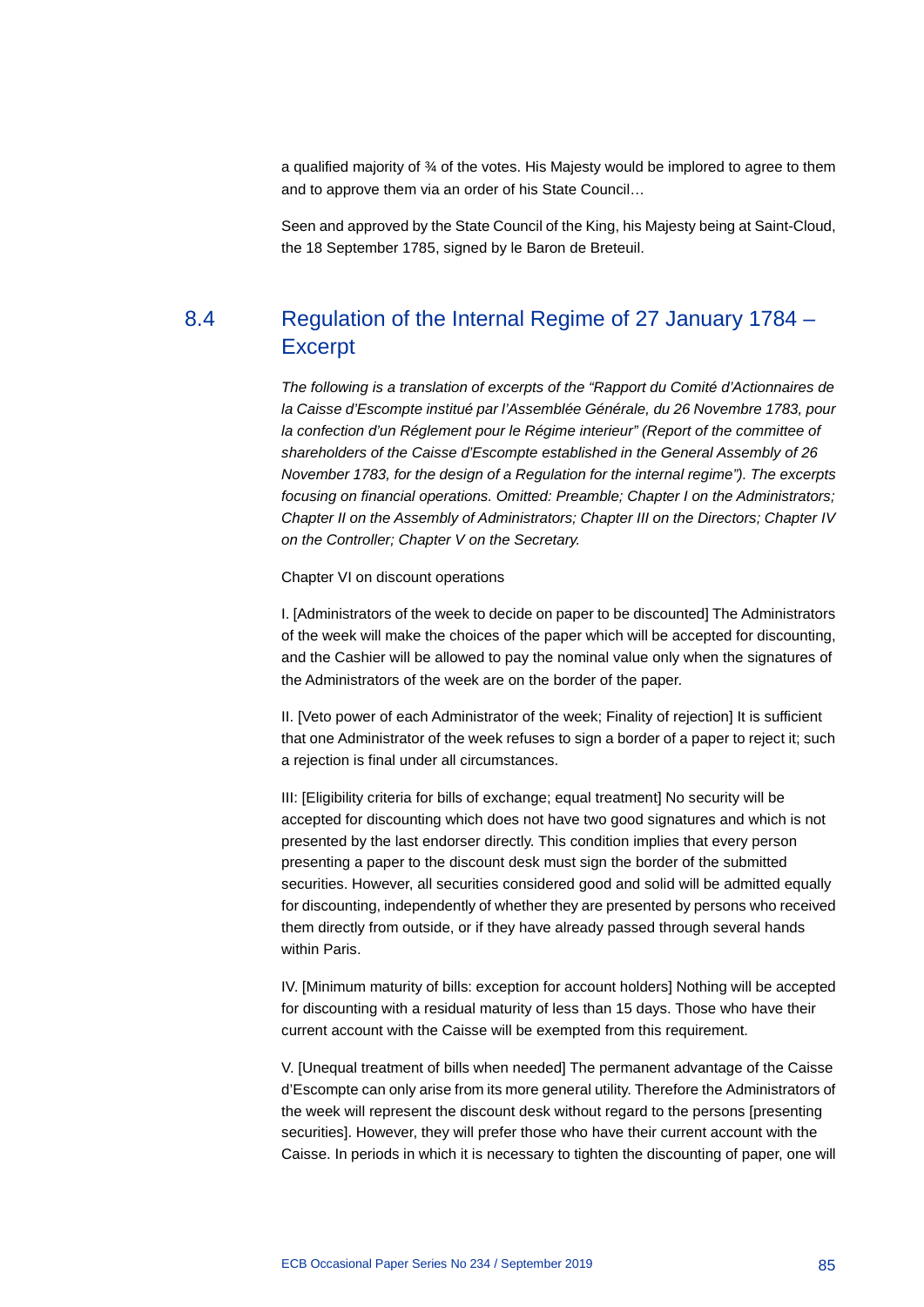a qualified majority of ¾ of the votes. His Majesty would be implored to agree to them and to approve them via an order of his State Council…

Seen and approved by the State Council of the King, his Majesty being at Saint-Cloud, the 18 September 1785, signed by le Baron de Breteuil.

## 8.4 Regulation of the Internal Regime of 27 January 1784 – Excerpt

*The following is a translation of excerpts of the "Rapport du Comité d'Actionnaires de la Caisse d'Escompte institué par l'Assemblée Générale, du 26 Novembre 1783, pour la confection d'un Réglement pour le Régime interieur" (Report of the committee of shareholders of the Caisse d'Escompte established in the General Assembly of 26 November 1783, for the design of a Regulation for the internal regime"). The excerpts focusing on financial operations. Omitted: Preamble; Chapter I on the Administrators; Chapter II on the Assembly of Administrators; Chapter III on the Directors; Chapter IV on the Controller; Chapter V on the Secretary.*

Chapter VI on discount operations

I. [Administrators of the week to decide on paper to be discounted] The Administrators of the week will make the choices of the paper which will be accepted for discounting, and the Cashier will be allowed to pay the nominal value only when the signatures of the Administrators of the week are on the border of the paper.

II. [Veto power of each Administrator of the week; Finality of rejection] It is sufficient that one Administrator of the week refuses to sign a border of a paper to reject it; such a rejection is final under all circumstances.

III: [Eligibility criteria for bills of exchange; equal treatment] No security will be accepted for discounting which does not have two good signatures and which is not presented by the last endorser directly. This condition implies that every person presenting a paper to the discount desk must sign the border of the submitted securities. However, all securities considered good and solid will be admitted equally for discounting, independently of whether they are presented by persons who received them directly from outside, or if they have already passed through several hands within Paris.

IV. [Minimum maturity of bills: exception for account holders] Nothing will be accepted for discounting with a residual maturity of less than 15 days. Those who have their current account with the Caisse will be exempted from this requirement.

V. [Unequal treatment of bills when needed] The permanent advantage of the Caisse d'Escompte can only arise from its more general utility. Therefore the Administrators of the week will represent the discount desk without regard to the persons [presenting securities]. However, they will prefer those who have their current account with the Caisse. In periods in which it is necessary to tighten the discounting of paper, one will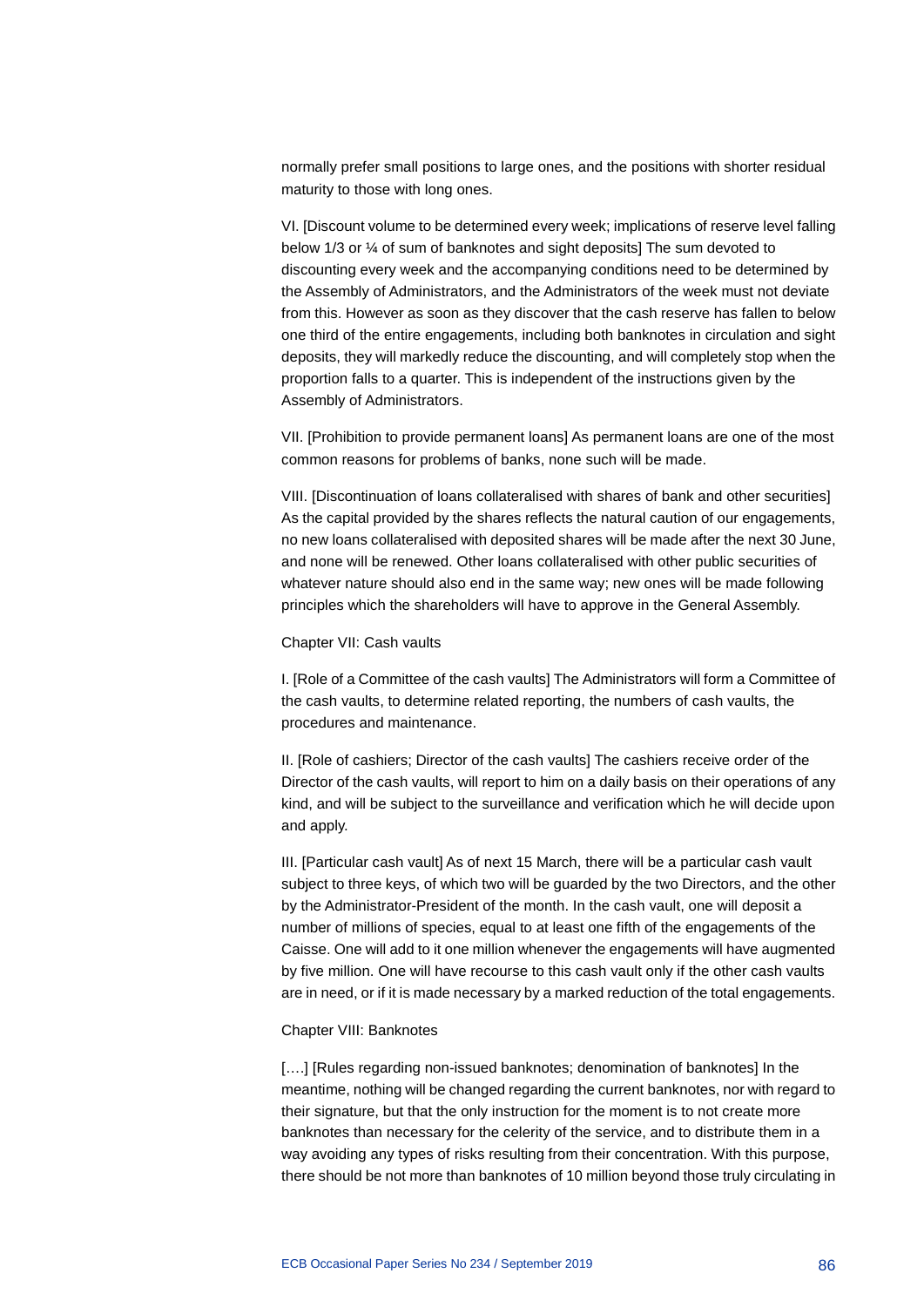normally prefer small positions to large ones, and the positions with shorter residual maturity to those with long ones.

VI. [Discount volume to be determined every week; implications of reserve level falling below 1/3 or ¼ of sum of banknotes and sight deposits] The sum devoted to discounting every week and the accompanying conditions need to be determined by the Assembly of Administrators, and the Administrators of the week must not deviate from this. However as soon as they discover that the cash reserve has fallen to below one third of the entire engagements, including both banknotes in circulation and sight deposits, they will markedly reduce the discounting, and will completely stop when the proportion falls to a quarter. This is independent of the instructions given by the Assembly of Administrators.

VII. [Prohibition to provide permanent loans] As permanent loans are one of the most common reasons for problems of banks, none such will be made.

VIII. [Discontinuation of loans collateralised with shares of bank and other securities] As the capital provided by the shares reflects the natural caution of our engagements, no new loans collateralised with deposited shares will be made after the next 30 June, and none will be renewed. Other loans collateralised with other public securities of whatever nature should also end in the same way; new ones will be made following principles which the shareholders will have to approve in the General Assembly.

#### Chapter VII: Cash vaults

I. [Role of a Committee of the cash vaults] The Administrators will form a Committee of the cash vaults, to determine related reporting, the numbers of cash vaults, the procedures and maintenance.

II. [Role of cashiers; Director of the cash vaults] The cashiers receive order of the Director of the cash vaults, will report to him on a daily basis on their operations of any kind, and will be subject to the surveillance and verification which he will decide upon and apply.

III. [Particular cash vault] As of next 15 March, there will be a particular cash vault subject to three keys, of which two will be guarded by the two Directors, and the other by the Administrator-President of the month. In the cash vault, one will deposit a number of millions of species, equal to at least one fifth of the engagements of the Caisse. One will add to it one million whenever the engagements will have augmented by five million. One will have recourse to this cash vault only if the other cash vaults are in need, or if it is made necessary by a marked reduction of the total engagements.

#### Chapter VIII: Banknotes

[....] [Rules regarding non-issued banknotes; denomination of banknotes] In the meantime, nothing will be changed regarding the current banknotes, nor with regard to their signature, but that the only instruction for the moment is to not create more banknotes than necessary for the celerity of the service, and to distribute them in a way avoiding any types of risks resulting from their concentration. With this purpose, there should be not more than banknotes of 10 million beyond those truly circulating in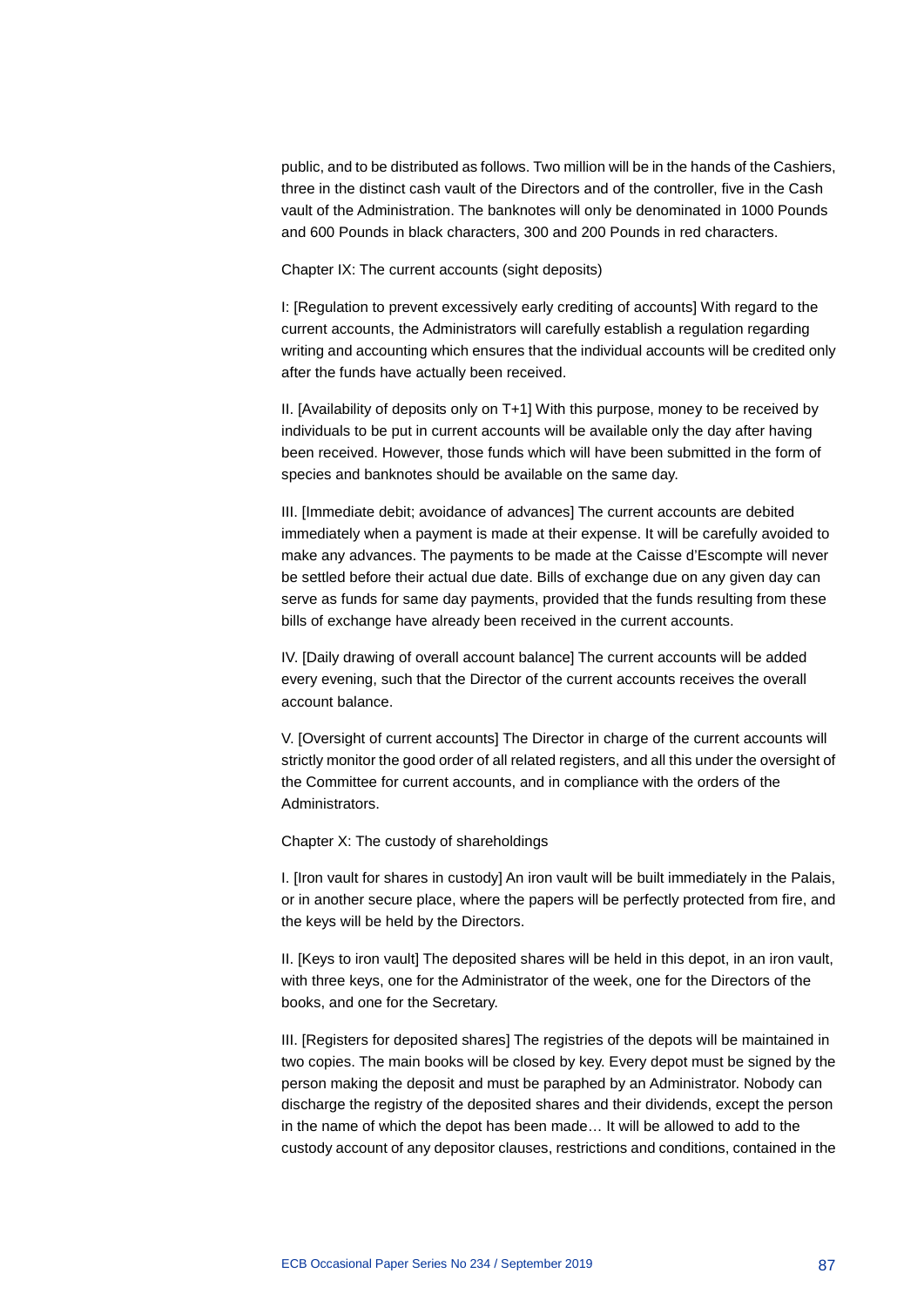public, and to be distributed as follows. Two million will be in the hands of the Cashiers, three in the distinct cash vault of the Directors and of the controller, five in the Cash vault of the Administration. The banknotes will only be denominated in 1000 Pounds and 600 Pounds in black characters, 300 and 200 Pounds in red characters.

Chapter IX: The current accounts (sight deposits)

I: [Regulation to prevent excessively early crediting of accounts] With regard to the current accounts, the Administrators will carefully establish a regulation regarding writing and accounting which ensures that the individual accounts will be credited only after the funds have actually been received.

II. [Availability of deposits only on T+1] With this purpose, money to be received by individuals to be put in current accounts will be available only the day after having been received. However, those funds which will have been submitted in the form of species and banknotes should be available on the same day.

III. [Immediate debit; avoidance of advances] The current accounts are debited immediately when a payment is made at their expense. It will be carefully avoided to make any advances. The payments to be made at the Caisse d'Escompte will never be settled before their actual due date. Bills of exchange due on any given day can serve as funds for same day payments, provided that the funds resulting from these bills of exchange have already been received in the current accounts.

IV. [Daily drawing of overall account balance] The current accounts will be added every evening, such that the Director of the current accounts receives the overall account balance.

V. [Oversight of current accounts] The Director in charge of the current accounts will strictly monitor the good order of all related registers, and all this under the oversight of the Committee for current accounts, and in compliance with the orders of the Administrators.

Chapter X: The custody of shareholdings

I. [Iron vault for shares in custody] An iron vault will be built immediately in the Palais, or in another secure place, where the papers will be perfectly protected from fire, and the keys will be held by the Directors.

II. [Keys to iron vault] The deposited shares will be held in this depot, in an iron vault, with three keys, one for the Administrator of the week, one for the Directors of the books, and one for the Secretary.

III. [Registers for deposited shares] The registries of the depots will be maintained in two copies. The main books will be closed by key. Every depot must be signed by the person making the deposit and must be paraphed by an Administrator. Nobody can discharge the registry of the deposited shares and their dividends, except the person in the name of which the depot has been made… It will be allowed to add to the custody account of any depositor clauses, restrictions and conditions, contained in the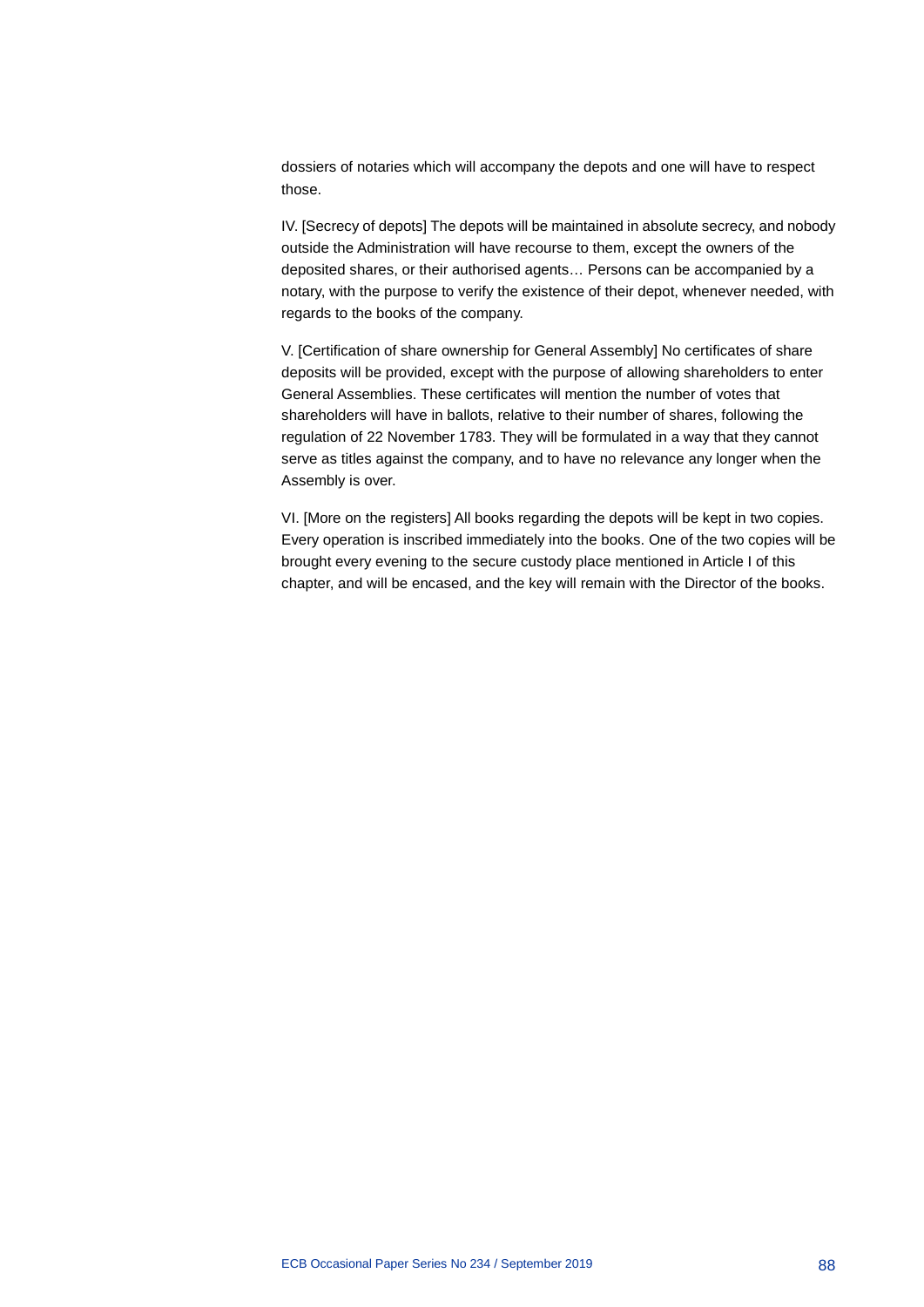dossiers of notaries which will accompany the depots and one will have to respect those.

IV. [Secrecy of depots] The depots will be maintained in absolute secrecy, and nobody outside the Administration will have recourse to them, except the owners of the deposited shares, or their authorised agents… Persons can be accompanied by a notary, with the purpose to verify the existence of their depot, whenever needed, with regards to the books of the company.

V. [Certification of share ownership for General Assembly] No certificates of share deposits will be provided, except with the purpose of allowing shareholders to enter General Assemblies. These certificates will mention the number of votes that shareholders will have in ballots, relative to their number of shares, following the regulation of 22 November 1783. They will be formulated in a way that they cannot serve as titles against the company, and to have no relevance any longer when the Assembly is over.

VI. [More on the registers] All books regarding the depots will be kept in two copies. Every operation is inscribed immediately into the books. One of the two copies will be brought every evening to the secure custody place mentioned in Article I of this chapter, and will be encased, and the key will remain with the Director of the books.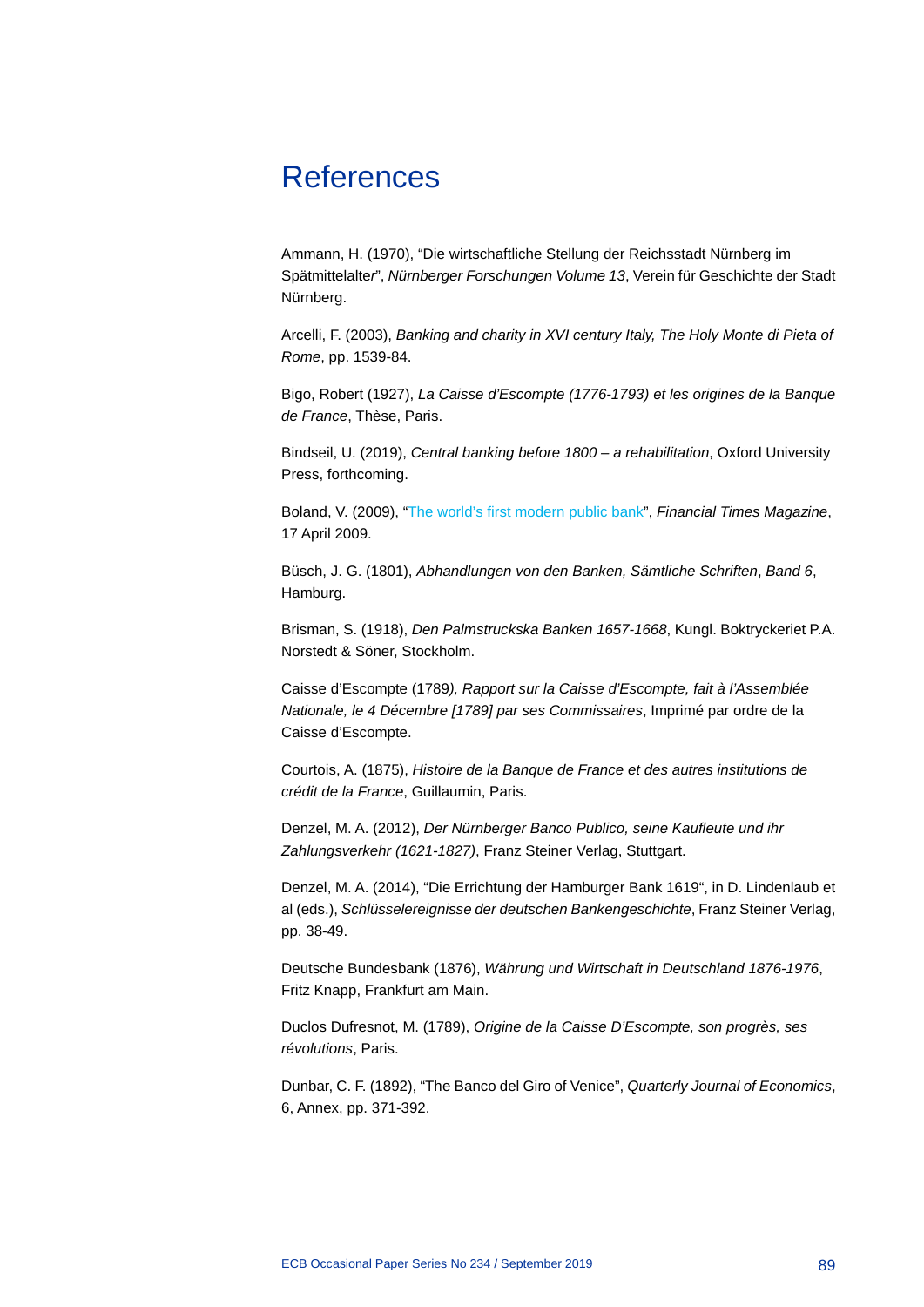## References

Ammann, H. (1970), "Die wirtschaftliche Stellung der Reichsstadt Nürnberg im Spätmittelalte*r*", *Nürnberger Forschungen Volume 13*, Verein für Geschichte der Stadt Nürnberg.

Arcelli, F. (2003), *Banking and charity in XVI century Italy, The Holy Monte di Pieta of Rome*, pp. 1539-84.

Bigo, Robert (1927), *La Caisse d'Escompte (1776-1793) et les origines de la Banque de France*, Thèse, Paris.

Bindseil, U. (2019), *Central banking before 1800 – a rehabilitation*, Oxford University Press, forthcoming.

Boland, V. (2009), ["The world's first modern public bank"](https://www.ft.com/content/6851f286%20288d%2011de%208dbf%2000144feabdc0), *Financial Times Magazine*, 17 April 2009.

Büsch, J. G. (1801), *Abhandlungen von den Banken, Sämtliche Schriften*, *Band 6*, Hamburg.

Brisman, S. (1918), *Den Palmstruckska Banken 1657-1668*, Kungl. Boktryckeriet P.A. Norstedt & Söner, Stockholm.

Caisse d'Escompte (1789*), Rapport sur la Caisse d'Escompte, fait à l'Assemblée Nationale, le 4 Décembre [1789] par ses Commissaires*, Imprimé par ordre de la Caisse d'Escompte.

Courtois, A. (1875), *Histoire de la Banque de France et des autres institutions de crédit de la France*, Guillaumin, Paris.

Denzel, M. A. (2012), *Der Nürnberger Banco Publico, seine Kaufleute und ihr Zahlungsverkehr (1621-1827)*, Franz Steiner Verlag, Stuttgart.

Denzel, M. A. (2014), "Die Errichtung der Hamburger Bank 1619", in D. Lindenlaub et al (eds.), *Schlüsselereignisse der deutschen Bankengeschichte*, Franz Steiner Verlag, pp. 38-49.

Deutsche Bundesbank (1876), *Währung und Wirtschaft in Deutschland 1876-1976*, Fritz Knapp, Frankfurt am Main.

Duclos Dufresnot, M. (1789), *Origine de la Caisse D'Escompte, son progrès, ses révolutions*, Paris.

Dunbar, C. F. (1892), "The Banco del Giro of Venice", *Quarterly Journal of Economics*, 6, Annex, pp. 371-392.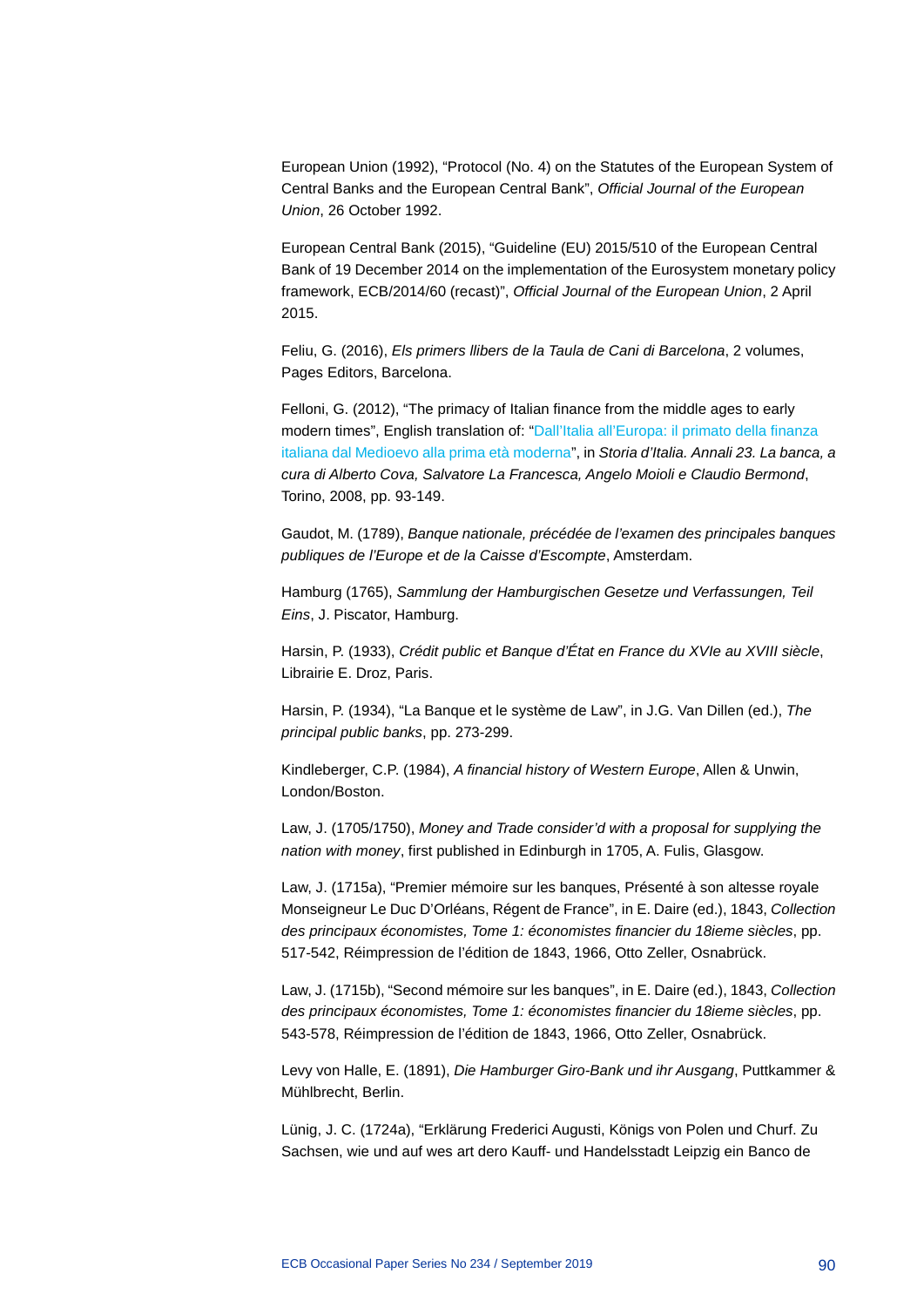European Union (1992), "Protocol (No. 4) on the Statutes of the European System of Central Banks and the European Central Bank", *Official Journal of the European Union*, 26 October 1992.

European Central Bank (2015), "Guideline (EU) 2015/510 of the European Central Bank of 19 December 2014 on the implementation of the Eurosystem monetary policy framework, ECB/2014/60 (recast)", *Official Journal of the European Union*, 2 April 2015.

Feliu, G. (2016), *Els primers llibers de la Taula de Cani di Barcelona*, 2 volumes, Pages Editors, Barcelona.

Felloni, G. (2012), "The primacy of Italian finance from the middle ages to early modern times", English translation of: ["Dall'Italia all'Europa: il primato della finanza](http://www.giuseppefelloni.it/en/index.php)  [italiana dal Medioevo alla prima età moderna"](http://www.giuseppefelloni.it/en/index.php), in *Storia d'Italia. Annali 23. La banca, a cura di Alberto Cova, Salvatore La Francesca, Angelo Moioli e Claudio Bermond*, Torino, 2008, pp. 93-149.

Gaudot, M. (1789), *Banque nationale, précédée de l'examen des principales banques publiques de l'Europe et de la Caisse d'Escompte*, Amsterdam.

Hamburg (1765), *Sammlung der Hamburgischen Gesetze und Verfassungen, Teil Eins*, J. Piscator, Hamburg.

Harsin, P. (1933), *Crédit public et Banque d'État en France du XVIe au XVIII siècle*, Librairie E. Droz, Paris.

Harsin, P. (1934), "La Banque et le système de Law", in J.G. Van Dillen (ed.), *The principal public banks*, pp. 273-299.

Kindleberger, C.P. (1984), *A financial history of Western Europe*, Allen & Unwin, London/Boston.

Law, J. (1705/1750), *Money and Trade consider'd with a proposal for supplying the nation with money*, first published in Edinburgh in 1705, A. Fulis, Glasgow.

Law, J. (1715a), "Premier mémoire sur les banques, Présenté à son altesse royale Monseigneur Le Duc D'Orléans, Régent de France", in E. Daire (ed.), 1843, *Collection des principaux économistes, Tome 1: économistes financier du 18ieme siècles*, pp. 517-542, Réimpression de l'édition de 1843, 1966, Otto Zeller, Osnabrück.

Law, J. (1715b), "Second mémoire sur les banques", in E. Daire (ed.), 1843, *Collection des principaux économistes, Tome 1: économistes financier du 18ieme siècles*, pp. 543-578, Réimpression de l'édition de 1843, 1966, Otto Zeller, Osnabrück.

Levy von Halle, E. (1891), *Die Hamburger Giro-Bank und ihr Ausgang*, Puttkammer & Mühlbrecht, Berlin.

Lünig, J. C. (1724a), "Erklärung Frederici Augusti, Königs von Polen und Churf. Zu Sachsen, wie und auf wes art dero Kauff- und Handelsstadt Leipzig ein Banco de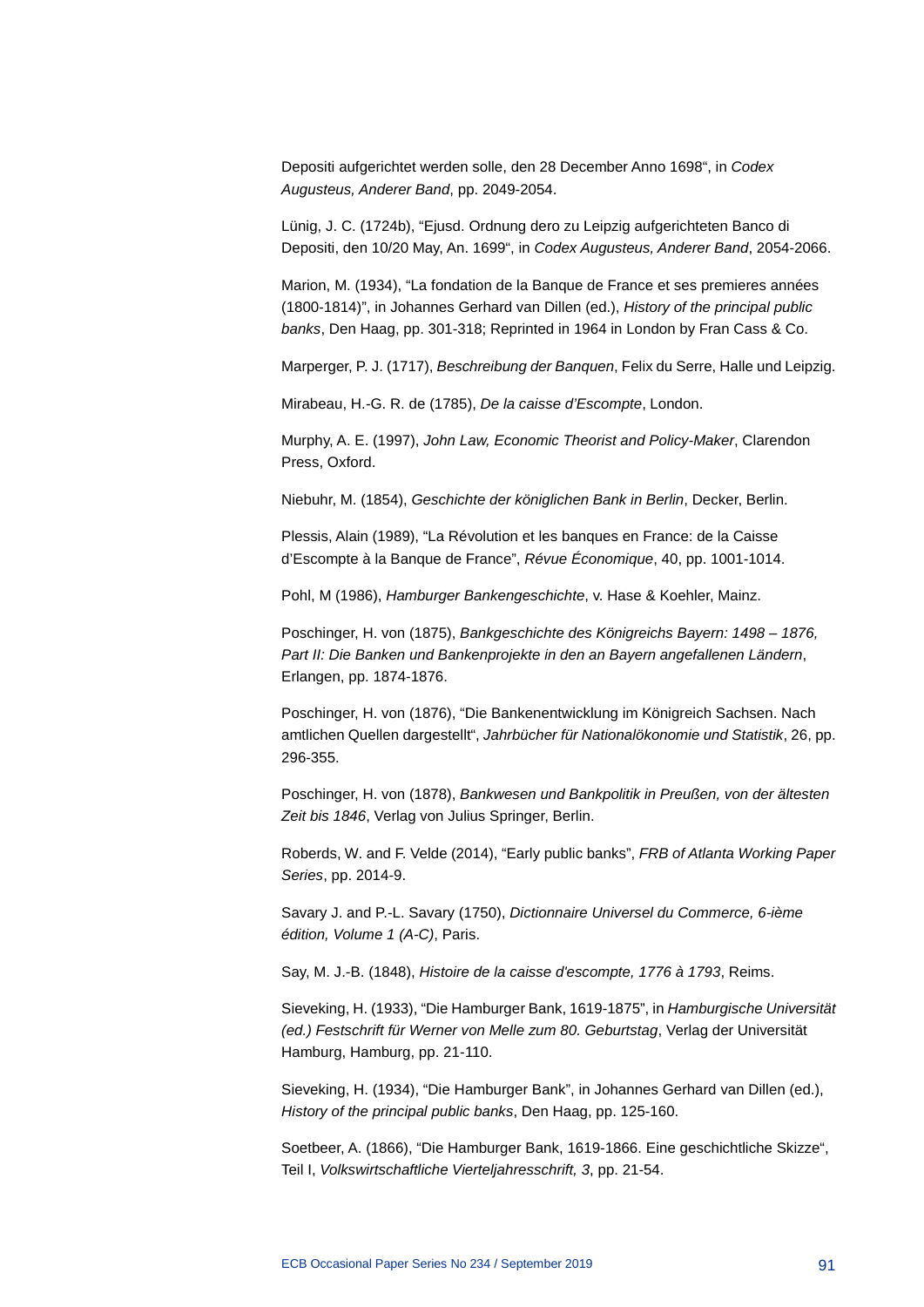Depositi aufgerichtet werden solle, den 28 December Anno 1698", in *Codex Augusteus, Anderer Band*, pp. 2049-2054.

Lünig, J. C. (1724b), "Ejusd. Ordnung dero zu Leipzig aufgerichteten Banco di Depositi, den 10/20 May, An. 1699", in *Codex Augusteus, Anderer Band*, 2054-2066.

Marion, M. (1934), "La fondation de la Banque de France et ses premieres années (1800-1814)", in Johannes Gerhard van Dillen (ed.), *History of the principal public banks*, Den Haag, pp. 301-318; Reprinted in 1964 in London by Fran Cass & Co.

Marperger, P. J. (1717), *Beschreibung der Banquen*, Felix du Serre, Halle und Leipzig.

Mirabeau, H.-G. R. de (1785), *De la caisse d'Escompte*, London.

Murphy, A. E. (1997), *John Law, Economic Theorist and Policy-Maker*, Clarendon Press, Oxford.

Niebuhr, M. (1854), *Geschichte der königlichen Bank in Berlin*, Decker, Berlin.

Plessis, Alain (1989), "La Révolution et les banques en France: de la Caisse d'Escompte à la Banque de France", *Révue Économique*, 40, pp. 1001-1014.

Pohl, M (1986), *Hamburger Bankengeschichte*, v. Hase & Koehler, Mainz.

Poschinger, H. von (1875), *Bankgeschichte des Königreichs Bayern: 1498 – 1876, Part II: Die Banken und Bankenprojekte in den an Bayern angefallenen Ländern*, Erlangen, pp. 1874-1876.

Poschinger, H. von (1876), "Die Bankenentwicklung im Königreich Sachsen. Nach amtlichen Quellen dargestellt", *Jahrbücher für Nationalökonomie und Statistik*, 26, pp. 296-355.

Poschinger, H. von (1878), *Bankwesen und Bankpolitik in Preußen, von der ältesten Zeit bis 1846*, Verlag von Julius Springer, Berlin.

Roberds, W. and F. Velde (2014), "Early public banks", *FRB of Atlanta Working Paper Series*, pp. 2014-9.

Savary J. and P.-L. Savary (1750), *Dictionnaire Universel du Commerce, 6-ième édition, Volume 1 (A-C)*, Paris.

Say, M. J.-B. (1848), *Histoire de la caisse d'escompte, 1776 à 1793*, Reims.

Sieveking, H. (1933), "Die Hamburger Bank, 1619-1875", in *Hamburgische Universität (ed.) Festschrift für Werner von Melle zum 80. Geburtstag*, Verlag der Universität Hamburg, Hamburg, pp. 21-110.

Sieveking, H. (1934), "Die Hamburger Bank", in Johannes Gerhard van Dillen (ed.), *History of the principal public banks*, Den Haag, pp. 125-160.

Soetbeer, A. (1866), "Die Hamburger Bank, 1619-1866. Eine geschichtliche Skizze", Teil I, *Volkswirtschaftliche Vierteljahresschrift, 3*, pp. 21-54.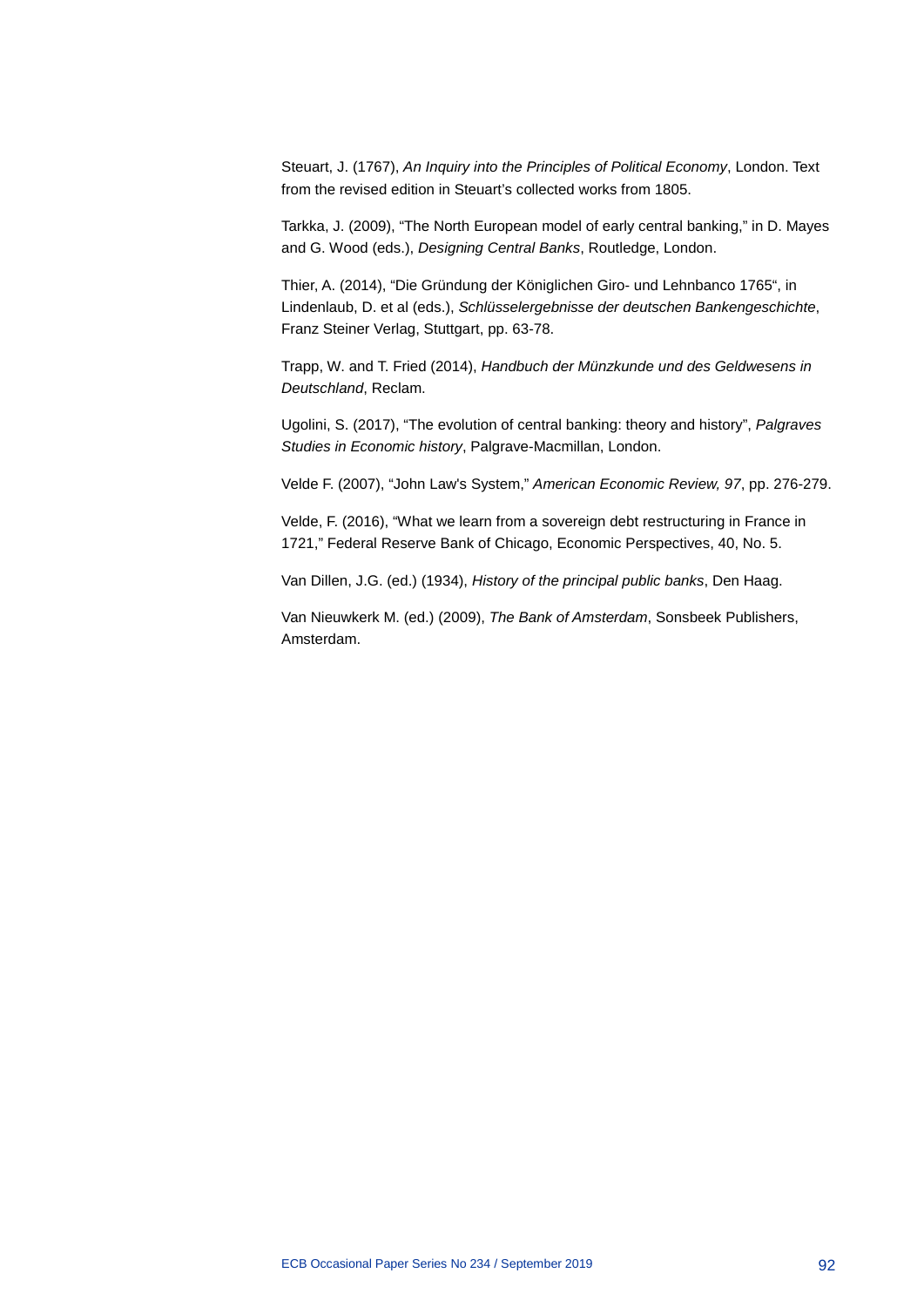Steuart, J. (1767), *An Inquiry into the Principles of Political Economy*, London. Text from the revised edition in Steuart's collected works from 1805.

Tarkka, J. (2009), "The North European model of early central banking," in D. Mayes and G. Wood (eds.), *Designing Central Banks*, Routledge, London.

Thier, A. (2014), "Die Gründung der Königlichen Giro- und Lehnbanco 1765", in Lindenlaub, D. et al (eds.), *Schlüsselergebnisse der deutschen Bankengeschichte*, Franz Steiner Verlag, Stuttgart, pp. 63-78.

Trapp, W. and T. Fried (2014), *Handbuch der Münzkunde und des Geldwesens in Deutschland*, Reclam.

Ugolini, S. (2017), "The evolution of central banking: theory and history", *Palgraves Studies in Economic history*, Palgrave-Macmillan, London.

Velde F. (2007), "John Law's System," *American Economic Review, 97*, pp. 276-279.

Velde, F. (2016), "What we learn from a sovereign debt restructuring in France in 1721," Federal Reserve Bank of Chicago, Economic Perspectives, 40, No. 5.

Van Dillen, J.G. (ed.) (1934), *History of the principal public banks*, Den Haag.

Van Nieuwkerk M. (ed.) (2009), *The Bank of Amsterdam*, Sonsbeek Publishers, Amsterdam.